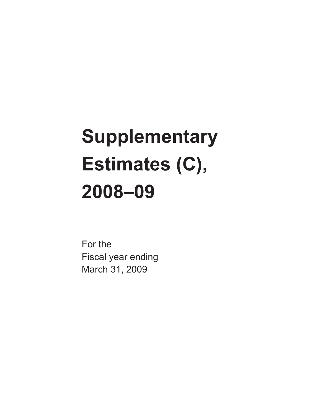# **Supplementary Estimates (C), 2008–09**

For the Fiscal year ending March 31, 2009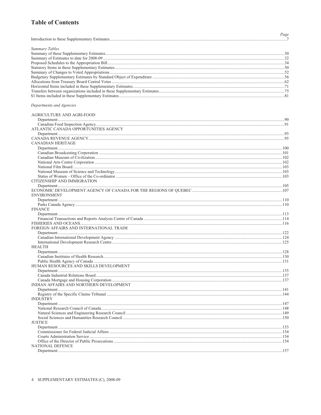### **Table of Contents**

|                                         | Page |
|-----------------------------------------|------|
|                                         |      |
| Summary Tables                          |      |
|                                         |      |
|                                         |      |
|                                         |      |
|                                         |      |
|                                         |      |
|                                         |      |
|                                         |      |
|                                         |      |
|                                         |      |
| Departments and Agencies                |      |
| AGRICULTURE AND AGRI-FOOD               |      |
|                                         |      |
|                                         |      |
| ATLANTIC CANADA OPPORTUNITIES AGENCY    |      |
|                                         |      |
|                                         |      |
| <b>CANADIAN HERITAGE</b>                |      |
|                                         |      |
|                                         |      |
|                                         |      |
|                                         |      |
|                                         |      |
|                                         |      |
| CITIZENSHIP AND IMMIGRATION             |      |
|                                         |      |
|                                         |      |
| <b>ENVIRONMENT</b>                      |      |
|                                         |      |
|                                         |      |
| <b>FINANCE</b>                          |      |
|                                         |      |
|                                         |      |
|                                         |      |
| FOREIGN AFFAIRS AND INTERNATIONAL TRADE |      |
|                                         |      |
|                                         |      |
|                                         |      |
| <b>HEALTH</b>                           |      |
|                                         |      |
|                                         |      |
| HUMAN RESOURCES AND SKILLS DEVELOPMENT  |      |
|                                         |      |
|                                         |      |
|                                         |      |
| INDIAN AFFAIRS AND NORTHERN DEVELOPMENT |      |
|                                         |      |
|                                         |      |
| <b>INDUSTRY</b>                         |      |
|                                         |      |
|                                         |      |
|                                         |      |
|                                         |      |
| <b>JUSTICE</b>                          |      |
|                                         |      |
|                                         |      |
|                                         |      |
|                                         |      |
| NATIONAL DEFENCE                        |      |
|                                         |      |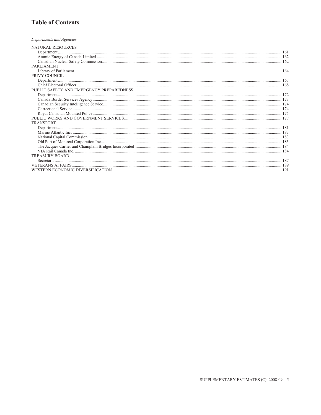### **Table of Contents**

| Departments and Agencies                 |  |
|------------------------------------------|--|
| <b>NATURAL RESOURCES</b>                 |  |
|                                          |  |
|                                          |  |
|                                          |  |
| <b>PARLIAMENT</b>                        |  |
|                                          |  |
| PRIVY COUNCIL                            |  |
|                                          |  |
|                                          |  |
| PUBLIC SAFETY AND EMERGENCY PREPAREDNESS |  |
|                                          |  |
|                                          |  |
|                                          |  |
|                                          |  |
|                                          |  |
|                                          |  |
| <b>TRANSPORT</b>                         |  |
|                                          |  |
|                                          |  |
|                                          |  |
|                                          |  |
|                                          |  |
|                                          |  |
| <b>TREASURY BOARD</b>                    |  |
|                                          |  |
|                                          |  |
|                                          |  |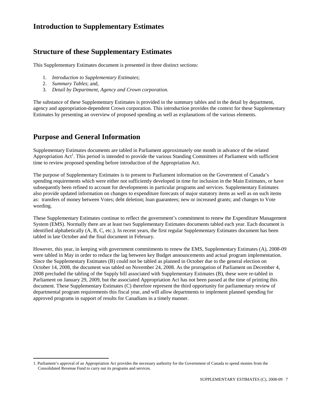### <span id="page-3-0"></span>**Structure of these Supplementary Estimates**

This Supplementary Estimates document is presented in three distinct sections:

- 1. *Introduction to Supplementary Estimates*;
- 2. *Summary Tables*; and,

 $\overline{a}$ 

3. *Detail by Department, Agency and Crown corporation.*

The substance of these Supplementary Estimates is provided in the summary tables and in the detail by department, agency and appropriation-dependent Crown corporation. This introduction provides the context for these Supplementary Estimates by presenting an overview of proposed spending as well as explanations of the various elements.

### **Purpose and General Information**

Supplementary Estimates documents are tabled in Parliament approximately one month in advance of the related Appropriation Act<sup>1</sup>. This period is intended to provide the various Standing Committees of Parliament with sufficient time to review proposed spending before introduction of the Appropriation Act.

The purpose of Supplementary Estimates is to present to Parliament information on the Government of Canada's spending requirements which were either not sufficiently developed in time for inclusion in the Main Estimates, or have subsequently been refined to account for developments in particular programs and services. Supplementary Estimates also provide updated information on changes to expenditure forecasts of major statutory items as well as on such items as: transfers of money between Votes; debt deletion; loan guarantees; new or increased grants; and changes to Vote wording.

These Supplementary Estimates continue to reflect the government's commitment to renew the Expenditure Management System (EMS). Normally there are at least two Supplementary Estimates documents tabled each year. Each document is identified alphabetically (A, B, C, etc.). In recent years, the first regular Supplementary Estimates document has been tabled in late October and the final document in February.

However, this year, in keeping with government commitments to renew the EMS, Supplementary Estimates (A), 2008-09 were tabled in May in order to reduce the lag between key Budget announcements and actual program implementation. Since the Supplementary Estimates (B) could not be tabled as planned in October due to the general election on October 14, 2008, the document was tabled on November 24, 2008. As the prorogation of Parliament on December 4, 2008 precluded the tabling of the Supply bill associated with Supplementary Estimates (B), these were re-tabled in Parliament on January 29, 2009, but the associated Appropriation Act has not been passed at the time of printing this document. These Supplementary Estimates (C) therefore represent the third opportunity for parliamentary review of departmental program requirements this fiscal year, and will allow departments to implement planned spending for approved programs in support of results for Canadians in a timely manner.

<sup>1.</sup> Parliament's approval of an Appropriation Act provides the necessary authority for the Government of Canada to spend monies from the Consolidated Revenue Fund to carry out its programs and services.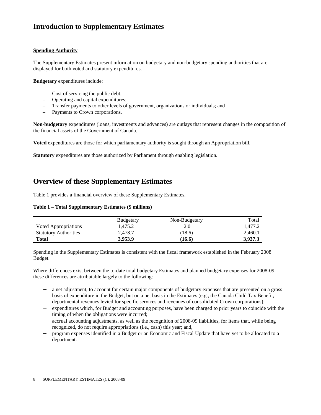### **Spending Authority**

The Supplementary Estimates present information on budgetary and non-budgetary spending authorities that are displayed for both voted and statutory expenditures.

**Budgetary** expenditures include:

- Cost of servicing the public debt;
- Operating and capital expenditures;
- Transfer payments to other levels of government, organizations or individuals; and
- Payments to Crown corporations.

**Non-budgetary** expenditures (loans, investments and advances) are outlays that represent changes in the composition of the financial assets of the Government of Canada.

**Voted** expenditures are those for which parliamentary authority is sought through an Appropriation bill.

**Statutory** expenditures are those authorized by Parliament through enabling legislation.

### **Overview of these Supplementary Estimates**

Table 1 provides a financial overview of these Supplementary Estimates.

#### **Table 1 – Total Supplementary Estimates (\$ millions)**

|                              | <b>Budgetary</b> | Non-Budgetary | Total   |
|------------------------------|------------------|---------------|---------|
| <b>Voted Appropriations</b>  | 1.475.2          | 2.0           | 1.477.2 |
| <b>Statutory Authorities</b> | 2.478.7          | (18.6)        | 2,460.1 |
| Total                        | 3,953.9          | 16.6)         | 3.937.3 |

Spending in the Supplementary Estimates is consistent with the fiscal framework established in the February 2008 Budget.

Where differences exist between the to-date total budgetary Estimates and planned budgetary expenses for 2008-09, these differences are attributable largely to the following:

- − a net adjustment, to account for certain major components of budgetary expenses that are presented on a gross basis of expenditure in the Budget, but on a net basis in the Estimates (e.g., the Canada Child Tax Benefit, departmental revenues levied for specific services and revenues of consolidated Crown corporations);
- expenditures which, for Budget and accounting purposes, have been charged to prior years to coincide with the timing of when the obligations were incurred;
- − accrual accounting adjustments, as well as the recognition of 2008-09 liabilities, for items that, while being recognized, do not require appropriations (i.e., cash) this year; and,
- − program expenses identified in a Budget or an Economic and Fiscal Update that have yet to be allocated to a department.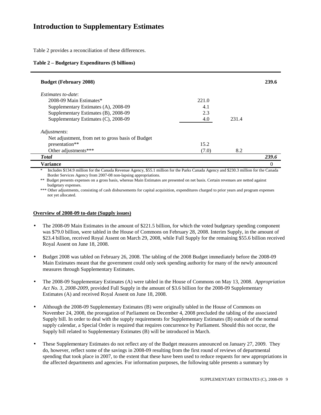Table 2 provides a reconciliation of these differences.

#### **Table 2 – Budgetary Expenditures (\$ billions)**

| <b>Budget (February 2008)</b>                     |       |       | 239.6    |
|---------------------------------------------------|-------|-------|----------|
| <i>Estimates to-date:</i>                         |       |       |          |
| 2008-09 Main Estimates*                           | 221.0 |       |          |
| Supplementary Estimates (A), 2008-09              | 4.1   |       |          |
| Supplementary Estimates (B), 2008-09              | 2.3   |       |          |
| Supplementary Estimates (C), 2008-09              | 4.0   | 231.4 |          |
| Adjustments:                                      |       |       |          |
| Net adjustment, from net to gross basis of Budget |       |       |          |
| presentation**                                    | 15.2  |       |          |
| Other adjustments***                              | (7.0) | 8.2   |          |
| <b>T</b> otal                                     |       |       | 239.6    |
| <b>Variance</b>                                   |       |       | $\theta$ |

\* Includes \$134.9 million for the Canada Revenue Agency, \$55.1 million for the Parks Canada Agency and \$230.3 million for the Canada Border Services Agency from 2007-08 non-lapsing appropriations.

\*\* Budget presents expenses on a gross basis, whereas Main Estimates are presented on net basis. Certain revenues are netted against budgetary expenses.

\*\*\* Other adjustments, consisting of cash disbursements for capital acquisition, expenditures charged to prior years and program expenses not yet allocated.

### **Overview of 2008-09 to-date (Supply issues)**

- The 2008-09 Main Estimates in the amount of \$221.5 billion, for which the voted budgetary spending component was \$79.0 billion, were tabled in the House of Commons on February 28, 2008. Interim Supply, in the amount of \$23.4 billion, received Royal Assent on March 29, 2008, while Full Supply for the remaining \$55.6 billion received Royal Assent on June 18, 2008.
- Budget 2008 was tabled on February 26, 2008. The tabling of the 2008 Budget immediately before the 2008-09 Main Estimates meant that the government could only seek spending authority for many of the newly announced measures through Supplementary Estimates.
- The 2008-09 Supplementary Estimates (A) were tabled in the House of Commons on May 13, 2008. *Appropriation Act No. 3, 2008-2009,* provided Full Supply in the amount of \$3.6 billion for the 2008-09 Supplementary Estimates (A) and received Royal Assent on June 18, 2008.
- Although the 2008-09 Supplementary Estimates (B) were originally tabled in the House of Commons on November 24, 2008, the prorogation of Parliament on December 4, 2008 precluded the tabling of the associated Supply bill. In order to deal with the supply requirements for Supplementary Estimates (B) outside of the normal supply calendar, a Special Order is required that requires concurrence by Parliament. Should this not occur, the Supply bill related to Supplementary Estimates (B) will be introduced in March.
- These Supplementary Estimates do not reflect any of the Budget measures announced on January 27, 2009. They do, however, reflect some of the savings in 2008-09 resulting from the first round of reviews of departmental spending that took place in 2007, to the extent that these have been used to reduce requests for new appropriations in the affected departments and agencies. For information purposes, the following table presents a summary by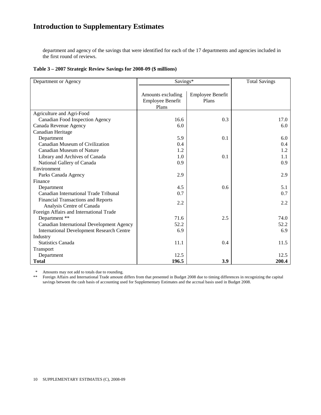department and agency of the savings that were identified for each of the 17 departments and agencies included in the first round of reviews.

| Department or Agency                             |                                                | Savings*                  |               |  |
|--------------------------------------------------|------------------------------------------------|---------------------------|---------------|--|
|                                                  | Amounts excluding<br>Employee Benefit<br>Plans | Employee Benefit<br>Plans |               |  |
| Agriculture and Agri-Food                        |                                                |                           |               |  |
| <b>Canadian Food Inspection Agency</b>           | 16.6                                           | 0.3                       | 17.0          |  |
| Canada Revenue Agency                            | 6.0                                            |                           | 6.0           |  |
| Canadian Heritage                                |                                                |                           |               |  |
| Department                                       | 5.9                                            | 0.1                       | 6.0           |  |
| Canadian Museum of Civilization                  | 0.4                                            |                           | $0.4^{\circ}$ |  |
| Canadian Museum of Nature                        | 1.2                                            |                           | 1.2           |  |
| Library and Archives of Canada                   | 1.0                                            | 0.1                       | 1.1           |  |
| National Gallery of Canada                       | 0.9                                            |                           | 0.9           |  |
| Environment                                      |                                                |                           |               |  |
| Parks Canada Agency                              | 2.9                                            |                           | 2.9           |  |
| Finance                                          |                                                |                           |               |  |
| Department                                       | 4.5                                            | 0.6                       | 5.1           |  |
| Canadian International Trade Tribunal            | 0.7                                            |                           | 0.7           |  |
| <b>Financial Transactions and Reports</b>        | 2.2                                            |                           | 2.2           |  |
| Analysis Centre of Canada                        |                                                |                           |               |  |
| Foreign Affairs and International Trade          |                                                |                           |               |  |
| Department **                                    | 71.6                                           | 2.5                       | 74.0          |  |
| Canadian International Development Agency        | 52.2                                           |                           | 52.2          |  |
| <b>International Development Research Centre</b> | 6.9                                            |                           | 6.9           |  |
| Industry                                         |                                                |                           |               |  |
| <b>Statistics Canada</b>                         | 11.1                                           | 0.4                       | 11.5          |  |
| Transport                                        |                                                |                           |               |  |
| Department                                       | 12.5                                           |                           | 12.5          |  |
| <b>Total</b>                                     | 196.5                                          | 3.9                       | 200.4         |  |

\* Amounts may not add to totals due to rounding.

\*\* Foreign Affairs and International Trade amount differs from that presented in Budget 2008 due to timing differences in recognizing the capital savings between the cash basis of accounting used for Supplementary Estimates and the accrual basis used in Budget 2008.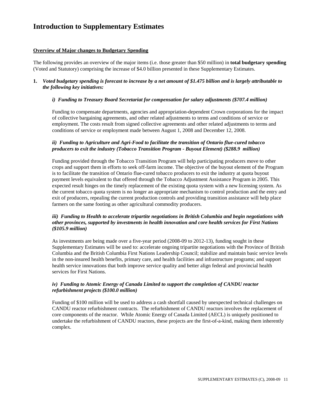### **Overview of Major changes to Budgetary Spending**

The following provides an overview of the major items (i.e. those greater than \$50 million) in **total budgetary spending** (Voted and Statutory) comprising the increase of \$4.0 billion presented in these Supplementary Estimates.

#### **1.** *Voted budgetary spending is forecast to increase by a net amount of \$1.475 billion and is largely attributable to the following key initiatives:*

#### *i) Funding to Treasury Board Secretariat for compensation for salary adjustments (\$707.4 million)*

Funding to compensate departments, agencies and appropriation-dependent Crown corporations for the impact of collective bargaining agreements, and other related adjustments to terms and conditions of service or employment. The costs result from signed collective agreements and other related adjustments to terms and conditions of service or employment made between August 1, 2008 and December 12, 2008.

### *ii) Funding to Agriculture and Agri-Food to facilitate the transition of Ontario flue-cured tobacco producers to exit the industry (Tobacco Transition Program - Buyout Element) (\$288.9 million)*

Funding provided through the Tobacco Transition Program will help participating producers move to other crops and support them in efforts to seek off-farm income. The objective of the buyout element of the Program is to facilitate the transition of Ontario flue-cured tobacco producers to exit the industry at quota buyout payment levels equivalent to that offered through the Tobacco Adjustment Assistance Program in 2005. This expected result hinges on the timely replacement of the existing quota system with a new licensing system. As the current tobacco quota system is no longer an appropriate mechanism to control production and the entry and exit of producers, repealing the current production controls and providing transition assistance will help place farmers on the same footing as other agricultural commodity producers.

### *iii) Funding to Health to accelerate tripartite negotiations in British Columbia and begin negotiations with other provinces, supported by investments in health innovation and core health services for First Nations (\$105.9 million)*

As investments are being made over a five-year period (2008-09 to 2012-13), funding sought in these Supplementary Estimates will be used to: accelerate ongoing tripartite negotiations with the Province of British Columbia and the British Columbia First Nations Leadership Council; stabilize and maintain basic service levels in the non-insured health benefits, primary care, and health facilities and infrastructure programs; and support health service innovations that both improve service quality and better align federal and provincial health services for First Nations.

### *iv) Funding to Atomic Energy of Canada Limited to support the completion of CANDU reactor refurbishment projects (\$100.0 million)*

Funding of \$100 million will be used to address a cash shortfall caused by unexpected technical challenges on CANDU reactor refurbishment contracts. The refurbishment of CANDU reactors involves the replacement of core components of the reactor. While Atomic Energy of Canada Limited (AECL) is uniquely positioned to undertake the refurbishment of CANDU reactors, these projects are the first-of-a-kind, making them inherently complex.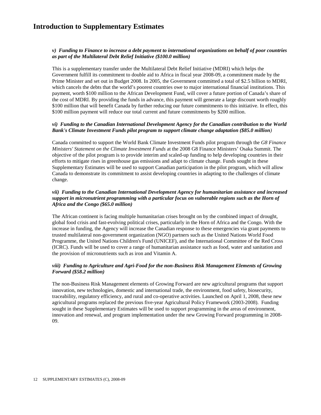#### *v) Funding to Finance to increase a debt payment to international organizations on behalf of poor countries as part of the Multilateral Debt Relief Initiative (\$100.0 million)*

This is a supplementary transfer under the Multilateral Debt Relief Initiative (MDRI) which helps the Government fulfill its commitment to double aid to Africa in fiscal year 2008-09, a commitment made by the Prime Minister and set out in Budget 2008. In 2005, the Government committed a total of \$2.5 billion to MDRI, which cancels the debts that the world's poorest countries owe to major international financial institutions. This payment, worth \$100 million to the African Development Fund, will cover a future portion of Canada's share of the cost of MDRI. By providing the funds in advance, this payment will generate a large discount worth roughly \$100 million that will benefit Canada by further reducing our future commitments to this initiative. In effect, this \$100 million payment will reduce our total current and future commitments by \$200 million.

#### *vi) Funding to the Canadian International Development Agency for the Canadian contribution to the World Bank's Climate Investment Funds pilot program to support climate change adaptation (\$85.0 million)*

Canada committed to support the World Bank Climate Investment Funds pilot program through the *G8 Finance Ministers' Statement on the Climate Investment Funds* at the 2008 G8 Finance Ministers' Osaka Summit. The objective of the pilot program is to provide interim and scaled-up funding to help developing countries in their efforts to mitigate rises in greenhouse gas emissions and adapt to climate change. Funds sought in these Supplementary Estimates will be used to support Canadian participation in the pilot program, which will allow Canada to demonstrate its commitment to assist developing countries in adapting to the challenges of climate change.

#### *vii) Funding to the Canadian International Development Agency for humanitarian assistance and increased support in micronutrient programming with a particular focus on vulnerable regions such as the Horn of Africa and the Congo (\$65.0 million)*

The African continent is facing multiple humanitarian crises brought on by the combined impact of drought, global food crisis and fast-evolving political crises, particularly in the Horn of Africa and the Congo. With the increase in funding, the Agency will increase the Canadian response to these emergencies via grant payments to trusted multilateral non-government organization (NGO) partners such as the United Nations World Food Programme, the United Nations Children's Fund (UNICEF), and the International Committee of the Red Cross (ICRC). Funds will be used to cover a range of humanitarian assistance such as food, water and sanitation and the provision of micronutrients such as iron and Vitamin A.

#### *viii) Funding to Agriculture and Agri-Food for the non-Business Risk Management Elements of Growing Forward (\$58.2 million)*

The non-Business Risk Management elements of Growing Forward are new agricultural programs that support innovation, new technologies, domestic and international trade, the environment, food safety, biosecurity, traceability, regulatory efficiency, and rural and co-operative activities. Launched on April 1, 2008, these new agricultural programs replaced the previous five-year Agricultural Policy Framework (2003-2008). Funding sought in these Supplementary Estimates will be used to support programming in the areas of environment, innovation and renewal, and program implementation under the new Growing Forward programming in 2008- 09.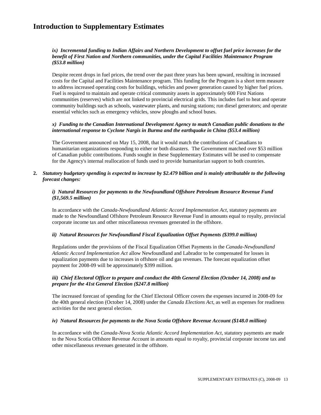### *ix) Incremental funding to Indian Affairs and Northern Development to offset fuel price increases for the benefit of First Nation and Northern communities, under the Capital Facilities Maintenance Program (\$53.8 million)*

Despite recent drops in fuel prices, the trend over the past three years has been upward, resulting in increased costs for the Capital and Facilities Maintenance program. This funding for the Program is a short term measure to address increased operating costs for buildings, vehicles and power generation caused by higher fuel prices. Fuel is required to maintain and operate critical community assets in approximately 600 First Nations communities (reserves) which are not linked to provincial electrical grids. This includes fuel to heat and operate community buildings such as schools, wastewater plants, and nursing stations; run diesel generators; and operate essential vehicles such as emergency vehicles, snow ploughs and school buses.

### *x) Funding to the Canadian International Development Agency to match Canadian public donations to the international response to Cyclone Nargis in Burma and the earthquake in China (\$53.4 million)*

The Government announced on May 15, 2008, that it would match the contributions of Canadians to humanitarian organizations responding to either or both disasters. The Government matched over \$53 million of Canadian public contributions. Funds sought in these Supplementary Estimates will be used to compensate for the Agency's internal reallocation of funds used to provide humanitarian support to both countries.

### **2.** *Statutory budgetary spending is expected to increase by \$2.479 billion and is mainly attributable to the following forecast changes:*

### *i) Natural Resources for payments to the Newfoundland Offshore Petroleum Resource Revenue Fund (\$1,569.5 million)*

In accordance with the *Canada-Newfoundland Atlantic Accord Implementation Act*, statutory payments are made to the Newfoundland Offshore Petroleum Resource Revenue Fund in amounts equal to royalty, provincial corporate income tax and other miscellaneous revenues generated in the offshore.

### *ii) Natural Resources for Newfoundland Fiscal Equalization Offset Payments (\$399.0 million)*

Regulations under the provisions of the Fiscal Equalization Offset Payments in the *Canada-Newfoundland Atlantic Accord Implementation Act* allow Newfoundland and Labrador to be compensated for losses in equalization payments due to increases in offshore oil and gas revenues. The forecast equalization offset payment for 2008-09 will be approximately \$399 million.

### *iii) Chief Electoral Officer to prepare and conduct the 40th General Election (October 14, 2008) and to prepare for the 41st General Election (\$247.8 million)*

The increased forecast of spending for the Chief Electoral Officer covers the expenses incurred in 2008-09 for the 40th general election (October 14, 2008) under the *Canada Elections Act*, as well as expenses for readiness activities for the next general election.

#### *iv) Natural Resources for payments to the Nova Scotia Offshore Revenue Account (\$148.0 million)*

In accordance with the *Canada-Nova Scotia Atlantic Accord Implementation Act*, statutory payments are made to the Nova Scotia Offshore Revenue Account in amounts equal to royalty, provincial corporate income tax and other miscellaneous revenues generated in the offshore.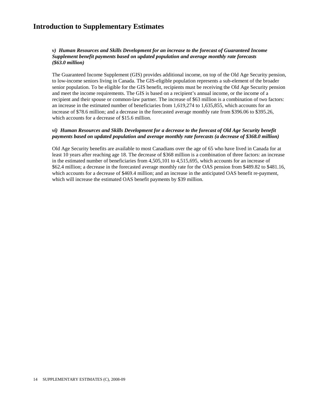### *v) Human Resources and Skills Development for an increase to the forecast of Guaranteed Income Supplement benefit payments based on updated population and average monthly rate forecasts (\$63.0 million)*

The Guaranteed Income Supplement (GIS) provides additional income, on top of the Old Age Security pension, to low-income seniors living in Canada. The GIS-eligible population represents a sub-element of the broader senior population. To be eligible for the GIS benefit, recipients must be receiving the Old Age Security pension and meet the income requirements. The GIS is based on a recipient's annual income, or the income of a recipient and their spouse or common-law partner. The increase of \$63 million is a combination of two factors: an increase in the estimated number of beneficiaries from 1,619,274 to 1,635,855, which accounts for an increase of \$78.6 million; and a decrease in the forecasted average monthly rate from \$396.06 to \$395.26, which accounts for a decrease of \$15.6 million.

#### *vi) Human Resources and Skills Development for a decrease to the forecast of Old Age Security benefit payments based on updated population and average monthly rate forecasts (a decrease of \$368.0 million)*

Old Age Security benefits are available to most Canadians over the age of 65 who have lived in Canada for at least 10 years after reaching age 18. The decrease of \$368 million is a combination of three factors: an increase in the estimated number of beneficiaries from 4,505,101 to 4,515,695, which accounts for an increase of \$62.4 million; a decrease in the forecasted average monthly rate for the OAS pension from \$489.82 to \$481.16, which accounts for a decrease of \$469.4 million; and an increase in the anticipated OAS benefit re-payment, which will increase the estimated OAS benefit payments by \$39 million.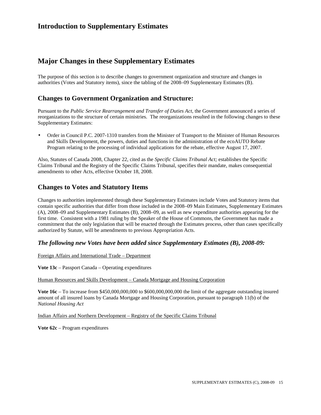### **Major Changes in these Supplementary Estimates**

The purpose of this section is to describe changes to government organization and structure and changes in authorities (Votes and Statutory items), since the tabling of the 2008–09 Supplementary Estimates (B).

### **Changes to Government Organization and Structure:**

Pursuant to the *Public Service Rearrangement and Transfer of Duties Act,* the Government announced a series of reorganizations to the structure of certain ministries. The reorganizations resulted in the following changes to these Supplementary Estimates:

• Order in Council P.C. 2007-1310 transfers from the Minister of Transport to the Minister of Human Resources and Skills Development, the powers, duties and functions in the administration of the ecoAUTO Rebate Program relating to the processing of individual applications for the rebate, effective August 17, 2007.

Also, Statutes of Canada 2008, Chapter 22, cited as the *Specific Claims Tribunal Act;* establishes the Specific Claims Tribunal and the Registry of the Specific Claims Tribunal, specifies their mandate, makes consequential amendments to other Acts, effective October 18, 2008.

### **Changes to Votes and Statutory Items**

Changes to authorities implemented through these Supplementary Estimates include Votes and Statutory items that contain specific authorities that differ from those included in the 2008–09 Main Estimates, Supplementary Estimates (A), 2008–09 and Supplementary Estimates (B), 2008–09, as well as new expenditure authorities appearing for the first time. Consistent with a 1981 ruling by the Speaker of the House of Commons, the Government has made a commitment that the only legislation that will be enacted through the Estimates process, other than cases specifically authorized by Statute, will be amendments to previous Appropriation Acts.

### *The following new Votes have been added since Supplementary Estimates (B), 2008-09:*

Foreign Affairs and International Trade – Department

**Vote 13c** – Passport Canada – Operating expenditures

Human Resources and Skills Development – Canada Mortgage and Housing Corporation

**Vote 16c** – To increase from \$450,000,000,000 to \$600,000,000,000 the limit of the aggregate outstanding insured amount of all insured loans by Canada Mortgage and Housing Corporation, pursuant to paragraph 11(b) of the *National Housing Act*

Indian Affairs and Northern Development – Registry of the Specific Claims Tribunal

**Vote 62c** – Program expenditures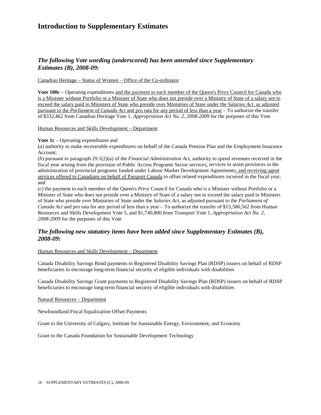### *The following Vote wording (underscored) has been amended since Supplementary Estimates (B), 2008-09:*

Canadian Heritage – Status of Women – Office of the Co-ordinator

**Vote 100c** – Operating expenditures and the payment to each member of the Queen's Privy Council for Canada who is a Minister without Portfolio or a Minister of State who does not preside over a Ministry of State of a salary not to exceed the salary paid to Ministers of State who preside over Ministries of State under the *Salaries Act*, as adjusted pursuant to the *Parliament of Canada Act* and pro rata for any period of less than a year – To authorize the transfer of \$332,462 from Canadian Heritage Vote 1, *Appropriation Act No. 2, 2008-2009* for the purposes of this Vote

Human Resources and Skills Development – Department

#### **Vote 1c** – Operating expenditures and

(*a*) authority to make recoverable expenditures on behalf of the Canada Pension Plan and the Employment Insurance Account;

(*b*) pursuant to paragraph 29.1(2)(*a*) of the *Financial Administration Act*, authority to spend revenues received in the fiscal year arising from the provision of Public Access Programs Sector services; services to assist provinces in the administration of provincial programs funded under Labour Market Development Agreements; and receiving agent services offered to Canadians on behalf of Passport Canada to offset related expenditures incurred in the fiscal year; and

(*c*) the payment to each member of the Queen's Privy Council for Canada who is a Minister without Portfolio or a Minister of State who does not preside over a Ministry of State of a salary not to exceed the salary paid to Ministers of State who preside over Ministries of State under the *Salaries Act*, as adjusted pursuant to the *Parliament of Canada Act* and pro rata for any period of less than a year – To authorize the transfer of \$15,586,562 from Human Resources and Skills Development Vote 5, and \$1,740,800 from Transport Vote 1, *Appropriation Act No. 2, 2008-2009* for the purposes of this Vote

### *The following new statutory items have been added since Supplementary Estimates (B), 2008-09:*

#### Human Resources and Skills Development – Department

Canada Disability Savings Bond payments to Registered Disability Savings Plan (RDSP) issuers on behalf of RDSP beneficiaries to encourage long-term financial security of eligible individuals with disabilities

Canada Disability Savings Grant payments to Registered Disability Savings Plan (RDSP) issuers on behalf of RDSP beneficiaries to encourage long-term financial security of eligible individuals with disabilities

#### Natural Resources – Department

Newfoundland Fiscal Equalization Offset Payments

Grant to the University of Calgary, Institute for Sustainable Energy, Environment, and Economy

Grant to the Canada Foundation for Sustainable Development Technology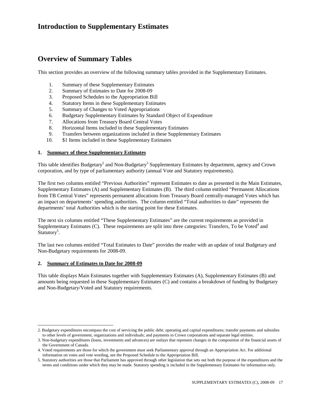### **Overview of Summary Tables**

This section provides an overview of the following summary tables provided in the Supplementary Estimates.

- 1. Summary of these Supplementary Estimates
- 2. Summary of Estimates to Date for 2008-09
- 3. Proposed Schedules to the Appropriation Bill
- 4. Statutory Items in these Supplementary Estimates
- 5. Summary of Changes to Voted Appropriations
- 6. Budgetary Supplementary Estimates by Standard Object of Expenditure
- 7. Allocations from Treasury Board Central Votes
- 8. Horizontal Items included in these Supplementary Estimates
- 9. Transfers between organizations included in these Supplementary Estimates
- 10. \$1 Items included in these Supplementary Estimates

#### **1. Summary of these Supplementary Estimates**

This table identifies Budgetary<sup>2</sup> and Non-Budgetary<sup>3</sup> Supplementary Estimates by department, agency and Crown corporation, and by type of parliamentary authority (annual Vote and Statutory requirements).

The first two columns entitled "Previous Authorities" represent Estimates to date as presented in the Main Estimates, Supplementary Estimates (A) and Supplementary Estimates (B). The third column entitled "Permanent Allocations from TB Central Votes" represents permanent allocations from Treasury Board centrally-managed Votes which has an impact on departments' spending authorities. The column entitled "Total authorities to date" represents the departments' total Authorities which is the starting point for these Estimates.

The next six columns entitled "These Supplementary Estimates" are the current requirements as provided in Supplementary Estimates (C). These requirements are split into three categories: Transfers, To be Voted<sup>4</sup> and Statutory<sup>5</sup>.

The last two columns entitled "Total Estimates to Date" provides the reader with an update of total Budgetary and Non-Budgetary requirements for 2008-09.

#### **2. Summary of Estimates to Date for 2008-09**

 $\overline{a}$ 

This table displays Main Estimates together with Supplementary Estimates (A), Supplementary Estimates (B) and amounts being requested in these Supplementary Estimates (C) and contains a breakdown of funding by Budgetary and Non-Budgetary/Voted and Statutory requirements.

<sup>2.</sup> Budgetary expenditures encompass the cost of servicing the public debt; operating and capital expenditures; transfer payments and subsidies to other levels of government, organizations and individuals; and payments to Crown corporations and separate legal entities.

<sup>3.</sup> Non-budgetary expenditures (loans, investments and advances) are outlays that represent changes in the composition of the financial assets of the Government of Canada.

<sup>4.</sup> Voted requirements are those for which the government must seek Parliamentary approval through an Appropriation Act. For additional information on votes and vote wording, see the Proposed Schedule to the Appropriation Bill.

<sup>5.</sup> Statutory authorities are those that Parliament has approved through other legislation that sets out both the purpose of the expenditures and the terms and conditions under which they may be made. Statutory spending is included in the Supplementary Estimates for information only.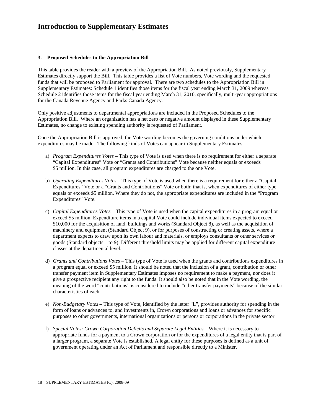### **3. Proposed Schedules to the Appropriation Bill**

This table provides the reader with a preview of the Appropriation Bill. As noted previously, Supplementary Estimates directly support the Bill. This table provides a list of Vote numbers, Vote wording and the requested funds that will be proposed to Parliament for approval. There are two schedules to the Appropriation Bill in Supplementary Estimates: Schedule 1 identifies those items for the fiscal year ending March 31, 2009 whereas Schedule 2 identifies those items for the fiscal year ending March 31, 2010, specifically, multi-year appropriations for the Canada Revenue Agency and Parks Canada Agency.

Only positive adjustments to departmental appropriations are included in the Proposed Schedules to the Appropriation Bill. Where an organization has a net zero or negative amount displayed in these Supplementary Estimates, no change to existing spending authority is requested of Parliament.

Once the Appropriation Bill is approved, the Vote wording becomes the governing conditions under which expenditures may be made. The following kinds of Votes can appear in Supplementary Estimates:

- a) *Program Expenditures Votes* This type of Vote is used when there is no requirement for either a separate "Capital Expenditures" Vote or "Grants and Contributions" Vote because neither equals or exceeds \$5 million. In this case, all program expenditures are charged to the one Vote.
- b) *Operating Expenditures Votes* This type of Vote is used when there is a requirement for either a "Capital Expenditures" Vote or a "Grants and Contributions" Vote or both; that is, when expenditures of either type equals or exceeds \$5 million. Where they do not, the appropriate expenditures are included in the "Program Expenditures" Vote.
- c) *Capital Expenditures Votes*  This type of Vote is used when the capital expenditures in a program equal or exceed \$5 million. Expenditure items in a capital Vote could include individual items expected to exceed \$10,000 for the acquisition of land, buildings and works (Standard Object 8), as well as the acquisition of machinery and equipment (Standard Object 9), or for purposes of constructing or creating assets, where a department expects to draw upon its own labour and materials, or employs consultants or other services or goods (Standard objects 1 to 9). Different threshold limits may be applied for different capital expenditure classes at the departmental level.
- d) *Grants and Contributions Votes* This type of Vote is used when the grants and contributions expenditures in a program equal or exceed \$5 million. It should be noted that the inclusion of a grant, contribution or other transfer payment item in Supplementary Estimates imposes no requirement to make a payment, nor does it give a prospective recipient any right to the funds. It should also be noted that in the Vote wording, the meaning of the word "contributions" is considered to include "other transfer payments" because of the similar characteristics of each.
- e) *Non-Budgetary Votes* This type of Vote, identified by the letter "L", provides authority for spending in the form of loans or advances to, and investments in, Crown corporations and loans or advances for specific purposes to other governments, international organizations or persons or corporations in the private sector.
- f) *Special Votes: Crown Corporation Deficits and Separate Legal Entities –* Where it is necessary to appropriate funds for a payment to a Crown corporation or for the expenditures of a legal entity that is part of a larger program, a separate Vote is established. A legal entity for these purposes is defined as a unit of government operating under an Act of Parliament and responsible directly to a Minister.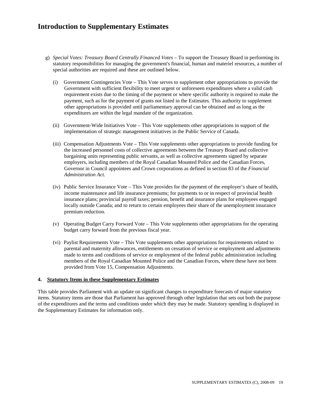- g) *Special Votes: Treasury Board Centrally Financed Votes* To support the Treasury Board in performing its statutory responsibilities for managing the government's financial, human and materiel resources, a number of special authorities are required and these are outlined below.
	- (i) Government Contingencies Vote This Vote serves to supplement other appropriations to provide the Government with sufficient flexibility to meet urgent or unforeseen expenditures where a valid cash requirement exists due to the timing of the payment or where specific authority is required to make the payment, such as for the payment of grants not listed in the Estimates. This authority to supplement other appropriations is provided until parliamentary approval can be obtained and as long as the expenditures are within the legal mandate of the organization.
	- (ii) Government-Wide Initiatives Vote This Vote supplements other appropriations in support of the implementation of strategic management initiatives in the Public Service of Canada.
	- (iii) Compensation Adjustments Vote This Vote supplements other appropriations to provide funding for the increased personnel costs of collective agreements between the Treasury Board and collective bargaining units representing public servants, as well as collective agreements signed by separate employers, including members of the Royal Canadian Mounted Police and the Canadian Forces, Governor in Council appointees and Crown corporations as defined in section 83 of the *Financial Administration Act.*
	- (iv) Public Service Insurance Vote This Vote provides for the payment of the employer's share of health, income maintenance and life insurance premiums; for payments to or in respect of provincial health insurance plans; provincial payroll taxes; pension, benefit and insurance plans for employees engaged locally outside Canada; and to return to certain employees their share of the unemployment insurance premium reduction.
	- (v) Operating Budget Carry Forward Vote This Vote supplements other appropriations for the operating budget carry forward from the previous fiscal year.
	- (vi) Paylist Requirements Vote This Vote supplements other appropriations for requirements related to parental and maternity allowances, entitlements on cessation of service or employment and adjustments made to terms and conditions of service or employment of the federal public administration including members of the Royal Canadian Mounted Police and the Canadian Forces, where these have not been provided from Vote 15, Compensation Adjustments.

### **4. Statutory Items in these Supplementary Estimates**

This table provides Parliament with an update on significant changes to expenditure forecasts of major statutory items. Statutory items are those that Parliament has approved through other legislation that sets out both the purpose of the expenditures and the terms and conditions under which they may be made. Statutory spending is displayed in the Supplementary Estimates for information only.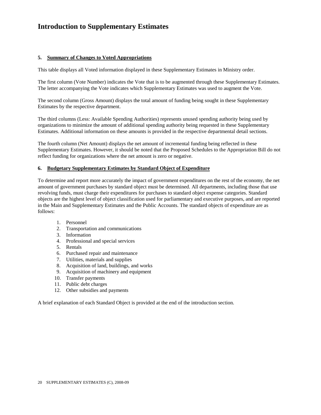### **5. Summary of Changes to Voted Appropriations**

This table displays all Voted information displayed in these Supplementary Estimates in Ministry order.

The first column (Vote Number) indicates the Vote that is to be augmented through these Supplementary Estimates. The letter accompanying the Vote indicates which Supplementary Estimates was used to augment the Vote.

The second column (Gross Amount) displays the total amount of funding being sought in these Supplementary Estimates by the respective department.

The third columns (Less: Available Spending Authorities) represents unused spending authority being used by organizations to minimize the amount of additional spending authority being requested in these Supplementary Estimates. Additional information on these amounts is provided in the respective departmental detail sections.

The fourth column (Net Amount) displays the net amount of incremental funding being reflected in these Supplementary Estimates. However, it should be noted that the Proposed Schedules to the Appropriation Bill do not reflect funding for organizations where the net amount is zero or negative.

#### **6. Budgetary Supplementary Estimates by Standard Object of Expenditure**

To determine and report more accurately the impact of government expenditures on the rest of the economy, the net amount of government purchases by standard object must be determined. All departments, including those that use revolving funds, must charge their expenditures for purchases to standard object expense categories. Standard objects are the highest level of object classification used for parliamentary and executive purposes, and are reported in the Main and Supplementary Estimates and the Public Accounts. The standard objects of expenditure are as follows:

- 1. Personnel
- 2. Transportation and communications
- 3. Information
- 4. Professional and special services
- 5. Rentals
- 6. Purchased repair and maintenance
- 7. Utilities, materials and supplies
- 8. Acquisition of land, buildings, and works
- 9. Acquisition of machinery and equipment
- 10. Transfer payments
- 11. Public debt charges
- 12. Other subsidies and payments

A brief explanation of each Standard Object is provided at the end of the introduction section.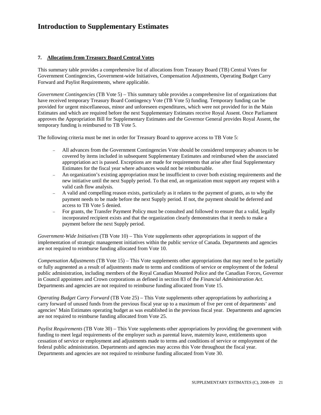### **7. Allocations from Treasury Board Central Votes**

This summary table provides a comprehensive list of allocations from Treasury Board (TB) Central Votes for Government Contingencies, Government-wide Initiatives, Compensation Adjustments, Operating Budget Carry Forward and Paylist Requirements, where applicable.

*Government Contingencies* (TB Vote 5) – This summary table provides a comprehensive list of organizations that have received temporary Treasury Board Contingency Vote (TB Vote 5) funding. Temporary funding can be provided for urgent miscellaneous, minor and unforeseen expenditures, which were not provided for in the Main Estimates and which are required before the next Supplementary Estimates receive Royal Assent. Once Parliament approves the Appropriation Bill for Supplementary Estimates and the Governor General provides Royal Assent, the temporary funding is reimbursed to TB Vote 5.

The following criteria must be met in order for Treasury Board to approve access to TB Vote 5:

- All advances from the Government Contingencies Vote should be considered temporary advances to be covered by items included in subsequent Supplementary Estimates and reimbursed when the associated appropriation act is passed. Exceptions are made for requirements that arise after final Supplementary Estimates for the fiscal year where advances would not be reimbursable.
- An organization's existing appropriation must be insufficient to cover both existing requirements and the new initiative until the next Supply period. To that end, an organization must support any request with a valid cash flow analysis.
- A valid and compelling reason exists, particularly as it relates to the payment of grants, as to why the payment needs to be made before the next Supply period. If not, the payment should be deferred and access to TB Vote 5 denied.
- For grants, the Transfer Payment Policy must be consulted and followed to ensure that a valid, legally incorporated recipient exists and that the organization clearly demonstrates that it needs to make a payment before the next Supply period.

*Government-Wide Initiatives* (TB Vote 10) – This Vote supplements other appropriations in support of the implementation of strategic management initiatives within the public service of Canada. Departments and agencies are not required to reimburse funding allocated from Vote 10.

*Compensation Adjustments* (TB Vote 15) – This Vote supplements other appropriations that may need to be partially or fully augmented as a result of adjustments made to terms and conditions of service or employment of the federal public administration, including members of the Royal Canadian Mounted Police and the Canadian Forces, Governor in Council appointees and Crown corporations as defined in section 83 of the *Financial Administration Act*. Departments and agencies are not required to reimburse funding allocated from Vote 15.

*Operating Budget Carry Forward* (TB Vote 25) – This Vote supplements other appropriations by authorizing a carry forward of unused funds from the previous fiscal year up to a maximum of five per cent of departments' and agencies' Main Estimates operating budget as was established in the previous fiscal year. Departments and agencies are not required to reimburse funding allocated from Vote 25.

*Paylist Requirements* (TB Vote 30) – This Vote supplements other appropriations by providing the government with funding to meet legal requirements of the employer such as parental leave, maternity leave, entitlements upon cessation of service or employment and adjustments made to terms and conditions of service or employment of the federal public administration. Departments and agencies may access this Vote throughout the fiscal year. Departments and agencies are not required to reimburse funding allocated from Vote 30.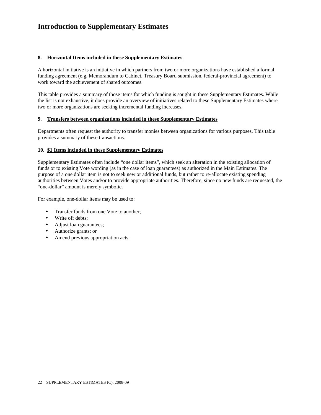### **8. Horizontal Items included in these Supplementary Estimates**

A horizontal initiative is an initiative in which partners from two or more organizations have established a formal funding agreement (e.g. Memorandum to Cabinet, Treasury Board submission, federal-provincial agreement) to work toward the achievement of shared outcomes.

This table provides a summary of those items for which funding is sought in these Supplementary Estimates. While the list is not exhaustive, it does provide an overview of initiatives related to these Supplementary Estimates where two or more organizations are seeking incremental funding increases.

### **9. Transfers between organizations included in these Supplementary Estimates**

Departments often request the authority to transfer monies between organizations for various purposes. This table provides a summary of these transactions.

### **10. \$1 Items included in these Supplementary Estimates**

Supplementary Estimates often include "one dollar items", which seek an alteration in the existing allocation of funds or to existing Vote wording (as in the case of loan guarantees) as authorized in the Main Estimates. The purpose of a one dollar item is not to seek new or additional funds, but rather to re-allocate existing spending authorities between Votes and/or to provide appropriate authorities. Therefore, since no new funds are requested, the "one-dollar" amount is merely symbolic.

For example, one-dollar items may be used to:

- Transfer funds from one Vote to another:
- Write off debts;
- Adjust loan guarantees;
- Authorize grants; or
- Amend previous appropriation acts.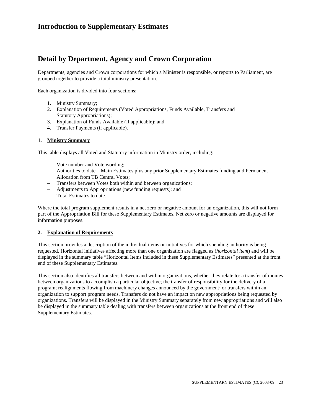### **Detail by Department, Agency and Crown Corporation**

Departments, agencies and Crown corporations for which a Minister is responsible, or reports to Parliament, are grouped together to provide a total ministry presentation.

Each organization is divided into four sections:

- 1. Ministry Summary;
- 2. Explanation of Requirements (Voted Appropriations, Funds Available, Transfers and Statutory Appropriations);
- 3. Explanation of Funds Available (if applicable); and
- 4. Transfer Payments (if applicable).

#### **1. Ministry Summary**

This table displays all Voted and Statutory information in Ministry order, including:

- Vote number and Vote wording;
- Authorities to date Main Estimates plus any prior Supplementary Estimates funding and Permanent Allocation from TB Central Votes;
- Transfers between Votes both within and between organizations;
- Adjustments to Appropriations (new funding requests); and
- Total Estimates to date.

Where the total program supplement results in a net zero or negative amount for an organization, this will not form part of the Appropriation Bill for these Supplementary Estimates. Net zero or negative amounts are displayed for information purposes.

### **2. Explanation of Requirements**

This section provides a description of the individual items or initiatives for which spending authority is being requested. Horizontal initiatives affecting more than one organization are flagged as (*horizontal item*) and will be displayed in the summary table "Horizontal Items included in these Supplementary Estimates" presented at the front end of these Supplementary Estimates.

This section also identifies all transfers between and within organizations, whether they relate to: a transfer of monies between organizations to accomplish a particular objective; the transfer of responsibility for the delivery of a program; realignments flowing from machinery changes announced by the government; or transfers within an organization to support program needs. Transfers do not have an impact on new appropriations being requested by organizations. Transfers will be displayed in the Ministry Summary separately from new appropriations and will also be displayed in the summary table dealing with transfers between organizations at the front end of these Supplementary Estimates.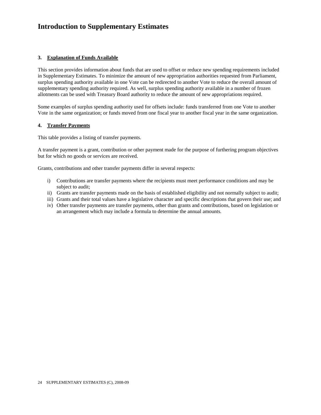### **3. Explanation of Funds Available**

This section provides information about funds that are used to offset or reduce new spending requirements included in Supplementary Estimates. To minimize the amount of new appropriation authorities requested from Parliament, surplus spending authority available in one Vote can be redirected to another Vote to reduce the overall amount of supplementary spending authority required. As well, surplus spending authority available in a number of frozen allotments can be used with Treasury Board authority to reduce the amount of new appropriations required.

Some examples of surplus spending authority used for offsets include: funds transferred from one Vote to another Vote in the same organization; or funds moved from one fiscal year to another fiscal year in the same organization.

#### **4. Transfer Payments**

This table provides a listing of transfer payments.

A transfer payment is a grant, contribution or other payment made for the purpose of furthering program objectives but for which no goods or services are received.

Grants, contributions and other transfer payments differ in several respects:

- i) Contributions are transfer payments where the recipients must meet performance conditions and may be subject to audit;
- ii) Grants are transfer payments made on the basis of established eligibility and not normally subject to audit;
- iii) Grants and their total values have a legislative character and specific descriptions that govern their use; and
- iv) Other transfer payments are transfer payments, other than grants and contributions, based on legislation or an arrangement which may include a formula to determine the annual amounts.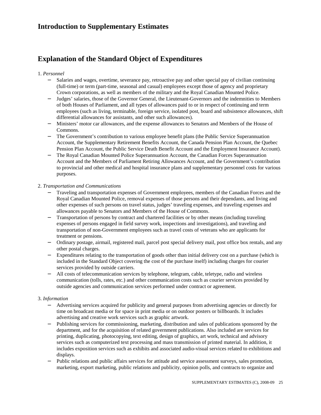### **Explanation of the Standard Object of Expenditures**

### 1. *Personnel*

- Salaries and wages, overtime, severance pay, retroactive pay and other special pay of civilian continuing (full-time) or term (part-time, seasonal and casual) employees except those of agency and proprietary Crown corporations, as well as members of the military and the Royal Canadian Mounted Police.
- Judges' salaries, those of the Governor General, the Lieutenant-Governors and the indemnities to Members of both Houses of Parliament, and all types of allowances paid to or in respect of continuing and term employees (such as living, terminable, foreign service, isolated post, board and subsistence allowances, shift differential allowances for assistants, and other such allowances).
- − Ministers' motor car allowances, and the expense allowances to Senators and Members of the House of Commons.
- − The Government's contribution to various employee benefit plans (the Public Service Superannuation Account, the Supplementary Retirement Benefits Account, the Canada Pension Plan Account, the Quebec Pension Plan Account, the Public Service Death Benefit Account and the Employment Insurance Account).
- The Royal Canadian Mounted Police Superannuation Account, the Canadian Forces Superannuation Account and the Members of Parliament Retiring Allowances Account, and the Government's contribution to provincial and other medical and hospital insurance plans and supplementary personnel costs for various purposes.

### 2. *Transportation and Communications*

- Traveling and transportation expenses of Government employees, members of the Canadian Forces and the Royal Canadian Mounted Police, removal expenses of those persons and their dependants, and living and other expenses of such persons on travel status, judges' traveling expenses, and traveling expenses and allowances payable to Senators and Members of the House of Commons.
- Transportation of persons by contract and chartered facilities or by other means (including traveling expenses of persons engaged in field survey work, inspections and investigations), and traveling and transportation of non-Government employees such as travel costs of veterans who are applicants for treatment or pensions.
- − Ordinary postage, airmail, registered mail, parcel post special delivery mail, post office box rentals, and any other postal charges.
- − Expenditures relating to the transportation of goods other than initial delivery cost on a purchase (which is included in the Standard Object covering the cost of the purchase itself) including charges for courier services provided by outside carriers.
- − All costs of telecommunication services by telephone, telegram, cable, teletype, radio and wireless communication (tolls, rates, etc.) and other communication costs such as courier services provided by outside agencies and communication services performed under contract or agreement.

### 3. *Information*

- − Advertising services acquired for publicity and general purposes from advertising agencies or directly for time on broadcast media or for space in print media or on outdoor posters or billboards. It includes advertising and creative work services such as graphic artwork.
- − Publishing services for commissioning, marketing, distribution and sales of publications sponsored by the department, and for the acquisition of related government publications. Also included are services for printing, duplicating, photocopying, text editing, design of graphics, art work, technical and advisory services such as computerized text processing and mass transmission of printed material. In addition, it includes exposition services such as exhibits and associated audio-visual services related to exhibitions and displays.
- Public relations and public affairs services for attitude and service assessment surveys, sales promotion, marketing, export marketing, public relations and publicity, opinion polls, and contracts to organize and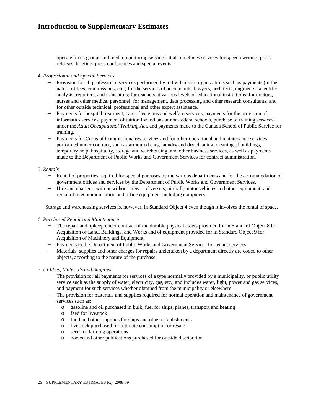operate focus groups and media monitoring services. It also includes services for speech writing, press releases, briefing, press conferences and special events.

#### 4. *Professional and Special Services*

- Provision for all professional services performed by individuals or organizations such as payments (in the nature of fees, commissions, etc.) for the services of accountants, lawyers, architects, engineers, scientific analysts, reporters, and translators; for teachers at various levels of educational institutions; for doctors, nurses and other medical personnel; for management, data processing and other research consultants; and for other outside technical, professional and other expert assistance.
- Payments for hospital treatment, care of veterans and welfare services, payments for the provision of informatics services, payment of tuition for Indians at non-federal schools, purchase of training services under the *Adult Occupational Training Act*, and payments made to the Canada School of Public Service for training.
- Payments for Corps of Commissionaires services and for other operational and maintenance services performed under contract, such as armoured cars, laundry and dry cleaning, cleaning of buildings, temporary help, hospitality, storage and warehousing, and other business services, as well as payments made to the Department of Public Works and Government Services for contract administration.

#### 5. *Rentals*

- Rental of properties required for special purposes by the various departments and for the accommodation of government offices and services by the Department of Public Works and Government Services.
- − Hire and charter with or without crew of vessels, aircraft, motor vehicles and other equipment, and rental of telecommunication and office equipment including computers.

Storage and warehousing services is, however, in Standard Object 4 even though it involves the rental of space.

#### 6. *Purchased Repair and Maintenance*

- The repair and upkeep under contract of the durable physical assets provided for in Standard Object 8 for Acquisition of Land, Buildings, and Works and of equipment provided for in Standard Object 9 for Acquisition of Machinery and Equipment.
- − Payments to the Department of Public Works and Government Services for tenant services.
- Materials, supplies and other charges for repairs undertaken by a department directly are coded to other objects, according to the nature of the purchase.

#### 7. *Utilities, Materials and Supplies*

- The provision for all payments for services of a type normally provided by a municipality, or public utility service such as the supply of water, electricity, gas, etc., and includes water, light, power and gas services, and payment for such services whether obtained from the municipality or elsewhere.
- − The provision for materials and supplies required for normal operation and maintenance of government services such as:
	- o gasoline and oil purchased in bulk; fuel for ships, planes, transport and heating
	- o feed for livestock
	- o food and other supplies for ships and other establishments
	- o livestock purchased for ultimate consumption or resale
	- o seed for farming operations
	- o books and other publications purchased for outside distribution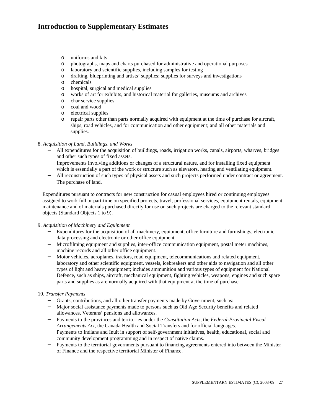- o uniforms and kits
- o photographs, maps and charts purchased for administrative and operational purposes
- o laboratory and scientific supplies, including samples for testing
- o drafting, blueprinting and artists' supplies; supplies for surveys and investigations
- o chemicals
- o hospital, surgical and medical supplies
- o works of art for exhibits, and historical material for galleries, museums and archives
- o char service supplies
- o coal and wood
- o electrical supplies
- o repair parts other than parts normally acquired with equipment at the time of purchase for aircraft, ships, road vehicles, and for communication and other equipment; and all other materials and supplies.

#### 8. *Acquisition of Land, Buildings, and Works*

- − All expenditures for the acquisition of buildings, roads, irrigation works, canals, airports, wharves, bridges and other such types of fixed assets.
- − Improvements involving additions or changes of a structural nature, and for installing fixed equipment which is essentially a part of the work or structure such as elevators, heating and ventilating equipment.
- − All reconstruction of such types of physical assets and such projects performed under contract or agreement.
- − The purchase of land.

Expenditures pursuant to contracts for new construction for casual employees hired or continuing employees assigned to work full or part-time on specified projects, travel, professional services, equipment rentals, equipment maintenance and of materials purchased directly for use on such projects are charged to the relevant standard objects (Standard Objects 1 to 9).

#### 9. *Acquisition of Machinery and Equipment*

- Expenditures for the acquisition of all machinery, equipment, office furniture and furnishings, electronic data processing and electronic or other office equipment.
- − Microfilming equipment and supplies, inter-office communication equipment, postal meter machines, machine records and all other office equipment.
- − Motor vehicles, aeroplanes, tractors, road equipment, telecommunications and related equipment, laboratory and other scientific equipment, vessels, icebreakers and other aids to navigation and all other types of light and heavy equipment; includes ammunition and various types of equipment for National Defence, such as ships, aircraft, mechanical equipment, fighting vehicles, weapons, engines and such spare parts and supplies as are normally acquired with that equipment at the time of purchase.

### 10. *Transfer Payments*

- − Grants, contributions, and all other transfer payments made by Government, such as:
- − Major social assistance payments made to persons such as Old Age Security benefits and related allowances, Veterans' pensions and allowances.
- − Payments to the provinces and territories under the *Constitution Acts*, the *Federal-Provincial Fiscal Arrangements Act*, the Canada Health and Social Transfers and for official languages.
- − Payments to Indians and Inuit in support of self-government initiatives, health, educational, social and community development programming and in respect of native claims.
- Payments to the territorial governments pursuant to financing agreements entered into between the Minister of Finance and the respective territorial Minister of Finance.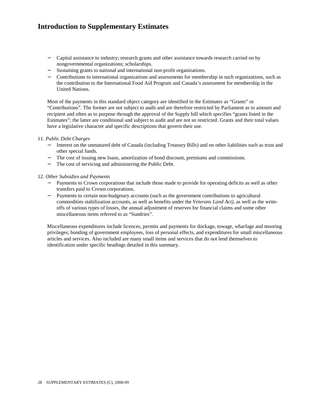- − Capital assistance to industry; research grants and other assistance towards research carried on by nongovernmental organizations; scholarships.
- − Sustaining grants to national and international non-profit organizations.
- − Contributions to international organizations and assessments for membership in such organizations, such as the contribution to the International Food Aid Program and Canada's assessment for membership in the United Nations.

Most of the payments in this standard object category are identified in the Estimates as "Grants" or "Contributions". The former are not subject to audit and are therefore restricted by Parliament as to amount and recipient and often as to purpose through the approval of the Supply bill which specifies "grants listed in the Estimates"; the latter are conditional and subject to audit and are not so restricted. Grants and their total values have a legislative character and specific descriptions that govern their use.

#### 11. *Public Debt Charges*

- − Interest on the unmatured debt of Canada (including Treasury Bills) and on other liabilities such as trust and other special funds.
- − The cost of issuing new loans, amortization of bond discount, premiums and commissions.
- − The cost of servicing and administering the Public Debt.

#### 12. *Other Subsidies and Payments*

- − Payments to Crown corporations that include those made to provide for operating deficits as well as other transfers paid to Crown corporations.
- − Payments to certain non-budgetary accounts (such as the government contributions to agricultural commodities stabilization accounts, as well as benefits under the *Veterans Land Act),* as well as the writeoffs of various types of losses, the annual adjustment of reserves for financial claims and some other miscellaneous items referred to as "Sundries".

Miscellaneous expenditures include licences, permits and payments for dockage, towage, wharfage and mooring privileges; bonding of government employees, loss of personal effects, and expenditures for small miscellaneous articles and services. Also included are many small items and services that do not lend themselves to identification under specific headings detailed in this summary.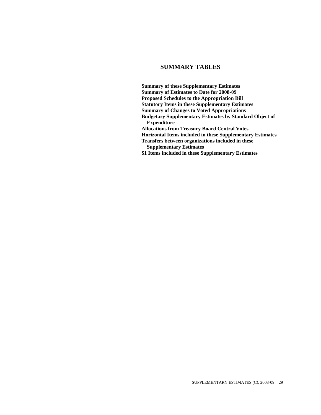### **SUMMARY TABLES**

<span id="page-25-0"></span>**Summary of these Supplementary Estimates Summary of Estimates to Date for 2008-09 Proposed Schedules to the Appropriation Bill Statutory Items in these Supplementary Estimates Summary of Changes to Voted Appropriations Budgetary Supplementary Estimates by Standard Object of Expenditure Allocations from Treasury Board Central Votes Horizontal Items included in these Supplementary Estimates Transfers between organizations included in these Supplementary Estimates \$1 Items included in these Supplementary Estimates**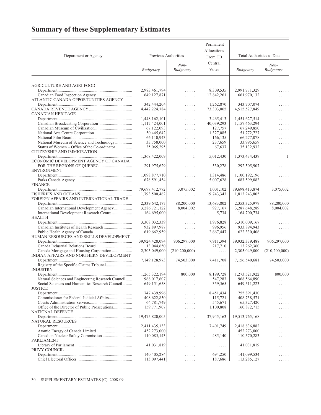# <span id="page-26-0"></span>**Summary of these Supplementary Estimates**

| Department or Agency                                                               | Previous Authorities           |                                                        | Permanent<br>Allocations<br>From TB        | Total Authorities to Date  |                                                                  |
|------------------------------------------------------------------------------------|--------------------------------|--------------------------------------------------------|--------------------------------------------|----------------------------|------------------------------------------------------------------|
|                                                                                    |                                |                                                        | Central                                    |                            |                                                                  |
|                                                                                    | Budgetary                      | $Non-$<br>Budgetary                                    | Votes                                      | Budgetary                  | $Non-$<br>Budgetary                                              |
| AGRICULTURE AND AGRI-FOOD                                                          |                                |                                                        |                                            |                            |                                                                  |
|                                                                                    | 2,983,461,794                  | .                                                      | 8,309,535                                  | 2,991,771,329              | 1.1.1                                                            |
| ATLANTIC CANADA OPPORTUNITIES AGENCY                                               | 649,127,871<br>342,444,204     | $\cdots$                                               | 12,842,261<br>1,262,870                    | 661,970,132<br>343,707,074 | .<br>.                                                           |
|                                                                                    | 4,442,224,784                  | $\cdots$<br>$\mathbb{Z}^2$ . The set of $\mathbb{Z}^2$ | 73,303,065                                 | 4,515,527,849              | .                                                                |
| <b>CANADIAN HERITAGE</b>                                                           | 1,448,162,101                  | .                                                      | 3,465,413                                  | 1,451,627,514              | .                                                                |
|                                                                                    | 1,117,424,001                  | $\cdots$                                               | 40,039,293                                 | 1,157,463,294              | .                                                                |
|                                                                                    | 67,122,093                     | $\cdots$                                               | 127,757                                    | 67,249,850                 | .                                                                |
|                                                                                    | 50,445,642                     | .                                                      | 1,327,085                                  | 51,772,727                 | .                                                                |
|                                                                                    | 66,110,943                     | .                                                      | 166,135                                    | 66,277,078                 | .                                                                |
| National Museum of Science and Technology                                          | 33,758,000                     | .                                                      | 237,659                                    | 33,995,659                 | .                                                                |
| Status of Women – Office of the Co-ordinator<br>CITIZENSHIP AND IMMIGRATION        | 35,065,295                     | $\mathbb{Z}^2$ . The set of $\mathbb{Z}^2$             | 67,637                                     | 35,132,932                 | .                                                                |
| ECONOMIC DEVELOPMENT AGENCY OF CANADA                                              | 1,368,422,009                  | 1                                                      | 5,012,430                                  | 1,373,434,439              | 1                                                                |
| <b>ENVIRONMENT</b>                                                                 | 291,975,629                    | $\cdots$                                               | 530,278                                    | 292,505,907                | .                                                                |
|                                                                                    | 1,098,877,710                  | .                                                      | 1,314,486                                  | 1,100,192,196              | .                                                                |
| <b>FINANCE</b>                                                                     | 678,591,454                    | $\mathbb{Z}^2$ . The set of $\mathbb{Z}^2$             | 5,007,628                                  | 683,599,082                | .                                                                |
|                                                                                    | 79,697,412,772                 | 3,075,002                                              | 1,001,102                                  | 79,698,413,874             | 3,075,002                                                        |
|                                                                                    | 1,793,500,462                  | 1.1.1.1                                                | 19,743,343                                 | 1,813,243,805              | .                                                                |
| FOREIGN AFFAIRS AND INTERNATIONAL TRADE                                            |                                |                                                        |                                            |                            |                                                                  |
|                                                                                    | 2,339,642,177                  | 88,200,000                                             | 13,683,802                                 | 2,353,325,979              | 88,200,000                                                       |
| Canadian International Development Agency                                          | 3,286,721,122                  | 8,004,002                                              | 927,167                                    | 3,287,648,289              | 8,004,002                                                        |
| International Development Research Centre<br><b>HEALTH</b>                         | 164,695,000                    | $\mathbb{R}^n$ . In the $\mathbb{R}^n$                 | 5,734                                      | 164,700,734                | .                                                                |
|                                                                                    | 3,308,032,339                  | $\cdots$                                               | 1,976,828                                  | 3,310,009,167              | $\cdots$                                                         |
|                                                                                    | 932,897,987                    | $\mathbb{R}^n$ . In the $\mathbb{R}^n$                 | 996,956                                    | 933,894,943                | .                                                                |
| HUMAN RESOURCES AND SKILLS DEVELOPMENT                                             | 619,662,959                    | $\mathbb{R}^n$ . In the $\mathbb{R}^n$                 | 2,667,447                                  | 622,330,406                | $\mathbb{Z}^2$ . The set of $\mathbb{Z}^2$                       |
|                                                                                    | 39.924.428.094                 | 906,297,000                                            | 7,911,394                                  | 39,932,339,488             | 906,297,000                                                      |
|                                                                                    | 13,044,650                     | .                                                      | 217,710                                    | 13,262,360                 |                                                                  |
| Canada Mortgage and Housing Corporation<br>INDIAN AFFAIRS AND NORTHERN DEVELOPMENT | 2,305,049,000                  | (210, 200, 000)                                        | $\mathbb{Z}^2$ . The set of $\mathbb{Z}^2$ | 2,305,049,000              | (210, 200, 000)                                                  |
|                                                                                    | 7,149,128,973                  | 74,503,000                                             | 7,411,708                                  | 7,156,540,681              | 74,503,000                                                       |
| <b>INDUSTRY</b>                                                                    | $\alpha$ , $\alpha$ , $\alpha$ | $\mathbb{R}^n$ . In the $\mathbb{R}^n$                 | $\mathbb{Z}^2$ . The set of $\mathbb{Z}^2$ | $\ldots$                   | $\mathcal{L}^{\mathcal{A}}$ . In the $\mathcal{L}^{\mathcal{A}}$ |
| $Department \label{def:1} Department.$                                             | 1,265,322,194                  | 800,000                                                | 8,199,728                                  | 1,273,521,922              | 800,000                                                          |
| Natural Sciences and Engineering Research Council                                  | 968,017,607                    | .                                                      | 547,283                                    | 968,564,890                | .                                                                |
| Social Sciences and Humanities Research Council<br><b>JUSTICE</b>                  | 649, 151, 658                  | $\cdots$                                               | 359,565                                    | 649, 511, 223              | .                                                                |
|                                                                                    | 747,439,996                    | .                                                      | 8,451,434                                  | 755,891,430                | .                                                                |
|                                                                                    | 408,622,850                    | .                                                      | 115,721                                    | 408,738,571                | .                                                                |
|                                                                                    | 64,781,749                     | $\cdots$                                               | 545,671                                    | 65,327,420                 | .                                                                |
|                                                                                    | 159,771,907                    | $\ldots$                                               | 1,100,808                                  | 160,872,715                | .                                                                |
| NATIONAL DEFENCE                                                                   |                                |                                                        |                                            |                            |                                                                  |
| NATURAL RESOURCES                                                                  | 19,475,820,005                 | $\cdots$                                               | 37,945,163                                 | 19,513,765,168             | .                                                                |
|                                                                                    | 2,411,435,133                  | .                                                      | 7,401,749                                  | 2,418,836,882              | .                                                                |
|                                                                                    | 452,273,000<br>110,085,143     | .                                                      | $\ldots$<br>485,140                        | 452,273,000<br>110,570,283 | .                                                                |
| <b>PARLIAMENT</b>                                                                  |                                | $\cdots$                                               |                                            |                            | .                                                                |
| PRIVY COUNCIL                                                                      | 41,031,819                     | $\ldots$                                               | $\ldots$                                   | 41,031,819                 | .                                                                |
|                                                                                    | 140,405,284                    | .                                                      | 694,250                                    | 141,099,534                | .                                                                |
|                                                                                    | 113,097,441                    | $\ldots$                                               | 187,686                                    | 113,285,127                | $\cdots\cdots\cdots$                                             |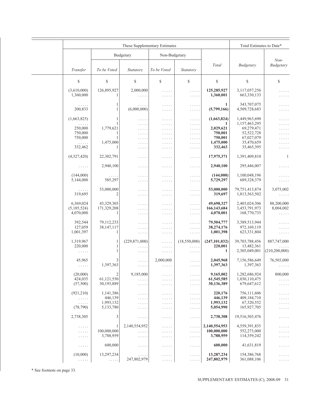| These Supplementary Estimates                          |                                                |                                                   |                                                                                                                                                  |                                                             |                                              |                                                         | Total Estimates to Date*                                   |  |
|--------------------------------------------------------|------------------------------------------------|---------------------------------------------------|--------------------------------------------------------------------------------------------------------------------------------------------------|-------------------------------------------------------------|----------------------------------------------|---------------------------------------------------------|------------------------------------------------------------|--|
|                                                        |                                                | Budgetary                                         | Non-Budgetary                                                                                                                                    |                                                             |                                              |                                                         |                                                            |  |
| Transfer                                               | To be Voted                                    | Statutory                                         | To be Voted                                                                                                                                      | Statutory                                                   | Total                                        | Budgetary                                               | Non-<br>Budgetary                                          |  |
| \$                                                     | \$                                             | \$                                                | \$                                                                                                                                               | \$                                                          | \$                                           | \$                                                      | \$                                                         |  |
| (3,610,000)<br>1,360,000                               | 126,895,927                                    | 2,000,000<br>$\ldots$                             | $\dots$<br>$\cdots$                                                                                                                              | .<br>.                                                      | 125,285,927<br>1,360,001                     | 3,117,057,256<br>663,330,133                            | $\ldots$ .<br>.                                            |  |
| .<br>200,833                                           |                                                | $\ldots$<br>(6,000,000)                           | $\ldots \ldots$<br>$\mathbb{Z}^n$ . In the $\mathbb{Z}^n$                                                                                        | $\ldots$<br>$\cdots$                                        | $\mathbf{1}$<br>(5,799,166)                  | 343,707,075<br>4,509,728,683                            | .<br>.                                                     |  |
| (1,663,825)<br>250,000                                 | 1<br>1<br>1,779,621                            | .<br>.                                            | .<br>$\ldots$                                                                                                                                    | .<br>.<br>.                                                 | (1,663,824)<br>1<br>2,029,621                | 1,449,963,690<br>1,157,463,295<br>69,279,471            | .<br>$\alpha$ , $\alpha$ , $\alpha$<br>$\ldots$ .          |  |
| 750,000<br>750,000<br>$\ldots$                         | 1<br>1,475,000                                 | .<br>.<br>.                                       | $\ldots$<br>.<br>.<br>$\alpha$ is a second .                                                                                                     | .<br>.<br>.                                                 | 750,001<br>750,001<br>1,475,000              | 52,522,728<br>67,027,079<br>35,470,659                  | .<br>.<br>.                                                |  |
| 332,462<br>(4,327,420)                                 | 22,302,791                                     | .<br>.                                            | $\alpha$ is a second<br>.                                                                                                                        | .<br>.                                                      | 332,463<br>17,975,371                        | 35,465,395<br>1,391,409,810                             | .<br>$\mathbf{1}$                                          |  |
| .                                                      | 2,940,100                                      | .                                                 | $\dots$                                                                                                                                          | .                                                           | 2,940,100                                    | 295,446,007                                             | .                                                          |  |
| (144,000)<br>5,144,000                                 | .<br>585,297                                   | .<br>.                                            | 1.1.1.1<br>$\alpha$ is a second                                                                                                                  | .<br>.                                                      | (144,000)<br>5,729,297                       | 1,100,048,196<br>689,328,379                            | .<br>.                                                     |  |
| $\dots$<br>319,695                                     | 53,000,000<br>2                                | .<br>.                                            | $\ldots$<br>$\ldots$                                                                                                                             | .<br>.                                                      | 53,000,000<br>319,697                        | 79,751,413,874<br>1,813,563,502                         | 3,075,002<br>.                                             |  |
| 6,369,024<br>(5,185,524)<br>4,070,000                  | 43,329,303<br>171,329,208<br>1                 | .<br>.<br>.                                       | $\ldots$<br>.<br>$\ldots \ldots$                                                                                                                 | .<br>.<br>.                                                 | 49,698,327<br>166,143,684<br>4,070,001       | 2,403,024,306<br>3,453,791,973<br>168,770,735           | 88,200,000<br>8,004,002<br>$\ldots$                        |  |
| 392,544<br>127,059<br>1,001,397                        | 79,112,233<br>38,147,117<br>1                  | .<br>.<br>$\ldots$                                | $\dots$<br>$\ldots$<br>$\alpha$ is a second .                                                                                                    | .<br>$\ldots$<br>$\alpha$ is a second .                     | 79,504,777<br>38,274,176<br>1,001,398        | 3,389,513,944<br>972,169,119<br>623,331,804             | .<br>المتحدة<br>.                                          |  |
| 1,319,967<br>220,000                                   | 1<br>1                                         | (229, 871, 000)<br>$\ldots$                       | $\alpha$ is a second .<br>$\mathbf{1}$ , and $\mathbf{1}$                                                                                        | (18,550,000)<br>$\ldots$                                    | (247, 101, 032)<br>220,001                   | 39,703,788,456<br>13,482,361                            | 887,747,000                                                |  |
| $\ldots$<br>45.965<br>$\ldots$                         | 1<br>3<br>1,397,363                            | $\ldots$<br>$\ldots$<br>$\alpha$ is a second .    | $\ldots$<br>2,000,000<br>$\mathbb{Z}^n$ . $\mathbb{Z}^n$ . $\mathbb{Z}^n$                                                                        | $\mathbb{Z}^2$ . The set of $\mathbb{Z}^2$<br>$\cdots$<br>. | 1<br>2,045,968<br>1,397,363                  | 2,305,049,001<br>7,156,586,649<br>1,397,363             | (210, 200, 000)<br>76,503,000                              |  |
| (20,000)<br>424,035<br>(57,500)                        | 61,121,550<br>30,193,889                       | 9,185,000<br>$\ldots$<br>.                        | $\epsilon$ , $\epsilon$ , $\epsilon$ , $\epsilon$<br>$\ldots$<br>$\epsilon$ , $\epsilon$ , $\epsilon$ , $\epsilon$                               | $\ldots$<br>$\ldots$<br>.                                   | 9,165,002<br>61,545,585<br>30,136,389        | 1,282,686,924<br>1,030,110,475<br>679,647,612           | 800,000<br>.<br>$\mathbb{Z}^2$ . The set of $\mathbb{Z}^2$ |  |
| (921, 210)<br>.<br>$\alpha$ is a second .<br>(78, 790) | 1,141,386<br>446,139<br>1,993,132<br>5,133,780 | .<br>.<br>.<br>.                                  | $\epsilon$ , $\epsilon$ , $\epsilon$ , $\epsilon$<br>$\epsilon$ , $\epsilon$ , $\epsilon$ , $\epsilon$<br>$\epsilon$ is a set<br>$\ldots$        | .<br>.<br>.<br>.                                            | 220,176<br>446,139<br>1,993,132<br>5,054,990 | 756,111,606<br>409,184,710<br>67,320,552<br>165,927,705 | .<br>.<br>المتعاد<br>.                                     |  |
| 2,738,305                                              | 3                                              | $\dots$                                           | $\ldots$                                                                                                                                         | .                                                           | 2,738,308                                    | 19,516,503,476                                          | .                                                          |  |
| $\dots$<br>.<br>.                                      | 100,000,000<br>3,788,959                       | 2,140,554,952<br>.<br>.                           | $\epsilon$ , $\epsilon$ , $\epsilon$ , $\epsilon$<br>$\epsilon$ , $\epsilon$ , $\epsilon$ , $\epsilon$<br>$\mathbb{R}^n$ . In the $\mathbb{R}^n$ | .<br>.<br>.                                                 | 2,140,554,953<br>100,000,000<br>3,788,959    | 4,559,391,835<br>552,273,000<br>114,359,242             | .<br>$\alpha$ , $\alpha$ , $\alpha$<br>.                   |  |
| $\dots$                                                | 600,000                                        | $\epsilon$ , $\epsilon$ , $\epsilon$ , $\epsilon$ | $\ldots$                                                                                                                                         | $\ldots$                                                    | 600,000                                      | 41,631,819                                              | $\ldots$                                                   |  |
| (10,000)<br>.                                          | 13,297,234<br>$\Box$                           | 247,802,979                                       | $\cdots\cdots$<br>$\ldots$                                                                                                                       | .<br>.                                                      | 13,287,234<br>247,802,979                    | 154,386,768<br>361,088,106                              | .<br>$\epsilon$ , $\epsilon$ , $\epsilon$                  |  |

\* See footnote on page 33.

SUPPLEMENTARY ESTIMATES (C), 2008-09 31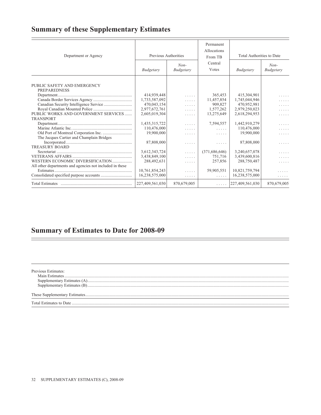# <span id="page-28-0"></span>**Summary of these Supplementary Estimates**

| Department or Agency                                     | Previous Authorities             |             | Permanent<br>Allocations<br>From TB | Total Authorities to Date |                     |
|----------------------------------------------------------|----------------------------------|-------------|-------------------------------------|---------------------------|---------------------|
|                                                          | $Non-$<br>Budgetary<br>Budgetary |             | Central<br>Votes                    | Budgetary                 | $Non-$<br>Budgetary |
| PUBLIC SAFETY AND EMERGENCY<br><b>PREPAREDNESS</b>       |                                  |             |                                     |                           |                     |
|                                                          | 414,939,448                      | .           | 365,453                             | 415,304,901               | .                   |
|                                                          | 1,733,587,092                    | .           | 11,457,854                          | 1,745,044,946             | .                   |
|                                                          | 470,043,154                      | .           | 909.827                             | 470,952,981               | .                   |
|                                                          | 2,977,672,761                    | .           | 1,577,262                           | 2,979,250,023             | .                   |
| PUBLIC WORKS AND GOVERNMENT SERVICES                     | 2,605,019,304                    | .           | 13,275,649                          | 2,618,294,953             | .                   |
| <b>TRANSPORT</b>                                         |                                  |             |                                     |                           |                     |
| $Department \label{def:1} Department.$                   | 1,435,315,722                    | .           | 7,594,557                           | 1,442,910,279             | .                   |
|                                                          | 110,476,000                      | .           | .                                   | 110,476,000               | .                   |
|                                                          | 19,900,000                       | .           | .                                   | 19,900,000                | .                   |
| The Jacques Cartier and Champlain Bridges                |                                  |             |                                     |                           |                     |
|                                                          | 87,808,000                       | .           | .                                   | 87,808,000                | .                   |
| <b>TREASURY BOARD</b>                                    |                                  |             |                                     |                           |                     |
|                                                          | 3,612,343,724                    | .           | (371,686,646)                       | 3,240,657,078             | .                   |
|                                                          | 3,438,849,100                    | .           | 751,716                             | 3,439,600,816             | .                   |
| WESTERN ECONOMIC DIVERSIFICATION                         | 288,492,631                      | .           | 257,856                             | 288,750,487               | .                   |
| All other departments and agencies not included in these |                                  |             |                                     |                           |                     |
|                                                          | 10,761,854,243                   | .           | 59,905,551                          | 10,821,759,794            | .                   |
|                                                          | 16,238,575,000                   | .           | .                                   | 16,238,575,000            | .                   |
| <b>Total Estimates</b>                                   | 227,409,561,030                  | 870,679,005 | .                                   | 227,409,561,030           | 870,679,005         |

# **Summary of Estimates to Date for 2008-09**

 $\equiv$ 

| Previous Estimates: |
|---------------------|
|                     |
|                     |

 $\equiv$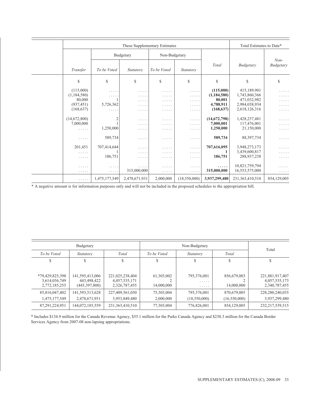|               | Total Estimates to Date* |               |               |              |               |                 |                     |
|---------------|--------------------------|---------------|---------------|--------------|---------------|-----------------|---------------------|
|               | Budgetary                |               | Non-Budgetary |              |               |                 |                     |
| Transfer      | To be Voted              | Statutory     | To be Voted   | Statutory    | Total         | Budgetary       | $Non-$<br>Budgetary |
| S             | \$                       | \$            | S             | \$           | $\mathbb{S}$  | \$              | \$                  |
| (115,000)     | .                        | .             | .             | .            | (115,000)     | 415,189,901     | .                   |
| (1, 184, 580) | .                        | .             | .             | .            | (1, 184, 580) | 1,743,860,366   | .                   |
| 80,000        |                          | .             | .             | .            | 80,001        | 471,032,982     | .                   |
| (937, 451)    | 5,726,362                | .             | .             | .            | 4,788,911     | 2,984,038,934   | .                   |
| (168, 637)    |                          | .             | .             | .            | (168, 637)    | 2,618,126,316   | .                   |
| (14,672,800)  | 2                        | .             | .             | .            | (14,672,798)  | 1,428,237,481   | .                   |
| 7,000,000     |                          | .             | .             | .            | 7,000,001     | 117,476,001     | .                   |
| .             | 1,250,000                | .             | .             | .            | 1,250,000     | 21,150,000      | .                   |
| .             | 589,734                  | .             | .             | .            | 589,734       | 88, 397, 734    | .                   |
| 201,451       | 707,414,644              | .             | .             | .            | 707,616,095   | 3,948,273,173   | .                   |
| .             |                          | .             | .             | .            |               | 3,439,600,817   | .                   |
| .             | 186,751                  | .             | .             | .            | 186,751       | 288,937,238     | .                   |
| .             | .                        | .             | .             | .            | .             | 10,821,759,794  | .                   |
| .             | .                        | 315,000,000   | .             | $\ldots$     | 315,000,000   | 16,553,575,000  | .                   |
| $\cdots$      | 1,475,177,549            | 2,478,671,931 | 2,000,000     | (18,550,000) | 3,937,299,480 | 231,363,410,510 | 854,129,005         |

\* A negative amount is for information purposes only and will not be included in the proposed schedules to the appropriation bill.

|                   | Budgetary       |                    |             |              | Total          |                    |
|-------------------|-----------------|--------------------|-------------|--------------|----------------|--------------------|
| To be Voted       | Statutory       | Total              | To be Voted | Statutory    | Total          |                    |
| J.                | J.              | \$                 | \$          | .Ъ           | \$             | ъ                  |
|                   |                 |                    |             |              |                |                    |
| *79,429,825,398   | 141,595,413,006 | 221,025,238,404    | 61,303,002  | 795,376,001  | 856,679,003    | 221,881,917,407    |
| 3,614,036,749     | 443,498,422     | 4,057,535,171      |             | .            |                | 4,057,535,173      |
| 2,772,185,255     | (445,397,800)   | 2,326,787,455      | 14,000,000  | .            | 14,000,000     | 2,340,787,455      |
| 85,816,047,402    | 141,593,513,628 | 227,409,561,030    | 75,303,004  | 795,376,001  | 870,679,005    | 228,280,240,035    |
| 1,475,177,549     | 2,478,671,931   | 3,953,849,480      | 2,000,000   | (18,550,000) | (16, 550, 000) | 3,937,299,480      |
| 87, 291, 224, 951 | 144,072,185,559 | 231, 363, 410, 510 | 77,303,004  | 776,826,001  | 854,129,005    | 232, 217, 539, 515 |

\* Includes \$134.9 million for the Canada Revenue Agency, \$55.1 million for the Parks Canada Agency and \$230.3 million for the Canada Border Services Agency from 2007-08 non-lapsing appropriations.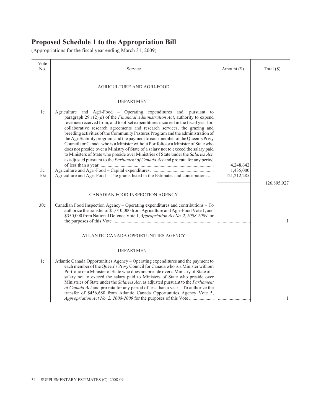<span id="page-30-0"></span>

| Vote<br>No.                 | Service                                                                                                                                                                                                                                                                                                                                                                                                                                                                                                                                                                                                                                                                                                                                                                                                                                                                                                                                                 | Amount $(\$)$                         | Total $(\$)$ |
|-----------------------------|---------------------------------------------------------------------------------------------------------------------------------------------------------------------------------------------------------------------------------------------------------------------------------------------------------------------------------------------------------------------------------------------------------------------------------------------------------------------------------------------------------------------------------------------------------------------------------------------------------------------------------------------------------------------------------------------------------------------------------------------------------------------------------------------------------------------------------------------------------------------------------------------------------------------------------------------------------|---------------------------------------|--------------|
|                             | AGRICULTURE AND AGRI-FOOD                                                                                                                                                                                                                                                                                                                                                                                                                                                                                                                                                                                                                                                                                                                                                                                                                                                                                                                               |                                       |              |
|                             | <b>DEPARTMENT</b>                                                                                                                                                                                                                                                                                                                                                                                                                                                                                                                                                                                                                                                                                                                                                                                                                                                                                                                                       |                                       |              |
| 1c<br>5c<br>10 <sub>c</sub> | Agriculture and Agri-Food - Operating expenditures and, pursuant to<br>paragraph $29.1(2)(a)$ of the <i>Financial Administration Act</i> , authority to expend<br>revenues received from, and to offset expenditures incurred in the fiscal year for,<br>collaborative research agreements and research services, the grazing and<br>breeding activities of the Community Pastures Program and the administration of<br>the AgriStability program; and the payment to each member of the Queen's Privy<br>Council for Canada who is a Minister without Portfolio or a Minister of State who<br>does not preside over a Ministry of State of a salary not to exceed the salary paid<br>to Ministers of State who preside over Ministries of State under the Salaries Act,<br>as adjusted pursuant to the <i>Parliament of Canada Act</i> and pro rata for any period<br>Agriculture and Agri-Food - The grants listed in the Estimates and contributions | 4,248,642<br>1,435,000<br>121,212,285 |              |
|                             |                                                                                                                                                                                                                                                                                                                                                                                                                                                                                                                                                                                                                                                                                                                                                                                                                                                                                                                                                         |                                       | 126,895,927  |
| 30c                         | CANADIAN FOOD INSPECTION AGENCY<br>Canadian Food Inspection Agency – Operating expenditures and contributions – To                                                                                                                                                                                                                                                                                                                                                                                                                                                                                                                                                                                                                                                                                                                                                                                                                                      |                                       |              |
|                             | authorize the transfer of \$1,010,000 from Agriculture and Agri-Food Vote 1, and<br>\$350,000 from National Defence Vote 1, Appropriation Act No. 2, 2008-2009 for                                                                                                                                                                                                                                                                                                                                                                                                                                                                                                                                                                                                                                                                                                                                                                                      |                                       | $\mathbf{1}$ |
|                             | ATLANTIC CANADA OPPORTUNITIES AGENCY                                                                                                                                                                                                                                                                                                                                                                                                                                                                                                                                                                                                                                                                                                                                                                                                                                                                                                                    |                                       |              |
|                             | <b>DEPARTMENT</b>                                                                                                                                                                                                                                                                                                                                                                                                                                                                                                                                                                                                                                                                                                                                                                                                                                                                                                                                       |                                       |              |
| 1c                          | Atlantic Canada Opportunities Agency – Operating expenditures and the payment to<br>each member of the Queen's Privy Council for Canada who is a Minister without<br>Portfolio or a Minister of State who does not preside over a Ministry of State of a<br>salary not to exceed the salary paid to Ministers of State who preside over<br>Ministries of State under the Salaries Act, as adjusted pursuant to the Parliament<br>of Canada Act and pro rata for any period of less than a year $-$ To authorize the<br>transfer of \$456,680 from Atlantic Canada Opportunities Agency Vote 5,                                                                                                                                                                                                                                                                                                                                                          |                                       | $\mathbf{1}$ |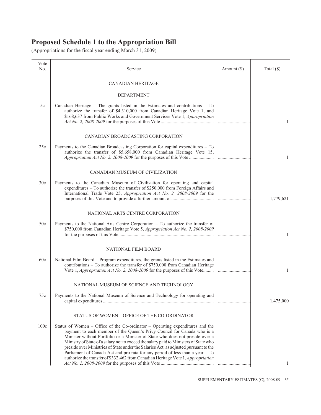| Vote<br>No. | Service                                                                                                                                                                                                                                                                                                                                                                                                                                                                                                                                                                                         | Amount $(\$)$ | Total $(\$)$ |
|-------------|-------------------------------------------------------------------------------------------------------------------------------------------------------------------------------------------------------------------------------------------------------------------------------------------------------------------------------------------------------------------------------------------------------------------------------------------------------------------------------------------------------------------------------------------------------------------------------------------------|---------------|--------------|
|             |                                                                                                                                                                                                                                                                                                                                                                                                                                                                                                                                                                                                 |               |              |
|             | <b>CANADIAN HERITAGE</b>                                                                                                                                                                                                                                                                                                                                                                                                                                                                                                                                                                        |               |              |
|             | <b>DEPARTMENT</b>                                                                                                                                                                                                                                                                                                                                                                                                                                                                                                                                                                               |               |              |
| 5c          | Canadian Heritage – The grants listed in the Estimates and contributions – To<br>authorize the transfer of \$4,310,000 from Canadian Heritage Vote 1, and<br>\$168,637 from Public Works and Government Services Vote 1, Appropriation                                                                                                                                                                                                                                                                                                                                                          | .             | 1            |
|             | CANADIAN BROADCASTING CORPORATION                                                                                                                                                                                                                                                                                                                                                                                                                                                                                                                                                               |               |              |
| 25c         | Payments to the Canadian Broadcasting Corporation for capital expenditures – To<br>authorize the transfer of \$5,658,000 from Canadian Heritage Vote 15,                                                                                                                                                                                                                                                                                                                                                                                                                                        |               | $\mathbf{1}$ |
|             | CANADIAN MUSEUM OF CIVILIZATION                                                                                                                                                                                                                                                                                                                                                                                                                                                                                                                                                                 |               |              |
| 30c         | Payments to the Canadian Museum of Civilization for operating and capital<br>expenditures - To authorize the transfer of \$250,000 from Foreign Affairs and<br>International Trade Vote 25, Appropriation Act No. 2, 2008-2009 for the                                                                                                                                                                                                                                                                                                                                                          |               | 1,779,621    |
|             | NATIONAL ARTS CENTRE CORPORATION                                                                                                                                                                                                                                                                                                                                                                                                                                                                                                                                                                |               |              |
| 50c         | Payments to the National Arts Centre Corporation - To authorize the transfer of<br>\$750,000 from Canadian Heritage Vote 5, Appropriation Act No. 2, 2008-2009                                                                                                                                                                                                                                                                                                                                                                                                                                  |               | $\mathbf{1}$ |
|             | NATIONAL FILM BOARD                                                                                                                                                                                                                                                                                                                                                                                                                                                                                                                                                                             |               |              |
| 60c         | National Film Board – Program expenditures, the grants listed in the Estimates and<br>contributions $-$ To authorize the transfer of \$750,000 from Canadian Heritage<br>Vote 1, <i>Appropriation Act No. 2, 2008-2009</i> for the purposes of this Vote                                                                                                                                                                                                                                                                                                                                        |               | $\mathbf{1}$ |
|             | NATIONAL MUSEUM OF SCIENCE AND TECHNOLOGY                                                                                                                                                                                                                                                                                                                                                                                                                                                                                                                                                       |               |              |
| 75c         | Payments to the National Museum of Science and Technology for operating and                                                                                                                                                                                                                                                                                                                                                                                                                                                                                                                     |               | 1,475,000    |
|             | STATUS OF WOMEN - OFFICE OF THE CO-ORDINATOR                                                                                                                                                                                                                                                                                                                                                                                                                                                                                                                                                    |               |              |
| 100c        | Status of Women – Office of the Co-ordinator – Operating expenditures and the<br>payment to each member of the Queen's Privy Council for Canada who is a<br>Minister without Portfolio or a Minister of State who does not preside over a<br>Ministry of State of a salary not to exceed the salary paid to Ministers of State who<br>preside over Ministries of State under the Salaries Act, as adjusted pursuant to the<br>Parliament of Canada Act and pro rata for any period of less than a year - To<br>authorize the transfer of \$332,462 from Canadian Heritage Vote 1, Appropriation |               | $\mathbf{1}$ |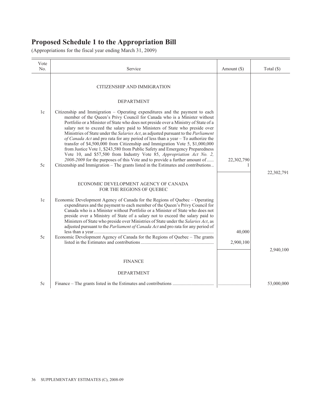| Vote<br>No. | Service                                                                                                                                                                                                                                                                                                                                                                                                                                                                                                                                                                                                                                                                                                                                                                                                                                                                                                                 | Amount (\$)         | Total $(\$)$ |
|-------------|-------------------------------------------------------------------------------------------------------------------------------------------------------------------------------------------------------------------------------------------------------------------------------------------------------------------------------------------------------------------------------------------------------------------------------------------------------------------------------------------------------------------------------------------------------------------------------------------------------------------------------------------------------------------------------------------------------------------------------------------------------------------------------------------------------------------------------------------------------------------------------------------------------------------------|---------------------|--------------|
|             | CITIZENSHIP AND IMMIGRATION<br><b>DEPARTMENT</b>                                                                                                                                                                                                                                                                                                                                                                                                                                                                                                                                                                                                                                                                                                                                                                                                                                                                        |                     |              |
| 1c<br>5c    | Citizenship and Immigration - Operating expenditures and the payment to each<br>member of the Queen's Privy Council for Canada who is a Minister without<br>Portfolio or a Minister of State who does not preside over a Ministry of State of a<br>salary not to exceed the salary paid to Ministers of State who preside over<br>Ministries of State under the Salaries Act, as adjusted pursuant to the Parliament<br>of Canada Act and pro rata for any period of less than a year $-$ To authorize the<br>transfer of \$4,500,000 from Citizenship and Immigration Vote 5, \$1,000,000<br>from Justice Vote 1, \$243,580 from Public Safety and Emergency Preparedness<br>Vote 10, and \$57,500 from Industry Vote 85, Appropriation Act No. 2,<br>2008-2009 for the purposes of this Vote and to provide a further amount of<br>Citizenship and Immigration - The grants listed in the Estimates and contributions | 22,302,790          |              |
|             | ECONOMIC DEVELOPMENT AGENCY OF CANADA<br>FOR THE REGIONS OF QUEBEC                                                                                                                                                                                                                                                                                                                                                                                                                                                                                                                                                                                                                                                                                                                                                                                                                                                      |                     | 22,302,791   |
| 1c          | Economic Development Agency of Canada for the Regions of Quebec - Operating<br>expenditures and the payment to each member of the Queen's Privy Council for<br>Canada who is a Minister without Portfolio or a Minister of State who does not<br>preside over a Ministry of State of a salary not to exceed the salary paid to<br>Ministers of State who preside over Ministries of State under the Salaries Act, as<br>adjusted pursuant to the Parliament of Canada Act and pro rata for any period of                                                                                                                                                                                                                                                                                                                                                                                                                |                     |              |
| 5c          | Economic Development Agency of Canada for the Regions of Quebec - The grants                                                                                                                                                                                                                                                                                                                                                                                                                                                                                                                                                                                                                                                                                                                                                                                                                                            | 40,000<br>2,900,100 | 2,940,100    |
|             | <b>FINANCE</b>                                                                                                                                                                                                                                                                                                                                                                                                                                                                                                                                                                                                                                                                                                                                                                                                                                                                                                          |                     |              |
|             | <b>DEPARTMENT</b>                                                                                                                                                                                                                                                                                                                                                                                                                                                                                                                                                                                                                                                                                                                                                                                                                                                                                                       |                     |              |
| 5c          |                                                                                                                                                                                                                                                                                                                                                                                                                                                                                                                                                                                                                                                                                                                                                                                                                                                                                                                         |                     | 53,000,000   |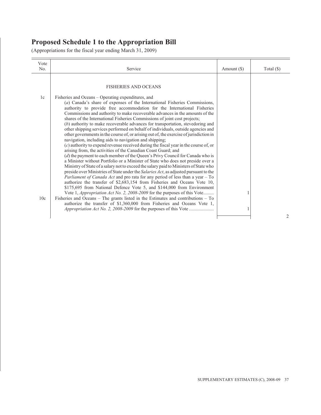| Vote<br>No. | Service                                                                                                                                                                                                                                                                                                                                                                                                                                                                                                                                                                                                                                                                                                                                                                                                                                                                                                                                                                                                                                                                                                                                                                                                                                                                                                                                                                                                                                                                                                                                                                                                                                                                                                                                                                        | Amount $(\$)$ | Total $(\$)$ |
|-------------|--------------------------------------------------------------------------------------------------------------------------------------------------------------------------------------------------------------------------------------------------------------------------------------------------------------------------------------------------------------------------------------------------------------------------------------------------------------------------------------------------------------------------------------------------------------------------------------------------------------------------------------------------------------------------------------------------------------------------------------------------------------------------------------------------------------------------------------------------------------------------------------------------------------------------------------------------------------------------------------------------------------------------------------------------------------------------------------------------------------------------------------------------------------------------------------------------------------------------------------------------------------------------------------------------------------------------------------------------------------------------------------------------------------------------------------------------------------------------------------------------------------------------------------------------------------------------------------------------------------------------------------------------------------------------------------------------------------------------------------------------------------------------------|---------------|--------------|
|             |                                                                                                                                                                                                                                                                                                                                                                                                                                                                                                                                                                                                                                                                                                                                                                                                                                                                                                                                                                                                                                                                                                                                                                                                                                                                                                                                                                                                                                                                                                                                                                                                                                                                                                                                                                                |               |              |
|             | <b>FISHERIES AND OCEANS</b>                                                                                                                                                                                                                                                                                                                                                                                                                                                                                                                                                                                                                                                                                                                                                                                                                                                                                                                                                                                                                                                                                                                                                                                                                                                                                                                                                                                                                                                                                                                                                                                                                                                                                                                                                    |               |              |
| 1c<br>10c   | Fisheries and Oceans – Operating expenditures, and<br>(a) Canada's share of expenses of the International Fisheries Commissions,<br>authority to provide free accommodation for the International Fisheries<br>Commissions and authority to make recoverable advances in the amounts of the<br>shares of the International Fisheries Commissions of joint cost projects;<br>(b) authority to make recoverable advances for transportation, stevedoring and<br>other shipping services performed on behalf of individuals, outside agencies and<br>other governments in the course of, or arising out of, the exercise of jurisdiction in<br>navigation, including aids to navigation and shipping;<br>$(c)$ authority to expend revenue received during the fiscal year in the course of, or<br>arising from, the activities of the Canadian Coast Guard; and<br>$(d)$ the payment to each member of the Queen's Privy Council for Canada who is<br>a Minister without Portfolio or a Minister of State who does not preside over a<br>Ministry of State of a salary not to exceed the salary paid to Ministers of State who<br>preside over Ministries of State under the Salaries Act, as adjusted pursuant to the<br>Parliament of Canada Act and pro rata for any period of less than a year - To<br>authorize the transfer of \$2,683,154 from Fisheries and Oceans Vote 10,<br>\$175,695 from National Defence Vote 5, and \$144,000 from Environment<br>Vote 1, Appropriation Act No. 2, 2008-2009 for the purposes of this Vote<br>Fisheries and Oceans $-$ The grants listed in the Estimates and contributions $-$ To<br>authorize the transfer of \$1,360,000 from Fisheries and Oceans Vote 1,<br>Appropriation Act No. 2, 2008-2009 for the purposes of this Vote |               |              |
|             |                                                                                                                                                                                                                                                                                                                                                                                                                                                                                                                                                                                                                                                                                                                                                                                                                                                                                                                                                                                                                                                                                                                                                                                                                                                                                                                                                                                                                                                                                                                                                                                                                                                                                                                                                                                |               | 2            |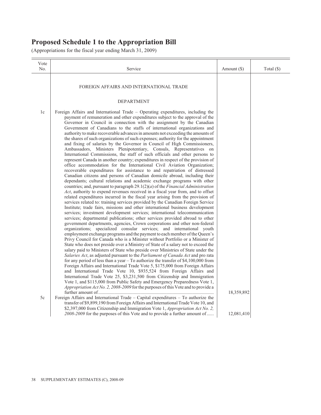| Vote<br>No. | Service                                                                                                                                                                                                                                                                                                                                                                                                                                                                                                                                                                                                                                                                                                                                                                                                                                                                                                                                                                                                                                                                                                                                                                                                                                                                                                                                                                                                                                                                                                                                                                                                                                                                                                                                                                                                                                                                                                                                                                                                                                                                                                                                                                                                                                                                                                                                                                                                                                                                                                                                                                                                                                          | Amount (\$) | Total $(\$)$ |
|-------------|--------------------------------------------------------------------------------------------------------------------------------------------------------------------------------------------------------------------------------------------------------------------------------------------------------------------------------------------------------------------------------------------------------------------------------------------------------------------------------------------------------------------------------------------------------------------------------------------------------------------------------------------------------------------------------------------------------------------------------------------------------------------------------------------------------------------------------------------------------------------------------------------------------------------------------------------------------------------------------------------------------------------------------------------------------------------------------------------------------------------------------------------------------------------------------------------------------------------------------------------------------------------------------------------------------------------------------------------------------------------------------------------------------------------------------------------------------------------------------------------------------------------------------------------------------------------------------------------------------------------------------------------------------------------------------------------------------------------------------------------------------------------------------------------------------------------------------------------------------------------------------------------------------------------------------------------------------------------------------------------------------------------------------------------------------------------------------------------------------------------------------------------------------------------------------------------------------------------------------------------------------------------------------------------------------------------------------------------------------------------------------------------------------------------------------------------------------------------------------------------------------------------------------------------------------------------------------------------------------------------------------------------------|-------------|--------------|
|             | FOREIGN AFFAIRS AND INTERNATIONAL TRADE                                                                                                                                                                                                                                                                                                                                                                                                                                                                                                                                                                                                                                                                                                                                                                                                                                                                                                                                                                                                                                                                                                                                                                                                                                                                                                                                                                                                                                                                                                                                                                                                                                                                                                                                                                                                                                                                                                                                                                                                                                                                                                                                                                                                                                                                                                                                                                                                                                                                                                                                                                                                          |             |              |
|             | <b>DEPARTMENT</b>                                                                                                                                                                                                                                                                                                                                                                                                                                                                                                                                                                                                                                                                                                                                                                                                                                                                                                                                                                                                                                                                                                                                                                                                                                                                                                                                                                                                                                                                                                                                                                                                                                                                                                                                                                                                                                                                                                                                                                                                                                                                                                                                                                                                                                                                                                                                                                                                                                                                                                                                                                                                                                |             |              |
| 1c          | Foreign Affairs and International Trade – Operating expenditures, including the<br>payment of remuneration and other expenditures subject to the approval of the<br>Governor in Council in connection with the assignment by the Canadian<br>Government of Canadians to the staffs of international organizations and<br>authority to make recoverable advances in amounts not exceeding the amounts of<br>the shares of such organizations of such expenses; authority for the appointment<br>and fixing of salaries by the Governor in Council of High Commissioners,<br>Ambassadors, Ministers Plenipotentiary, Consuls, Representatives on<br>International Commissions, the staff of such officials and other persons to<br>represent Canada in another country; expenditures in respect of the provision of<br>office accommodation for the International Civil Aviation Organization;<br>recoverable expenditures for assistance to and repatriation of distressed<br>Canadian citizens and persons of Canadian domicile abroad, including their<br>dependants; cultural relations and academic exchange programs with other<br>countries; and, pursuant to paragraph $29.1(2)(a)$ of the Financial Administration<br>Act, authority to expend revenues received in a fiscal year from, and to offset<br>related expenditures incurred in the fiscal year arising from the provision of<br>services related to: training services provided by the Canadian Foreign Service<br>Institute; trade fairs, missions and other international business development<br>services; investment development services; international telecommunication<br>services; departmental publications; other services provided abroad to other<br>government departments, agencies, Crown corporations and other non-federal<br>organizations; specialized consular services; and international youth<br>employment exchange programs and the payment to each member of the Queen's<br>Privy Council for Canada who is a Minister without Portfolio or a Minister of<br>State who does not preside over a Ministry of State of a salary not to exceed the<br>salary paid to Ministers of State who preside over Ministries of State under the<br>Salaries Act, as adjusted pursuant to the Parliament of Canada Act and pro rata<br>for any period of less than a year $-$ To authorize the transfer of \$4,100,000 from<br>Foreign Affairs and International Trade Vote 5, \$175,000 from Foreign Affairs<br>and International Trade Vote 10, \$935,524 from Foreign Affairs and<br>International Trade Vote 25, \$3,231,500 from Citizenship and Immigration |             |              |
|             | Vote 1, and \$115,000 from Public Safety and Emergency Preparedness Vote 1,<br>Appropriation Act No. 2, 2008-2009 for the purposes of this Vote and to provide a                                                                                                                                                                                                                                                                                                                                                                                                                                                                                                                                                                                                                                                                                                                                                                                                                                                                                                                                                                                                                                                                                                                                                                                                                                                                                                                                                                                                                                                                                                                                                                                                                                                                                                                                                                                                                                                                                                                                                                                                                                                                                                                                                                                                                                                                                                                                                                                                                                                                                 | 18,359,892  |              |
| 5c          | Foreign Affairs and International Trade – Capital expenditures – To authorize the<br>transfer of \$9,899,190 from Foreign Affairs and International Trade Vote 10, and<br>\$2,397,000 from Citizenship and Immigration Vote 1, Appropriation Act No. 2,                                                                                                                                                                                                                                                                                                                                                                                                                                                                                                                                                                                                                                                                                                                                                                                                                                                                                                                                                                                                                                                                                                                                                                                                                                                                                                                                                                                                                                                                                                                                                                                                                                                                                                                                                                                                                                                                                                                                                                                                                                                                                                                                                                                                                                                                                                                                                                                          |             |              |
|             | 2008-2009 for the purposes of this Vote and to provide a further amount of                                                                                                                                                                                                                                                                                                                                                                                                                                                                                                                                                                                                                                                                                                                                                                                                                                                                                                                                                                                                                                                                                                                                                                                                                                                                                                                                                                                                                                                                                                                                                                                                                                                                                                                                                                                                                                                                                                                                                                                                                                                                                                                                                                                                                                                                                                                                                                                                                                                                                                                                                                       | 12,081,410  |              |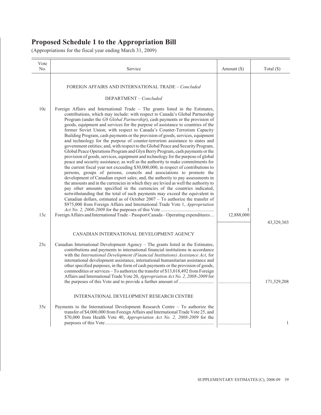| Vote<br>No.            | Service                                                                                                                                                                                                                                                                                                                                                                                                                                                                                                                                                                                                                                                                                                                                                                                                                                                                                                                                                                                                                                                                                                                                                                                                                                                                                                                                                                                                                                                                                                                                                                                           | Amount $(\$)$ | Total $(\$)$ |
|------------------------|---------------------------------------------------------------------------------------------------------------------------------------------------------------------------------------------------------------------------------------------------------------------------------------------------------------------------------------------------------------------------------------------------------------------------------------------------------------------------------------------------------------------------------------------------------------------------------------------------------------------------------------------------------------------------------------------------------------------------------------------------------------------------------------------------------------------------------------------------------------------------------------------------------------------------------------------------------------------------------------------------------------------------------------------------------------------------------------------------------------------------------------------------------------------------------------------------------------------------------------------------------------------------------------------------------------------------------------------------------------------------------------------------------------------------------------------------------------------------------------------------------------------------------------------------------------------------------------------------|---------------|--------------|
|                        | FOREIGN AFFAIRS AND INTERNATIONAL TRADE – Concluded<br>DEPARTMENT - Concluded                                                                                                                                                                                                                                                                                                                                                                                                                                                                                                                                                                                                                                                                                                                                                                                                                                                                                                                                                                                                                                                                                                                                                                                                                                                                                                                                                                                                                                                                                                                     |               |              |
| 10 <sub>c</sub><br>13c | Foreign Affairs and International Trade – The grants listed in the Estimates,<br>contributions, which may include: with respect to Canada's Global Partnership<br>Program (under the G8 Global Partnership), cash payments or the provision of<br>goods, equipment and services for the purpose of assistance to countries of the<br>former Soviet Union; with respect to Canada's Counter-Terrorism Capacity<br>Building Program, cash payments or the provision of goods, services, equipment<br>and technology for the purpose of counter-terrorism assistance to states and<br>government entities; and, with respect to the Global Peace and Security Program,<br>Global Peace Operations Program and Glyn Berry Program, cash payments or the<br>provision of goods, services, equipment and technology for the purpose of global<br>peace and security assistance; as well as the authority to make commitments for<br>the current fiscal year not exceeding \$30,000,000, in respect of contributions to<br>persons, groups of persons, councils and associations to promote the<br>development of Canadian export sales; and, the authority to pay assessments in<br>the amounts and in the currencies in which they are levied as well the authority to<br>pay other amounts specified in the currencies of the countries indicated,<br>notwithstanding that the total of such payments may exceed the equivalent in<br>Canadian dollars, estimated as of October $2007 - To$ authorize the transfer of<br>\$975,000 from Foreign Affairs and International Trade Vote 1, Appropriation |               |              |
|                        | Foreign Affairs and International Trade – Passport Canada – Operating expenditures<br>CANADIAN INTERNATIONAL DEVELOPMENT AGENCY                                                                                                                                                                                                                                                                                                                                                                                                                                                                                                                                                                                                                                                                                                                                                                                                                                                                                                                                                                                                                                                                                                                                                                                                                                                                                                                                                                                                                                                                   | 12,888,000    | 43,329,303   |
| 25c                    | Canadian International Development Agency – The grants listed in the Estimates,<br>contributions and payments to international financial institutions in accordance<br>with the International Development (Financial Institutions) Assistance Act, for<br>international development assistance, international humanitarian assistance and<br>other specified purposes, in the form of cash payments or the provision of goods,<br>commodities or services - To authorize the transfer of \$13,018,492 from Foreign<br>Affairs and International Trade Vote 20, Appropriation Act No. 2, 2008-2009 for                                                                                                                                                                                                                                                                                                                                                                                                                                                                                                                                                                                                                                                                                                                                                                                                                                                                                                                                                                                             |               | 171,329,208  |
|                        | INTERNATIONAL DEVELOPMENT RESEARCH CENTRE                                                                                                                                                                                                                                                                                                                                                                                                                                                                                                                                                                                                                                                                                                                                                                                                                                                                                                                                                                                                                                                                                                                                                                                                                                                                                                                                                                                                                                                                                                                                                         |               |              |
| 35c                    | Payments to the International Development Research Centre – To authorize the<br>transfer of \$4,000,000 from Foreign Affairs and International Trade Vote 25, and<br>\$70,000 from Health Vote 40, Appropriation Act No. 2, 2008-2009 for the                                                                                                                                                                                                                                                                                                                                                                                                                                                                                                                                                                                                                                                                                                                                                                                                                                                                                                                                                                                                                                                                                                                                                                                                                                                                                                                                                     |               | 1            |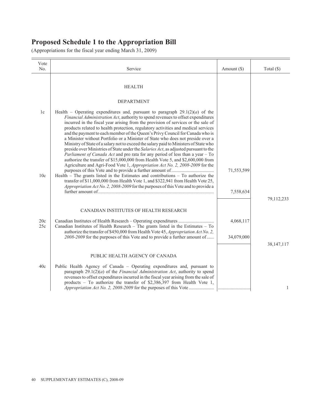| Vote<br>No.     | Service                                                                                                                                                                                                                                                                                                                                                                                                                                                                                                                                                                                                                                                                                                                                                                                                                                                               | Amount (\$)             | Total $(\$)$ |
|-----------------|-----------------------------------------------------------------------------------------------------------------------------------------------------------------------------------------------------------------------------------------------------------------------------------------------------------------------------------------------------------------------------------------------------------------------------------------------------------------------------------------------------------------------------------------------------------------------------------------------------------------------------------------------------------------------------------------------------------------------------------------------------------------------------------------------------------------------------------------------------------------------|-------------------------|--------------|
|                 | <b>HEALTH</b>                                                                                                                                                                                                                                                                                                                                                                                                                                                                                                                                                                                                                                                                                                                                                                                                                                                         |                         |              |
|                 | <b>DEPARTMENT</b>                                                                                                                                                                                                                                                                                                                                                                                                                                                                                                                                                                                                                                                                                                                                                                                                                                                     |                         |              |
| 1c              | Health – Operating expenditures and, pursuant to paragraph $29.1(2)(a)$ of the<br>Financial Administration Act, authority to spend revenues to offset expenditures<br>incurred in the fiscal year arising from the provision of services or the sale of<br>products related to health protection, regulatory activities and medical services<br>and the payment to each member of the Queen's Privy Council for Canada who is<br>a Minister without Portfolio or a Minister of State who does not preside over a<br>Ministry of State of a salary not to exceed the salary paid to Ministers of State who<br>preside over Ministries of State under the Salaries Act, as adjusted pursuant to the<br>Parliament of Canada Act and pro rata for any period of less than a year - To<br>authorize the transfer of \$15,000,000 from Health Vote 5, and \$2,600,000 from |                         |              |
| 10 <sub>c</sub> | Agriculture and Agri-Food Vote 1, Appropriation Act No. 2, 2008-2009 for the<br>Health $-$ The grants listed in the Estimates and contributions $-$ To authorize the<br>transfer of \$11,000,000 from Health Vote 1, and \$322,941 from Health Vote 25,<br>Appropriation Act No. 2, 2008-2009 for the purposes of this Vote and to provide a                                                                                                                                                                                                                                                                                                                                                                                                                                                                                                                          | 71,553,599<br>7,558,634 | 79, 112, 233 |
|                 | CANADIAN INSTITUTES OF HEALTH RESEARCH                                                                                                                                                                                                                                                                                                                                                                                                                                                                                                                                                                                                                                                                                                                                                                                                                                |                         |              |
| 20c<br>25c      | Canadian Institutes of Health Research - The grants listed in the Estimates - To<br>authorize the transfer of \$450,000 from Health Vote 45, Appropriation Act No. 2,                                                                                                                                                                                                                                                                                                                                                                                                                                                                                                                                                                                                                                                                                                 | 4,068,117               |              |
|                 | 2008-2009 for the purposes of this Vote and to provide a further amount of                                                                                                                                                                                                                                                                                                                                                                                                                                                                                                                                                                                                                                                                                                                                                                                            | 34,079,000              | 38, 147, 117 |
|                 | PUBLIC HEALTH AGENCY OF CANADA                                                                                                                                                                                                                                                                                                                                                                                                                                                                                                                                                                                                                                                                                                                                                                                                                                        |                         |              |
| 40c             | Public Health Agency of Canada - Operating expenditures and, pursuant to<br>paragraph $29.1(2)(a)$ of the <i>Financial Administration Act</i> , authority to spend<br>revenues to offset expenditures incurred in the fiscal year arising from the sale of<br>products - To authorize the transfer of \$2,386,397 from Health Vote 1,                                                                                                                                                                                                                                                                                                                                                                                                                                                                                                                                 |                         | $\mathbf{1}$ |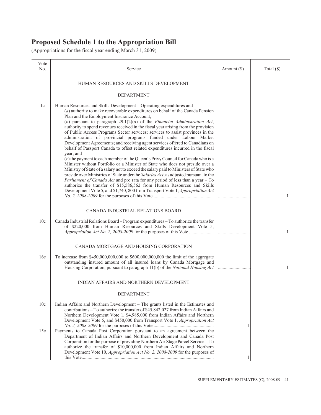| Vote<br>No. | Service                                                                                                                                                                                                                                                                                                                                                                                                                                                                                                                                                                                                                                                                                                                                                                                                                                                                                                                                                                                                                                                                                                                                                                                                                                                                                                             | Amount $(\$)$ | Total $(\$)$ |
|-------------|---------------------------------------------------------------------------------------------------------------------------------------------------------------------------------------------------------------------------------------------------------------------------------------------------------------------------------------------------------------------------------------------------------------------------------------------------------------------------------------------------------------------------------------------------------------------------------------------------------------------------------------------------------------------------------------------------------------------------------------------------------------------------------------------------------------------------------------------------------------------------------------------------------------------------------------------------------------------------------------------------------------------------------------------------------------------------------------------------------------------------------------------------------------------------------------------------------------------------------------------------------------------------------------------------------------------|---------------|--------------|
|             | HUMAN RESOURCES AND SKILLS DEVELOPMENT                                                                                                                                                                                                                                                                                                                                                                                                                                                                                                                                                                                                                                                                                                                                                                                                                                                                                                                                                                                                                                                                                                                                                                                                                                                                              |               |              |
|             | <b>DEPARTMENT</b>                                                                                                                                                                                                                                                                                                                                                                                                                                                                                                                                                                                                                                                                                                                                                                                                                                                                                                                                                                                                                                                                                                                                                                                                                                                                                                   |               |              |
| 1c          | Human Resources and Skills Development – Operating expenditures and<br>$(a)$ authority to make recoverable expenditures on behalf of the Canada Pension<br>Plan and the Employment Insurance Account;<br>(b) pursuant to paragraph $29.1(2)(a)$ of the Financial Administration Act,<br>authority to spend revenues received in the fiscal year arising from the provision<br>of Public Access Programs Sector services; services to assist provinces in the<br>administration of provincial programs funded under Labour Market<br>Development Agreements; and receiving agent services offered to Canadians on<br>behalf of Passport Canada to offset related expenditures incurred in the fiscal<br>year; and<br>$(c)$ the payment to each member of the Queen's Privy Council for Canada who is a<br>Minister without Portfolio or a Minister of State who does not preside over a<br>Ministry of State of a salary not to exceed the salary paid to Ministers of State who<br>preside over Ministries of State under the Salaries Act, as adjusted pursuant to the<br>Parliament of Canada Act and pro rata for any period of less than a year - To<br>authorize the transfer of \$15,586,562 from Human Resources and Skills<br>Development Vote 5, and \$1,740, 800 from Transport Vote 1, Appropriation Act |               | 1            |
|             | CANADA INDUSTRIAL RELATIONS BOARD                                                                                                                                                                                                                                                                                                                                                                                                                                                                                                                                                                                                                                                                                                                                                                                                                                                                                                                                                                                                                                                                                                                                                                                                                                                                                   |               |              |
| 10c         | Canada Industrial Relations Board – Program expenditures – To authorize the transfer<br>of \$220,000 from Human Resources and Skills Development Vote 5,                                                                                                                                                                                                                                                                                                                                                                                                                                                                                                                                                                                                                                                                                                                                                                                                                                                                                                                                                                                                                                                                                                                                                            |               | 1            |
|             | CANADA MORTGAGE AND HOUSING CORPORATION                                                                                                                                                                                                                                                                                                                                                                                                                                                                                                                                                                                                                                                                                                                                                                                                                                                                                                                                                                                                                                                                                                                                                                                                                                                                             |               |              |
| 16c         | To increase from \$450,000,000,000 to \$600,000,000,000 the limit of the aggregate<br>outstanding insured amount of all insured loans by Canada Mortgage and<br>Housing Corporation, pursuant to paragraph 11(b) of the National Housing Act                                                                                                                                                                                                                                                                                                                                                                                                                                                                                                                                                                                                                                                                                                                                                                                                                                                                                                                                                                                                                                                                        |               | 1            |
|             | INDIAN AFFAIRS AND NORTHERN DEVELOPMENT                                                                                                                                                                                                                                                                                                                                                                                                                                                                                                                                                                                                                                                                                                                                                                                                                                                                                                                                                                                                                                                                                                                                                                                                                                                                             |               |              |
|             | DEPARTMENT                                                                                                                                                                                                                                                                                                                                                                                                                                                                                                                                                                                                                                                                                                                                                                                                                                                                                                                                                                                                                                                                                                                                                                                                                                                                                                          |               |              |
| 10c<br>15c  | Indian Affairs and Northern Development – The grants listed in the Estimates and<br>contributions – To authorize the transfer of \$45,842,027 from Indian Affairs and<br>Northern Development Vote 1, \$4,985,000 from Indian Affairs and Northern<br>Development Vote 5, and \$450,000 from Transport Vote 1, Appropriation Act<br>Payments to Canada Post Corporation pursuant to an agreement between the<br>Department of Indian Affairs and Northern Development and Canada Post<br>Corporation for the purpose of providing Northern Air Stage Parcel Service - To                                                                                                                                                                                                                                                                                                                                                                                                                                                                                                                                                                                                                                                                                                                                            | 1             |              |
|             | authorize the transfer of \$10,000,000 from Indian Affairs and Northern<br>Development Vote 10, <i>Appropriation Act No. 2, 2008-2009</i> for the purposes of                                                                                                                                                                                                                                                                                                                                                                                                                                                                                                                                                                                                                                                                                                                                                                                                                                                                                                                                                                                                                                                                                                                                                       | 1             |              |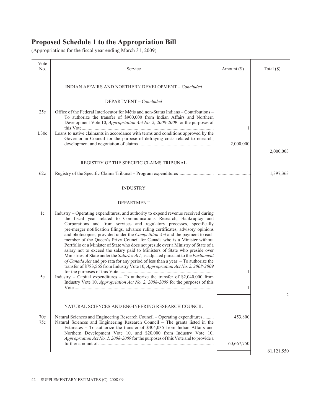| Vote<br>No. | Service                                                                                                                                                                                                                                                                                                                                                                                                                                                                                                                                                                                                                                                                                                                                                                                                                                                                                                              | Amount (\$)    | Total $(\$)$ |
|-------------|----------------------------------------------------------------------------------------------------------------------------------------------------------------------------------------------------------------------------------------------------------------------------------------------------------------------------------------------------------------------------------------------------------------------------------------------------------------------------------------------------------------------------------------------------------------------------------------------------------------------------------------------------------------------------------------------------------------------------------------------------------------------------------------------------------------------------------------------------------------------------------------------------------------------|----------------|--------------|
|             | <b>INDIAN AFFAIRS AND NORTHERN DEVELOPMENT - Concluded</b>                                                                                                                                                                                                                                                                                                                                                                                                                                                                                                                                                                                                                                                                                                                                                                                                                                                           |                |              |
|             | DEPARTMENT - Concluded                                                                                                                                                                                                                                                                                                                                                                                                                                                                                                                                                                                                                                                                                                                                                                                                                                                                                               |                |              |
| 25c         | Office of the Federal Interlocutor for Métis and non-Status Indians – Contributions –<br>To authorize the transfer of \$900,000 from Indian Affairs and Northern<br>Development Vote 10, <i>Appropriation Act No. 2, 2008-2009</i> for the purposes of                                                                                                                                                                                                                                                                                                                                                                                                                                                                                                                                                                                                                                                               |                |              |
| L30c        | Loans to native claimants in accordance with terms and conditions approved by the<br>Governor in Council for the purpose of defraying costs related to research,                                                                                                                                                                                                                                                                                                                                                                                                                                                                                                                                                                                                                                                                                                                                                     | 1<br>2,000,000 |              |
|             |                                                                                                                                                                                                                                                                                                                                                                                                                                                                                                                                                                                                                                                                                                                                                                                                                                                                                                                      |                | 2,000,003    |
|             | REGISTRY OF THE SPECIFIC CLAIMS TRIBUNAL                                                                                                                                                                                                                                                                                                                                                                                                                                                                                                                                                                                                                                                                                                                                                                                                                                                                             |                |              |
| 62c         |                                                                                                                                                                                                                                                                                                                                                                                                                                                                                                                                                                                                                                                                                                                                                                                                                                                                                                                      |                | 1,397,363    |
|             | <b>INDUSTRY</b>                                                                                                                                                                                                                                                                                                                                                                                                                                                                                                                                                                                                                                                                                                                                                                                                                                                                                                      |                |              |
|             | <b>DEPARTMENT</b>                                                                                                                                                                                                                                                                                                                                                                                                                                                                                                                                                                                                                                                                                                                                                                                                                                                                                                    |                |              |
| 1c<br>5c    | Industry – Operating expenditures, and authority to expend revenue received during<br>the fiscal year related to Communications Research, Bankruptcy and<br>Corporations and from services and regulatory processes, specifically<br>pre-merger notification filings, advance ruling certificates, advisory opinions<br>and photocopies, provided under the Competition Act and the payment to each<br>member of the Queen's Privy Council for Canada who is a Minister without<br>Portfolio or a Minister of State who does not preside over a Ministry of State of a<br>salary not to exceed the salary paid to Ministers of State who preside over<br>Ministries of State under the Salaries Act, as adjusted pursuant to the Parliament<br>of Canada Act and pro rata for any period of less than a year $-$ To authorize the<br>transfer of \$783,565 from Industry Vote 10, Appropriation Act No. 2, 2008-2009 | 1              |              |
|             | Industry – Capital expenditures – To authorize the transfer of $$2,040,000$ from<br>Industry Vote 10, <i>Appropriation Act No. 2, 2008-2009</i> for the purposes of this                                                                                                                                                                                                                                                                                                                                                                                                                                                                                                                                                                                                                                                                                                                                             | 1              | 2            |
|             | NATURAL SCIENCES AND ENGINEERING RESEARCH COUNCIL                                                                                                                                                                                                                                                                                                                                                                                                                                                                                                                                                                                                                                                                                                                                                                                                                                                                    |                |              |
| 70c<br>75c  | Natural Sciences and Engineering Research Council - Operating expenditures<br>Natural Sciences and Engineering Research Council – The grants listed in the<br>Estimates - To authorize the transfer of \$404,035 from Indian Affairs and<br>Northern Development Vote 10, and \$20,000 from Industry Vote 10,                                                                                                                                                                                                                                                                                                                                                                                                                                                                                                                                                                                                        | 453,800        |              |
|             | Appropriation Act No. 2, 2008-2009 for the purposes of this Vote and to provide a                                                                                                                                                                                                                                                                                                                                                                                                                                                                                                                                                                                                                                                                                                                                                                                                                                    | 60,667,750     |              |
|             |                                                                                                                                                                                                                                                                                                                                                                                                                                                                                                                                                                                                                                                                                                                                                                                                                                                                                                                      |                | 61,121,550   |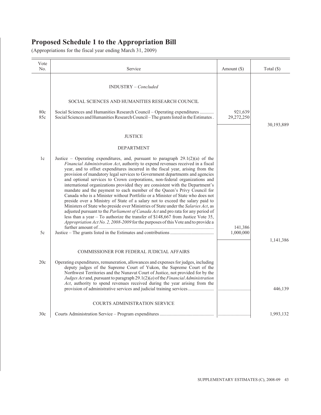| Vote<br>No. | Service                                                                                                                                                                                                                                                                                                                                                                                                                                                                                                                                                                                                                                                                                                                                                                                                                                                                                                                                                                                                                                                                                                      | Amount $(\$)$         | Total $(\$)$ |
|-------------|--------------------------------------------------------------------------------------------------------------------------------------------------------------------------------------------------------------------------------------------------------------------------------------------------------------------------------------------------------------------------------------------------------------------------------------------------------------------------------------------------------------------------------------------------------------------------------------------------------------------------------------------------------------------------------------------------------------------------------------------------------------------------------------------------------------------------------------------------------------------------------------------------------------------------------------------------------------------------------------------------------------------------------------------------------------------------------------------------------------|-----------------------|--------------|
|             | $INDUSTRY - Concluded$                                                                                                                                                                                                                                                                                                                                                                                                                                                                                                                                                                                                                                                                                                                                                                                                                                                                                                                                                                                                                                                                                       |                       |              |
|             | SOCIAL SCIENCES AND HUMANITIES RESEARCH COUNCIL                                                                                                                                                                                                                                                                                                                                                                                                                                                                                                                                                                                                                                                                                                                                                                                                                                                                                                                                                                                                                                                              |                       |              |
| 80c<br>85c  | Social Sciences and Humanities Research Council – Operating expenditures<br>Social Sciences and Humanities Research Council - The grants listed in the Estimates.                                                                                                                                                                                                                                                                                                                                                                                                                                                                                                                                                                                                                                                                                                                                                                                                                                                                                                                                            | 921,639<br>29,272,250 |              |
|             | <b>JUSTICE</b>                                                                                                                                                                                                                                                                                                                                                                                                                                                                                                                                                                                                                                                                                                                                                                                                                                                                                                                                                                                                                                                                                               |                       | 30,193,889   |
|             | <b>DEPARTMENT</b>                                                                                                                                                                                                                                                                                                                                                                                                                                                                                                                                                                                                                                                                                                                                                                                                                                                                                                                                                                                                                                                                                            |                       |              |
| 1c<br>5c    | Justice – Operating expenditures, and, pursuant to paragraph $29.1(2)(a)$ of the<br>Financial Administration Act, authority to expend revenues received in a fiscal<br>year, and to offset expenditures incurred in the fiscal year, arising from the<br>provision of mandatory legal services to Government departments and agencies<br>and optional services to Crown corporations, non-federal organizations and<br>international organizations provided they are consistent with the Department's<br>mandate and the payment to each member of the Queen's Privy Council for<br>Canada who is a Minister without Portfolio or a Minister of State who does not<br>preside over a Ministry of State of a salary not to exceed the salary paid to<br>Ministers of State who preside over Ministries of State under the Salaries Act, as<br>adjusted pursuant to the <i>Parliament of Canada Act</i> and pro rata for any period of<br>less than a year - To authorize the transfer of \$148,667 from Justice Vote 35,<br>Appropriation Act No. 2, 2008-2009 for the purposes of this Vote and to provide a | 141,386<br>1,000,000  |              |
|             |                                                                                                                                                                                                                                                                                                                                                                                                                                                                                                                                                                                                                                                                                                                                                                                                                                                                                                                                                                                                                                                                                                              |                       | 1,141,386    |
| 20c         | COMMISSIONER FOR FEDERAL JUDICIAL AFFAIRS<br>Operating expenditures, remuneration, allowances and expenses for judges, including<br>deputy judges of the Supreme Court of Yukon, the Supreme Court of the<br>Northwest Territories and the Nunavut Court of Justice, not provided for by the<br>Judges Act and, pursuant to paragraph $29.1(2)(a)$ of the Financial Administration<br>Act, authority to spend revenues received during the year arising from the                                                                                                                                                                                                                                                                                                                                                                                                                                                                                                                                                                                                                                             |                       |              |
|             | provision of administrative services and judicial training services                                                                                                                                                                                                                                                                                                                                                                                                                                                                                                                                                                                                                                                                                                                                                                                                                                                                                                                                                                                                                                          |                       | 446,139      |
|             | <b>COURTS ADMINISTRATION SERVICE</b>                                                                                                                                                                                                                                                                                                                                                                                                                                                                                                                                                                                                                                                                                                                                                                                                                                                                                                                                                                                                                                                                         |                       |              |
| 30c         |                                                                                                                                                                                                                                                                                                                                                                                                                                                                                                                                                                                                                                                                                                                                                                                                                                                                                                                                                                                                                                                                                                              |                       | 1,993,132    |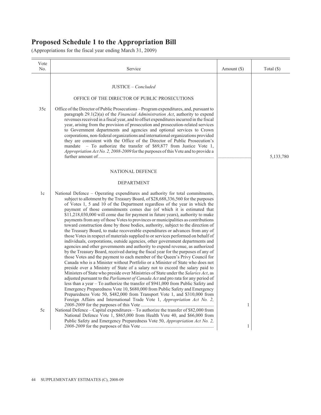| Vote<br>No.          | Service                                                                                                                                                                                                                                                                                                                                                                                                                                                                                                                                                                                                                                                                                                                                                                                                                                                                                                                                                                                                                                                                                                                                                                                                                                                                                                                                                                                                                                                                                                                                                                                                                                                                                                                                                                        | Amount $(\$)$ | Total $(\$)$ |
|----------------------|--------------------------------------------------------------------------------------------------------------------------------------------------------------------------------------------------------------------------------------------------------------------------------------------------------------------------------------------------------------------------------------------------------------------------------------------------------------------------------------------------------------------------------------------------------------------------------------------------------------------------------------------------------------------------------------------------------------------------------------------------------------------------------------------------------------------------------------------------------------------------------------------------------------------------------------------------------------------------------------------------------------------------------------------------------------------------------------------------------------------------------------------------------------------------------------------------------------------------------------------------------------------------------------------------------------------------------------------------------------------------------------------------------------------------------------------------------------------------------------------------------------------------------------------------------------------------------------------------------------------------------------------------------------------------------------------------------------------------------------------------------------------------------|---------------|--------------|
| 35c                  | JUSTICE - Concluded<br>OFFICE OF THE DIRECTOR OF PUBLIC PROSECUTIONS<br>Office of the Director of Public Prosecutions – Program expenditures, and, pursuant to<br>paragraph $29.1(2)(a)$ of the <i>Financial Administration Act</i> , authority to expend<br>revenues received in a fiscal year, and to offset expenditures incurred in the fiscal<br>year, arising from the provision of prosecution and prosecution-related services<br>to Government departments and agencies and optional services to Crown<br>corporations, non-federal organizations and international organizations provided<br>they are consistent with the Office of the Director of Public Prosecution's<br>mandate – To authorize the transfer of \$69,877 from Justice Vote 1,<br><i>Appropriation Act No. 2, 2008-2009</i> for the purposes of this Vote and to provide a                                                                                                                                                                                                                                                                                                                                                                                                                                                                                                                                                                                                                                                                                                                                                                                                                                                                                                                         |               | 5,133,780    |
|                      | NATIONAL DEFENCE<br><b>DEPARTMENT</b>                                                                                                                                                                                                                                                                                                                                                                                                                                                                                                                                                                                                                                                                                                                                                                                                                                                                                                                                                                                                                                                                                                                                                                                                                                                                                                                                                                                                                                                                                                                                                                                                                                                                                                                                          |               |              |
| 1 <sub>c</sub><br>5c | National Defence – Operating expenditures and authority for total commitments,<br>subject to allotment by the Treasury Board, of \$28,688,336,560 for the purposes<br>of Votes 1, 5 and 10 of the Department regardless of the year in which the<br>payment of those commitments comes due (of which it is estimated that<br>\$11,218,030,000 will come due for payment in future years), authority to make<br>payments from any of those Votes to provinces or municipalities as contributions<br>toward construction done by those bodies, authority, subject to the direction of<br>the Treasury Board, to make recoverable expenditures or advances from any of<br>those Votes in respect of materials supplied to or services performed on behalf of<br>individuals, corporations, outside agencies, other government departments and<br>agencies and other governments and authority to expend revenue, as authorized<br>by the Treasury Board, received during the fiscal year for the purposes of any of<br>those Votes and the payment to each member of the Queen's Privy Council for<br>Canada who is a Minister without Portfolio or a Minister of State who does not<br>preside over a Ministry of State of a salary not to exceed the salary paid to<br>Ministers of State who preside over Ministries of State under the Salaries Act, as<br>adjusted pursuant to the <i>Parliament of Canada Act</i> and pro rata for any period of<br>less than a year - To authorize the transfer of \$941,000 from Public Safety and<br>Emergency Preparedness Vote 10, \$680,000 from Public Safety and Emergency<br>Preparedness Vote 50, \$482,000 from Transport Vote 1, and \$310,000 from<br>Foreign Affairs and International Trade Vote 1, Appropriation Act No. 2, | 1             |              |
|                      | National Defence – Capital expenditures – To authorize the transfer of \$82,000 from<br>National Defence Vote 1, \$865,000 from Health Vote 40, and \$66,000 from<br>Public Safety and Emergency Preparedness Vote 50, Appropriation Act No. 2,                                                                                                                                                                                                                                                                                                                                                                                                                                                                                                                                                                                                                                                                                                                                                                                                                                                                                                                                                                                                                                                                                                                                                                                                                                                                                                                                                                                                                                                                                                                                | 1             |              |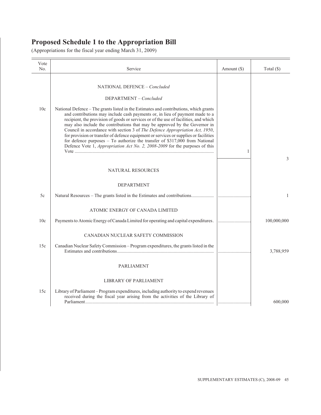| Total (\$)  | Amount (\$) | Service                                                                                                                                                                                                                                                                                                                                                                                                                                                                                                                                                                                                                                                                                   | Vote<br>No.     |
|-------------|-------------|-------------------------------------------------------------------------------------------------------------------------------------------------------------------------------------------------------------------------------------------------------------------------------------------------------------------------------------------------------------------------------------------------------------------------------------------------------------------------------------------------------------------------------------------------------------------------------------------------------------------------------------------------------------------------------------------|-----------------|
|             |             | NATIONAL DEFENCE - Concluded<br>DEPARTMENT - Concluded                                                                                                                                                                                                                                                                                                                                                                                                                                                                                                                                                                                                                                    |                 |
|             | 1           | National Defence - The grants listed in the Estimates and contributions, which grants<br>and contributions may include cash payments or, in lieu of payment made to a<br>recipient, the provision of goods or services or of the use of facilities, and which<br>may also include the contributions that may be approved by the Governor in<br>Council in accordance with section 3 of The Defence Appropriation Act, 1950,<br>for provision or transfer of defence equipment or services or supplies or facilities<br>for defence purposes - To authorize the transfer of $$317,000$ from National<br>Defence Vote 1, <i>Appropriation Act No. 2, 2008-2009</i> for the purposes of this | 10c             |
| 3           |             |                                                                                                                                                                                                                                                                                                                                                                                                                                                                                                                                                                                                                                                                                           |                 |
|             |             | NATURAL RESOURCES                                                                                                                                                                                                                                                                                                                                                                                                                                                                                                                                                                                                                                                                         |                 |
|             |             | <b>DEPARTMENT</b>                                                                                                                                                                                                                                                                                                                                                                                                                                                                                                                                                                                                                                                                         |                 |
| 1           |             |                                                                                                                                                                                                                                                                                                                                                                                                                                                                                                                                                                                                                                                                                           | 5c              |
|             |             | ATOMIC ENERGY OF CANADA LIMITED                                                                                                                                                                                                                                                                                                                                                                                                                                                                                                                                                                                                                                                           |                 |
| 100,000,000 |             | Payments to Atomic Energy of Canada Limited for operating and capital expenditures.                                                                                                                                                                                                                                                                                                                                                                                                                                                                                                                                                                                                       | 10 <sub>c</sub> |
|             |             | CANADIAN NUCLEAR SAFETY COMMISSION                                                                                                                                                                                                                                                                                                                                                                                                                                                                                                                                                                                                                                                        |                 |
| 3,788,959   |             | Canadian Nuclear Safety Commission – Program expenditures, the grants listed in the                                                                                                                                                                                                                                                                                                                                                                                                                                                                                                                                                                                                       | 15c             |
|             |             | PARLIAMENT                                                                                                                                                                                                                                                                                                                                                                                                                                                                                                                                                                                                                                                                                |                 |
|             |             | <b>LIBRARY OF PARLIAMENT</b>                                                                                                                                                                                                                                                                                                                                                                                                                                                                                                                                                                                                                                                              |                 |
| 600,000     |             | Library of Parliament – Program expenditures, including authority to expend revenues<br>received during the fiscal year arising from the activities of the Library of                                                                                                                                                                                                                                                                                                                                                                                                                                                                                                                     | 15c             |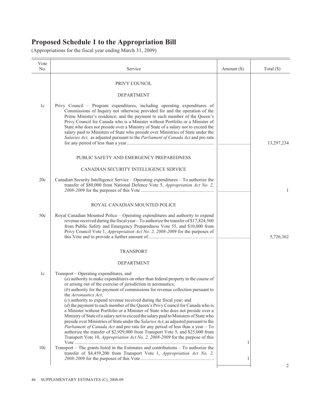| Vote<br>No.     | Service                                                                                                                                                                                                                                                                                                                                                                                                                                                                                                                                                                                                                                                                                                                                                                                                                                                                                                                                                                                                  | Amount $(\$)$ | Total $(\$)$ |
|-----------------|----------------------------------------------------------------------------------------------------------------------------------------------------------------------------------------------------------------------------------------------------------------------------------------------------------------------------------------------------------------------------------------------------------------------------------------------------------------------------------------------------------------------------------------------------------------------------------------------------------------------------------------------------------------------------------------------------------------------------------------------------------------------------------------------------------------------------------------------------------------------------------------------------------------------------------------------------------------------------------------------------------|---------------|--------------|
|                 | PRIVY COUNCIL                                                                                                                                                                                                                                                                                                                                                                                                                                                                                                                                                                                                                                                                                                                                                                                                                                                                                                                                                                                            |               |              |
|                 | <b>DEPARTMENT</b>                                                                                                                                                                                                                                                                                                                                                                                                                                                                                                                                                                                                                                                                                                                                                                                                                                                                                                                                                                                        |               |              |
| 1c              | Privy Council – Program expenditures, including operating expenditures of<br>Commissions of Inquiry not otherwise provided for and the operation of the<br>Prime Minister's residence; and the payment to each member of the Queen's<br>Privy Council for Canada who is a Minister without Portfolio or a Minister of<br>State who does not preside over a Ministry of State of a salary not to exceed the<br>salary paid to Ministers of State who preside over Ministries of State under the<br>Salaries Act, as adjusted pursuant to the Parliament of Canada Act and pro rata                                                                                                                                                                                                                                                                                                                                                                                                                        |               | 13,297,234   |
|                 | PUBLIC SAFETY AND EMERGENCY PREPAREDNESS                                                                                                                                                                                                                                                                                                                                                                                                                                                                                                                                                                                                                                                                                                                                                                                                                                                                                                                                                                 |               |              |
|                 | CANADIAN SECURITY INTELLIGENCE SERVICE                                                                                                                                                                                                                                                                                                                                                                                                                                                                                                                                                                                                                                                                                                                                                                                                                                                                                                                                                                   |               |              |
| 20c             | Canadian Security Intelligence Service – Operating expenditures – To authorize the<br>transfer of \$80,000 from National Defence Vote 5, Appropriation Act No. 2,                                                                                                                                                                                                                                                                                                                                                                                                                                                                                                                                                                                                                                                                                                                                                                                                                                        |               | $\mathbf{1}$ |
|                 | ROYAL CANADIAN MOUNTED POLICE                                                                                                                                                                                                                                                                                                                                                                                                                                                                                                                                                                                                                                                                                                                                                                                                                                                                                                                                                                            |               |              |
| 50c             | Royal Canadian Mounted Police – Operating expenditures and authority to expend<br>revenue received during the fiscal year - To authorize the transfer of \$17,824,560<br>from Public Safety and Emergency Preparedness Vote 55, and \$10,000 from<br>Privy Council Vote 1, Appropriation Act No. 2, 2008-2009 for the purposes of                                                                                                                                                                                                                                                                                                                                                                                                                                                                                                                                                                                                                                                                        |               | 5,726,362    |
|                 | <b>TRANSPORT</b>                                                                                                                                                                                                                                                                                                                                                                                                                                                                                                                                                                                                                                                                                                                                                                                                                                                                                                                                                                                         |               |              |
|                 | <b>DEPARTMENT</b>                                                                                                                                                                                                                                                                                                                                                                                                                                                                                                                                                                                                                                                                                                                                                                                                                                                                                                                                                                                        |               |              |
| 1c              | Transport – Operating expenditures, and<br>$(a)$ authority to make expenditures on other than federal property in the course of<br>or arising out of the exercise of jurisdiction in aeronautics;<br>$(b)$ authority for the payment of commissions for revenue collection pursuant to<br>the Aeronautics Act;<br>(c) authority to expend revenue received during the fiscal year; and<br>$(d)$ the payment to each member of the Queen's Privy Council for Canada who is<br>a Minister without Portfolio or a Minister of State who does not preside over a<br>Ministry of State of a salary not to exceed the salary paid to Ministers of State who<br>preside over Ministries of State under the Salaries Act, as adjusted pursuant to the<br>Parliament of Canada Act and pro rata for any period of less than a year - To<br>authorize the transfer of \$2,929,000 from Transport Vote 5, and \$25,000 from<br>Transport Vote 10, <i>Appropriation Act No. 2, 2008-2009</i> for the purpose of this |               |              |
| 10 <sub>c</sub> | Transport – The grants listed in the Estimates and contributions – To authorize the<br>transfer of \$4,459,200 from Transport Vote 1, Appropriation Act No. 2,                                                                                                                                                                                                                                                                                                                                                                                                                                                                                                                                                                                                                                                                                                                                                                                                                                           | 1             |              |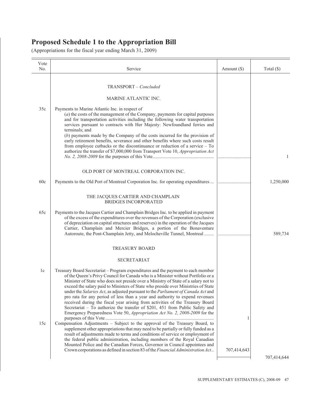| Vote |                                                                                                                                                                                                                                                                                                                                                                                                                                                                                                                                                                                                                                                                                                                                                                    |               |              |
|------|--------------------------------------------------------------------------------------------------------------------------------------------------------------------------------------------------------------------------------------------------------------------------------------------------------------------------------------------------------------------------------------------------------------------------------------------------------------------------------------------------------------------------------------------------------------------------------------------------------------------------------------------------------------------------------------------------------------------------------------------------------------------|---------------|--------------|
| No.  | Service                                                                                                                                                                                                                                                                                                                                                                                                                                                                                                                                                                                                                                                                                                                                                            | Amount $(\$)$ | Total $(\$)$ |
|      |                                                                                                                                                                                                                                                                                                                                                                                                                                                                                                                                                                                                                                                                                                                                                                    |               |              |
|      | TRANSPORT - Concluded                                                                                                                                                                                                                                                                                                                                                                                                                                                                                                                                                                                                                                                                                                                                              |               |              |
|      | MARINE ATLANTIC INC.                                                                                                                                                                                                                                                                                                                                                                                                                                                                                                                                                                                                                                                                                                                                               |               |              |
| 35c  | Payments to Marine Atlantic Inc. in respect of<br>$(a)$ the costs of the management of the Company, payments for capital purposes<br>and for transportation activities including the following water transportation<br>services pursuant to contracts with Her Majesty: Newfoundland ferries and<br>terminals; and<br>(b) payments made by the Company of the costs incurred for the provision of<br>early retirement benefits, severance and other benefits where such costs result<br>from employee cutbacks or the discontinuance or reduction of a service $-$ To                                                                                                                                                                                              |               |              |
|      | authorize the transfer of \$7,000,000 from Transport Vote 10, Appropriation Act                                                                                                                                                                                                                                                                                                                                                                                                                                                                                                                                                                                                                                                                                    |               | $\mathbf{1}$ |
|      | OLD PORT OF MONTREAL CORPORATION INC.                                                                                                                                                                                                                                                                                                                                                                                                                                                                                                                                                                                                                                                                                                                              |               |              |
| 60c  | Payments to the Old Port of Montreal Corporation Inc. for operating expenditures                                                                                                                                                                                                                                                                                                                                                                                                                                                                                                                                                                                                                                                                                   |               | 1,250,000    |
|      | THE JACQUES CARTIER AND CHAMPLAIN<br><b>BRIDGES INCORPORATED</b>                                                                                                                                                                                                                                                                                                                                                                                                                                                                                                                                                                                                                                                                                                   |               |              |
| 65c  | Payments to the Jacques Cartier and Champlain Bridges Inc. to be applied in payment<br>of the excess of the expenditures over the revenues of the Corporation (exclusive<br>of depreciation on capital structures and reserves) in the operation of the Jacques<br>Cartier, Champlain and Mercier Bridges, a portion of the Bonaventure<br>Autoroute, the Pont-Champlain Jetty, and Melocheville Tunnel, Montreal                                                                                                                                                                                                                                                                                                                                                  |               | 589,734      |
|      | <b>TREASURY BOARD</b>                                                                                                                                                                                                                                                                                                                                                                                                                                                                                                                                                                                                                                                                                                                                              |               |              |
|      | <b>SECRETARIAT</b>                                                                                                                                                                                                                                                                                                                                                                                                                                                                                                                                                                                                                                                                                                                                                 |               |              |
| 1c   | Treasury Board Secretariat - Program expenditures and the payment to each member<br>of the Queen's Privy Council for Canada who is a Minister without Portfolio or a<br>Minister of State who does not preside over a Ministry of State of a salary not to<br>exceed the salary paid to Ministers of State who preside over Ministries of State<br>under the Salaries Act, as adjusted pursuant to the Parliament of Canada Act and<br>pro rata for any period of less than a year and authority to expend revenues<br>received during the fiscal year arising from activities of the Treasury Board<br>Secretariat - To authorize the transfer of \$201, 451 from Public Safety and<br>Emergency Preparedness Vote 50, Appropriation Act No. 2, 2008-2009 for the | 1             |              |
| 15c  | Compensation Adjustments - Subject to the approval of the Treasury Board, to<br>supplement other appropriations that may need to be partially or fully funded as a<br>result of adjustments made to terms and conditions of service or employment of<br>the federal public administration, including members of the Royal Canadian<br>Mounted Police and the Canadian Forces, Governor in Council appointees and<br>Crown corporations as defined in section 83 of the Financial Administration Act                                                                                                                                                                                                                                                                | 707,414,643   |              |
|      |                                                                                                                                                                                                                                                                                                                                                                                                                                                                                                                                                                                                                                                                                                                                                                    |               | 707,414,644  |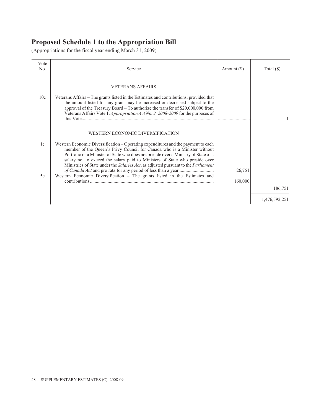| Vote<br>No. | Service                                                                                                                                                                                                                                                                                                                                                                                                                                                                                                                                    | Amount $(\$)$     | Total $(\$)$             |
|-------------|--------------------------------------------------------------------------------------------------------------------------------------------------------------------------------------------------------------------------------------------------------------------------------------------------------------------------------------------------------------------------------------------------------------------------------------------------------------------------------------------------------------------------------------------|-------------------|--------------------------|
| 10c         | <b>VETERANS AFFAIRS</b><br>Veterans Affairs – The grants listed in the Estimates and contributions, provided that<br>the amount listed for any grant may be increased or decreased subject to the<br>approval of the Treasury Board - To authorize the transfer of \$20,000,000 from<br>Veterans Affairs Vote 1, <i>Appropriation Act No. 2, 2008-2009</i> for the purposes of<br>this Vote                                                                                                                                                |                   |                          |
| 1c<br>5c    | WESTERN ECONOMIC DIVERSIFICATION<br>Western Economic Diversification – Operating expenditures and the payment to each<br>member of the Queen's Privy Council for Canada who is a Minister without<br>Portfolio or a Minister of State who does not preside over a Ministry of State of a<br>salary not to exceed the salary paid to Ministers of State who preside over<br>Ministries of State under the Salaries Act, as adjusted pursuant to the Parliament<br>Western Economic Diversification - The grants listed in the Estimates and | 26,751<br>160,000 | 186,751<br>1,476,592,251 |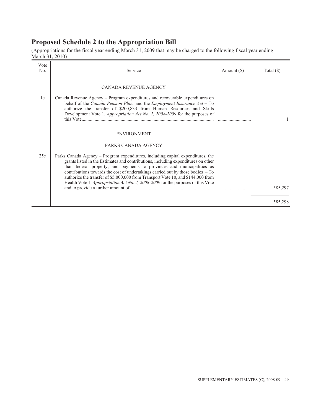(Appropriations for the fiscal year ending March 31, 2009 that may be charged to the following fiscal year ending March 31, 2010)

| Vote<br>No. | Service                                                                                                                                                                                                                                                                                                                                                                                                                                                                                                                                                 | Amount $(\$)$ | Total $(\$)$       |
|-------------|---------------------------------------------------------------------------------------------------------------------------------------------------------------------------------------------------------------------------------------------------------------------------------------------------------------------------------------------------------------------------------------------------------------------------------------------------------------------------------------------------------------------------------------------------------|---------------|--------------------|
| 1c          | CANADA REVENUE AGENCY<br>Canada Revenue Agency - Program expenditures and recoverable expenditures on<br>behalf of the <i>Canada Pension Plan</i> and the <i>Employment Insurance</i> $Act - To$<br>authorize the transfer of \$200,833 from Human Resources and Skills<br>Development Vote 1, <i>Appropriation Act No. 2, 2008-2009</i> for the purposes of                                                                                                                                                                                            |               |                    |
| 25c         | <b>ENVIRONMENT</b><br>PARKS CANADA AGENCY<br>Parks Canada Agency - Program expenditures, including capital expenditures, the<br>grants listed in the Estimates and contributions, including expenditures on other<br>than federal property, and payments to provinces and municipalities as<br>contributions towards the cost of undertakings carried out by those bodies $-$ To<br>authorize the transfer of \$5,000,000 from Transport Vote 10, and \$144,000 from<br>Health Vote 1, Appropriation Act No. 2, 2008-2009 for the purposes of this Vote |               | 585,297<br>585,298 |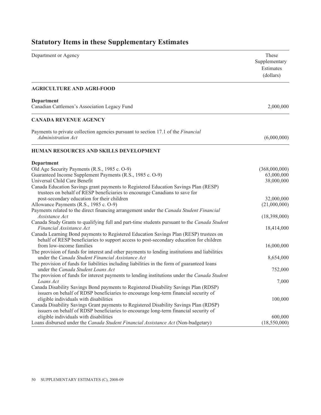#### Department or Agency These Supplementary Estimates (dollars) **AGRICULTURE AND AGRI-FOOD Department** Canadian Cattlemen's Association Legacy Fund 2,000,000 **CANADA REVENUE AGENCY** Payments to private collection agencies pursuant to section 17.1 of the *Financial Administration Act* (6,000,000) **HUMAN RESOURCES AND SKILLS DEVELOPMENT Department** Old Age Security Payments (R.S., 1985 c. O-9) (368,000,000) Guaranteed Income Supplement Payments (R.S., 1985 c. O-9) 63,000,000 63,000,000 Universal Child Care Benefit 38,000,000 and 38,000,000 and 38,000,000 and 38,000,000 and 38,000,000 and 38,000,000 and 38,000,000 and 38,000,000 and 38,000,000 and 38,000,000 and 38,000,000 and 38,000,000 and 38,000,000 an Canada Education Savings grant payments to Registered Education Savings Plan (RESP) trustees on behalf of RESP beneficiaries to encourage Canadians to save for post-secondary education for their children 32,000,000 and 32,000,000 post-secondary education for their children Allowance Payments (R.S., 1985 c. O-9) (21,000,000) Payments related to the direct financing arrangement under the *Canada Student Financial Assistance Act* (18,398,000) Canada Study Grants to qualifying full and part-time students pursuant to the *Canada Student Financial Assistance Act* 18,414,000 Canada Learning Bond payments to Registered Education Savings Plan (RESP) trustees on behalf of RESP beneficiaries to support access to post-secondary education for children from low-income families 16,000,000 The provision of funds for interest and other payments to lending institutions and liabilities under the *Canada Student Financial Assistance Act* 8,654,000 The provision of funds for liabilities including liabilities in the form of guaranteed loans under the *Canada Student Loans Act* 752,000 The provision of funds for interest payments to lending institutions under the *Canada Student Loans Act* 7,000 Canada Disability Savings Bond payments to Registered Disability Savings Plan (RDSP) issuers on behalf of RDSP beneficiaries to encourage long-term financial security of eligible individuals with disabilities 100,000 Canada Disability Savings Grant payments to Registered Disability Savings Plan (RDSP) issuers on behalf of RDSP beneficiaries to encourage long-term financial security of eligible individuals with disabilities 600,000 Loans disbursed under the *Canada Student Financial Assistance Act* (Non-budgetary) (18,550,000)

#### **Statutory Items in these Supplementary Estimates**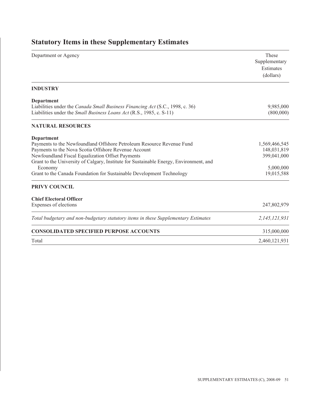# **Statutory Items in these Supplementary Estimates**

| Department or Agency                                                                                                                                         | These<br>Supplementary<br>Estimates |
|--------------------------------------------------------------------------------------------------------------------------------------------------------------|-------------------------------------|
|                                                                                                                                                              | (dollars)                           |
| <b>INDUSTRY</b>                                                                                                                                              |                                     |
| <b>Department</b>                                                                                                                                            |                                     |
| Liabilities under the <i>Canada Small Business Financing Act</i> (S.C., 1998, c. 36)<br>Liabilities under the Small Business Loans Act (R.S., 1985, c. S-11) | 9,985,000<br>(800,000)              |
| <b>NATURAL RESOURCES</b>                                                                                                                                     |                                     |
| Department                                                                                                                                                   |                                     |
| Payments to the Newfoundland Offshore Petroleum Resource Revenue Fund                                                                                        | 1,569,466,545                       |
| Payments to the Nova Scotia Offshore Revenue Account                                                                                                         | 148,031,819                         |
| Newfoundland Fiscal Equalization Offset Payments                                                                                                             | 399,041,000                         |
| Grant to the University of Calgary, Institute for Sustainable Energy, Environment, and                                                                       |                                     |
| Economy                                                                                                                                                      | 5,000,000                           |
| Grant to the Canada Foundation for Sustainable Development Technology                                                                                        | 19,015,588                          |
| <b>PRIVY COUNCIL</b>                                                                                                                                         |                                     |
| <b>Chief Electoral Officer</b>                                                                                                                               |                                     |
| Expenses of elections                                                                                                                                        | 247,802,979                         |
| Total budgetary and non-budgetary statutory items in these Supplementary Estimates                                                                           | 2,145,121,931                       |
| <b>CONSOLIDATED SPECIFIED PURPOSE ACCOUNTS</b>                                                                                                               | 315,000,000                         |
| Total                                                                                                                                                        | 2,460,121,931                       |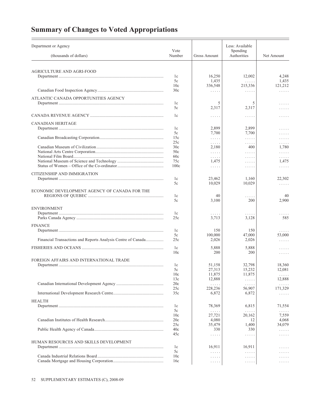# **Summary of Changes to Voted Appropriations**

| Department or Agency                                         | Vote       |                               | Less: Available<br>Spending              |                                                    |
|--------------------------------------------------------------|------------|-------------------------------|------------------------------------------|----------------------------------------------------|
| (thousands of dollars)                                       | Number     | Gross Amount                  | Authorities                              | Net Amount                                         |
| AGRICULTURE AND AGRI-FOOD                                    |            |                               |                                          |                                                    |
|                                                              | 1c         | 16,250                        | 12,002                                   | 4,248                                              |
|                                                              | 5c         | 1,435                         | $\alpha$ , $\alpha$ , $\alpha$           | 1,435                                              |
|                                                              | 10c<br>30c | 336,548                       | 215,336                                  | 121,212                                            |
|                                                              |            | $\alpha$ is a second          | $\alpha$ , $\alpha$ , $\alpha$           | .                                                  |
| ATLANTIC CANADA OPPORTUNITIES AGENCY                         |            | 5                             | 5                                        |                                                    |
|                                                              | 1c<br>5c   | 2,317                         | 2,317                                    | .<br>.                                             |
|                                                              | 1c         | .                             | $\cdots$                                 | .                                                  |
| <b>CANADIAN HERITAGE</b>                                     |            |                               |                                          |                                                    |
|                                                              | 1c         | 2,899                         | 2,899                                    | .                                                  |
|                                                              | 5c         | 7,700                         | 7,700                                    | .                                                  |
|                                                              | 15c<br>25c | $\ldots \ldots$               | $\alpha$ , $\alpha$ , $\alpha$           | .                                                  |
|                                                              | 30c        | 1.1.1.1<br>2,180              | $\ldots$<br>400                          | .<br>1,780                                         |
|                                                              | 50c        | .                             | $\ldots$                                 | .                                                  |
|                                                              | 60c        | $\alpha$ is a second          | $\ldots$                                 | $\mathbb{Z}^n$ . $\mathbb{Z}^n$ , $\mathbb{Z}^n$ , |
|                                                              | 75c        | 1,475                         | $\cdots$                                 | 1,475                                              |
|                                                              | 100c       | $\ldots$                      | $\cdots$                                 | .                                                  |
| CITIZENSHIP AND IMMIGRATION                                  |            |                               |                                          |                                                    |
|                                                              | 1c<br>5c   | 23,462<br>10,029              | 1,160<br>10,029                          | 22,302                                             |
|                                                              |            |                               |                                          | .                                                  |
| ECONOMIC DEVELOPMENT AGENCY OF CANADA FOR THE                |            |                               |                                          |                                                    |
|                                                              | 1c<br>5c   | 40<br>3,100                   | 1.1.1.1<br>200                           | 40<br>2,900                                        |
|                                                              |            |                               |                                          |                                                    |
| <b>ENVIRONMENT</b>                                           |            |                               |                                          |                                                    |
|                                                              | 1c<br>25c  | .<br>3,713                    | 3,128                                    | .<br>585                                           |
|                                                              |            |                               |                                          |                                                    |
| <b>FINANCE</b>                                               | 1c         | 150                           | 150                                      | .                                                  |
|                                                              | 5c         | 100,000                       | 47,000                                   | 53,000                                             |
| Financial Transactions and Reports Analysis Centre of Canada | 25c        | 2,026                         | 2,026                                    | .                                                  |
|                                                              | 1c         | 5,888                         | 5,888                                    | $\cdots$                                           |
|                                                              | 10c        | 200                           | 200                                      | $\cdots$                                           |
| FOREIGN AFFAIRS AND INTERNATIONAL TRADE                      |            |                               |                                          |                                                    |
|                                                              | 1c         | 51,158                        | 32,798                                   | 18,360                                             |
|                                                              | 5c         | 27,313                        | 15,232                                   | 12,081                                             |
|                                                              | 10c        | 11,875                        | 11,875                                   | .                                                  |
|                                                              | 13c<br>20c | 12,888                        | $\ldots$                                 | 12,888                                             |
|                                                              | 25c        | .<br>228,236                  | $\alpha$ , $\alpha$ , $\alpha$<br>56,907 | .<br>171,329                                       |
|                                                              | 35c        | 6,872                         | 6,872                                    | .                                                  |
| <b>HEALTH</b>                                                |            |                               |                                          |                                                    |
|                                                              | 1c         | 78,369                        | 6,815                                    | 71,554                                             |
|                                                              | 5c         | $\alpha$ , $\beta$ , $\alpha$ | $\ldots$                                 | .                                                  |
|                                                              | 10c<br>20c | 27,721                        | 20,162                                   | 7,559                                              |
|                                                              | 25c        | 4,080<br>35,479               | 12<br>1,400                              | 4,068<br>34,079                                    |
|                                                              | 40c        | 330                           | 330                                      | .                                                  |
|                                                              | 45c        | .                             | $\cdots$                                 | .                                                  |
| HUMAN RESOURCES AND SKILLS DEVELOPMENT                       |            |                               |                                          |                                                    |
|                                                              | 1c         | 16,911                        | 16,911                                   | .                                                  |
|                                                              | 5c         | .                             | $\alpha$ , $\alpha$ , $\alpha$           |                                                    |
|                                                              | 10c        | .                             | $\ldots$                                 |                                                    |
|                                                              | 16c        | .                             | $\ldots$                                 | .                                                  |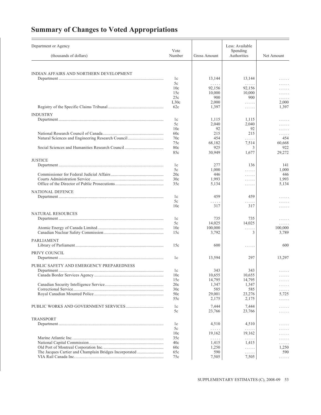# **Summary of Changes to Voted Appropriations**

| Department or Agency                     | Vote                  |                                | Less: Available<br>Spending    |            |
|------------------------------------------|-----------------------|--------------------------------|--------------------------------|------------|
| (thousands of dollars)                   | Number                | Gross Amount                   | Authorities                    | Net Amount |
|                                          |                       |                                |                                |            |
| INDIAN AFFAIRS AND NORTHERN DEVELOPMENT  |                       |                                |                                |            |
|                                          | 1c                    | 13,144                         | 13,144                         | .          |
|                                          | 5c                    | $\ldots$                       | $\ldots \ldots$                | .          |
|                                          | 10 <sub>c</sub>       | 92,156                         | 92,156                         | .          |
|                                          | 15c<br>25c            | 10,000<br>900                  | 10,000<br>900                  | .          |
|                                          | L30c                  | 2,000                          |                                | .<br>2,000 |
|                                          | 62c                   | 1,397                          | $\ldots \ldots$<br>$\cdots$    | 1,397      |
|                                          |                       |                                |                                |            |
| <b>INDUSTRY</b>                          |                       |                                |                                |            |
|                                          | 1c                    | 1,115                          | 1,115                          | .          |
|                                          | 5c<br>10 <sub>c</sub> | 2,040<br>92                    | 2,040<br>92                    | .          |
|                                          | 60c                   | 215                            | 215                            | .          |
|                                          | 70c                   | 454                            |                                | .<br>454   |
|                                          | 75c                   | 68,182                         | $\cdots$<br>7,514              | 60,668     |
|                                          | 80c                   | 925                            | 3                              | 922        |
|                                          | 85c                   | 30,949                         | 1,677                          | 29,272     |
|                                          |                       |                                |                                |            |
| <b>JUSTICE</b>                           |                       |                                |                                |            |
|                                          | 1c                    | 277                            | 136                            | 141        |
|                                          | 5c                    | 1,000                          | .                              | 1,000      |
|                                          | 20c                   | 446                            | $\ldots$                       | 446        |
|                                          | 30c                   | 1,993                          | $\alpha$ is a second .         | 1,993      |
|                                          | 35c                   | 5,134                          | $\ldots$                       | 5,134      |
| <b>NATIONAL DEFENCE</b>                  |                       |                                |                                |            |
|                                          | 1c                    | 459                            | 459                            | .          |
|                                          | 5c                    | .                              |                                | .          |
|                                          | 10 <sub>c</sub>       | 317                            | 317                            | .          |
| <b>NATURAL RESOURCES</b>                 |                       |                                |                                |            |
|                                          | 1c                    | 735                            | 735                            | .          |
|                                          | 5c                    | 14,025                         | 14,025                         | .          |
|                                          | 10c                   | 100,000                        | $\ldots$ .                     | 100,000    |
|                                          | 15c                   | 3,792                          | 3                              | 3,789      |
| <b>PARLIAMENT</b>                        |                       |                                |                                |            |
|                                          | 15c                   | 600                            | .                              | 600        |
|                                          |                       |                                |                                |            |
| PRIVY COUNCIL                            | 1c                    | 13,594                         | 297                            | 13,297     |
|                                          |                       |                                |                                |            |
| PUBLIC SAFETY AND EMERGENCY PREPAREDNESS |                       |                                |                                |            |
|                                          | 1c                    | 343                            | 343                            | .          |
|                                          | 10c                   | 10,655                         | 10,655                         | .          |
|                                          | 15c                   | 14,795                         | 14,795                         | .          |
|                                          | 20c                   | 1,347                          | 1,347                          | .          |
|                                          | 30c<br>50c            | 585<br>29,001                  | 585<br>23,276                  | .          |
|                                          | 55c                   | 2,175                          | 2,175                          | 5,725<br>. |
|                                          |                       |                                |                                |            |
|                                          | 1c                    | 7,444                          | 7,444                          | .          |
|                                          | 5c                    | 23,766                         | 23,766                         | .          |
| <b>TRANSPORT</b>                         |                       |                                |                                |            |
|                                          | 1c                    | 4,510                          | 4,510                          | .          |
|                                          | 5c                    | $\alpha$ , $\alpha$ , $\alpha$ | $\alpha$ , $\alpha$ , $\alpha$ | .          |
|                                          | 10c                   | 19,162                         | 19,162                         | .          |
|                                          | 35c                   | $\ldots$ .                     | $\ldots$ .                     | .          |
|                                          | 40c                   | 1,415                          | 1,415                          | .          |
|                                          | 60c                   | 1,250                          | $\alpha$ , $\alpha$ , $\alpha$ | 1,250      |
|                                          | 65c                   | 590                            | $\alpha$ is a second .         | 590        |
|                                          | 75c                   | 7,505                          | 7,505                          | .          |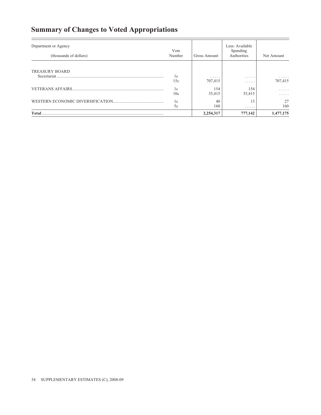# **Summary of Changes to Voted Appropriations**

| Department or Agency<br>(thousands of dollars) | Vote<br>Number | Gross Amount | Less: Available<br>Spending<br>Authorities | Net Amount |
|------------------------------------------------|----------------|--------------|--------------------------------------------|------------|
| <b>TREASURY BOARD</b>                          | 1c             | .            | .                                          | .          |
|                                                | 15c            | 707,415      | .                                          | 707,415    |
|                                                | 1c             | 154          | 154                                        | .          |
|                                                | 10c            | 35,415       | 35,415                                     | .          |
|                                                | 1c             | 40           | 13                                         | 27         |
|                                                | 5c             | 160          | .                                          | 160        |
| Total                                          |                | 2,254,317    | 777,142                                    | 1,477,175  |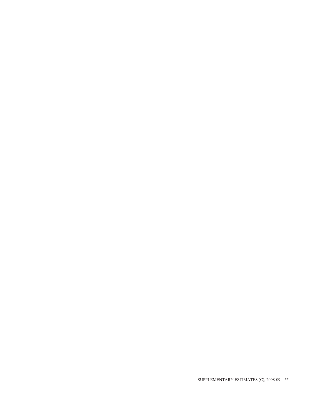SUPPLEMENTARY ESTIMATES (C), 2008-09 55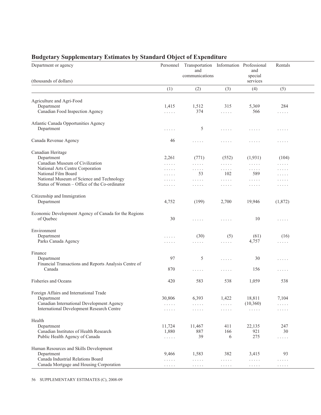| Department or agency<br>(thousands of dollars)                                                                                                                                                                             | Personnel                                                                         | Transportation<br>and<br>communications                                        |                                                                                                               | Information Professional<br>and<br>special<br>services                                                                     | Rentals                                       |  |
|----------------------------------------------------------------------------------------------------------------------------------------------------------------------------------------------------------------------------|-----------------------------------------------------------------------------------|--------------------------------------------------------------------------------|---------------------------------------------------------------------------------------------------------------|----------------------------------------------------------------------------------------------------------------------------|-----------------------------------------------|--|
|                                                                                                                                                                                                                            | (1)                                                                               | (2)                                                                            | (3)                                                                                                           | (4)                                                                                                                        | (5)                                           |  |
|                                                                                                                                                                                                                            |                                                                                   |                                                                                |                                                                                                               |                                                                                                                            |                                               |  |
| Agriculture and Agri-Food<br>Department<br>Canadian Food Inspection Agency                                                                                                                                                 | 1,415<br>.                                                                        | 1,512<br>374                                                                   | 315<br>$\mathbb{Z}^2$ . In the $\mathbb{Z}^2$                                                                 | 5,369<br>566                                                                                                               | 284<br>1.1.1.1                                |  |
| Atlantic Canada Opportunities Agency<br>Department                                                                                                                                                                         | .                                                                                 | 5                                                                              | $\cdots$                                                                                                      | .                                                                                                                          | .                                             |  |
| Canada Revenue Agency                                                                                                                                                                                                      | 46                                                                                | $\ldots$                                                                       | .                                                                                                             | $\cdots\cdots\cdots$                                                                                                       | .                                             |  |
| Canadian Heritage<br>Department<br>Canadian Museum of Civilization<br>National Arts Centre Corporation<br>National Film Board<br>National Museum of Science and Technology<br>Status of Women – Office of the Co-ordinator | 2,261<br>.<br>.<br>.<br>.<br>.                                                    | (771)<br>$\sim$ $\sim$ $\sim$ $\sim$ $\sim$<br>$\ldots$<br>53<br>.<br>$\cdots$ | (552)<br>.<br>$\mathbb{Z}^2$ . In the $\mathbb{Z}^2$<br>102<br>$\ldots$<br>$\sim$ $\sim$ $\sim$ $\sim$ $\sim$ | (1,931)<br>$\ldots$<br>$\mathbb{Z}^n$ . The set of $\mathbb{Z}^n$<br>589<br>$\ldots$<br>$\sim$ $\sim$ $\sim$ $\sim$ $\sim$ | (104)<br>.<br>$\cdots$<br>$\cdots$<br>.<br>.  |  |
| Citizenship and Immigration<br>Department                                                                                                                                                                                  | 4,752                                                                             | (199)                                                                          | 2,700                                                                                                         | 19,946                                                                                                                     | (1,872)                                       |  |
| Economic Development Agency of Canada for the Regions<br>of Quebec                                                                                                                                                         | 30                                                                                | $\cdots$                                                                       | $\cdots$                                                                                                      | 10                                                                                                                         | .                                             |  |
| Environment<br>Department<br>Parks Canada Agency                                                                                                                                                                           | .<br>.                                                                            | (30)<br>$\ldots$                                                               | (5)<br>.                                                                                                      | (61)<br>4,757                                                                                                              | (16)<br>.                                     |  |
| Finance<br>Department<br>Financial Transactions and Reports Analysis Centre of<br>Canada                                                                                                                                   | 97<br>870                                                                         | 5<br>$\cdots$                                                                  | $\sim$ $\sim$ $\sim$ $\sim$ $\sim$<br>$\sim$ $\sim$ $\sim$ $\sim$ $\sim$                                      | 30<br>156                                                                                                                  | .<br>.                                        |  |
| Fisheries and Oceans                                                                                                                                                                                                       | 420                                                                               | 583                                                                            | 538                                                                                                           | 1,059                                                                                                                      | 538                                           |  |
| Foreign Affairs and International Trade<br>Department<br>Canadian International Development Agency<br>International Development Research Centre                                                                            | 30,806<br>$\cdots$<br>$\ldots$                                                    | 6,393<br>1.1.1.1<br>$\ldots$                                                   | 1,422<br>$\sim$ $\sim$ $\sim$ $\sim$ $\sim$<br>$\sim$ $\sim$ $\sim$ $\sim$ $\sim$                             | 18,811<br>(10, 360)<br>$\ldots$                                                                                            | 7,104<br>$\cdots$<br>.                        |  |
| Health<br>Department<br>Canadian Institutes of Health Research<br>Public Health Agency of Canada<br>Human Resources and Skills Development                                                                                 | 11,724<br>1,880<br>$\sim$ $\sim$ $\sim$ $\sim$ $\sim$                             | 11,467<br>887<br>39                                                            | 411<br>166<br>6                                                                                               | 22,135<br>921<br>275                                                                                                       | 247<br>30<br>.                                |  |
| Department<br>Canada Industrial Relations Board<br>Canada Mortgage and Housing Corporation                                                                                                                                 | 9,466<br>$\sim$ $\sim$ $\sim$ $\sim$ $\sim$<br>$\sim$ $\sim$ $\sim$ $\sim$ $\sim$ | 1,583<br>.<br>$\sim$ $\sim$ $\sim$ $\sim$ $\sim$                               | 382<br>$\sim$ $\sim$ $\sim$ $\sim$ $\sim$<br>$\sim$ $\sim$ $\sim$ $\sim$ $\sim$                               | 3,415<br>$\ldots$<br>$\sim$ $\sim$ $\sim$ $\sim$ $\sim$                                                                    | 93<br>.<br>$\sim$ $\sim$ $\sim$ $\sim$ $\sim$ |  |

### **Budgetary Supplementary Estimates by Standard Object of Expenditure**

56 SUPPLEMENTARY ESTIMATES (C), 2008-09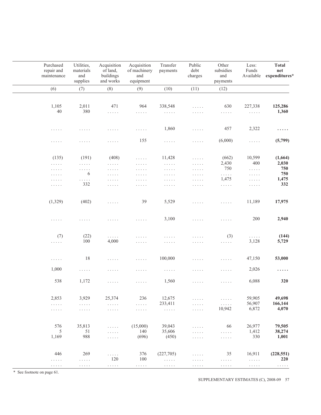| Purchased<br>repair and<br>maintenance | Utilities,<br>materials<br>and<br>supplies            | Acquisition<br>of land,<br>buildings<br>and works                             | Acquisition<br>of machinery<br>and<br>equipment | Transfer<br>payments                                                                          | Public<br>debt<br>charges                                                | Other<br>subsidies<br>and<br>payments                                  | Less:<br>Funds<br>Available                                                                 | <b>Total</b><br>$\mathbf{net}$<br>expenditures* |
|----------------------------------------|-------------------------------------------------------|-------------------------------------------------------------------------------|-------------------------------------------------|-----------------------------------------------------------------------------------------------|--------------------------------------------------------------------------|------------------------------------------------------------------------|---------------------------------------------------------------------------------------------|-------------------------------------------------|
| (6)                                    | (7)                                                   | (8)                                                                           | (9)                                             | (10)                                                                                          | (11)                                                                     | (12)                                                                   |                                                                                             |                                                 |
|                                        |                                                       |                                                                               |                                                 |                                                                                               |                                                                          |                                                                        |                                                                                             |                                                 |
| 1,105<br>40                            | 2,011<br>380                                          | 471<br>.                                                                      | 964<br>$\ldots$                                 | 338,548<br>.                                                                                  | $\sim$ $\sim$ $\sim$ $\sim$ $\sim$<br>$\sim$ $\sim$ $\sim$ $\sim$ $\sim$ | 630<br>.                                                               | 227,338<br>.                                                                                | 125,286<br>1,360                                |
| .                                      | .                                                     | .                                                                             | $\sim$ $\sim$ $\sim$ $\sim$ $\sim$              | 1,860                                                                                         | $\sim$ $\sim$ $\sim$ $\sim$ $\sim$                                       | 457                                                                    | 2,322                                                                                       | .                                               |
| .                                      | .                                                     | .                                                                             | 155                                             | $\ldots$                                                                                      | $\alpha$ , $\alpha$ , $\alpha$                                           | (6,000)                                                                | $\alpha$ , $\alpha$ , $\alpha$                                                              | (5,799)                                         |
| (135)<br>.                             | (191)<br>.                                            | (408)<br>.                                                                    | .<br>$\mathbb{Z}^n$ . The set of $\mathbb{Z}^n$ | 11,428<br>$\sim$ $\sim$ $\sim$ $\sim$ $\sim$                                                  | $\dots$<br>.                                                             | (662)<br>2,430                                                         | 10,599<br>400                                                                               | (1,664)<br>2,030                                |
| .<br>.<br>.                            | .<br>6<br>.                                           | $\sim$ $\sim$ $\sim$ $\sim$ $\sim$<br>$\sim$ $\sim$ $\sim$ $\sim$ $\sim$<br>. | $\ldots$<br>.<br>$\dots$                        | $\sim$ $\sim$ $\sim$ $\sim$ $\sim$<br>$\ldots$<br>$\sim$ $\sim$ $\sim$ $\sim$ $\sim$          | $\sim$ $\sim$ $\sim$ $\sim$ $\sim$<br>$\cdots\cdots\cdots$<br>$\ldots$   | 750<br>.<br>1,475                                                      | $\mathbb{Z}^2$ , $\mathbb{Z}^2$ , $\mathbb{Z}^2$<br>$\ldots$<br>$\sim$ $\sim$ $\sim$ $\sim$ | 750<br>750<br>1,475                             |
| .                                      | 332                                                   | $\ldots$                                                                      | $\alpha$ , $\alpha$ , $\alpha$                  | $\sim$ $\sim$ $\sim$ $\sim$ $\sim$                                                            | $\alpha$ , $\alpha$ , $\alpha$                                           | $\sim$ $\sim$ $\sim$ $\sim$                                            | $\alpha$ , $\alpha$ , $\alpha$                                                              | 332                                             |
| (1,329)                                | (402)                                                 | .                                                                             | 39                                              | 5,529                                                                                         | .                                                                        | .                                                                      | 11,189                                                                                      | 17,975                                          |
| $\cdots\cdots\cdots$                   | .                                                     | .                                                                             | .                                               | 3,100                                                                                         | $\cdots$                                                                 | .                                                                      | 200                                                                                         | 2,940                                           |
| (7)<br>$\cdots$                        | (22)<br>100                                           | .<br>4,000                                                                    | .<br>$\ldots$                                   | .<br>$\sim$ $\sim$ $\sim$ $\sim$ $\sim$                                                       | .<br>.                                                                   | (3)<br>$\ldots$                                                        | .<br>3,128                                                                                  | (144)<br>5,729                                  |
| $\cdots$                               | 18                                                    | .                                                                             | $\cdots$                                        | 100,000                                                                                       | .                                                                        | .                                                                      | 47,150                                                                                      | 53,000                                          |
| 1,000                                  | $\cdots$                                              | .                                                                             | $\sim$ $\sim$ $\sim$ $\sim$ $\sim$              | $\sim$ $\sim$ $\sim$ $\sim$ $\sim$                                                            | .                                                                        | .                                                                      | 2,026                                                                                       | .                                               |
| 538                                    | 1,172                                                 | .                                                                             | $\ldots$                                        | 1,560                                                                                         | .                                                                        | .                                                                      | 6,088                                                                                       | 320                                             |
| 2,853<br>.                             | 3,929<br>$\sim$ $\sim$ $\sim$ $\sim$ $\sim$           | 25,374<br>$\ldots$                                                            | 236<br>$\ldots$                                 | 12,675<br>233,411                                                                             | $\dots$<br>.                                                             | $\ldots$<br>$\mathbb{R}^n$ . $\mathbb{R}^n$ , $\mathbb{R}^n$<br>10,942 | 59,905<br>56,907<br>6,872                                                                   | 49,698<br>166,144<br>4,070                      |
| $\cdots\cdots\cdots$                   | $\sim$ $\sim$ $\sim$ $\sim$ $\sim$                    | $\sim$ $\sim$ $\sim$ $\sim$ $\sim$                                            | $\sim$ $\sim$ $\sim$ $\sim$ $\sim$              | $\alpha$ , $\alpha$ , $\alpha$                                                                | .                                                                        |                                                                        |                                                                                             |                                                 |
| 576<br>5<br>1,169                      | 35,813<br>51<br>988                                   | .<br>.<br>.                                                                   | (15,000)<br>140<br>(696)                        | 39,043<br>35,606<br>(450)                                                                     | .<br>.<br>.                                                              | 66<br>.<br>.                                                           | 26,977<br>1,412<br>330                                                                      | 79,505<br>38,274<br>1,001                       |
| 446<br>.<br>.                          | 269<br>$\sim$ $\sim$ $\sim$ $\sim$ $\sim$<br>$\ldots$ | .<br>120<br>$\dots$                                                           | 376<br>100<br>$\dots$                           | (227,705)<br>$\epsilon$ , $\epsilon$ , $\epsilon$ ,<br>$\epsilon$ , $\epsilon$ , $\epsilon$ , | .<br>.<br>$\sim$ $\sim$ $\sim$ $\sim$ $\sim$                             | 35<br>.<br>$\ldots$                                                    | 16,911<br>$\ldots$<br>$\ldots$                                                              | (228, 551)<br>220<br>$\Box$                     |

SUPPLEMENTARY ESTIMATES (C), 2008-09 57

\* See footnote on page 61.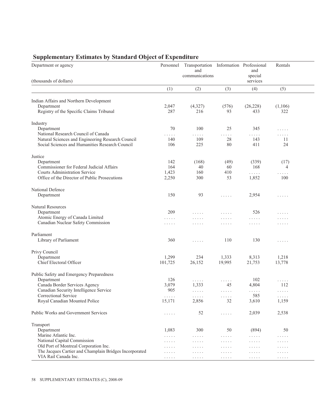| Department or agency                                                                                 | Personnel    | Transportation Information Professional<br>and<br>communications  |                                    | and<br>special                         | Rentals                                            |
|------------------------------------------------------------------------------------------------------|--------------|-------------------------------------------------------------------|------------------------------------|----------------------------------------|----------------------------------------------------|
| (thousands of dollars)                                                                               |              |                                                                   |                                    | services                               |                                                    |
|                                                                                                      | (1)          | (2)                                                               | (3)                                | (4)                                    | (5)                                                |
| Indian Affairs and Northern Development                                                              |              |                                                                   |                                    |                                        |                                                    |
| Department                                                                                           | 2,047        | (4,327)                                                           | (576)                              | (26, 228)                              | (1,106)                                            |
| Registry of the Specific Claims Tribunal                                                             | 287          | 216                                                               | 93                                 | 433                                    | 322                                                |
| Industry                                                                                             |              |                                                                   |                                    |                                        |                                                    |
| Department                                                                                           | 70           | 100                                                               | 25                                 | 345                                    | 1.1.1.1                                            |
| National Research Council of Canada                                                                  | .            | .                                                                 | $\ldots$<br>. .                    | .                                      | $\mathbb{Z}^n$ . The set of $\mathbb{Z}^n$         |
| Natural Sciences and Engineering Research Council<br>Social Sciences and Humanities Research Council | 140<br>106   | 109<br>225                                                        | 28<br>80                           | 143<br>411                             | 11<br>24                                           |
|                                                                                                      |              |                                                                   |                                    |                                        |                                                    |
| Justice                                                                                              |              |                                                                   |                                    |                                        |                                                    |
| Department                                                                                           | 142          | (168)                                                             | (49)                               | (339)                                  | (17)                                               |
| Commissioner for Federal Judicial Affairs<br><b>Courts Administration Service</b>                    | 164<br>1,423 | 40<br>160                                                         | 60<br>410                          | 168                                    | $\overline{4}$                                     |
| Office of the Director of Public Prosecutions                                                        | 2,250        | 300                                                               | 53                                 | .<br>1,852                             | 1.1.1.1<br>100                                     |
|                                                                                                      |              |                                                                   |                                    |                                        |                                                    |
| National Defence                                                                                     |              |                                                                   |                                    |                                        |                                                    |
| Department                                                                                           | 150          | 93                                                                | $\ldots$                           | 2,954                                  | $\ldots$                                           |
| <b>Natural Resources</b>                                                                             |              |                                                                   |                                    |                                        |                                                    |
| Department                                                                                           | 209          | $\mathbb{Z}^n$ . $\mathbb{Z}^n$ , $\mathbb{Z}^n$ ,                | .                                  | 526                                    | $\cdots$                                           |
| Atomic Energy of Canada Limited                                                                      | .            | .                                                                 | $\cdots$                           | .                                      | $\cdots$                                           |
| Canadian Nuclear Safety Commission                                                                   | .            | $\cdots$                                                          | .                                  | $\cdots$                               | 1.1.1.1                                            |
| Parliament                                                                                           |              |                                                                   |                                    |                                        |                                                    |
| Library of Parliament                                                                                | 360          | $\cdots$                                                          | 110                                | 130                                    | .                                                  |
| Privy Council                                                                                        |              |                                                                   |                                    |                                        |                                                    |
| Department                                                                                           | 1,299        | 234                                                               | 1,333                              | 8,313                                  | 1,218                                              |
| Chief Electoral Officer                                                                              | 101,725      | 26,152                                                            | 19,995                             | 21,753                                 | 13,778                                             |
| Public Safety and Emergency Preparedness                                                             |              |                                                                   |                                    |                                        |                                                    |
| Department                                                                                           | 126          | .                                                                 | $\ldots$                           | 102                                    | $\mathbb{Z}^2$ . The set of $\mathbb{Z}^2$         |
| Canada Border Services Agency                                                                        | 3,079        | 1,333                                                             | 45                                 | 4,804                                  | 112                                                |
| Canadian Security Intelligence Service                                                               | 905          | $\mathbb{Z}^2$ . $\mathbb{Z}^2$ , $\mathbb{Z}^2$ , $\mathbb{Z}^2$ | $\cdots$                           | $\ldots$                               | $\mathbb{Z}^n$ . $\mathbb{Z}^n$ , $\mathbb{Z}^n$ , |
| Correctional Service                                                                                 | .            | $\sim$ $\sim$ $\sim$ $\sim$ $\sim$                                | $\sim$ $\sim$ $\sim$ $\sim$ $\sim$ | 585                                    | $\sim$ $\sim$ $\sim$ $\sim$ $\sim$                 |
| Royal Canadian Mounted Police                                                                        | 15,171       | 2,856                                                             | 32                                 | 3,610                                  | 1,159                                              |
| <b>Public Works and Government Services</b>                                                          | .            | 52                                                                | .                                  | 2,039                                  | 2,538                                              |
| Transport                                                                                            |              |                                                                   |                                    |                                        |                                                    |
| Department                                                                                           | 1,083        | 300                                                               | 50                                 | (894)                                  | 50                                                 |
| Marine Atlantic Inc.                                                                                 | .            | $\sim$ $\sim$ $\sim$ $\sim$ $\sim$                                | $\sim$ $\sim$ $\sim$ $\sim$ $\sim$ | $\mathbb{Z}^n$ . In the $\mathbb{Z}^n$ | $\ldots$                                           |
| National Capital Commission<br>Old Port of Montreal Corporation Inc.                                 | .            | .                                                                 | .                                  | $\ldots$                               | $\ldots$                                           |
| The Jacques Cartier and Champlain Bridges Incorporated                                               | .<br>.       | .<br>.                                                            | $\ldots$<br>$\ldots$               | $\ldots$<br>$\cdots$                   | $\ldots$<br>$\ldots$                               |
| VIA Rail Canada Inc.                                                                                 | .            | $\sim$ $\sim$ $\sim$ $\sim$ $\sim$                                | $\sim$ $\sim$ $\sim$ $\sim$ $\sim$ | $\sim$ $\sim$ $\sim$ $\sim$ $\sim$     | $\sim$ $\sim$ $\sim$ $\sim$ $\sim$                 |

### **Supplementary Estimates by Standard Object of Expenditure**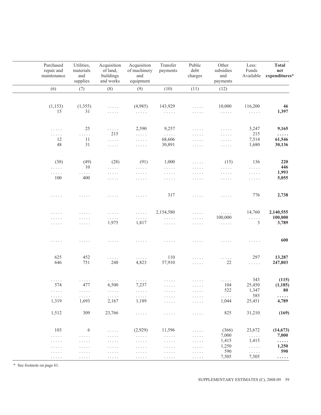| <b>Total</b><br>net<br>expenditures* | Less:<br>Funds<br>Available                      | Other<br>subsidies<br>and<br>payments            | Public<br>debt<br>charges                                                | Transfer<br>payments                                                     | Acquisition<br>of machinery<br>and<br>equipment | Acquisition<br>of land,<br>buildings<br>and works | Utilities,<br>materials<br>and<br>supplies  | Purchased<br>repair and<br>maintenance |
|--------------------------------------|--------------------------------------------------|--------------------------------------------------|--------------------------------------------------------------------------|--------------------------------------------------------------------------|-------------------------------------------------|---------------------------------------------------|---------------------------------------------|----------------------------------------|
|                                      |                                                  | (12)                                             | (11)                                                                     | (10)                                                                     | (9)                                             | (8)                                               | (7)                                         | (6)                                    |
|                                      |                                                  |                                                  |                                                                          |                                                                          |                                                 |                                                   |                                             |                                        |
| 46                                   | 116,200                                          | 10,000                                           | .                                                                        | 143,929                                                                  | (4,985)                                         | .                                                 | (1, 355)                                    | (1,153)                                |
| 1,397                                | $\ldots$                                         | $\alpha$ , $\alpha$ , $\alpha$                   | $\sim$ $\sim$ $\sim$ $\sim$ $\sim$                                       | $\alpha$ , $\alpha$ , $\alpha$                                           | $\sim$ $\sim$ $\sim$ $\sim$ $\sim$              | $\ldots$                                          | 31                                          | 15                                     |
| 9,165                                | 3,247                                            | $\mathbb{Z}^2$ . $\mathbb{Z}^2$ , $\mathbb{Z}^2$ | $\sim$ $\sim$ $\sim$ $\sim$ $\sim$                                       | 9,257                                                                    | 2,590                                           | .                                                 | 25                                          | $\sim$ $\sim$ $\sim$ $\sim$ $\sim$     |
| .                                    | 215                                              | $\sim$ $\sim$ $\sim$ $\sim$ $\sim$               | $\ldots$                                                                 | $\alpha$ , $\alpha$ , $\alpha$                                           | .                                               | 215                                               | .                                           | .                                      |
| 61,546                               | 7,514                                            | .                                                | $\sim$ $\sim$ $\sim$ $\sim$ $\sim$                                       | 68,606                                                                   | $\ldots$                                        | .                                                 | 11                                          | 12                                     |
| 30,136                               | 1,680                                            | .                                                | .                                                                        | 30,891                                                                   | .                                               | .                                                 | 31                                          | 48                                     |
| 220                                  | 136                                              | (15)                                             | $\sim$ $\sim$ $\sim$ $\sim$ $\sim$                                       | 1,000                                                                    | (91)                                            | (28)                                              | (49)                                        | (30)                                   |
| 446                                  | $\alpha$ , $\alpha$ , $\alpha$                   | $\cdots$                                         | $\sim$ $\sim$ $\sim$ $\sim$ $\sim$                                       | $\ldots$                                                                 | $\sim$ $\sim$ $\sim$ $\sim$ $\sim$              | $\sim$ $\sim$ $\sim$ $\sim$ $\sim$                | 10                                          | .                                      |
| 1,993                                | $\ldots$                                         | $\cdots$                                         | $\sim$ $\sim$ $\sim$ $\sim$ $\sim$                                       | $\ldots$                                                                 | $\sim$ $\sim$ $\sim$ $\sim$ $\sim$              | .                                                 | .                                           | .                                      |
| 5,055                                | $\alpha$ is a set of                             | $\ldots$                                         | $\sim$ $\sim$ $\sim$ $\sim$ $\sim$                                       | $\sim$ $\sim$ $\sim$ $\sim$ $\sim$                                       | $\sim$ $\sim$ $\sim$ $\sim$                     | .                                                 | 400                                         | 100                                    |
| 2,738                                | 776                                              | $\sim$ $\sim$ $\sim$ $\sim$ $\sim$               | .                                                                        | 317                                                                      | $\cdots$                                        | .                                                 | .                                           | .                                      |
| 2,140,555                            | 14,760                                           | $\ldots$                                         | .                                                                        | 2,154,580                                                                | $\ldots$                                        | .                                                 |                                             |                                        |
| 100,000                              | $\mathbb{Z}^2$ . $\mathbb{Z}^2$ , $\mathbb{Z}^2$ | 100,000                                          | $\mathbb{Z}^2$ . $\mathbb{Z}^2$ , $\mathbb{Z}^2$                         | $\ldots$                                                                 | $\ldots$                                        | .                                                 | .<br>.                                      | .<br>.                                 |
| 3,789                                | 3                                                | $\alpha$ is a set of                             | .                                                                        | $\alpha$ , $\alpha$ , $\alpha$                                           | 1,817                                           | 1,975                                             | .                                           | .                                      |
| 600                                  | .                                                | .                                                | .                                                                        | .                                                                        | .                                               | .                                                 | .                                           | .                                      |
| 13,287<br>247,803                    | 297<br>$\ldots$                                  | .<br>22                                          | .<br>$\sim$ $\sim$ $\sim$ $\sim$ $\sim$                                  | 110<br>57,910                                                            | .<br>4,823                                      | .<br>248                                          | 452<br>751                                  | 625<br>646                             |
|                                      |                                                  |                                                  |                                                                          |                                                                          |                                                 |                                                   |                                             |                                        |
| (115)                                | 343                                              | .                                                | .                                                                        | $\ldots$                                                                 | $\ldots$                                        | $\sim$ $\sim$ $\sim$ $\sim$ $\sim$                | .                                           | .                                      |
| (1, 185)                             | 25,450                                           | 104                                              | $\sim$ $\sim$ $\sim$ $\sim$ $\sim$                                       | $\sim$ $\sim$ $\sim$ $\sim$ $\sim$                                       | 7,237                                           | 6,500                                             | 477                                         | 574                                    |
| 80                                   | 1,347                                            | 522                                              | $\sim$ $\sim$ $\sim$ $\sim$ $\sim$                                       | $\ldots$                                                                 | .                                               | .                                                 | $\ldots$                                    | .                                      |
| .<br>4,789                           | 585<br>25,451                                    | $\sim$ $\sim$ $\sim$ $\sim$ $\sim$<br>1,044      | $\sim$ $\sim$ $\sim$ $\sim$ $\sim$<br>$\sim$ $\sim$ $\sim$ $\sim$ $\sim$ | $\sim$ $\sim$ $\sim$ $\sim$ $\sim$<br>$\sim$ $\sim$ $\sim$ $\sim$ $\sim$ | $\sim$ $\sim$ $\sim$ $\sim$ $\sim$<br>1,189     | $\sim$ $\sim$ $\sim$ $\sim$ $\sim$<br>2,167       | $\sim$ $\sim$ $\sim$ $\sim$ $\sim$<br>1,693 | $\cdots\cdots\cdots$<br>1,319          |
| (169)                                | 31,210                                           | 825                                              | $\sim$ $\sim$ $\sim$ $\sim$ $\sim$                                       | $\sim$ $\sim$ $\sim$ $\sim$ $\sim$                                       | $\ldots$                                        | 23,766                                            | 309                                         | 1,512                                  |
| (14, 673)                            | 23,672                                           | (366)                                            | .                                                                        | 11,596                                                                   | (2,929)                                         | $\ldots$                                          | 6                                           | 103                                    |
| 7,000                                | $\bar{z}$ is a set                               | 7,000                                            | .                                                                        | $\sim$ $\sim$ $\sim$ $\sim$ $\sim$                                       | $\sim$ $\sim$ $\sim$ $\sim$ $\sim$              | $\sim$ $\sim$ $\sim$ $\sim$ $\sim$                | .                                           | .                                      |
| .                                    | 1,415                                            | 1,415                                            | .                                                                        | $\sim$ $\sim$ $\sim$ $\sim$ $\sim$                                       | $\cdots$                                        | .                                                 | $\cdots\cdots\cdots$                        | .                                      |
| 1,250                                | $\ldots$                                         | 1,250                                            | .                                                                        | $\sim$ $\sim$ $\sim$ $\sim$ $\sim$                                       | $\sim$ $\sim$ $\sim$ $\sim$ $\sim$              | .                                                 | .                                           | .                                      |
| 590                                  | $\ldots$                                         | 590                                              | .                                                                        | $\sim$ $\sim$ $\sim$ $\sim$ $\sim$                                       | $\cdots$                                        | $\sim$ $\sim$ $\sim$ $\sim$ $\sim$                | .                                           | .                                      |
| $\cdots$                             | 7,505                                            | 7,505                                            | $\sim$ $\sim$ $\sim$ $\sim$ $\sim$                                       | $\sim$ $\sim$ $\sim$ $\sim$ $\sim$                                       | $\sim$ $\sim$ $\sim$ $\sim$ $\sim$              | $\cdots\cdots\cdots$                              | $\cdots\cdots\cdots$                        | $\cdots\cdots\cdots$                   |

\* See footnote on page 61.

SUPPLEMENTARY ESTIMATES (C), 2008-09 59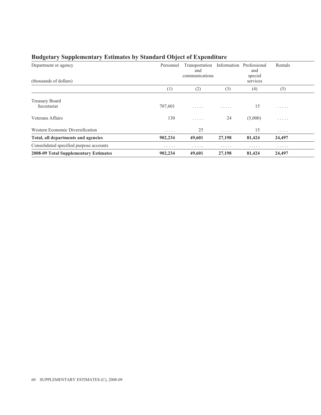| Department or agency<br>(thousands of dollars) | Personnel | Transportation<br>and<br>communications | Information | Professional<br>and<br>special<br>services | Rentals |  |
|------------------------------------------------|-----------|-----------------------------------------|-------------|--------------------------------------------|---------|--|
|                                                | (1)       | (2)                                     | (3)         | (4)                                        | (5)     |  |
| <b>Treasury Board</b><br>Secretariat           | 707,601   | .                                       | .           | 15                                         | .       |  |
| Veterans Affairs                               | 130       | .                                       | 24          | (5,000)                                    | .       |  |
| Western Economic Diversification               | .         | 25                                      | .           | 15                                         | .       |  |
| Total, all departments and agencies            | 902,234   | 49,601                                  | 27,198      | 81,424                                     | 24,497  |  |
| Consolidated specified purpose accounts        | .         | .                                       | .           | .                                          | .       |  |
| 2008-09 Total Supplementary Estimates          | 902,234   | 49,601                                  | 27,198      | 81,424                                     | 24,497  |  |

### **Budgetary Supplementary Estimates by Standard Object of Expenditure**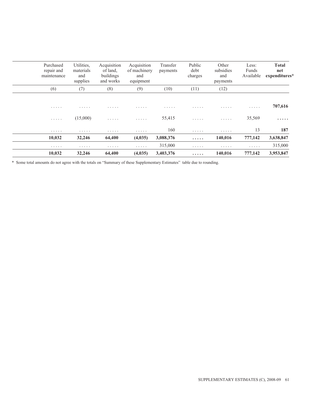| Purchased<br>repair and<br>maintenance | Utilities,<br>materials<br>and<br>supplies | Acquisition<br>of land.<br>buildings<br>and works | Acquisition<br>of machinery<br>and<br>equipment | Transfer<br>payments | Public<br>debt<br>charges | Other<br>subsidies<br>and<br>payments | Less:<br>Funds<br>Available | <b>Total</b><br>net<br>expenditures* |
|----------------------------------------|--------------------------------------------|---------------------------------------------------|-------------------------------------------------|----------------------|---------------------------|---------------------------------------|-----------------------------|--------------------------------------|
| (6)                                    | (7)                                        | (8)                                               | (9)                                             | (10)                 | (11)                      | (12)                                  |                             |                                      |
| .                                      | .                                          | .                                                 | .                                               | .                    | .                         | .                                     | $\cdots$                    | 707,616                              |
| .                                      | (15,000)                                   | .                                                 | .                                               | 55,415               | $\cdots$                  | .                                     | 35,569                      | .                                    |
| .                                      | .                                          | .                                                 | .                                               | 160                  | .                         | .                                     | 13                          | 187                                  |
| 10,032                                 | 32,246                                     | 64,400                                            | (4,035)                                         | 3,088,376            | $\cdots\cdots\cdots$      | 140,016                               | 777,142                     | 3,638,847                            |
| .                                      | .                                          | .                                                 | $\cdots\cdots\cdots$                            | 315,000              | .                         | .                                     | $\cdots$                    | 315,000                              |
| 10,032                                 | 32,246                                     | 64,400                                            | (4,035)                                         | 3,403,376            | .                         | 140,016                               | 777,142                     | 3,953,847                            |

\* Some total amounts do not agree with the totals on "Summary of these Supplementary Estimates" table due to rounding.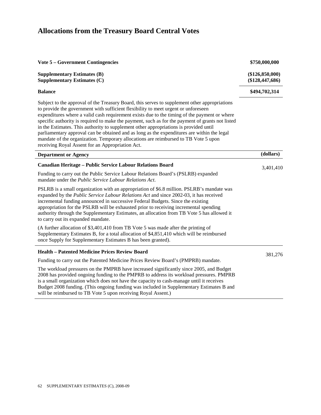| <b>Vote 5 – Government Contingencies</b>                                                                                                                                                                                                                                                                                                                                                                                                                                                                                                                                                                                                                                                                                   | \$750,000,000                          |
|----------------------------------------------------------------------------------------------------------------------------------------------------------------------------------------------------------------------------------------------------------------------------------------------------------------------------------------------------------------------------------------------------------------------------------------------------------------------------------------------------------------------------------------------------------------------------------------------------------------------------------------------------------------------------------------------------------------------------|----------------------------------------|
| <b>Supplementary Estimates (B)</b><br><b>Supplementary Estimates (C)</b>                                                                                                                                                                                                                                                                                                                                                                                                                                                                                                                                                                                                                                                   | $(\$126,850,000)$<br>$(\$128,447,686)$ |
| <b>Balance</b>                                                                                                                                                                                                                                                                                                                                                                                                                                                                                                                                                                                                                                                                                                             | \$494,702,314                          |
| Subject to the approval of the Treasury Board, this serves to supplement other appropriations<br>to provide the government with sufficient flexibility to meet urgent or unforeseen<br>expenditures where a valid cash requirement exists due to the timing of the payment or where<br>specific authority is required to make the payment, such as for the payment of grants not listed<br>in the Estimates. This authority to supplement other appropriations is provided until<br>parliamentary approval can be obtained and as long as the expenditures are within the legal<br>mandate of the organization. Temporary allocations are reimbursed to TB Vote 5 upon<br>receiving Royal Assent for an Appropriation Act. |                                        |
| <b>Department or Agency</b>                                                                                                                                                                                                                                                                                                                                                                                                                                                                                                                                                                                                                                                                                                | (dollars)                              |
| Canadian Heritage - Public Service Labour Relations Board                                                                                                                                                                                                                                                                                                                                                                                                                                                                                                                                                                                                                                                                  | 3,401,410                              |
| Funding to carry out the Public Service Labour Relations Board's (PSLRB) expanded<br>mandate under the Public Service Labour Relations Act.                                                                                                                                                                                                                                                                                                                                                                                                                                                                                                                                                                                |                                        |
| PSLRB is a small organization with an appropriation of \$6.8 million. PSLRB's mandate was<br>expanded by the Public Service Labour Relations Act and since 2002-03, it has received<br>incremental funding announced in successive Federal Budgets. Since the existing<br>appropriation for the PSLRB will be exhausted prior to receiving incremental spending<br>authority through the Supplementary Estimates, an allocation from TB Vote 5 has allowed it<br>to carry out its expanded mandate.                                                                                                                                                                                                                        |                                        |
| (A further allocation of \$3,401,410 from TB Vote 5 was made after the printing of<br>Supplementary Estimates B, for a total allocation of \$4,851,410 which will be reimbursed<br>once Supply for Supplementary Estimates B has been granted).                                                                                                                                                                                                                                                                                                                                                                                                                                                                            |                                        |
| <b>Health - Patented Medicine Prices Review Board</b>                                                                                                                                                                                                                                                                                                                                                                                                                                                                                                                                                                                                                                                                      | 381,276                                |
| Funding to carry out the Patented Medicine Prices Review Board's (PMPRB) mandate.                                                                                                                                                                                                                                                                                                                                                                                                                                                                                                                                                                                                                                          |                                        |
| The workload pressures on the PMPRB have increased significantly since 2005, and Budget<br>2008 has provided ongoing funding to the PMPRB to address its workload pressures. PMPRB<br>is a small organization which does not have the capacity to cash-manage until it receives<br>Budget 2008 funding. (This ongoing funding was included in Supplementary Estimates B and<br>will be reimbursed to TB Vote 5 upon receiving Royal Assent.)                                                                                                                                                                                                                                                                               |                                        |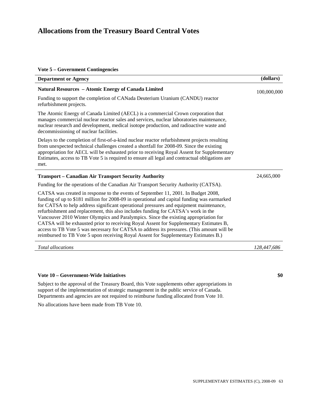#### **Vote 5 – Government Contingencies**

| <b>Department or Agency</b>                                                                                                                                                                                                                                                                                                                                                                                                                                                                                                                                                                                                                                                                                                             | (dollars)   |
|-----------------------------------------------------------------------------------------------------------------------------------------------------------------------------------------------------------------------------------------------------------------------------------------------------------------------------------------------------------------------------------------------------------------------------------------------------------------------------------------------------------------------------------------------------------------------------------------------------------------------------------------------------------------------------------------------------------------------------------------|-------------|
| Natural Resources - Atomic Energy of Canada Limited                                                                                                                                                                                                                                                                                                                                                                                                                                                                                                                                                                                                                                                                                     | 100,000,000 |
| Funding to support the completion of CANada Deuterium Uranium (CANDU) reactor<br>refurbishment projects.                                                                                                                                                                                                                                                                                                                                                                                                                                                                                                                                                                                                                                |             |
| The Atomic Energy of Canada Limited (AECL) is a commercial Crown corporation that<br>manages commercial nuclear reactor sales and services, nuclear laboratories maintenance,<br>nuclear research and development, medical isotope production, and radioactive waste and<br>decommissioning of nuclear facilities.                                                                                                                                                                                                                                                                                                                                                                                                                      |             |
| Delays to the completion of first-of-a-kind nuclear reactor refurbishment projects resulting<br>from unexpected technical challenges created a shortfall for 2008-09. Since the existing<br>appropriation for AECL will be exhausted prior to receiving Royal Assent for Supplementary<br>Estimates, access to TB Vote 5 is required to ensure all legal and contractual obligations are<br>met.                                                                                                                                                                                                                                                                                                                                        |             |
| <b>Transport - Canadian Air Transport Security Authority</b>                                                                                                                                                                                                                                                                                                                                                                                                                                                                                                                                                                                                                                                                            | 24,665,000  |
| Funding for the operations of the Canadian Air Transport Security Authority (CATSA).                                                                                                                                                                                                                                                                                                                                                                                                                                                                                                                                                                                                                                                    |             |
| CATSA was created in response to the events of September 11, 2001. In Budget 2008,<br>funding of up to \$181 million for 2008-09 in operational and capital funding was earmarked<br>for CATSA to help address significant operational pressures and equipment maintenance,<br>refurbishment and replacement, this also includes funding for CATSA's work in the<br>Vancouver 2010 Winter Olympics and Paralympics. Since the existing appropriation for<br>CATSA will be exhausted prior to receiving Royal Assent for Supplementary Estimates B,<br>access to TB Vote 5 was necessary for CATSA to address its pressures. (This amount will be<br>reimbursed to TB Vote 5 upon receiving Royal Assent for Supplementary Estimates B.) |             |
| <b>Total allocations</b>                                                                                                                                                                                                                                                                                                                                                                                                                                                                                                                                                                                                                                                                                                                | 128,447,686 |
|                                                                                                                                                                                                                                                                                                                                                                                                                                                                                                                                                                                                                                                                                                                                         |             |

#### **Vote 10 – Government-Wide Initiatives \$0**

Subject to the approval of the Treasury Board, this Vote supplements other appropriations in support of the implementation of strategic management in the public service of Canada. Departments and agencies are not required to reimburse funding allocated from Vote 10.

No allocations have been made from TB Vote 10.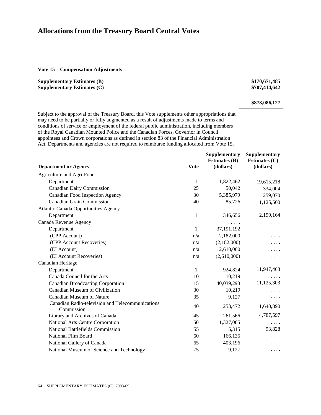#### **Vote 15 – Compensation Adjustments**

| <b>Supplementary Estimates (B)</b> | \$170,671,485 |
|------------------------------------|---------------|
| Supplementary Estimates $(C)$      | \$707,414,642 |
|                                    | \$878,086,127 |

Subject to the approval of the Treasury Board, this Vote supplements other appropriations that may need to be partially or fully augmented as a result of adjustments made to terms and conditions of service or employment of the federal public administration, including members of the Royal Canadian Mounted Police and the Canadian Forces, Governor in Council appointees and Crown corporations as defined in section 83 of the Financial Administration Act. Departments and agencies are not required to reimburse funding allocated from Vote 15.

|                                                                |              | <b>Supplementary</b><br><b>Estimates (B)</b> | Supplementary<br>Estimates $(C)$ |
|----------------------------------------------------------------|--------------|----------------------------------------------|----------------------------------|
| <b>Department or Agency</b>                                    | <b>Vote</b>  | (dollars)                                    | (dollars)                        |
| Agriculture and Agri-Food                                      |              |                                              |                                  |
| Department                                                     | 1            | 1,822,462                                    | 19,615,218                       |
| <b>Canadian Dairy Commission</b>                               | 25           | 50,042                                       | 334,004                          |
| <b>Canadian Food Inspection Agency</b>                         | 30           | 5,385,979                                    | 259,070                          |
| <b>Canadian Grain Commission</b>                               | 40           | 85,726                                       | 1,125,500                        |
| <b>Atlantic Canada Opportunities Agency</b>                    |              |                                              |                                  |
| Department                                                     | $\mathbf{1}$ | 346,656                                      | 2,199,164                        |
| Canada Revenue Agency                                          |              | .                                            |                                  |
| Department                                                     | 1            | 37,191,192                                   |                                  |
| (CPP Account)                                                  | n/a          | 2,182,000                                    |                                  |
| (CPP Account Recoveries)                                       | n/a          | (2,182,000)                                  |                                  |
| (EI Account)                                                   | n/a          | 2,610,000                                    | .                                |
| (EI Account Recoveries)                                        | n/a          | (2,610,000)                                  | .                                |
| Canadian Heritage                                              |              |                                              |                                  |
| Department                                                     | 1            | 924,824                                      | 11,947,463                       |
| Canada Council for the Arts                                    | 10           | 10,219                                       |                                  |
| <b>Canadian Broadcasting Corporation</b>                       | 15           | 40,039,293                                   | 11,125,303                       |
| Canadian Museum of Civilization                                | 30           | 10,219                                       |                                  |
| <b>Canadian Museum of Nature</b>                               | 35           | 9,127                                        | .                                |
| Canadian Radio-television and Telecommunications<br>Commission | 40           | 253,472                                      | 1,640,890                        |
| Library and Archives of Canada                                 | 45           | 261,566                                      | 4,787,597                        |
| National Arts Centre Corporation                               | 50           | 1,327,085                                    |                                  |
| National Battlefields Commission                               | 55           | 5,315                                        | 93,828                           |
| National Film Board                                            | 60           | 166,135                                      |                                  |
| National Gallery of Canada                                     | 65           | 403,196                                      |                                  |
| National Museum of Science and Technology                      | 75           | 9,127                                        | .                                |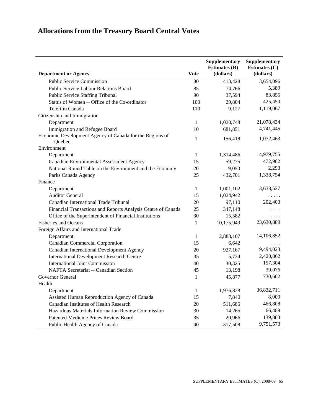| <b>Department or Agency</b>                                        | <b>Vote</b>  | Supplementary<br><b>Estimates (B)</b><br>(dollars) | <b>Supplementary</b><br>Estimates (C)<br>(dollars) |
|--------------------------------------------------------------------|--------------|----------------------------------------------------|----------------------------------------------------|
| <b>Public Service Commission</b>                                   | 80           | 413,428                                            | 3,654,096                                          |
| Public Service Labour Relations Board                              | 85           |                                                    | 5,389                                              |
|                                                                    |              | 74,766                                             |                                                    |
| Public Service Staffing Tribunal                                   | 90           | 37,594                                             | 83,855<br>425,450                                  |
| Status of Women - Office of the Co-ordinator                       | 100          | 29,804                                             |                                                    |
| Telefilm Canada                                                    | 110          | 9,127                                              | 1,119,067                                          |
| Citizenship and Immigration                                        |              |                                                    |                                                    |
| Department                                                         | $\mathbf{1}$ | 1,020,748                                          | 21,078,434                                         |
| Immigration and Refugee Board                                      | 10           | 681,851                                            | 4,741,445                                          |
| Economic Development Agency of Canada for the Regions of<br>Quebec | $\mathbf{1}$ | 156,418                                            | 1,072,463                                          |
| Environment                                                        |              |                                                    |                                                    |
| Department                                                         | $\mathbf{1}$ | 1,314,486                                          | 14,979,755                                         |
| Canadian Environmental Assessment Agency                           | 15           | 59,275                                             | 472,982                                            |
| National Round Table on the Environment and the Economy            | 20           | 9,050                                              | 2,293                                              |
| Parks Canada Agency                                                | 25           | 432,701                                            | 1,338,754                                          |
| Finance                                                            |              |                                                    |                                                    |
| Department                                                         | $\mathbf{1}$ | 1,001,102                                          | 3,638,527                                          |
| <b>Auditor General</b>                                             | 15           | 1,024,942                                          | .                                                  |
| Canadian International Trade Tribunal                              | 20           | 97,110                                             | 202,403                                            |
| Financial Transactions and Reports Analysis Centre of Canada       | 25           | 347,148                                            | .                                                  |
| Office of the Superintendent of Financial Institutions             | 30           | 15,582                                             | .                                                  |
| <b>Fisheries and Oceans</b>                                        | $\mathbf{1}$ | 10,175,949                                         | 23,630,889                                         |
| Foreign Affairs and International Trade                            |              |                                                    |                                                    |
| Department                                                         | $\mathbf{1}$ | 2,883,107                                          | 14,106,852                                         |
| <b>Canadian Commercial Corporation</b>                             | 15           | 6,642                                              | .                                                  |
| Canadian International Development Agency                          | 20           | 927,167                                            | 9,494,023                                          |
| <b>International Development Research Centre</b>                   | 35           | 5,734                                              | 2,420,862                                          |
| <b>International Joint Commission</b>                              | 40           | 30,325                                             | 157,304                                            |
| NAFTA Secretariat - Canadian Section                               | 45           | 13,198                                             | 39,076                                             |
| Governor General                                                   | $\mathbf{1}$ | 45,877                                             | 730,602                                            |
| Health                                                             |              |                                                    |                                                    |
| Department                                                         | $\mathbf{1}$ | 1,976,828                                          | 36,832,711                                         |
| Assisted Human Reproduction Agency of Canada                       | 15           | 7,840                                              | 8,000                                              |
| Canadian Institutes of Health Research                             | 20           | 511,686                                            | 466,808                                            |
| Hazardous Materials Information Review Commission                  | 30           | 14,265                                             | 66,489                                             |
| Patented Medicine Prices Review Board                              | 35           | 20,966                                             | 139,803                                            |
| Public Health Agency of Canada                                     | 40           | 317,508                                            | 9,751,573                                          |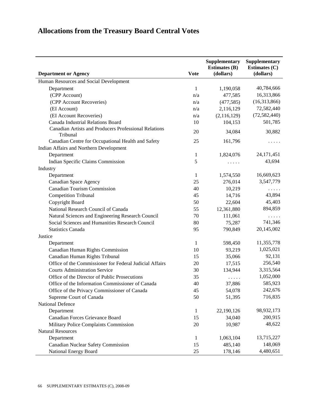|                                                                   |              | Supplementary<br><b>Estimates (B)</b> | Supplementary<br>Estimates (C)     |
|-------------------------------------------------------------------|--------------|---------------------------------------|------------------------------------|
| <b>Department or Agency</b>                                       | <b>Vote</b>  | (dollars)                             | (dollars)                          |
| Human Resources and Social Development                            |              |                                       |                                    |
| Department                                                        | 1            | 1,190,058                             | 40,784,666                         |
| (CPP Account)                                                     | n/a          | 477,585                               | 16,313,866                         |
| (CPP Account Recoveries)                                          | n/a          | (477, 585)                            | (16,313,866)                       |
| (EI Account)                                                      | n/a          | 2,116,129                             | 72,582,440                         |
| (EI Account Recoveries)                                           | n/a          | (2, 116, 129)                         | (72, 582, 440)                     |
| Canada Industrial Relations Board                                 | 10           | 104,153                               | 501,785                            |
| Canadian Artists and Producers Professional Relations<br>Tribunal | 20           | 34,084                                | 30,882                             |
| Canadian Centre for Occupational Health and Safety                | 25           | 161,796                               | .                                  |
| Indian Affairs and Northern Development                           |              |                                       |                                    |
| Department                                                        | 1            | 1,824,076                             | 24, 171, 451                       |
| Indian Specific Claims Commission                                 | 5            | .                                     | 43,694                             |
| Industry                                                          |              |                                       |                                    |
| Department                                                        | $\mathbf{1}$ | 1,574,550                             | 16,669,623                         |
| Canadian Space Agency                                             | 25           | 276,014                               | 3,547,779                          |
| <b>Canadian Tourism Commission</b>                                | 40           | 10,219                                | $\sim$ $\sim$ $\sim$ $\sim$ $\sim$ |
| <b>Competition Tribunal</b>                                       | 45           | 14,716                                | 43,894                             |
| Copyright Board                                                   | 50           | 22,604                                | 45,403                             |
| National Research Council of Canada                               | 55           | 12,361,880                            | 894,859                            |
| Natural Sciences and Engineering Research Council                 | 70           | 111,061                               | .                                  |
| Social Sciences and Humanities Research Council                   | 80           | 75,287                                | 741,346                            |
| <b>Statistics Canada</b>                                          | 95           | 790,849                               | 20,145,002                         |
| Justice                                                           |              |                                       |                                    |
| Department                                                        | 1            | 598,450                               | 11,355,778                         |
| Canadian Human Rights Commission                                  | 10           | 93,219                                | 1,025,021                          |
| Canadian Human Rights Tribunal                                    | 15           | 35,066                                | 92,131                             |
| Office of the Commissioner for Federal Judicial Affairs           | 20           | 17,515                                | 256,540                            |
| <b>Courts Administration Service</b>                              | 30           | 134,944                               | 3,315,564                          |
| Office of the Director of Public Prosecutions                     | 35           | .                                     | 1,052,000                          |
| Office of the Information Commissioner of Canada                  | 40           | 37,886                                | 585,923                            |
| Office of the Privacy Commissioner of Canada                      | 45           | 54,078                                | 242,676                            |
| Supreme Court of Canada                                           | 50           | 51,395                                | 716,835                            |
| National Defence                                                  |              |                                       |                                    |
| Department                                                        | $\mathbf{1}$ | 22,190,126                            | 98,932,173                         |
| Canadian Forces Grievance Board                                   | 15           | 34,040                                | 200,915                            |
| Military Police Complaints Commission                             | 20           | 10,987                                | 48,622                             |
| <b>Natural Resources</b>                                          |              |                                       |                                    |
| Department                                                        | $\mathbf{1}$ | 1,063,104                             | 13,715,227                         |
| Canadian Nuclear Safety Commission                                | 15           | 485,140                               | 148,069                            |
| National Energy Board                                             | 25           | 178,146                               | 4,480,651                          |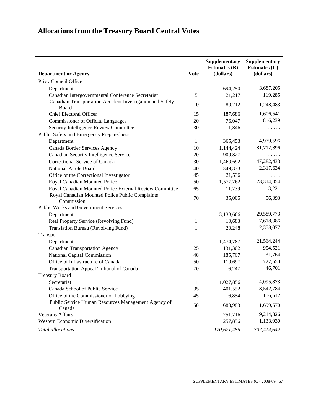|                                                                    |              | <b>Supplementary</b><br>Estimates $(B)$ | Supplementary<br>Estimates $(C)$ |
|--------------------------------------------------------------------|--------------|-----------------------------------------|----------------------------------|
| <b>Department or Agency</b>                                        | <b>Vote</b>  | (dollars)                               | (dollars)                        |
| Privy Council Office                                               |              |                                         |                                  |
| Department                                                         | 1            | 694,250                                 | 3,687,205                        |
| Canadian Intergovernmental Conference Secretariat                  | 5            | 21,217                                  | 119,285                          |
| Canadian Transportation Accident Investigation and Safety<br>Board | 10           | 80,212                                  | 1,248,483                        |
| <b>Chief Electoral Officer</b>                                     | 15           | 187,686                                 | 1,606,541                        |
| <b>Commissioner of Official Languages</b>                          | 20           | 76,047                                  | 816,239                          |
| Security Intelligence Review Committee                             | 30           | 11,846                                  | .                                |
| Public Safety and Emergency Preparedness                           |              |                                         |                                  |
| Department                                                         | 1            | 365,453                                 | 4,979,596                        |
| Canada Border Services Agency                                      | 10           | 1,144,424                               | 81,712,896                       |
| Canadian Security Intelligence Service                             | 20           | 909,827                                 | .                                |
| Correctional Service of Canada                                     | 30           | 1,469,692                               | 47,282,433                       |
| National Parole Board                                              | 40           | 349,333                                 | 2,317,634                        |
| Office of the Correctional Investigator                            | 45           | 21,536                                  | .                                |
| Royal Canadian Mounted Police                                      | 50           | 1,577,262                               | 23,314,054                       |
| Royal Canadian Mounted Police External Review Committee            | 65           | 11,239                                  | 3,221                            |
| Royal Canadian Mounted Police Public Complaints<br>Commission      | 70           | 35,005                                  | 56,093                           |
| <b>Public Works and Government Services</b>                        |              |                                         |                                  |
| Department                                                         | 1            | 3,133,606                               | 29,589,773                       |
| Real Property Service (Revolving Fund)                             | 1            | 10,683                                  | 7,618,386                        |
| Translation Bureau (Revolving Fund)                                | 1            | 20,248                                  | 2,358,077                        |
| Transport                                                          |              |                                         |                                  |
| Department                                                         | 1            | 1,474,787                               | 21,564,244                       |
| <b>Canadian Transportation Agency</b>                              | 25           | 131,302                                 | 954,521                          |
| National Capital Commission                                        | 40           | 185,767                                 | 31,764                           |
| Office of Infrastructure of Canada                                 | 50           | 119,697                                 | 727,550                          |
| Transportation Appeal Tribunal of Canada                           | 70           | 6,247                                   | 46,701                           |
| <b>Treasury Board</b>                                              |              |                                         |                                  |
| Secretariat                                                        | $\mathbf{1}$ | 1,027,856                               | 4,095,873                        |
| Canada School of Public Service                                    | 35           | 401,552                                 | 3,542,784                        |
| Office of the Commissioner of Lobbying                             | 45           | 6,854                                   | 116,512                          |
| Public Service Human Resources Management Agency of<br>Canada      | 50           | 688,983                                 | 1,699,570                        |
| <b>Veterans Affairs</b>                                            | 1            | 751,716                                 | 19,214,826                       |
| Western Economic Diversification                                   | $\mathbf{1}$ | 257,856                                 | 1,133,930                        |
| Total allocations                                                  |              | 170,671,485                             | 707,414,642                      |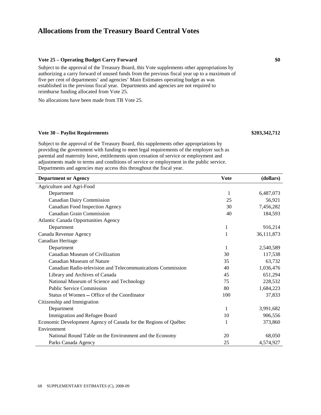#### **Vote 25 – Operating Budget Carry Forward**  $\sim$  **80**  $\sim$  **80**  $\sim$  **80**  $\sim$  **80**  $\sim$  **80**  $\sim$  **80**  $\sim$  **80**  $\sim$  **80**  $\sim$  **80**  $\sim$  **80**  $\sim$  **80**  $\sim$  **80**  $\sim$  **80**  $\sim$  **80**  $\sim$  **80**  $\sim$  **80**  $\sim$  **80**  $\sim$  **80**  $\sim$  **80**  $\sim$  **80**  $\sim$  **80**  $\sim$  **80**  $\sim$

Subject to the approval of the Treasury Board, this Vote supplements other appropriations by authorizing a carry forward of unused funds from the previous fiscal year up to a maximum of five per cent of departments' and agencies' Main Estimates operating budget as was established in the previous fiscal year. Departments and agencies are not required to reimburse funding allocated from Vote 25.

No allocations have been made from TB Vote 25.

#### **Vote 30 – Paylist Requirements \$203,342,712**

Subject to the approval of the Treasury Board, this supplements other appropriations by providing the government with funding to meet legal requirements of the employer such as parental and maternity leave, entitlements upon cessation of service or employment and adjustments made to terms and conditions of service or employment in the public service. Departments and agencies may access this throughout the fiscal year.

| <b>Department or Agency</b>                                     | <b>Vote</b> | (dollars)  |
|-----------------------------------------------------------------|-------------|------------|
| Agriculture and Agri-Food                                       |             |            |
| Department                                                      | 1           | 6,487,073  |
| <b>Canadian Dairy Commission</b>                                | 25          | 56,921     |
| Canadian Food Inspection Agency                                 | 30          | 7,456,282  |
| <b>Canadian Grain Commission</b>                                | 40          | 184,593    |
| Atlantic Canada Opportunities Agency                            |             |            |
| Department                                                      | 1           | 916,214    |
| Canada Revenue Agency                                           | 1           | 36,111,873 |
| Canadian Heritage                                               |             |            |
| Department                                                      | 1           | 2,540,589  |
| Canadian Museum of Civilization                                 | 30          | 117,538    |
| Canadian Museum of Nature                                       | 35          | 63,732     |
| Canadian Radio-television and Telecommunications Commission     | 40          | 1,036,476  |
| Library and Archives of Canada                                  | 45          | 651,294    |
| National Museum of Science and Technology                       | 75          | 228,532    |
| <b>Public Service Commission</b>                                | 80          | 1,684,223  |
| Status of Women – Office of the Coordinator                     | 100         | 37,833     |
| Citizenship and Immigration                                     |             |            |
| Department                                                      | 1           | 3,991,682  |
| Immigration and Refugee Board                                   | 10          | 906,556    |
| Economic Development Agency of Canada for the Regions of Québec | 1           | 373,860    |
| Environment                                                     |             |            |
| National Round Table on the Environment and the Economy         | 20          | 68,050     |
| Parks Canada Agency                                             | 25          | 4,574,927  |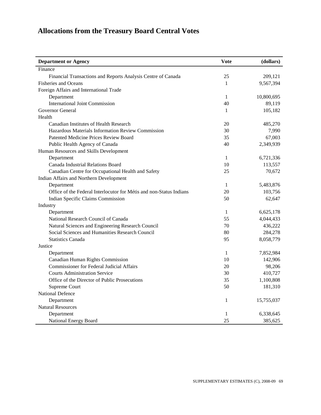| <b>Department or Agency</b>                                         | <b>Vote</b>  | (dollars)  |
|---------------------------------------------------------------------|--------------|------------|
| Finance                                                             |              |            |
| Financial Transactions and Reports Analysis Centre of Canada        | 25           | 209,121    |
| <b>Fisheries and Oceans</b>                                         | 1            | 9,567,394  |
| Foreign Affairs and International Trade                             |              |            |
| Department                                                          | 1            | 10,800,695 |
| <b>International Joint Commission</b>                               | 40           | 89,119     |
| Governor General                                                    | 1            | 105,182    |
| Health                                                              |              |            |
| Canadian Institutes of Health Research                              | 20           | 485,270    |
| Hazardous Materials Information Review Commission                   | 30           | 7,990      |
| Patented Medicine Prices Review Board                               | 35           | 67,003     |
| Public Health Agency of Canada                                      | 40           | 2,349,939  |
| Human Resources and Skills Development                              |              |            |
| Department                                                          | 1            | 6,721,336  |
| Canada Industrial Relations Board                                   | 10           | 113,557    |
| Canadian Centre for Occupational Health and Safety                  | 25           | 70,672     |
| Indian Affairs and Northern Development                             |              |            |
| Department                                                          | $\mathbf{1}$ | 5,483,876  |
| Office of the Federal Interlocutor for Métis and non-Status Indians | 20           | 103,756    |
| Indian Specific Claims Commission                                   | 50           | 62,647     |
| Industry                                                            |              |            |
| Department                                                          | 1            | 6,625,178  |
| National Research Council of Canada                                 | 55           | 4,044,433  |
| Natural Sciences and Engineering Research Council                   | 70           | 436,222    |
| Social Sciences and Humanities Research Council                     | 80           | 284,278    |
| <b>Statistics Canada</b>                                            | 95           | 8,058,779  |
| Justice                                                             |              |            |
| Department                                                          | $\mathbf{1}$ | 7,852,984  |
| Canadian Human Rights Commission                                    | 10           | 142,906    |
| <b>Commissioner for Federal Judicial Affairs</b>                    | 20           | 98,206     |
| <b>Courts Administration Service</b>                                | 30           | 410,727    |
| Office of the Director of Public Prosecutions                       | 35           | 1,100,808  |
| Supreme Court                                                       | 50           | 181,310    |
| <b>National Defence</b>                                             |              |            |
| Department                                                          | 1            | 15,755,037 |
| <b>Natural Resources</b>                                            |              |            |
| Department                                                          | 1            | 6,338,645  |
| National Energy Board                                               | 25           | 385,625    |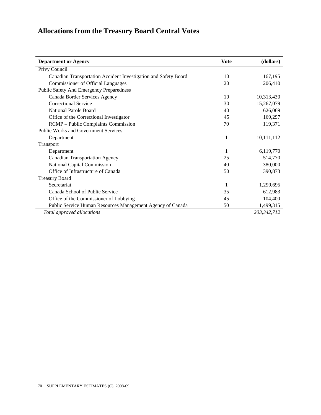| <b>Department or Agency</b>                                     | <b>Vote</b> | (dollars)   |
|-----------------------------------------------------------------|-------------|-------------|
| Privy Council                                                   |             |             |
| Canadian Transportation Accident Investigation and Safety Board | 10          | 167,195     |
| <b>Commissioner of Official Languages</b>                       | 20          | 206,410     |
| Public Safety And Emergency Preparedness                        |             |             |
| Canada Border Services Agency                                   | 10          | 10,313,430  |
| Correctional Service                                            | 30          | 15,267,079  |
| National Parole Board                                           | 40          | 626,069     |
| Office of the Correctional Investigator                         | 45          | 169,297     |
| RCMP - Public Complaints Commission                             | 70          | 119,371     |
| <b>Public Works and Government Services</b>                     |             |             |
| Department                                                      | 1           | 10,111,112  |
| Transport                                                       |             |             |
| Department                                                      | 1           | 6,119,770   |
| <b>Canadian Transportation Agency</b>                           | 25          | 514,770     |
| National Capital Commission                                     | 40          | 380,000     |
| Office of Infrastructure of Canada                              | 50          | 390,873     |
| <b>Treasury Board</b>                                           |             |             |
| Secretariat                                                     | 1           | 1,299,695   |
| Canada School of Public Service                                 | 35          | 612,983     |
| Office of the Commissioner of Lobbying                          | 45          | 104,400     |
| Public Service Human Resources Management Agency of Canada      | 50          | 1,499,315   |
| Total approved allocations                                      |             | 203,342,712 |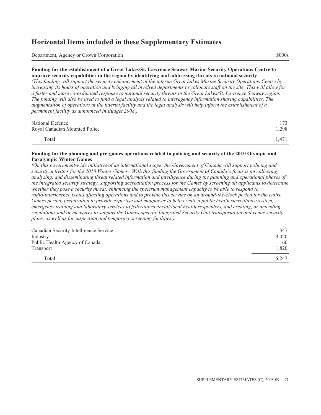Department, Agency or Crown Corporation \$000s

#### **Funding for the establishment of a Great Lakes/St. Lawrence Seaway Marine Security Operations Centre to improve security capabilities in the region by identifying and addressing threats to national security**

*(This funding will support the security enhancement of the interim Great Lakes Marine Security Operations Centre by increasing its hours of operation and bringing all involved departments to collocate staff on the site. This will allow for a faster and more co-ordinated response to national security threats in the Great Lakes/St. Lawrence Seaway region. The funding will also be used to fund a legal analysis related to interagency information sharing capabilities. The augmentation of operations at the interim facility and the legal analysis will help inform the establishment of a permanent facility as announced in Budget 2008.)*

| National Defence              |       |
|-------------------------------|-------|
| Royal Canadian Mounted Police | 1.298 |
| Total                         | 1.471 |

#### **Funding for the planning and pre-games operations related to policing and security at the 2010 Olympic and Paralympic Winter Games**

*(On this government-wide initiative of an international scope, the Government of Canada will support policing and security activities for the 2010 Winter Games. With this funding the Government of Canada's focus is on collecting, analysing, and disseminating threat related information and intelligence during the planning and operational phases of the integrated security strategy, supporting accreditation process for the Games by screening all applicants to determine whether they pose a security threat, enhancing the spectrum management capacity to be able to respond to radio-interference issues affecting operations and to provide this service on an around-the-clock period for the entire Games period, preparation to provide expertise and manpower to help create a public health surveillance system, emergency training and laboratory services to federal/provincial/local health responders, and creating, or amending regulations and/or measures to support the Games-specific Integrated Security Unit transportation and venue security plans, as well as for inspection and temporary screening facilities.)*

| Canadian Security Intelligence Service | 1.347 |
|----------------------------------------|-------|
| Industry                               | 3.020 |
| Public Health Agency of Canada         | 60    |
| Transport                              | 1.820 |
| Total                                  | 6.247 |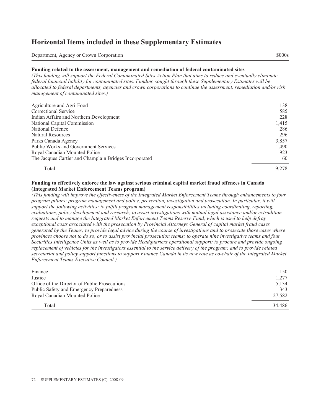Department, Agency or Crown Corporation \$000s

#### **Funding related to the assessment, management and remediation of federal contaminated sites**

*(This funding will support the Federal Contaminated Sites Action Plan that aims to reduce and eventually eliminate federal financial liability for contaminated sites. Funding sought through these Supplementary Estimates will be allocated to federal departments, agencies and crown corporations to continue the assessment, remediation and/or risk management of contaminated sites.)*

| Agriculture and Agri-Food                              | 138   |
|--------------------------------------------------------|-------|
| Correctional Service                                   | 585   |
| Indian Affairs and Northern Development                | 228   |
| National Capital Commission                            | 1,415 |
| National Defence                                       | 286   |
| <b>Natural Resources</b>                               | 296   |
| Parks Canada Agency                                    | 3,857 |
| <b>Public Works and Government Services</b>            | 1.490 |
| Royal Canadian Mounted Police                          | 923   |
| The Jacques Cartier and Champlain Bridges Incorporated | 60    |
| Total                                                  | 9.278 |

#### **Funding to effectively enforce the law against serious criminal capital market fraud offences in Canada (Integrated Market Enforcement Teams program)**

*(This funding will improve the effectiveness of the Integrated Market Enforcement Teams through enhancements to four program pillars: program management and policy, prevention, investigation and prosecution. In particular, it will support the following activities: to fulfill program management responsibilities including coordinating, reporting, evaluations, policy development and research; to assist investigations with mutual legal assistance and/or extradition requests and to manage the Integrated Market Enforcement Teams Reserve Fund, which is used to help defray exceptional costs associated with the prosecution by Provincial Attorneys General of capital market fraud cases generated by the Teams; to provide legal advice during the course of investigations and to prosecute those cases where provinces choose not to do so, or to assist provincial prosecution teams; to operate nine investigative teams and four Securities Intelligence Units as well as to provide Headquarters operational support; to procure and provide ongoing replacement of vehicles for the investigators essential to the service delivery of the program; and to provide related secretariat and policy support functions to support Finance Canada in its new role as co-chair of the Integrated Market Enforcement Teams Executive Council.)*

| Finance                                       | 150    |
|-----------------------------------------------|--------|
| Justice                                       | 1.277  |
| Office of the Director of Public Prosecutions | 5,134  |
| Public Safety and Emergency Preparedness      | 343    |
| Royal Canadian Mounted Police                 | 27,582 |
| Total                                         | 34.486 |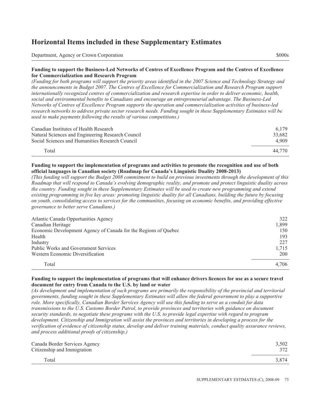Department, Agency or Crown Corporation \$000s

#### **Funding to support the Business-Led Networks of Centres of Excellence Program and the Centres of Excellence for Commercialization and Research Program**

*(Funding for both programs will support the priority areas identified in the 2007 Science and Technology Strategy and the announcements in Budget 2007. The Centres of Excellence for Commercialization and Research Program support internationally recognized centres of commercialization and research expertise in order to deliver economic, health, social and environmental benefits to Canadians and encourage an entrepreneurial advantage. The Business-Led Networks of Centres of Excellence Program supports the operation and commercialization activities of business-led research networks to address private sector research needs. Funding sought in these Supplementary Estimates will be used to make payments following the results of various competitions.)*

| Canadian Institutes of Health Research            | 6.179  |
|---------------------------------------------------|--------|
| Natural Sciences and Engineering Research Council | 33.682 |
| Social Sciences and Humanities Research Council   | 4.909  |
| Total                                             | 44,770 |

#### **Funding to support the implementation of programs and activities to promote the recognition and use of both official languages in Canadian society (Roadmap for Canada's Linguistic Duality 2008-2013)**

*(This funding will support the Budget 2008 commitment to build on previous investments through the development of this Roadmap that will respond to Canada's evolving demographic reality, and promote and protect linguistic duality across the country. Funding sought in these Supplementary Estimates will be used to create new programming and extend existing programming in five key areas: promoting linguistic duality for all Canadians, building the future by focusing on youth, consolidating access to services for the communities, focusing on economic benefits, and providing effective governance to better serve Canadians.)*

| Atlantic Canada Opportunities Agency                            | 322   |
|-----------------------------------------------------------------|-------|
| Canadian Heritage                                               | 1.899 |
| Economic Development Agency of Canada for the Regions of Quebec | 150   |
| Health                                                          | 193   |
| Industry                                                        | 227   |
| <b>Public Works and Government Services</b>                     | 1.715 |
| Western Economic Diversification                                | 200   |
| Total                                                           | 4.706 |

#### **Funding to support the implementation of programs that will enhance drivers licences for use as a secure travel document for entry from Canada to the U.S. by land or water**

*(As development and implementation of such programs are primarily the responsibility of the provincial and territorial governments, funding sought in these Supplementary Estimates will allow the federal government to play a supportive role. More specifically, Canadian Border Services Agency will use this funding to serve as a conduit for data transmissions to the U.S. Customs Border Patrol, to provide provinces and territories with guidance on document security standards, to negotiate these programs with the U.S, to provide legal expertise with regard to program development. Citizenship and Immigration will assist the provinces and territories in developing a process for the verification of evidence of citizenship status, develop and deliver training materials, conduct quality assurance reviews, and process additional proofs of citizenship.)*

| Canada Border Services Agency | 3,502 |
|-------------------------------|-------|
| Citizenship and Immigration   | 372   |
| Total                         | 3.874 |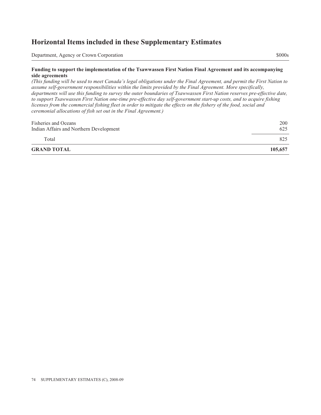Department, Agency or Crown Corporation \$000s

#### **Funding to support the implementation of the Tsawwassen First Nation Final Agreement and its accompanying side agreements**

*(This funding will be used to meet Canada's legal obligations under the Final Agreement, and permit the First Nation to assume self-government responsibilities within the limits provided by the Final Agreement. More specifically, departments will use this funding to survey the outer boundaries of Tsawwassen First Nation reserves pre-effective date, to support Tsawwassen First Nation one-time pre-effective day self-government start-up costs, and to acquire fishing licenses from the commercial fishing fleet in order to mitigate the effects on the fishery of the food, social and ceremonial allocations of fish set out in the Final Agreement.)*

| <b>GRAND TOTAL</b>                      | 105,657 |
|-----------------------------------------|---------|
| Total                                   | 825     |
| Indian Affairs and Northern Development | 625     |
| Fisheries and Oceans                    | 200     |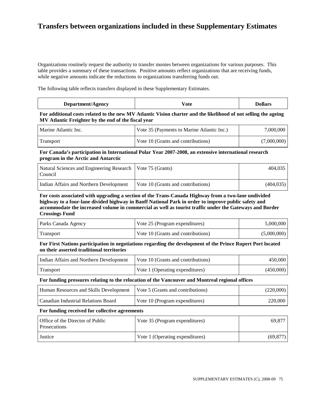### **Transfers between organizations included in these Supplementary Estimates**

Organizations routinely request the authority to transfer monies between organizations for various purposes. This table provides a summary of these transactions. Positive amounts reflect organizations that are receiving funds, while negative amounts indicate the reductions to organizations transferring funds out.

The following table reflects transfers displayed in these Supplementary Estimates.

| Department/Agency | √ote | <b>Dollars</b> |
|-------------------|------|----------------|
|-------------------|------|----------------|

**For additional costs related to the new MV Atlantic Vision charter and the likelihood of not selling the ageing MV Atlantic Freighter by the end of the fiscal year**

| Marine Atlantic Inc. | Vote 35 (Payments to Marine Atlantic Inc.) | 7.000.000   |
|----------------------|--------------------------------------------|-------------|
| <b>Transport</b>     | Vote 10 (Grants and contributions)         | (7,000,000) |

**For Canada's participation in International Polar Year 2007-2008, an extensive international research program in the Arctic and Antarctic**

| Natural Sciences and Engineering Research<br>Council | Vote $75$ (Grants)                 | 404.035    |
|------------------------------------------------------|------------------------------------|------------|
| Indian Affairs and Northern Development              | Vote 10 (Grants and contributions) | (404, 035) |

**For costs associated with upgrading a section of the Trans-Canada Highway from a two-lane undivided highway to a four-lane divided highway in Banff National Park in order to improve public safety and accommodate the increased volume in commercial as well as tourist traffic under the Gateways and Border Crossings Fund**

| Parks Canada Agency | Vote 25 (Program expenditures)     | 5,000,000   |
|---------------------|------------------------------------|-------------|
| Transport           | Vote 10 (Grants and contributions) | (5,000,000) |

**For First Nations participation in negotiations regarding the development of the Prince Rupert Port located on their asserted traditional territories**

| Indian Affairs and Northern Development | Vote 10 (Grants and contributions) | 450,000   |
|-----------------------------------------|------------------------------------|-----------|
| <b>Transport</b>                        | Vote 1 (Operating expenditures)    | (450,000) |

#### **For funding pressures relating to the relocation of the Vancouver and Montreal regional offices**

| Human Resources and Skills Development | Vote 5 (Grants and contributions) | (220,000) |
|----------------------------------------|-----------------------------------|-----------|
| l Canadian Industrial Relations Board  | Vote 10 (Program expenditures)    | 220,000   |

#### **For funding received for collective agreements**

| Office of the Director of Public<br><b>Prosecutions</b> | Vote 35 (Program expenditures)  | 69.877   |
|---------------------------------------------------------|---------------------------------|----------|
| Justice                                                 | Vote 1 (Operating expenditures) | (69,877) |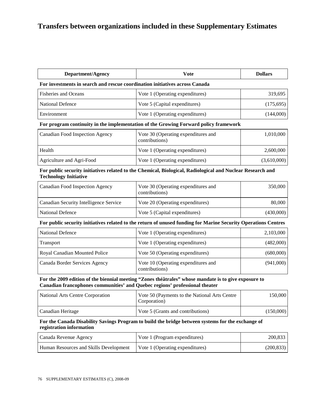| Department/Agency                                                                    | <b>Vote</b>                                           | <b>Dollars</b> |
|--------------------------------------------------------------------------------------|-------------------------------------------------------|----------------|
| For investments in search and rescue coordination initiatives across Canada          |                                                       |                |
| <b>Fisheries and Oceans</b>                                                          | Vote 1 (Operating expenditures)                       | 319.695        |
| National Defence                                                                     | Vote 5 (Capital expenditures)                         | (175, 695)     |
| Environment                                                                          | Vote 1 (Operating expenditures)                       | (144,000)      |
| For program continuity in the implementation of the Growing Forward policy framework |                                                       |                |
| Canadian Food Inspection Agency                                                      | Vote 30 (Operating expenditures and<br>contributions) | 1,010,000      |
| Health                                                                               | Vote 1 (Operating expenditures)                       | 2,600,000      |
| Agriculture and Agri-Food                                                            | Vote 1 (Operating expenditures)                       | (3,610,000)    |

### **For public security initiatives related to the Chemical, Biological, Radiological and Nuclear Research and Technology Initiative**

| Canadian Food Inspection Agency        | Vote 30 (Operating expenditures and<br>contributions) | 350,000   |
|----------------------------------------|-------------------------------------------------------|-----------|
| Canadian Security Intelligence Service | Vote 20 (Operating expenditures)                      | 80,000    |
| National Defence                       | Vote 5 (Capital expenditures)                         | (430,000) |

#### **For public security initiatives related to the return of unused funding for Marine Security Operations Centres**

| <b>National Defence</b>       | Vote 1 (Operating expenditures)                       | 2,103,000 |
|-------------------------------|-------------------------------------------------------|-----------|
| <b>Transport</b>              | Vote 1 (Operating expenditures)                       | (482,000) |
| Royal Canadian Mounted Police | Vote 50 (Operating expenditures)                      | (680,000) |
| Canada Border Services Agency | Vote 10 (Operating expenditures and<br>contributions) | (941,000) |

### **For the 2009 edition of the biennial meeting "Zones théâtrales" whose mandate is to give exposure to Canadian francophones communities' and Quebec regions' professional theater**

| National Arts Centre Corporation | Vote 50 (Payments to the National Arts Centre<br>Corporation) | 150,000   |
|----------------------------------|---------------------------------------------------------------|-----------|
| Canadian Heritage                | Vote 5 (Grants and contributions)                             | (150,000) |

#### **For the Canada Disability Savings Program to build the bridge between systems for the exchange of registration information**

| Canada Revenue Agency                         | Vote 1 (Program expenditures)   | 200,833    |
|-----------------------------------------------|---------------------------------|------------|
| <b>Human Resources and Skills Development</b> | Vote 1 (Operating expenditures) | (200, 833) |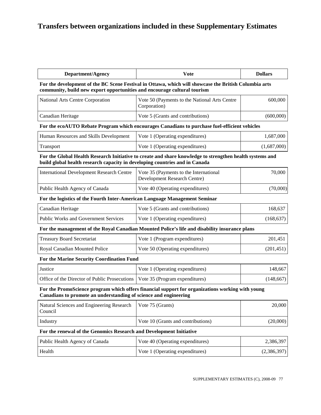|--|

#### **For the development of the BC Scene Festival in Ottawa, which will showcase the British Columbia arts community, build new export opportunities and encourage cultural tourism**

| National Arts Centre Corporation | Vote 50 (Payments to the National Arts Centre<br>Corporation) | 600,000   |
|----------------------------------|---------------------------------------------------------------|-----------|
| Canadian Heritage                | Vote 5 (Grants and contributions)                             | (600,000) |

#### **For the ecoAUTO Rebate Program which encourages Canadians to purchase fuel-efficient vehicles**

| Human Resources and Skills Development | Vote 1 (Operating expenditures) | 1,687,000   |
|----------------------------------------|---------------------------------|-------------|
| Transport                              | Vote 1 (Operating expenditures) | (1,687,000) |

#### **For the Global Health Research Initiative to create and share knowledge to strengthen health systems and build global health research capacity in developing countries and in Canada**

| International Development Research Centre | Vote 35 (Payments to the International<br>Development Research Centre) | 70,000   |
|-------------------------------------------|------------------------------------------------------------------------|----------|
| Public Health Agency of Canada            | Vote 40 (Operating expenditures)                                       | (70,000) |

#### **For the logistics of the Fourth Inter-American Language Management Seminar**

| Canadian Heritage                    | Vote 5 (Grants and contributions) | 168,637    |
|--------------------------------------|-----------------------------------|------------|
| Public Works and Government Services | Vote 1 (Operating expenditures)   | (168, 637) |

#### **For the management of the Royal Canadian Mounted Police's life and disability insurance plans**

| <b>Treasury Board Secretariat</b> | Vote 1 (Program expenditures)    | 201,451    |
|-----------------------------------|----------------------------------|------------|
| Royal Canadian Mounted Police     | Vote 50 (Operating expenditures) | (201, 451) |

#### **For the Marine Security Coordination Fund**

| Justice                                                                        | Vote 1 (Operating expenditures) | 148.667    |
|--------------------------------------------------------------------------------|---------------------------------|------------|
| Office of the Director of Public Prosecutions   Vote 35 (Program expenditures) |                                 | (148, 667) |

### **For the PromoScience program which offers financial support for organizations working with young Canadians to promote an understanding of science and engineering**

| Natural Sciences and Engineering Research<br>Council | Vote 75 (Grants)                   | 20,000   |
|------------------------------------------------------|------------------------------------|----------|
| Industry                                             | Vote 10 (Grants and contributions) | (20,000) |

#### **For the renewal of the Genomics Research and Development Initiative**

| Public Health Agency of Canada | Vote 40 (Operating expenditures) | 2,386,397   |
|--------------------------------|----------------------------------|-------------|
| Health                         | Vote 1 (Operating expenditures)  | (2,386,397) |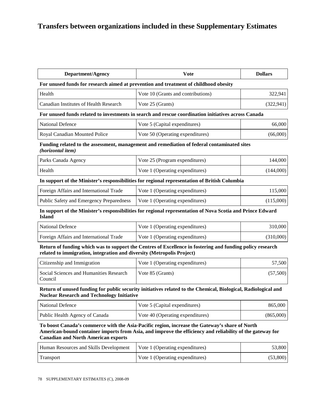| Department/Agency | / ote | Jollars |
|-------------------|-------|---------|
|                   |       |         |

#### **For unused funds for research aimed at prevention and treatment of childhood obesity**

| Health                                   | Vote 10 (Grants and contributions) | 322.941    |
|------------------------------------------|------------------------------------|------------|
| l Canadian Institutes of Health Research | Vote 25 (Grants)                   | (322, 941) |

#### **For unused funds related to investments in search and rescue coordination initiatives across Canada**

| National Defence              | Vote 5 (Capital expenditures)    | 66,000   |
|-------------------------------|----------------------------------|----------|
| Roval Canadian Mounted Police | Vote 50 (Operating expenditures) | (66,000) |

#### **Funding related to the assessment, management and remediation of federal contaminated sites**  *(horizontal item)*

| Parks Canada Agency | Vote 25 (Program expenditures)  | 144.000   |
|---------------------|---------------------------------|-----------|
| Health              | Vote 1 (Operating expenditures) | (144,000) |

#### **In support of the Minister's responsibilities for regional representation of British Columbia**

| <b>Foreign Affairs and International Trade</b> | Vote 1 (Operating expenditures) | 115,000   |
|------------------------------------------------|---------------------------------|-----------|
| Public Safety and Emergency Preparedness       | Vote 1 (Operating expenditures) | (115,000) |

#### **In support of the Minister's responsibilities for regional representation of Nova Scotia and Prince Edward Island**

| National Defence                               | Vote 1 (Operating expenditures) | 310,000   |
|------------------------------------------------|---------------------------------|-----------|
| <b>Foreign Affairs and International Trade</b> | Vote 1 (Operating expenditures) | (310,000) |

#### **Return of funding which was to support the Centres of Excellence in fostering and funding policy research related to immigration, integration and diversity (Metropolis Project)**

| Citizenship and Immigration                            | Vote 1 (Operating expenditures) | 57,500   |
|--------------------------------------------------------|---------------------------------|----------|
| l Social Sciences and Humanities Research<br>l Council | Vote 85 (Grants)                | (57,500) |

#### **Return of unused funding for public security initiatives related to the Chemical, Biological, Radiological and Nuclear Research and Technology Initiative**

| National Defence               | Vote 5 (Capital expenditures)    | 865,000   |
|--------------------------------|----------------------------------|-----------|
| Public Health Agency of Canada | Vote 40 (Operating expenditures) | (865,000) |

#### **To boost Canada's commerce with the Asia-Pacific region, increase the Gateway's share of North American-bound container imports from Asia, and improve the efficiency and reliability of the gateway for Canadian and North American exports**

| <b>Human Resources and Skills Development</b> | Vote 1 (Operating expenditures) | 53,800   |
|-----------------------------------------------|---------------------------------|----------|
| Transport                                     | Vote 1 (Operating expenditures) | (53,800) |

#### 78 SUPPLEMENTARY ESTIMATES (C), 2008-09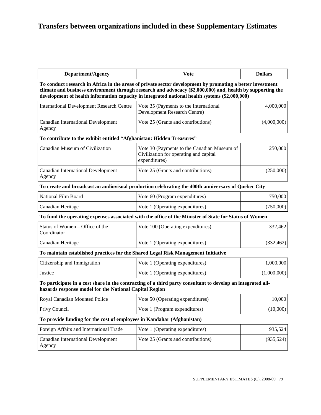| Department/Agency | v ote | Dollars |
|-------------------|-------|---------|
|-------------------|-------|---------|

**To conduct research in Africa in the areas of private sector development by promoting a better investment climate and business environment through research and advocacy (\$2,000,000) and, health by supporting the development of health information capacity in integrated national health systems (\$2,000,000)**

| <b>International Development Research Centre</b> | Vote 35 (Payments to the International<br>Development Research Centre) | 4,000,000   |
|--------------------------------------------------|------------------------------------------------------------------------|-------------|
| Canadian International Development<br>Agency     | Vote 25 (Grants and contributions)                                     | (4,000,000) |

#### **To contribute to the exhibit entitled "Afghanistan: Hidden Treasures"**

| Canadian Museum of Civilization              | Vote 30 (Payments to the Canadian Museum of<br>Civilization for operating and capital<br>expenditures) | 250,000   |
|----------------------------------------------|--------------------------------------------------------------------------------------------------------|-----------|
| Canadian International Development<br>Agency | Vote 25 (Grants and contributions)                                                                     | (250,000) |

#### **To create and broadcast an audiovisual production celebrating the 400th anniversary of Quebec City**

| National Film Board | Vote 60 (Program expenditures)  | 750,000   |
|---------------------|---------------------------------|-----------|
| Canadian Heritage   | Vote 1 (Operating expenditures) | (750,000) |

#### **To fund the operating expenses associated with the office of the Minister of State for Status of Women**

| Status of Women – Office of the<br>Coordinator | Vote 100 (Operating expenditures) | 332,462    |
|------------------------------------------------|-----------------------------------|------------|
| Canadian Heritage                              | Vote 1 (Operating expenditures)   | (332, 462) |

#### **To maintain established practices for the Shared Legal Risk Management Initiative**

| Citizenship and Immigration | Vote 1 (Operating expenditures) | 1.000.000   |
|-----------------------------|---------------------------------|-------------|
| Justice                     | Vote 1 (Operating expenditures) | (1,000,000) |

#### **To participate in a cost share in the contracting of a third party consultant to develop an integrated allhazards response model for the National Capital Region**

| <b>Royal Canadian Mounted Police</b> | Vote 50 (Operating expenditures) | 10,000   |
|--------------------------------------|----------------------------------|----------|
| <b>Privy Council</b>                 | Vote 1 (Program expenditures)    | (10,000) |

#### **To provide funding for the cost of employees in Kandahar (Afghanistan)**

| <b>Foreign Affairs and International Trade</b> | Vote 1 (Operating expenditures)    | 935.524   |
|------------------------------------------------|------------------------------------|-----------|
| Canadian International Development<br>Agency   | Vote 25 (Grants and contributions) | (935,524) |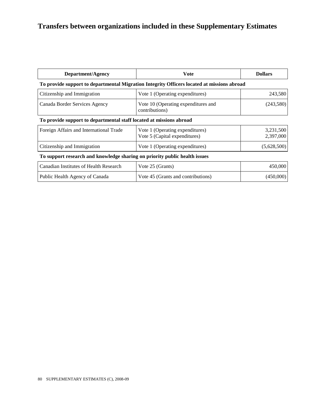| Department/Agency                                                          | Vote                                                                                       | <b>Dollars</b>         |  |  |
|----------------------------------------------------------------------------|--------------------------------------------------------------------------------------------|------------------------|--|--|
|                                                                            | To provide support to departmental Migration Integrity Officers located at missions abroad |                        |  |  |
| Citizenship and Immigration                                                | Vote 1 (Operating expenditures)                                                            | 243,580                |  |  |
| Canada Border Services Agency                                              | Vote 10 (Operating expenditures and<br>contributions)                                      | (243,580)              |  |  |
| To provide support to departmental staff located at missions abroad        |                                                                                            |                        |  |  |
| Foreign Affairs and International Trade                                    | Vote 1 (Operating expenditures)<br>Vote 5 (Capital expenditures)                           | 3,231,500<br>2,397,000 |  |  |
| Citizenship and Immigration                                                | Vote 1 (Operating expenditures)                                                            | (5,628,500)            |  |  |
| To support research and knowledge sharing on priority public health issues |                                                                                            |                        |  |  |
| Canadian Institutes of Health Research                                     | Vote 25 (Grants)                                                                           | 450,000                |  |  |
| Public Health Agency of Canada                                             | Vote 45 (Grants and contributions)                                                         | (450,000)              |  |  |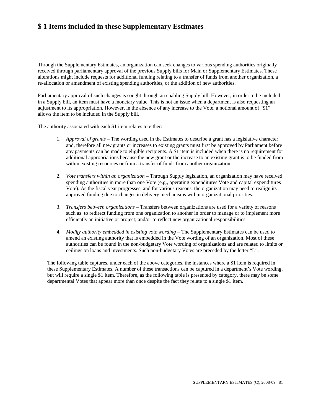## **\$ 1 Items included in these Supplementary Estimates**

Through the Supplementary Estimates, an organization can seek changes to various spending authorities originally received through parliamentary approval of the previous Supply bills for Main or Supplementary Estimates. These alterations might include requests for additional funding relating to a transfer of funds from another organization, a re-allocation or amendment of existing spending authorities, or the addition of new authorities.

Parliamentary approval of such changes is sought through an enabling Supply bill. However, in order to be included in a Supply bill, an item must have a monetary value. This is not an issue when a department is also requesting an adjustment to its appropriation. However, in the absence of any increase to the Vote, a notional amount of "\$1" allows the item to be included in the Supply bill.

The authority associated with each \$1 item relates to either:

- 1. *Approval of grants* The wording used in the Estimates to describe a grant has a legislative character and, therefore all new grants or increases to existing grants must first be approved by Parliament before any payments can be made to eligible recipients. A \$1 item is included when there is no requirement for additional appropriations because the new grant or the increase to an existing grant is to be funded from within existing resources or from a transfer of funds from another organization.
- 2. *Vote transfers within an organization* Through Supply legislation, an organization may have received spending authorities in more than one Vote (e.g., operating expenditures Vote and capital expenditures Vote). As the fiscal year progresses, and for various reasons, the organization may need to realign its approved funding due to changes in delivery mechanisms within organizational priorities.
- 3. *Transfers between organizations* Transfers between organizations are used for a variety of reasons such as: to redirect funding from one organization to another in order to manage or to implement more efficiently an initiative or project; and/or to reflect new organizational responsibilities.
- 4. *Modify authority embedded in existing vote wording* The Supplementary Estimates can be used to amend an existing authority that is embedded in the Vote wording of an organization. Most of these authorities can be found in the non-budgetary Vote wording of organizations and are related to limits or ceilings on loans and investments. Such non-budgetary Votes are preceded by the letter "L".

The following table captures, under each of the above categories, the instances where a \$1 item is required in these Supplementary Estimates. A number of these transactions can be captured in a department's Vote wording, but will require a single \$1 item. Therefore, as the following table is presented by category, there may be some departmental Votes that appear more than once despite the fact they relate to a single \$1 item.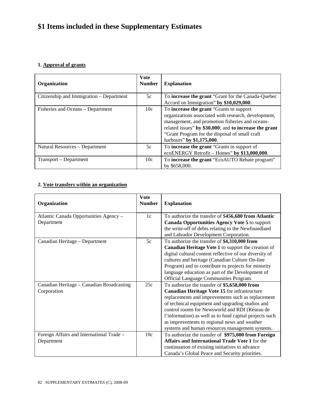# **\$1 Items included in these Supplementary Estimates**

### **1. Approval of grants**

| Organization                             | Vote<br><b>Number</b> | <b>Explanation</b>                                                                                                                                                                                                                                                                                    |
|------------------------------------------|-----------------------|-------------------------------------------------------------------------------------------------------------------------------------------------------------------------------------------------------------------------------------------------------------------------------------------------------|
| Citizenship and Immigration – Department | 5c                    | To <b>increase the grant</b> "Grant for the Canada-Quebec"<br>Accord on Immigration" by \$10,029,000.                                                                                                                                                                                                 |
| Fisheries and Oceans – Department        | 10c                   | To <b>increase the grant</b> "Grants to support"<br>organizations associated with research, development,<br>management, and promotion fisheries and oceans-<br>related issues" by \$30,000; and to increase the grant<br>"Grant Program for the disposal of small craft"<br>harbours" by \$1,175,000. |
| Natural Resources – Department           | 5c                    | To <b>increase the grant</b> "Grants in support of<br>ecoENERGY Retrofit – Homes" by \$13,000,000.                                                                                                                                                                                                    |
| Transport – Department                   | 10c                   | To increase the grant "EcoAUTO Rebate program"<br>by \$658,000.                                                                                                                                                                                                                                       |

### **2. Vote transfers within an organization**

| Organization                                             | <b>Vote</b><br><b>Number</b> | <b>Explanation</b>                                                                                                                                                                                                                                                                                                                                                                                                     |
|----------------------------------------------------------|------------------------------|------------------------------------------------------------------------------------------------------------------------------------------------------------------------------------------------------------------------------------------------------------------------------------------------------------------------------------------------------------------------------------------------------------------------|
| Atlantic Canada Opportunities Agency -<br>Department     | 1c                           | To authorize the transfer of \$456,680 from Atlantic<br>Canada Opportunities Agency Vote 5 to support<br>the write-off of debts relating to the Newfoundland<br>and Labrador Development Corporation.                                                                                                                                                                                                                  |
| Canadian Heritage - Department                           | 5c                           | To authorize the transfer of \$4,310,000 from<br>Canadian Heritage Vote 1 to support the creation of<br>digital cultural content reflective of our diversity of<br>cultures and heritage (Canadian Culture On-line<br>Program) and to contribute to projects for minority<br>language education as part of the Development of<br>Official Language Communities Program.                                                |
| Canadian Heritage - Canadian Broadcasting<br>Corporation | 25c                          | To authorize the transfer of \$5,658,000 from<br>Canadian Heritage Vote 15 for infrastructure<br>replacements and improvements such as replacement<br>of technical equipment and upgrading studios and<br>control rooms for Newsworld and RDI (Réseau de<br>l'information) as well as to fund capital projects such<br>as improvements to regional news and weather<br>systems and human resources management systems. |
| Foreign Affairs and International Trade -<br>Department  | 10c                          | To authorize the transfer of \$975,000 from Foreign<br><b>Affairs and International Trade Vote 1</b> for the<br>continuation of existing initiatives to advance<br>Canada's Global Peace and Security priorities.                                                                                                                                                                                                      |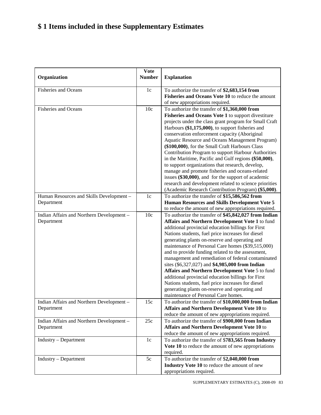# **\$ 1 Items included in these Supplementary Estimates**

| Organization                                            | <b>Vote</b><br><b>Number</b> | <b>Explanation</b>                                                                                                                                                                                                                                                                                                                                                                                                                                                                                                                                                                                                                                                                                                                                                     |
|---------------------------------------------------------|------------------------------|------------------------------------------------------------------------------------------------------------------------------------------------------------------------------------------------------------------------------------------------------------------------------------------------------------------------------------------------------------------------------------------------------------------------------------------------------------------------------------------------------------------------------------------------------------------------------------------------------------------------------------------------------------------------------------------------------------------------------------------------------------------------|
| <b>Fisheries and Oceans</b>                             | 1c                           | To authorize the transfer of \$2,683,154 from<br>Fisheries and Oceans Vote 10 to reduce the amount<br>of new appropriations required.                                                                                                                                                                                                                                                                                                                                                                                                                                                                                                                                                                                                                                  |
| <b>Fisheries and Oceans</b>                             | 10c                          | To authorize the transfer of \$1,360,000 from<br>Fisheries and Oceans Vote 1 to support divestiture<br>projects under the class grant program for Small Craft<br>Harbours (\$1,175,000), to support fisheries and<br>conservation enforcement capacity (Aboriginal<br>Aquatic Resource and Oceans Management Program)<br>(\$100,000), for the Small Craft Harbours Class<br>Contribution Program to support Harbour Authorities<br>in the Maritime, Pacific and Gulf regions (\$50,000),<br>to support organizations that research, develop,<br>manage and promote fisheries and oceans-related<br>issues (\$30,000), and for the support of academic<br>research and development related to science priorities<br>(Academic Research Contribution Program) (\$5,000). |
| Human Resources and Skills Development -<br>Department  | 1c                           | To authorize the transfer of \$15,586,562 from<br>Human Resources and Skills Development Vote 5<br>to reduce the amount of new appropriations required.                                                                                                                                                                                                                                                                                                                                                                                                                                                                                                                                                                                                                |
| Indian Affairs and Northern Development -<br>Department | 10c                          | To authorize the transfer of \$45,842,027 from Indian<br>Affairs and Northern Development Vote 1 to fund<br>additional provincial education billings for First<br>Nations students, fuel price increases for diesel<br>generating plants on-reserve and operating and<br>maintenance of Personal Care homes (\$39,515,000)<br>and to provide funding related to the assessment,<br>management and remediation of federal contaminated<br>sites (\$6,327,027) and \$4,985,000 from Indian<br>Affairs and Northern Development Vote 5 to fund<br>additional provincial education billings for First<br>Nations students, fuel price increases for diesel<br>generating plants on-reserve and operating and<br>maintenance of Personal Care homes.                        |
| Indian Affairs and Northern Development -<br>Department | 15c                          | To authorize the transfer of \$10,000,000 from Indian<br>Affairs and Northern Development Vote 10 to<br>reduce the amount of new appropriations required.                                                                                                                                                                                                                                                                                                                                                                                                                                                                                                                                                                                                              |
| Indian Affairs and Northern Development -<br>Department | 25c                          | To authorize the transfer of \$900,000 from Indian<br>Affairs and Northern Development Vote 10 to<br>reduce the amount of new appropriations required.                                                                                                                                                                                                                                                                                                                                                                                                                                                                                                                                                                                                                 |
| Industry - Department                                   | 1c                           | To authorize the transfer of \$783,565 from Industry<br>Vote 10 to reduce the amount of new appropriations<br>required.                                                                                                                                                                                                                                                                                                                                                                                                                                                                                                                                                                                                                                                |
| Industry - Department                                   | 5c                           | To authorize the transfer of \$2,040,000 from<br>Industry Vote 10 to reduce the amount of new<br>appropriations required.                                                                                                                                                                                                                                                                                                                                                                                                                                                                                                                                                                                                                                              |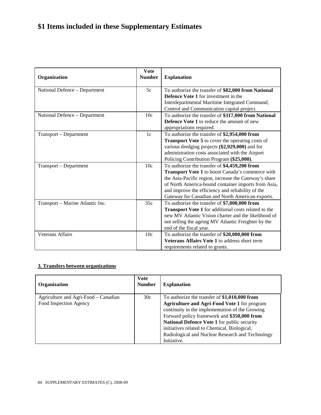# **\$1 Items included in these Supplementary Estimates**

| Organization                     | <b>Vote</b><br><b>Number</b> | <b>Explanation</b>                                                                                                                                                                                                                                                                                                         |
|----------------------------------|------------------------------|----------------------------------------------------------------------------------------------------------------------------------------------------------------------------------------------------------------------------------------------------------------------------------------------------------------------------|
| National Defence - Department    | 5c                           | To authorize the transfer of \$82,000 from National<br><b>Defence Vote 1</b> for investment in the<br>Interdepartmental Maritime Integrated Command,<br>Control and Communication capital project.                                                                                                                         |
| National Defence - Department    | 10c                          | To authorize the transfer of \$317,000 from National<br><b>Defence Vote 1</b> to reduce the amount of new<br>appropriations required.                                                                                                                                                                                      |
| Transport - Department           | 1c                           | To authorize the transfer of \$2,954,000 from<br><b>Transport Vote 5</b> to cover the operating costs of<br>various dredging projects (\$2,929,000) and for<br>administration costs associated with the Airport<br>Policing Contribution Program (\$25,000).                                                               |
| Transport - Department           | 10c                          | To authorize the transfer of \$4,459,200 from<br>Transport Vote 1 to boost Canada's commerce with<br>the Asia-Pacific region, increase the Gateway's share<br>of North America-bound container imports from Asia,<br>and improve the efficiency and reliability of the<br>Gateway for Canadian and North American exports. |
| Transport – Marine Atlantic Inc. | 35c                          | To authorize the transfer of \$7,000,000 from<br><b>Transport Vote 1</b> for additional costs related to the<br>new MV Atlantic Vision charter and the likelihood of<br>not selling the ageing MV Atlantic Freighter by the<br>end of the fiscal year.                                                                     |
| <b>Veterans Affairs</b>          | 10c                          | To authorize the transfer of \$20,000,000 from<br>Veterans Affairs Vote 1 to address short term<br>requirements related to grants.                                                                                                                                                                                         |

### **3. Transfers between organizations**

| Organization                         | <b>Vote</b><br><b>Number</b> | <b>Explanation</b>                                  |
|--------------------------------------|------------------------------|-----------------------------------------------------|
| Agriculture and Agri-Food - Canadian | 30c                          | To authorize the transfer of \$1,010,000 from       |
| Food Inspection Agency               |                              | <b>Agriculture and Agri-Food Vote 1</b> for program |
|                                      |                              | continuity in the implementation of the Growing     |
|                                      |                              | Forward policy framework and \$350,000 from         |
|                                      |                              | National Defence Vote 1 for public security         |
|                                      |                              | initiatives related to Chemical, Biological,        |
|                                      |                              | Radiological and Nuclear Research and Technology    |
|                                      |                              | Initiative.                                         |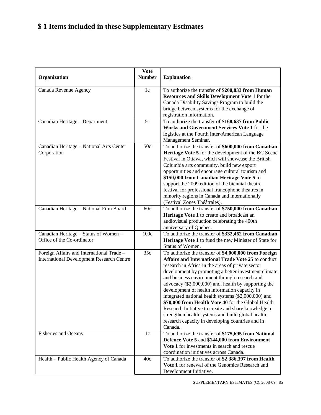# **\$ 1 Items included in these Supplementary Estimates**

| Organization                                                                                                                 | <b>Vote</b><br><b>Number</b> | <b>Explanation</b>                                                                                                                                                                                                                                                                                                                                                                                                                                                                                                                                                                                                                                                                                                                   |
|------------------------------------------------------------------------------------------------------------------------------|------------------------------|--------------------------------------------------------------------------------------------------------------------------------------------------------------------------------------------------------------------------------------------------------------------------------------------------------------------------------------------------------------------------------------------------------------------------------------------------------------------------------------------------------------------------------------------------------------------------------------------------------------------------------------------------------------------------------------------------------------------------------------|
| Canada Revenue Agency                                                                                                        | 1c                           | To authorize the transfer of \$200,833 from Human<br>Resources and Skills Development Vote 1 for the<br>Canada Disability Savings Program to build the<br>bridge between systems for the exchange of<br>registration information.                                                                                                                                                                                                                                                                                                                                                                                                                                                                                                    |
| Canadian Heritage - Department                                                                                               | 5c                           | To authorize the transfer of \$168,637 from Public<br>Works and Government Services Vote 1 for the<br>logistics at the Fourth Inter-American Language<br>Management Seminar.                                                                                                                                                                                                                                                                                                                                                                                                                                                                                                                                                         |
| Canadian Heritage - National Arts Center<br>Corporation                                                                      | 50c                          | To authorize the transfer of \$600,000 from Canadian<br>Heritage Vote 5 for the development of the BC Scene<br>Festival in Ottawa, which will showcase the British<br>Columbia arts community, build new export<br>opportunities and encourage cultural tourism and<br>\$150,000 from Canadian Heritage Vote 5 to<br>support the 2009 edition of the biennial theatre<br>festival for professional francophone theatres in<br>minority regions in Canada and internationally<br>(Festival Zones Théâtrales).                                                                                                                                                                                                                         |
| Canadian Heritage - National Film Board                                                                                      | 60c                          | To authorize the transfer of \$750,000 from Canadian<br>Heritage Vote 1 to create and broadcast an<br>audiovisual production celebrating the 400th<br>anniversary of Quebec.                                                                                                                                                                                                                                                                                                                                                                                                                                                                                                                                                         |
| Canadian Heritage - Status of Women -<br>Office of the Co-ordinator                                                          | 100c                         | To authorize the transfer of \$332,462 from Canadian<br>Heritage Vote 1 to fund the new Minister of State for<br>Status of Women.                                                                                                                                                                                                                                                                                                                                                                                                                                                                                                                                                                                                    |
| Foreign Affairs and International Trade -<br><b>International Development Research Centre</b><br><b>Fisheries and Oceans</b> | 35c<br>1c                    | To authorize the transfer of \$4,000,000 from Foreign<br>Affairs and International Trade Vote 25 to conduct<br>research in Africa in the areas of private sector<br>development by promoting a better investment climate<br>and business environment through research and<br>advocacy (\$2,000,000) and, health by supporting the<br>development of health information capacity in<br>integrated national health systems (\$2,000,000) and<br>\$70,000 from Health Vote 40 for the Global Health<br>Research Initiative to create and share knowledge to<br>strengthen health systems and build global health<br>research capacity in developing countries and in<br>Canada.<br>To authorize the transfer of \$175,695 from National |
|                                                                                                                              |                              | Defence Vote 5 and \$144,000 from Environment<br>Vote 1 for investments in search and rescue<br>coordination initiatives across Canada.                                                                                                                                                                                                                                                                                                                                                                                                                                                                                                                                                                                              |
| Health - Public Health Agency of Canada                                                                                      | 40c                          | To authorize the transfer of \$2,386,397 from Health<br>Vote 1 for renewal of the Genomics Research and<br>Development Initiative.                                                                                                                                                                                                                                                                                                                                                                                                                                                                                                                                                                                                   |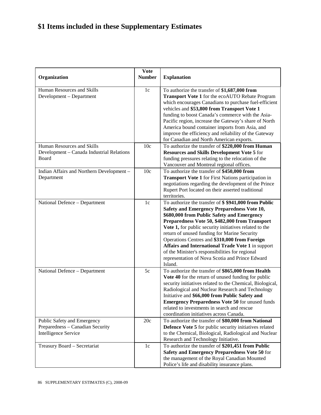# **\$1 Items included in these Supplementary Estimates**

| Organization                                                                                   | <b>Vote</b><br><b>Number</b> | <b>Explanation</b>                                                                                                                                                                                                                                                                                                                                                                                                                                                                                                                                |
|------------------------------------------------------------------------------------------------|------------------------------|---------------------------------------------------------------------------------------------------------------------------------------------------------------------------------------------------------------------------------------------------------------------------------------------------------------------------------------------------------------------------------------------------------------------------------------------------------------------------------------------------------------------------------------------------|
| Human Resources and Skills<br>Development - Department                                         | 1c                           | To authorize the transfer of \$1,687,000 from<br>Transport Vote 1 for the ecoAUTO Rebate Program<br>which encourages Canadians to purchase fuel-efficient<br>vehicles and \$53,800 from Transport Vote 1<br>funding to boost Canada's commerce with the Asia-<br>Pacific region, increase the Gateway's share of North<br>America bound container imports from Asia, and<br>improve the efficiency and reliability of the Gateway<br>for Canadian and North American exports.                                                                     |
| Human Resources and Skills<br>Development - Canada Industrial Relations<br>Board               | 10c                          | To authorize the transfer of \$220,000 from Human<br><b>Resources and Skills Development Vote 5 for</b><br>funding pressures relating to the relocation of the<br>Vancouver and Montreal regional offices.                                                                                                                                                                                                                                                                                                                                        |
| Indian Affairs and Northern Development -<br>Department                                        | 10c                          | To authorize the transfer of \$450,000 from<br><b>Transport Vote 1</b> for First Nations participation in<br>negotiations regarding the development of the Prince<br>Rupert Port located on their asserted traditional<br>territories.                                                                                                                                                                                                                                                                                                            |
| National Defence - Department                                                                  | 1c                           | To authorize the transfer of \$\$941,000 from Public<br><b>Safety and Emergency Preparedness Vote 10,</b><br>\$680,000 from Public Safety and Emergency<br>Preparedness Vote 50, \$482,000 from Transport<br>Vote 1, for public security initiatives related to the<br>return of unused funding for Marine Security<br>Operations Centres and \$310,000 from Foreign<br><b>Affairs and International Trade Vote 1</b> in support<br>of the Minister's responsibilities for regional<br>representation of Nova Scotia and Prince Edward<br>Island. |
| National Defence - Department                                                                  | 5c                           | To authorize the transfer of \$865,000 from Health<br>Vote 40 for the return of unused funding for public<br>security initiatives related to the Chemical, Biological,<br>Radiological and Nuclear Research and Technology<br>Initiative and \$66,000 from Public Safety and<br><b>Emergency Preparedness Vote 50 for unused funds</b><br>related to investments in search and rescue<br>coordination initiatives across Canada.                                                                                                                  |
| Public Safety and Emergency<br>Preparedness - Canadian Security<br><b>Intelligence Service</b> | 20c                          | To authorize the transfer of \$80,000 from National<br><b>Defence Vote 5</b> for public security initiatives related<br>to the Chemical, Biological, Radiological and Nuclear<br>Research and Technology Initiative.                                                                                                                                                                                                                                                                                                                              |
| Treasury Board - Secretariat                                                                   | 1c                           | To authorize the transfer of \$201,451 from Public<br>Safety and Emergency Preparedness Vote 50 for<br>the management of the Royal Canadian Mounted<br>Police's life and disability insurance plans.                                                                                                                                                                                                                                                                                                                                              |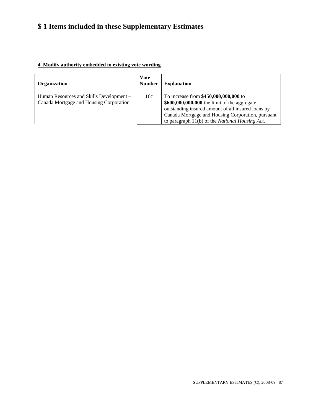# **\$ 1 Items included in these Supplementary Estimates**

### **4. Modify authority embedded in existing vote wording**

| Organization                                                                        | Vote<br><b>Number</b> | <b>Explanation</b>                                                                                                                                                                                                                                  |
|-------------------------------------------------------------------------------------|-----------------------|-----------------------------------------------------------------------------------------------------------------------------------------------------------------------------------------------------------------------------------------------------|
| Human Resources and Skills Development –<br>Canada Mortgage and Housing Corporation | 16c                   | To increase from \$450,000,000,000 to<br>\$600,000,000,000 the limit of the aggregate<br>outstanding insured amount of all insured loans by<br>Canada Mortgage and Housing Corporation, pursuant<br>to paragraph 11(b) of the National Housing Act. |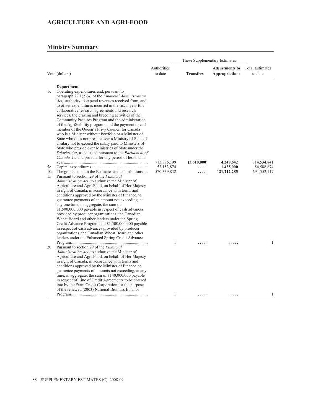### **AGRICULTURE AND AGRI-FOOD**

|                 |                                                                                                                                                                                                                                                                                                                                                                                                                                                                                                                                                                                                                                                                                                                                                                                                                                                                             |                                            | These Supplementary Estimates |                                                |                                            |
|-----------------|-----------------------------------------------------------------------------------------------------------------------------------------------------------------------------------------------------------------------------------------------------------------------------------------------------------------------------------------------------------------------------------------------------------------------------------------------------------------------------------------------------------------------------------------------------------------------------------------------------------------------------------------------------------------------------------------------------------------------------------------------------------------------------------------------------------------------------------------------------------------------------|--------------------------------------------|-------------------------------|------------------------------------------------|--------------------------------------------|
|                 | Vote (dollars)                                                                                                                                                                                                                                                                                                                                                                                                                                                                                                                                                                                                                                                                                                                                                                                                                                                              | Authorities<br>to date                     | <b>Transfers</b>              | <b>Adjustments to</b><br><b>Appropriations</b> | <b>Total Estimates</b><br>to date          |
| 1c              | Department<br>Operating expenditures and, pursuant to<br>paragraph $29.1(2)(a)$ of the <i>Financial Administration</i><br>Act, authority to expend revenues received from, and<br>to offset expenditures incurred in the fiscal year for,<br>collaborative research agreements and research<br>services, the grazing and breeding activities of the<br>Community Pastures Program and the administration<br>of the AgriStability program; and the payment to each<br>member of the Queen's Privy Council for Canada<br>who is a Minister without Portfolio or a Minister of<br>State who does not preside over a Ministry of State of<br>a salary not to exceed the salary paid to Ministers of<br>State who preside over Ministries of State under the<br>Salaries Act, as adjusted pursuant to the Parliament of<br>Canada Act and pro rata for any period of less than a |                                            |                               |                                                |                                            |
| 5c<br>10c<br>15 | The grants listed in the Estimates and contributions<br>Pursuant to section 29 of the <i>Financial</i><br>Administration Act, to authorize the Minister of<br>Agriculture and Agri-Food, on behalf of Her Majesty<br>in right of Canada, in accordance with terms and                                                                                                                                                                                                                                                                                                                                                                                                                                                                                                                                                                                                       | 713,896,199<br>53, 153, 874<br>570,339,832 | (3,610,000)<br>.<br>.         | 4,248,642<br>1,435,000<br>121, 212, 285        | 714,534,841<br>54,588,874<br>691, 552, 117 |
|                 | conditions approved by the Minister of Finance, to<br>guarantee payments of an amount not exceeding, at<br>any one time, in aggregate, the sum of<br>\$1,500,000,000 payable in respect of cash advances<br>provided by producer organizations, the Canadian<br>Wheat Board and other lenders under the Spring<br>Credit Advance Program and \$1,500,000,000 payable<br>in respect of cash advances provided by producer<br>organizations, the Canadian Wheat Board and other<br>lenders under the Enhanced Spring Credit Advance                                                                                                                                                                                                                                                                                                                                           | $\mathbf{1}$                               |                               |                                                | $\mathbf{1}$                               |
| 20              | Pursuant to section 29 of the Financial<br>Administration Act, to authorize the Minister of<br>Agriculture and Agri-Food, on behalf of Her Majesty<br>in right of Canada, in accordance with terms and<br>conditions approved by the Minister of Finance, to<br>guarantee payments of amounts not exceeding, at any<br>time, in aggregate, the sum of \$140,000,000 payable<br>in respect of Line of Credit Agreements to be entered<br>into by the Farm Credit Corporation for the purpose<br>of the renewed (2003) National Biomass Ethanol                                                                                                                                                                                                                                                                                                                               |                                            |                               |                                                |                                            |
|                 |                                                                                                                                                                                                                                                                                                                                                                                                                                                                                                                                                                                                                                                                                                                                                                                                                                                                             | 1                                          | .                             | .                                              | 1                                          |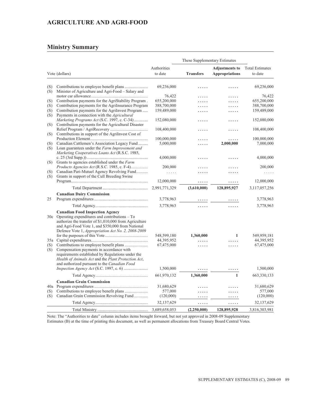### **AGRICULTURE AND AGRI-FOOD**

### **Ministry Summary**

|            |                                                                                                                                                  |                          | These Supplementary Estimates |                       |                        |
|------------|--------------------------------------------------------------------------------------------------------------------------------------------------|--------------------------|-------------------------------|-----------------------|------------------------|
|            |                                                                                                                                                  | Authorities              |                               | <b>Adjustments to</b> | <b>Total Estimates</b> |
|            | Vote (dollars)                                                                                                                                   | to date                  | <b>Transfers</b>              | <b>Appropriations</b> | to date                |
|            |                                                                                                                                                  |                          |                               |                       |                        |
| (S)<br>(S) | Minister of Agriculture and Agri-Food - Salary and                                                                                               | 69,236,000               | .                             |                       | 69,236,000             |
|            |                                                                                                                                                  | 76,422                   | .                             | .                     | 76,422                 |
| (S)        | Contribution payments for the AgriStability Program.                                                                                             | 655,200,000              | .                             | .                     | 655,200,000            |
| (S)        | Contribution payments for the AgriInsurance Program                                                                                              | 388,700,000              |                               |                       | 388,700,000            |
| (S)        | Contribution payments for the AgriInvest Program                                                                                                 | 159,489,000              | .                             | .                     | 159,489,000            |
| (S)        | Payments in connection with the <i>Agricultural</i>                                                                                              |                          |                               |                       |                        |
|            | <i>Marketing Programs Act</i> (S.C. 1997, c. C-34)                                                                                               | 152,080,000              | .                             | .                     | 152,080,000            |
| (S)        | Contribution payments for the Agricultural Disaster                                                                                              |                          |                               |                       |                        |
|            |                                                                                                                                                  | 108,400,000              |                               | .                     | 108,400,000            |
| (S)        | Contributions in support of the Agril nvest Cost of                                                                                              |                          |                               |                       |                        |
|            |                                                                                                                                                  | 100,000,000              |                               | .                     | 100,000,000            |
| (S)<br>(S) | Canadian Cattlemen's Association Legacy Fund<br>Loan guarantees under the Farm Improvement and<br>Marketing Cooperatives Loans Act (R.S.C. 1985, | 5,000,000                | .                             | 2,000,000             | 7,000,000              |
|            |                                                                                                                                                  | 4,000,000                | .                             | .                     | 4,000,000              |
| (S)        | Grants to agencies established under the Farm                                                                                                    |                          |                               |                       |                        |
|            | Products Agencies Act (R.S.C. 1985, c. F-4)                                                                                                      | 200,000                  |                               |                       | 200,000                |
| (S)        | Canadian Pari-Mutuel Agency Revolving Fund                                                                                                       | .                        | .                             |                       |                        |
| (S)        | Grants in support of the Cull Breeding Swine                                                                                                     |                          |                               |                       |                        |
|            |                                                                                                                                                  | 12,000,000               |                               | .                     | 12,000,000             |
|            |                                                                                                                                                  | 2,991,771,329            | (3,610,000)                   | 128,895,927           | 3,117,057,256          |
|            | <b>Canadian Dairy Commission</b>                                                                                                                 |                          |                               |                       |                        |
| 25         |                                                                                                                                                  | 3,778,963                |                               |                       | 3,778,963              |
|            |                                                                                                                                                  | 3,778,963                |                               |                       | 3,778,963              |
|            | <b>Canadian Food Inspection Agency</b>                                                                                                           |                          |                               |                       |                        |
| 30c        | Operating expenditures and contributions – To                                                                                                    |                          |                               |                       |                        |
|            | authorize the transfer of \$1,010,000 from Agriculture                                                                                           |                          |                               |                       |                        |
|            | and Agri-Food Vote 1, and \$350,000 from National                                                                                                |                          |                               |                       |                        |
|            | Defence Vote 1, Appropriation Act No. 2, 2008-2009                                                                                               |                          |                               |                       |                        |
|            |                                                                                                                                                  | 548,599,180              | 1,360,000                     | 1                     | 549,959,181            |
| 35a        |                                                                                                                                                  | 44,395,952<br>67,475,000 | .                             | .                     | 44,395,952             |
| (S)<br>(S) | Compensation payments in accordance with                                                                                                         |                          | .                             | .                     | 67,475,000             |
|            | requirements established by Regulations under the                                                                                                |                          |                               |                       |                        |
|            | Health of Animals Act and the Plant Protection Act,                                                                                              |                          |                               |                       |                        |
|            | and authorized pursuant to the Canadian Food                                                                                                     |                          |                               |                       |                        |
|            |                                                                                                                                                  | 1,500,000                | .                             | .                     | 1,500,000              |
|            |                                                                                                                                                  | 661,970,132              | 1,360,000                     | 1                     | 663,330,133            |
|            | <b>Canadian Grain Commission</b>                                                                                                                 |                          |                               |                       |                        |
|            |                                                                                                                                                  | 31,680,629               |                               |                       | 31,680,629             |
| (S)        |                                                                                                                                                  | 577,000                  | .                             | .                     | 577,000                |
| (S)        | Canadian Grain Commission Revolving Fund                                                                                                         | (120,000)                | .                             | .                     | (120,000)              |
|            |                                                                                                                                                  | 32, 137, 629             | .                             | .                     | 32, 137, 629           |
|            |                                                                                                                                                  |                          |                               | 128,895,928           |                        |
|            |                                                                                                                                                  | 3,689,658,053            | (2,250,000)                   |                       | 3,816,303,981          |

Note: The "Authorities to date" column includes items brought forward, but not yet approved in 2008-09 Supplementary Estimates (B) at the time of printing this document, as well as permanent allocations from Treasury Board Central Votes.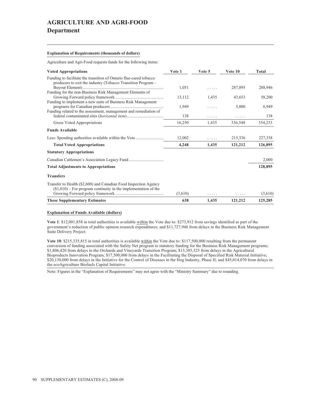## **AGRICULTURE AND AGRI-FOOD Department**

#### **Explanation of Requirements (thousands of dollars)**

Agriculture and Agri-Food requests funds for the following items:

| <b>Voted Appropriations</b>                                                                                                          | Vote 1  | Vote 5 | Vote 10 | Total   |
|--------------------------------------------------------------------------------------------------------------------------------------|---------|--------|---------|---------|
| Funding to facilitate the transition of Ontario flue-cured tobacco<br>producers to exit the industry (Tobacco Transition Program –   |         |        |         |         |
|                                                                                                                                      | 1,051   |        | 287,895 | 288,946 |
| Funding for the non-Business Risk Management Elements of                                                                             |         |        |         |         |
| Funding to implement a new suite of Business Risk Management                                                                         | 13,112  | 1,435  | 43,653  | 58,200  |
|                                                                                                                                      | 1.949   | .      | 5,000   | 6,949   |
| Funding related to the assessment, management and remediation of                                                                     |         |        |         |         |
|                                                                                                                                      | 138     | .      | .       | 138     |
| Gross Voted Appropriations                                                                                                           | 16,250  | 1.435  | 336,548 | 354,233 |
| <b>Funds Available</b>                                                                                                               |         |        |         |         |
|                                                                                                                                      | 12.002  | .      | 215,336 | 227,338 |
| <b>Total Voted Appropriations</b>                                                                                                    | 4,248   | 1,435  | 121,212 | 126,895 |
| <b>Statutory Appropriations</b>                                                                                                      |         |        |         |         |
|                                                                                                                                      |         |        |         | 2,000   |
| <b>Total Adjustments to Appropriations</b>                                                                                           |         |        |         | 128,895 |
| <b>Transfers</b>                                                                                                                     |         |        |         |         |
| Transfer to Health (\$2,600) and Canadian Food Inspection Agency<br>$($1,010)$ – For program continuity in the implementation of the |         |        |         |         |
|                                                                                                                                      | (3,610) | .      | .       | (3,610) |
| <b>These Supplementary Estimates</b>                                                                                                 | 638     | 1,435  | 121,212 | 125,285 |

#### **Explanation of Funds Available (dollars)**

**Vote 1**: \$12,001,858 in total authorities is available within the Vote due to: \$273,912 from savings identified as part of the government's reduction of public opinion research expenditures; and \$11,727,946 from delays in the Business Risk Management Suite Delivery Project.

Vote 10: \$215,335,815 in total authorities is available within the Vote due to: \$117,500,000 resulting from the permanent conversion of funding associated with the Safety Net program to statutory funding for the Business Risk Management programs; \$1,806,420 from delays in the Orchards and Vineyards Transition Program; \$13,385,325 from delays in the Agricultural Bioproducts Innovation Program; \$17,500,000 from delays in the Facilitating the Disposal of Specified Risk Material Initiative; \$20,130,000 from delays in the Initiative for the Control of Diseases in the Hog Industry, Phase II; and \$45,014,070 from delays in the ecoAgriculture Biofuels Capital Initiative.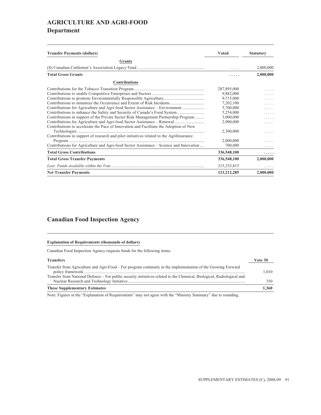## **AGRICULTURE AND AGRI-FOOD Department**

| <b>Transfer Payments (dollars)</b>                                                      | <b>Voted</b>  | <b>Statutory</b> |
|-----------------------------------------------------------------------------------------|---------------|------------------|
| <b>Grants</b>                                                                           |               |                  |
|                                                                                         |               | 2,000,000        |
| <b>Total Gross Grants</b>                                                               |               | 2,000,000        |
| <b>Contributions</b>                                                                    |               |                  |
|                                                                                         | 287,895,000   |                  |
|                                                                                         | 9,882,000     |                  |
|                                                                                         | 9,715,000     |                  |
|                                                                                         | 7,202,100     |                  |
| Contributions for Agriculture and Agri-food Sector Assistance – Environment             | 5,700,000     |                  |
| Contributions to enhance the Safety and Security of Canada's Food System                | 5,254,000     | $\cdots$         |
| Contributions in support of the Private Sector Risk Management Partnership Program      | 3,000,000     |                  |
| Contributions for Agriculture and Agri-food Sector Assistance – Renewal                 | 2,900,000     |                  |
| Contributions to accelerate the Pace of Innovation and Facilitate the Adoption of New   |               |                  |
|                                                                                         | 2,300,000     |                  |
| Contributions in support of research and pilot initiatives related to the AgriInsurance |               |                  |
|                                                                                         | 2,000,000     |                  |
| Contributions for Agriculture and Agri-food Sector Assistance - Science and Innovation  | 700,000       |                  |
| <b>Total Gross Contributions</b>                                                        | 336,548,100   | .                |
| <b>Total Gross Transfer Payments</b>                                                    | 336,548,100   | 2,000,000        |
|                                                                                         | 215, 335, 815 | .                |
| <b>Net Transfer Payments</b>                                                            | 121,212,285   | 2,000,000        |

### **Canadian Food Inspection Agency**

#### **Explanation of Requirements (thousands of dollars)**

Canadian Food Inspection Agency requests funds for the following items:

| <b>Transfers</b>                                                                                                       | Vote 30 |
|------------------------------------------------------------------------------------------------------------------------|---------|
| Transfer from Agriculture and Agri-Food – For program continuity in the implementation of the Growing Forward          | 1.010   |
| Transfer from National Defence – For public security initiatives related to the Chemical, Biological, Radiological and |         |
| <b>These Supplementary Estimates</b>                                                                                   | 1.360   |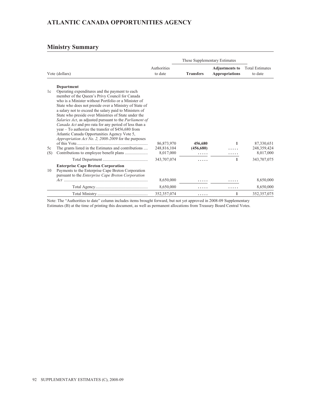### **ATLANTIC CANADA OPPORTUNITIES AGENCY**

### **Ministry Summary**

|                |                                                                                                                                                                                                                                                                                                                                                                                                                                                                                                                                                                                                                                       |                          | These Supplementary Estimates |                                                |                                   |
|----------------|---------------------------------------------------------------------------------------------------------------------------------------------------------------------------------------------------------------------------------------------------------------------------------------------------------------------------------------------------------------------------------------------------------------------------------------------------------------------------------------------------------------------------------------------------------------------------------------------------------------------------------------|--------------------------|-------------------------------|------------------------------------------------|-----------------------------------|
| Vote (dollars) |                                                                                                                                                                                                                                                                                                                                                                                                                                                                                                                                                                                                                                       | Authorities<br>to date   | <b>Transfers</b>              | <b>Adjustments to</b><br><b>Appropriations</b> | <b>Total Estimates</b><br>to date |
| 1c             | Department<br>Operating expenditures and the payment to each<br>member of the Queen's Privy Council for Canada<br>who is a Minister without Portfolio or a Minister of<br>State who does not preside over a Ministry of State of<br>a salary not to exceed the salary paid to Ministers of<br>State who preside over Ministries of State under the<br>Salaries Act, as adjusted pursuant to the Parliament of<br>Canada Act and pro rata for any period of less than a<br>year $-$ To authorize the transfer of \$456,680 from<br>Atlantic Canada Opportunities Agency Vote 5,<br>Appropriation Act No. 2, 2008-2009 for the purposes | 86,873,970               | 456,680                       | 1                                              | 87,330,651                        |
| 5c<br>(S)      | The grants listed in the Estimates and contributions                                                                                                                                                                                                                                                                                                                                                                                                                                                                                                                                                                                  | 248,816,104<br>8,017,000 | (456,680)                     |                                                | 248, 359, 424<br>8,017,000        |
|                |                                                                                                                                                                                                                                                                                                                                                                                                                                                                                                                                                                                                                                       | 343,707,074              |                               | 1                                              | 343,707,075                       |
| 10             | <b>Enterprise Cape Breton Corporation</b><br>Payments to the Enterprise Cape Breton Corporation<br>pursuant to the Enterprise Cape Breton Corporation                                                                                                                                                                                                                                                                                                                                                                                                                                                                                 |                          |                               |                                                |                                   |
|                |                                                                                                                                                                                                                                                                                                                                                                                                                                                                                                                                                                                                                                       | 8,650,000                | .                             |                                                | 8,650,000                         |
|                |                                                                                                                                                                                                                                                                                                                                                                                                                                                                                                                                                                                                                                       | 8,650,000                | .                             |                                                | 8,650,000                         |
|                |                                                                                                                                                                                                                                                                                                                                                                                                                                                                                                                                                                                                                                       | 352, 357, 074            | .                             | 1                                              | 352, 357, 075                     |

Note: The "Authorities to date" column includes items brought forward, but not yet approved in 2008-09 Supplementary Estimates (B) at the time of printing this document, as well as permanent allocations from Treasury Board Central Votes.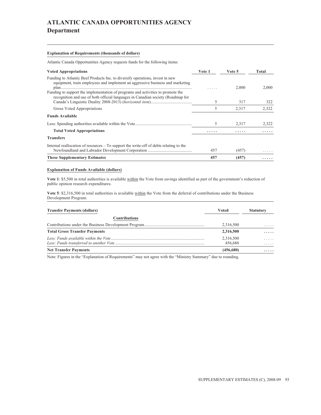## **ATLANTIC CANADA OPPORTUNITIES AGENCY Department**

#### **Explanation of Requirements (thousands of dollars)**

Atlantic Canada Opportunities Agency requests funds for the following items:

| <b>Voted Appropriations</b>                                                                                                                                                                                                                       | Vote 1 | Vote 5 | Total |
|---------------------------------------------------------------------------------------------------------------------------------------------------------------------------------------------------------------------------------------------------|--------|--------|-------|
| Funding to Atlantic Beef Products Inc. to diversify operations, invest in new<br>equipment, train employees and implement an aggressive business and marketing<br>Funding to support the implementation of programs and activities to promote the |        | 2.000  | 2.000 |
| recognition and use of both official languages in Canadian society (Roadmap for                                                                                                                                                                   | 5      | 317    | 322   |
| Gross Voted Appropriations                                                                                                                                                                                                                        | 5      | 2,317  | 2,322 |
| <b>Funds Available</b>                                                                                                                                                                                                                            |        |        |       |
|                                                                                                                                                                                                                                                   | 5      | 2,317  | 2,322 |
| <b>Total Voted Appropriations</b>                                                                                                                                                                                                                 | .      |        |       |
| <b>Transfers</b>                                                                                                                                                                                                                                  |        |        |       |
| Internal reallocation of resources – To support the write-off of debts relating to the                                                                                                                                                            | 457    | (457)  |       |
| <b>These Supplementary Estimates</b>                                                                                                                                                                                                              | 457    | (457)  | .     |

#### **Explanation of Funds Available (dollars)**

**Vote 1**: \$5,500 in total authorities is available within the Vote from savings identified as part of the government's reduction of public opinion research expenditures.

Vote 5: \$2,316,500 in total authorities is available within the Vote from the deferral of contributions under the Business Development Program.

| <b>Transfer Payments (dollars)</b>   | Voted                | <b>Statutory</b> |
|--------------------------------------|----------------------|------------------|
| <b>Contributions</b>                 |                      |                  |
|                                      | 2.316.500            | .                |
| <b>Total Gross Transfer Payments</b> | 2,316,500            | .                |
|                                      | 2,316,500<br>456,680 | .<br>.           |
| <b>Net Transfer Payments</b>         | (456, 680)           | .                |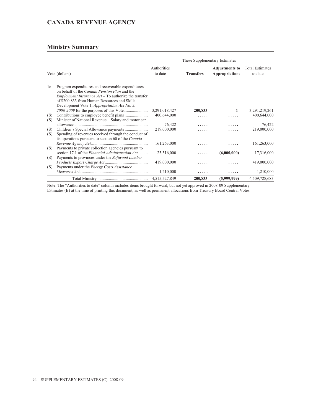### **CANADA REVENUE AGENCY**

### **Ministry Summary**

| Vote (dollars) |                                                                                                                                                                                                                                                                                              |                        | These Supplementary Estimates                                      | <b>Total Estimates</b><br>to date |                  |
|----------------|----------------------------------------------------------------------------------------------------------------------------------------------------------------------------------------------------------------------------------------------------------------------------------------------|------------------------|--------------------------------------------------------------------|-----------------------------------|------------------|
|                |                                                                                                                                                                                                                                                                                              | Authorities<br>to date | <b>Adjustments to</b><br><b>Transfers</b><br><b>Appropriations</b> |                                   |                  |
| 1c             | Program expenditures and recoverable expenditures<br>on behalf of the <i>Canada Pension Plan</i> and the<br><i>Employment Insurance <math>Act</math></i> – To authorize the transfer<br>of \$200,833 from Human Resources and Skills<br>Development Vote 1, <i>Appropriation Act No. 2</i> , |                        |                                                                    |                                   |                  |
|                |                                                                                                                                                                                                                                                                                              | 3,291,018,427          | 200,833                                                            | 1                                 | 3, 291, 219, 261 |
| (S)            |                                                                                                                                                                                                                                                                                              | 400,644,000            | .                                                                  |                                   | 400,644,000      |
| (S)            | Minister of National Revenue - Salary and motor car                                                                                                                                                                                                                                          |                        |                                                                    |                                   |                  |
|                |                                                                                                                                                                                                                                                                                              | 76,422                 |                                                                    |                                   | 76,422           |
| (S)            | Children's Special Allowance payments                                                                                                                                                                                                                                                        | 219,000,000            |                                                                    | .                                 | 219,000,000      |
| (S)            | Spending of revenues received through the conduct of<br>its operations pursuant to section 60 of the Canada                                                                                                                                                                                  |                        |                                                                    |                                   |                  |
|                |                                                                                                                                                                                                                                                                                              | 161,263,000            |                                                                    |                                   | 161,263,000      |
| (S)            | Payments to private collection agencies pursuant to                                                                                                                                                                                                                                          |                        |                                                                    |                                   |                  |
|                | section 17.1 of the <i>Financial Administration Act</i>                                                                                                                                                                                                                                      | 23,316,000             |                                                                    | (6,000,000)                       | 17,316,000       |
| (S)            | Payments to provinces under the Softwood Lumber                                                                                                                                                                                                                                              |                        |                                                                    |                                   |                  |
|                |                                                                                                                                                                                                                                                                                              | 419,000,000            | .                                                                  | .                                 | 419,000,000      |
| (S)            | Payments under the Energy Costs Assistance                                                                                                                                                                                                                                                   |                        |                                                                    |                                   |                  |
|                |                                                                                                                                                                                                                                                                                              | 1,210,000              | .                                                                  | .                                 | 1,210,000        |
|                |                                                                                                                                                                                                                                                                                              | 4,515,527,849          | 200,833                                                            | (5,999,999)                       | 4,509,728,683    |

Note: The "Authorities to date" column includes items brought forward, but not yet approved in 2008-09 Supplementary Estimates (B) at the time of printing this document, as well as permanent allocations from Treasury Board Central Votes.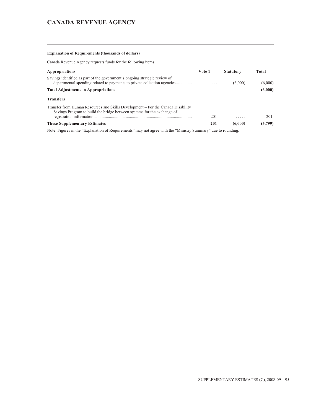### **CANADA REVENUE AGENCY**

#### **Explanation of Requirements (thousands of dollars)**

Canada Revenue Agency requests funds for the following items:

| Appropriations                                                                                                                                              | Vote 1  | <b>Statutory</b> | Total    |
|-------------------------------------------------------------------------------------------------------------------------------------------------------------|---------|------------------|----------|
| Savings identified as part of the government's ongoing strategic review of<br>departmental spending related to payments to private collection agencies      | 1.1.1.1 | (6,000)          | (6,000)  |
| <b>Total Adjustments to Appropriations</b>                                                                                                                  |         |                  | (6,000)  |
| <b>Transfers</b>                                                                                                                                            |         |                  |          |
| Transfer from Human Resources and Skills Development – For the Canada Disability<br>Savings Program to build the bridge between systems for the exchange of | 201     | .                | 201      |
| <b>These Supplementary Estimates</b>                                                                                                                        | 201     | (6,000)          | (5, 799) |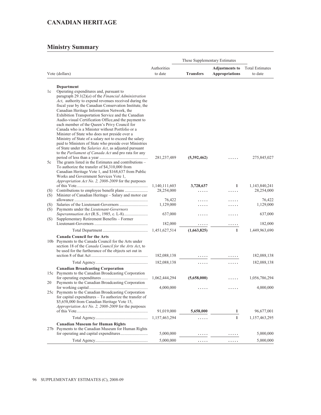|            |                                                                                                                    |               | These Supplementary Estimates |                       |                        |
|------------|--------------------------------------------------------------------------------------------------------------------|---------------|-------------------------------|-----------------------|------------------------|
|            |                                                                                                                    | Authorities   |                               | <b>Adjustments to</b> | <b>Total Estimates</b> |
|            | Vote (dollars)                                                                                                     | to date       | <b>Transfers</b>              | <b>Appropriations</b> | to date                |
|            |                                                                                                                    |               |                               |                       |                        |
| 1c         | Department<br>Operating expenditures and, pursuant to                                                              |               |                               |                       |                        |
|            | paragraph $29.1(2)(a)$ of the <i>Financial Administration</i>                                                      |               |                               |                       |                        |
|            | Act, authority to expend revenues received during the                                                              |               |                               |                       |                        |
|            | fiscal year by the Canadian Conservation Institute, the                                                            |               |                               |                       |                        |
|            | Canadian Heritage Information Network, the<br>Exhibition Transportation Service and the Canadian                   |               |                               |                       |                        |
|            | Audio-visual Certification Office, and the payment to                                                              |               |                               |                       |                        |
|            | each member of the Queen's Privy Council for                                                                       |               |                               |                       |                        |
|            | Canada who is a Minister without Portfolio or a                                                                    |               |                               |                       |                        |
|            | Minister of State who does not preside over a                                                                      |               |                               |                       |                        |
|            | Ministry of State of a salary not to exceed the salary<br>paid to Ministers of State who preside over Ministries   |               |                               |                       |                        |
|            | of State under the Salaries Act, as adjusted pursuant                                                              |               |                               |                       |                        |
|            | to the Parliament of Canada Act and pro rata for any                                                               |               |                               |                       |                        |
|            |                                                                                                                    | 281, 237, 489 | (5,392,462)                   |                       | 275,845,027            |
| 5c         | The grants listed in the Estimates and contributions -<br>To authorize the transfer of \$4,310,000 from            |               |                               |                       |                        |
|            | Canadian Heritage Vote 1, and \$168,637 from Public                                                                |               |                               |                       |                        |
|            | Works and Government Services Vote 1,                                                                              |               |                               |                       |                        |
|            | Appropriation Act No. 2, 2008-2009 for the purposes                                                                |               |                               |                       |                        |
|            |                                                                                                                    | 1,140,111,603 | 3,728,637                     | 1                     | 1,143,840,241          |
| (S)<br>(S) | Minister of Canadian Heritage - Salary and motor car                                                               | 28,254,000    | .                             | .                     | 28,254,000             |
|            |                                                                                                                    | 76,422        |                               |                       | 76,422                 |
| (S)        |                                                                                                                    | 1,129,000     |                               |                       | 1,129,000              |
| (S)        | Payments under the Lieutenant-Governors                                                                            |               |                               |                       |                        |
|            | Supplementary Retirement Benefits - Former                                                                         | 637,000       |                               | .                     | 637,000                |
| (S)        |                                                                                                                    | 182,000       | .                             | .                     | 182,000                |
|            |                                                                                                                    | 1,451,627,514 | (1,663,825)                   | $\mathbf{1}$          | 1,449,963,690          |
|            | <b>Canada Council for the Arts</b>                                                                                 |               |                               |                       |                        |
|            | 10b Payments to the Canada Council for the Arts under                                                              |               |                               |                       |                        |
|            | section 18 of the Canada Council for the Arts Act, to                                                              |               |                               |                       |                        |
|            | be used for the furtherance of the objects set out in                                                              | 182,088,138   |                               |                       | 182,088,138            |
|            |                                                                                                                    |               |                               |                       |                        |
|            |                                                                                                                    | 182,088,138   | .                             | .                     | 182,088,138            |
|            | <b>Canadian Broadcasting Corporation</b><br>15c Payments to the Canadian Broadcasting Corporation                  |               |                               |                       |                        |
|            |                                                                                                                    | 1,062,444,294 | (5,658,000)                   |                       | 1,056,786,294          |
| 20         | Payments to the Canadian Broadcasting Corporation                                                                  |               |                               |                       |                        |
|            |                                                                                                                    | 4,000,000     |                               |                       | 4,000,000              |
|            | 25c Payments to the Canadian Broadcasting Corporation<br>for capital expenditures $-$ To authorize the transfer of |               |                               |                       |                        |
|            | \$5,658,000 from Canadian Heritage Vote 15,                                                                        |               |                               |                       |                        |
|            | Appropriation Act No. 2, 2008-2009 for the purposes                                                                |               |                               |                       |                        |
|            |                                                                                                                    | 91,019,000    | 5,658,000                     | 1                     | 96,677,001             |
|            |                                                                                                                    | 1,157,463,294 | .                             | 1                     | 1,157,463,295          |
|            | <b>Canadian Museum for Human Rights</b>                                                                            |               |                               |                       |                        |
|            | 27b Payments to the Canadian Museum for Human Rights                                                               |               |                               |                       |                        |
|            |                                                                                                                    | 5,000,000     |                               |                       | 5,000,000              |
|            |                                                                                                                    | 5,000,000     | .                             | .                     | 5,000,000              |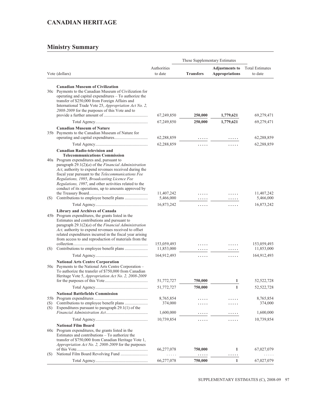|            |                                                                                                                                                                                                                                                                                                                                                                                                                                                                            |                                   | These Supplementary Estimates |                                                |                                   |  |
|------------|----------------------------------------------------------------------------------------------------------------------------------------------------------------------------------------------------------------------------------------------------------------------------------------------------------------------------------------------------------------------------------------------------------------------------------------------------------------------------|-----------------------------------|-------------------------------|------------------------------------------------|-----------------------------------|--|
|            | Vote (dollars)                                                                                                                                                                                                                                                                                                                                                                                                                                                             | Authorities<br>to date            | <b>Transfers</b>              | <b>Adjustments to</b><br><b>Appropriations</b> | <b>Total Estimates</b><br>to date |  |
|            | <b>Canadian Museum of Civilization</b><br>30c Payments to the Canadian Museum of Civilization for<br>operating and capital expenditures – To authorize the<br>transfer of \$250,000 from Foreign Affairs and<br>International Trade Vote 25, Appropriation Act No. 2,<br>2008-2009 for the purposes of this Vote and to                                                                                                                                                    | 67,249,850                        | 250,000                       | 1,779,621                                      | 69,279,471                        |  |
|            |                                                                                                                                                                                                                                                                                                                                                                                                                                                                            | 67,249,850                        | 250,000                       | 1,779,621                                      | 69,279,471                        |  |
|            | <b>Canadian Museum of Nature</b><br>35b Payments to the Canadian Museum of Nature for                                                                                                                                                                                                                                                                                                                                                                                      | 62,288,859                        | .                             |                                                | 62,288,859                        |  |
|            |                                                                                                                                                                                                                                                                                                                                                                                                                                                                            | 62,288,859                        |                               |                                                | 62,288,859                        |  |
|            | <b>Canadian Radio-television and</b><br><b>Telecommunications Commission</b><br>40a Program expenditures and, pursuant to<br>paragraph $29.1(2)(a)$ of the <i>Financial Administration</i><br>Act, authority to expend revenues received during the<br>fiscal year pursuant to the Telecommunications Fee<br>Regulations, 1995, Broadcasting Licence Fee<br>Regulations, 1997, and other activities related to the<br>conduct of its operations, up to amounts approved by | 11,407,242                        |                               |                                                | 11,407,242                        |  |
| (S)        | Contributions to employee benefit plans                                                                                                                                                                                                                                                                                                                                                                                                                                    | 5,466,000                         | .                             | .                                              | 5,466,000                         |  |
|            | <b>Library and Archives of Canada</b><br>45b Program expenditures, the grants listed in the<br>Estimates and contributions and pursuant to<br>paragraph $29.1(2)(a)$ of the Financial Administration<br>Act, authority to expend revenues received to offset<br>related expenditures incurred in the fiscal year arising<br>from access to and reproduction of materials from the                                                                                          | 16,873,242                        | .                             | .                                              | 16,873,242                        |  |
| (S)        |                                                                                                                                                                                                                                                                                                                                                                                                                                                                            | 153,059,493<br>11,853,000         | .                             | .                                              | 153,059,493<br>11,853,000         |  |
|            |                                                                                                                                                                                                                                                                                                                                                                                                                                                                            | 164,912,493                       | .                             | .                                              | 164,912,493                       |  |
|            | <b>National Arts Centre Corporation</b><br>50c Payments to the National Arts Centre Corporation -<br>To authorize the transfer of \$750,000 from Canadian<br>Heritage Vote 5, Appropriation Act No. 2, 2008-2009                                                                                                                                                                                                                                                           | 51,772,727                        | 750,000                       | 1                                              | 52, 522, 728                      |  |
|            |                                                                                                                                                                                                                                                                                                                                                                                                                                                                            |                                   |                               | $\mathbf{1}$                                   |                                   |  |
|            | <b>National Battlefields Commission</b>                                                                                                                                                                                                                                                                                                                                                                                                                                    | 51,772,727                        | 750,000                       |                                                | 52,522,728                        |  |
| (S)<br>(S) | Contributions to employee benefit plans<br>Expenditures pursuant to paragraph $29.1(1)$ of the                                                                                                                                                                                                                                                                                                                                                                             | 8,765,854<br>374,000<br>1,600,000 |                               |                                                | 8,765,854<br>374,000<br>1,600,000 |  |
|            |                                                                                                                                                                                                                                                                                                                                                                                                                                                                            | 10,739,854                        |                               |                                                | 10,739,854                        |  |
|            | <b>National Film Board</b><br>60c Program expenditures, the grants listed in the<br>Estimates and contributions – To authorize the<br>transfer of \$750,000 from Canadian Heritage Vote 1,<br>Appropriation Act No. 2, 2008-2009 for the purposes                                                                                                                                                                                                                          |                                   |                               |                                                |                                   |  |
| (S)        |                                                                                                                                                                                                                                                                                                                                                                                                                                                                            | 66,277,078                        | 750,000                       | 1                                              | 67,027,079                        |  |
|            |                                                                                                                                                                                                                                                                                                                                                                                                                                                                            |                                   | .                             | .                                              |                                   |  |
|            |                                                                                                                                                                                                                                                                                                                                                                                                                                                                            | 66,277,078                        | 750,000                       | 1                                              | 67,027,079                        |  |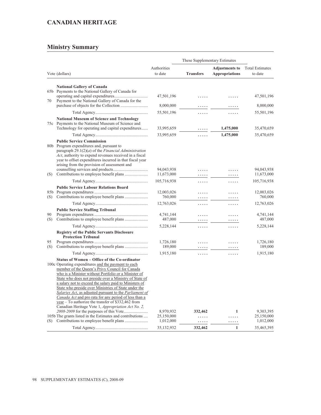|           |                                                                                                                                                                                                                                                                                                                                                                                                                                                                                                                                                                                                                                                                                          |                          | These Supplementary Estimates |                                                |                                   |
|-----------|------------------------------------------------------------------------------------------------------------------------------------------------------------------------------------------------------------------------------------------------------------------------------------------------------------------------------------------------------------------------------------------------------------------------------------------------------------------------------------------------------------------------------------------------------------------------------------------------------------------------------------------------------------------------------------------|--------------------------|-------------------------------|------------------------------------------------|-----------------------------------|
|           | Vote (dollars)                                                                                                                                                                                                                                                                                                                                                                                                                                                                                                                                                                                                                                                                           | Authorities<br>to date   | <b>Transfers</b>              | <b>Adjustments to</b><br><b>Appropriations</b> | <b>Total Estimates</b><br>to date |
|           | <b>National Gallery of Canada</b>                                                                                                                                                                                                                                                                                                                                                                                                                                                                                                                                                                                                                                                        |                          |                               |                                                |                                   |
| 70        | 65b Payments to the National Gallery of Canada for<br>Payment to the National Gallery of Canada for the                                                                                                                                                                                                                                                                                                                                                                                                                                                                                                                                                                                  | 47,501,196               | .                             | .                                              | 47,501,196                        |
|           |                                                                                                                                                                                                                                                                                                                                                                                                                                                                                                                                                                                                                                                                                          | 8,000,000                | .                             | .                                              | 8,000,000                         |
|           |                                                                                                                                                                                                                                                                                                                                                                                                                                                                                                                                                                                                                                                                                          | 55,501,196               | .                             | .                                              | 55,501,196                        |
|           | <b>National Museum of Science and Technology</b><br>75c Payments to the National Museum of Science and<br>Technology for operating and capital expenditures                                                                                                                                                                                                                                                                                                                                                                                                                                                                                                                              | 33,995,659               |                               | 1,475,000                                      | 35,470,659                        |
|           |                                                                                                                                                                                                                                                                                                                                                                                                                                                                                                                                                                                                                                                                                          |                          |                               |                                                |                                   |
|           | <b>Public Service Commission</b>                                                                                                                                                                                                                                                                                                                                                                                                                                                                                                                                                                                                                                                         | 33,995,659               | .                             | 1,475,000                                      | 35,470,659                        |
| (S)       | 80b Program expenditures and, pursuant to<br>paragraph $29.1(2)(a)$ of the <i>Financial Administration</i><br>Act, authority to expend revenues received in a fiscal<br>year to offset expenditures incurred in that fiscal year<br>arising from the provision of assessment and                                                                                                                                                                                                                                                                                                                                                                                                         | 94,043,938<br>11,673,000 | .                             | .                                              | 94,043,938<br>11,673,000          |
|           |                                                                                                                                                                                                                                                                                                                                                                                                                                                                                                                                                                                                                                                                                          | 105,716,938              | .                             | .                                              | 105,716,938                       |
|           | <b>Public Service Labour Relations Board</b>                                                                                                                                                                                                                                                                                                                                                                                                                                                                                                                                                                                                                                             |                          |                               |                                                |                                   |
|           |                                                                                                                                                                                                                                                                                                                                                                                                                                                                                                                                                                                                                                                                                          | 12,003,026               | .                             | .                                              | 12,003,026                        |
| (S)       |                                                                                                                                                                                                                                                                                                                                                                                                                                                                                                                                                                                                                                                                                          | 760,000                  | .                             | .                                              | 760,000                           |
|           |                                                                                                                                                                                                                                                                                                                                                                                                                                                                                                                                                                                                                                                                                          | 12,763,026               | .                             | .                                              | 12,763,026                        |
| 90<br>(S) | <b>Public Service Staffing Tribunal</b>                                                                                                                                                                                                                                                                                                                                                                                                                                                                                                                                                                                                                                                  | 4,741,144<br>487,000     | .<br>.                        | .<br>.                                         | 4,741,144<br>487,000              |
|           |                                                                                                                                                                                                                                                                                                                                                                                                                                                                                                                                                                                                                                                                                          | 5,228,144                | .                             | .                                              | 5,228,144                         |
|           | <b>Registry of the Public Servants Disclosure</b><br><b>Protection Tribunal</b>                                                                                                                                                                                                                                                                                                                                                                                                                                                                                                                                                                                                          |                          |                               |                                                |                                   |
| 95        |                                                                                                                                                                                                                                                                                                                                                                                                                                                                                                                                                                                                                                                                                          | 1,726,180                |                               |                                                | 1,726,180                         |
| (S)       |                                                                                                                                                                                                                                                                                                                                                                                                                                                                                                                                                                                                                                                                                          | 189,000                  | .                             | .                                              | 189,000                           |
|           |                                                                                                                                                                                                                                                                                                                                                                                                                                                                                                                                                                                                                                                                                          | 1,915,180                | .                             | .                                              | 1,915,180                         |
|           | Status of Women – Office of the Co-ordinator<br>100c Operating expenditures and the payment to each<br>member of the Queen's Privy Council for Canada<br>who is a Minister without Portfolio or a Minister of<br>State who does not preside over a Ministry of State of<br>a salary not to exceed the salary paid to Ministers of<br>State who preside over Ministries of State under the<br>Salaries Act, as adjusted pursuant to the Parliament of<br>Canada Act and pro rata for any period of less than a<br>year $-$ To authorize the transfer of \$332,462 from<br>Canadian Heritage Vote 1, Appropriation Act No. 2,<br>105b The grants listed in the Estimates and contributions | 8,970,932<br>25,150,000  | 332,462<br>.                  | 1<br>.                                         | 9,303,395<br>25,150,000           |
| (S)       |                                                                                                                                                                                                                                                                                                                                                                                                                                                                                                                                                                                                                                                                                          | 1,012,000                | .                             | .                                              | 1,012,000                         |
|           |                                                                                                                                                                                                                                                                                                                                                                                                                                                                                                                                                                                                                                                                                          | 35,132,932               | 332,462                       | $\mathbf{1}$                                   | 35,465,395                        |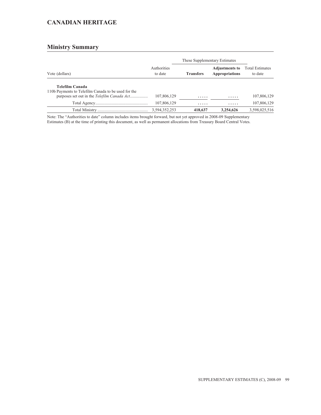### **Ministry Summary**

|                                                                        |                        | These Supplementary Estimates |                                         |                                   |
|------------------------------------------------------------------------|------------------------|-------------------------------|-----------------------------------------|-----------------------------------|
| Vote (dollars)                                                         | Authorities<br>to date | <b>Transfers</b>              | <b>Adjustments to</b><br>Appropriations | <b>Total Estimates</b><br>to date |
| Telefilm Canada<br>110b Payments to Telefilm Canada to be used for the |                        |                               |                                         |                                   |
| purposes set out in the <i>Telefilm Canada Act</i>                     | 107,806,129            | .                             | .                                       | 107,806,129                       |
|                                                                        | 107,806,129            | .                             | .                                       | 107,806,129                       |
|                                                                        | 3,594,352,253          | 418,637                       | 3.254.626                               | 3,598,025,516                     |

Note: The "Authorities to date" column includes items brought forward, but not yet approved in 2008-09 Supplementary Estimates (B) at the time of printing this document, as well as permanent allocations from Treasury Board Central Votes.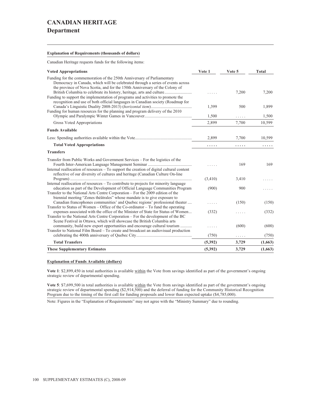### **Department**

#### **Explanation of Requirements (thousands of dollars)**

Canadian Heritage requests funds for the following items:

| <b>Voted Appropriations</b>                                                                                                                                                                                                                                                                                                                                                                                     | Vote 1  | Vote 5 | <b>Total</b> |
|-----------------------------------------------------------------------------------------------------------------------------------------------------------------------------------------------------------------------------------------------------------------------------------------------------------------------------------------------------------------------------------------------------------------|---------|--------|--------------|
| Funding for the commemoration of the 250th Anniversary of Parliamentary<br>Democracy in Canada, which will be celebrated through a series of events across<br>the province of Nova Scotia, and for the 150th Anniversary of the Colony of<br>Funding to support the implementation of programs and activities to promote the<br>recognition and use of both official languages in Canadian society (Roadmap for |         | 7,200  | 7,200        |
| Funding for human resources for the planning and program delivery of the 2010                                                                                                                                                                                                                                                                                                                                   | 1,399   | 500    | 1,899        |
|                                                                                                                                                                                                                                                                                                                                                                                                                 | 1,500   | .      | 1,500        |
| Gross Voted Appropriations                                                                                                                                                                                                                                                                                                                                                                                      | 2,899   | 7,700  | 10,599       |
| <b>Funds Available</b>                                                                                                                                                                                                                                                                                                                                                                                          |         |        |              |
|                                                                                                                                                                                                                                                                                                                                                                                                                 | 2,899   | 7,700  | 10,599       |
| <b>Total Voted Appropriations</b>                                                                                                                                                                                                                                                                                                                                                                               | .       | .      | .            |
| <b>Transfers</b>                                                                                                                                                                                                                                                                                                                                                                                                |         |        |              |
| Transfer from Public Works and Government Services – For the logistics of the<br>Internal reallocation of resources – To support the creation of digital cultural content<br>reflective of our diversity of cultures and heritage (Canadian Culture On-line                                                                                                                                                     |         | 169    | 169          |
|                                                                                                                                                                                                                                                                                                                                                                                                                 | (3,410) | 3,410  |              |
| Internal reallocation of resources – To contribute to projects for minority language<br>education as part of the Development of Official Language Communities Program<br>Transfer to the National Arts Centre Corporation – For the 2009 edition of the                                                                                                                                                         | (900)   | 900    |              |
| biennial meeting "Zones théâtrales" whose mandate is to give exposure to<br>Canadian francophones communities' and Quebec regions' professional theater<br>Transfer to Status of Women – Office of the Co-ordinator – To fund the operating                                                                                                                                                                     | .       | (150)  | (150)        |
| expenses associated with the office of the Minister of State for Status of Women<br>Transfer to the National Arts Centre Corporation – For the development of the BC                                                                                                                                                                                                                                            | (332)   | .      | (332)        |
| Scene Festival in Ottawa, which will showcase the British Columbia arts<br>community, build new export opportunities and encourage cultural tourism<br>Transfer to National Film Board – To create and broadcast an audiovisual production                                                                                                                                                                      | .       | (600)  | (600)        |
|                                                                                                                                                                                                                                                                                                                                                                                                                 | (750)   | .      | (750)        |
| <b>Total Transfers</b>                                                                                                                                                                                                                                                                                                                                                                                          | (5,392) | 3,729  | (1,663)      |
| <b>These Supplementary Estimates</b>                                                                                                                                                                                                                                                                                                                                                                            | (5,392) | 3,729  | (1,663)      |

#### **Explanation of Funds Available (dollars)**

**Vote 1**: \$2,899,450 in total authorities is available within the Vote from savings identified as part of the government's ongoing strategic review of departmental spending.

**Vote 5**: \$7,699,500 in total authorities is available within the Vote from savings identified as part of the government's ongoing strategic review of departmental spending (\$2,914,500) and the deferral of funding for the Community Historical Recognition Program due to the timing of the first call for funding proposals and lower than expected uptake (\$4,785,000).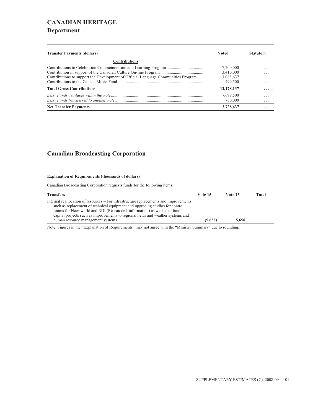## **CANADIAN HERITAGE Department**

| <b>Transfer Payments (dollars)</b>                                                | <b>Voted</b> | <b>Statutory</b> |
|-----------------------------------------------------------------------------------|--------------|------------------|
| <b>Contributions</b>                                                              |              |                  |
|                                                                                   | 7,200,000    | .                |
|                                                                                   | 3,410,000    | .                |
| Contributions to support the Development of Official Language Communities Program | 1,068,637    | .                |
|                                                                                   | 499,500      | .                |
| <b>Total Gross Contributions</b>                                                  | 12,178,137   | .                |
|                                                                                   | 7,699,500    | .                |
|                                                                                   | 750,000      | .                |
| <b>Net Transfer Payments</b>                                                      | 3,728,637    | .                |

### **Canadian Broadcasting Corporation**

#### **Explanation of Requirements (thousands of dollars)**

Canadian Broadcasting Corporation requests funds for the following items:

| <b>Transfers</b>                                                                      | Vote 15 | Vote 25 | Total |
|---------------------------------------------------------------------------------------|---------|---------|-------|
| Internal reallocation of resources – For infrastructure replacements and improvements |         |         |       |
| such as replacement of technical equipment and upgrading studios for control          |         |         |       |
| rooms for Newsworld and RDI (Réseau de l'information) as well as to fund              |         |         |       |
| capital projects such as improvements to regional news and weather systems and        |         |         |       |
|                                                                                       | (5,658) | 5.658   | .     |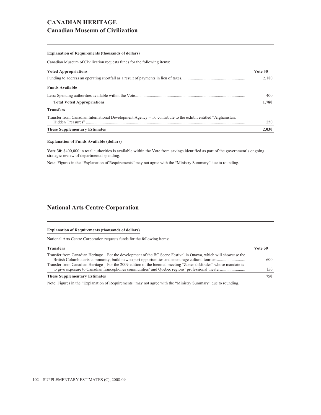### **Canadian Museum of Civilization**

| <b>Explanation of Requirements (thousands of dollars)</b>                                                     |         |
|---------------------------------------------------------------------------------------------------------------|---------|
| Canadian Museum of Civilization requests funds for the following items:                                       |         |
| <b>Voted Appropriations</b>                                                                                   | Vote 30 |
|                                                                                                               | 2.180   |
| <b>Funds Available</b>                                                                                        |         |
|                                                                                                               | 400     |
| <b>Total Voted Appropriations</b>                                                                             | 1,780   |
| <b>Transfers</b>                                                                                              |         |
| Transfer from Canadian International Development Agency – To contribute to the exhibit entitled "Afghanistan: | 250     |
| <b>These Supplementary Estimates</b>                                                                          | 2.030   |

#### **Explanation of Funds Available (dollars)**

**Vote 30**: \$400,000 in total authorities is available within the Vote from savings identified as part of the government's ongoing strategic review of departmental spending.

Note: Figures in the "Explanation of Requirements" may not agree with the "Ministry Summary" due to rounding.

### **National Arts Centre Corporation**

#### **Explanation of Requirements (thousands of dollars)**

National Arts Centre Corporation requests funds for the following items:

| <b>Transfers</b>                                                                                                   | Vote 50 |
|--------------------------------------------------------------------------------------------------------------------|---------|
| Transfer from Canadian Heritage – For the development of the BC Scene Festival in Ottawa, which will showcase the  | 600     |
| Transfer from Canadian Heritage – For the 2009 edition of the biennial meeting "Zones théâtrales" whose mandate is | 150     |
| <b>These Supplementary Estimates</b>                                                                               | 750     |
|                                                                                                                    |         |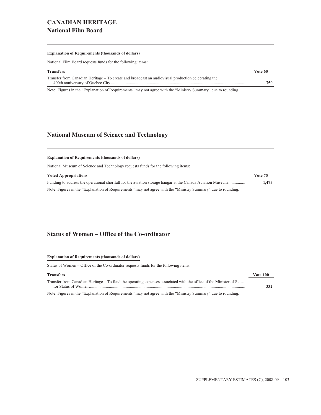### **CANADIAN HERITAGE National Film Board**

#### **Explanation of Requirements (thousands of dollars)**

National Film Board requests funds for the following items:

### **Transfers Vote 60** Transfer from Canadian Heritage – To create and broadcast an audiovisual production celebrating the 400th anniversary of Quebec City ................................................................................................................................ **750**

Note: Figures in the "Explanation of Requirements" may not agree with the "Ministry Summary" due to rounding.

### **National Museum of Science and Technology**

#### **Explanation of Requirements (thousands of dollars)**

National Museum of Science and Technology requests funds for the following items:

| <b>Voted Appropriations</b>                                                                                   | <b>Vote 75</b> |
|---------------------------------------------------------------------------------------------------------------|----------------|
|                                                                                                               | 1.475          |
| Note: Figures in the "Explanation of Requirements" may not agree with the "Ministry Summary" due to rounding. |                |

### **Status of Women – Office of the Co-ordinator**

| <b>Explanation of Requirements (thousands of dollars)</b>                                                            |          |
|----------------------------------------------------------------------------------------------------------------------|----------|
| Status of Women – Office of the Co-ordinator requests funds for the following items:                                 |          |
| <b>Transfers</b>                                                                                                     | Vote 100 |
| Transfer from Canadian Heritage – To fund the operating expenses associated with the office of the Minister of State |          |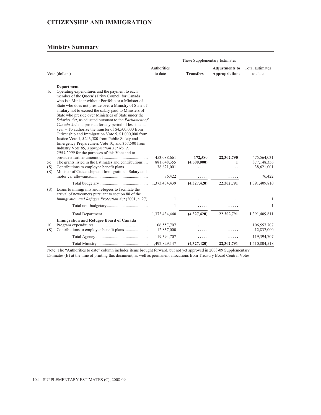### **CITIZENSHIP AND IMMIGRATION**

### **Ministry Summary**

|           |                                                                                                                                                                                                                                                                                                                                                                                                                                                                                                                                                                                                                                                                                                                                                                                                   |                                          | These Supplementary Estimates |                       |                                          |
|-----------|---------------------------------------------------------------------------------------------------------------------------------------------------------------------------------------------------------------------------------------------------------------------------------------------------------------------------------------------------------------------------------------------------------------------------------------------------------------------------------------------------------------------------------------------------------------------------------------------------------------------------------------------------------------------------------------------------------------------------------------------------------------------------------------------------|------------------------------------------|-------------------------------|-----------------------|------------------------------------------|
|           |                                                                                                                                                                                                                                                                                                                                                                                                                                                                                                                                                                                                                                                                                                                                                                                                   | Authorities                              |                               | <b>Adjustments to</b> | <b>Total Estimates</b>                   |
|           | Vote (dollars)                                                                                                                                                                                                                                                                                                                                                                                                                                                                                                                                                                                                                                                                                                                                                                                    | to date                                  | <b>Transfers</b>              | <b>Appropriations</b> | to date                                  |
|           |                                                                                                                                                                                                                                                                                                                                                                                                                                                                                                                                                                                                                                                                                                                                                                                                   |                                          |                               |                       |                                          |
| 1c        | Department<br>Operating expenditures and the payment to each<br>member of the Queen's Privy Council for Canada<br>who is a Minister without Portfolio or a Minister of<br>State who does not preside over a Ministry of State of<br>a salary not to exceed the salary paid to Ministers of<br>State who preside over Ministries of State under the<br>Salaries Act, as adjusted pursuant to the Parliament of<br>Canada Act and pro rata for any period of less than a<br>year $-$ To authorize the transfer of \$4,500,000 from<br>Citizenship and Immigration Vote 5, \$1,000,000 from<br>Justice Vote 1, \$243,580 from Public Safety and<br>Emergency Preparedness Vote 10, and \$57,500 from<br>Industry Vote 85, Appropriation Act No. 2,<br>2008-2009 for the purposes of this Vote and to |                                          |                               |                       |                                          |
| 5c<br>(S) | The grants listed in the Estimates and contributions                                                                                                                                                                                                                                                                                                                                                                                                                                                                                                                                                                                                                                                                                                                                              | 453,088,661<br>881,648,355<br>38,621,001 | 172,580<br>(4,500,000)<br>.   | 22,302,790<br>1       | 475,564,031<br>877,148,356<br>38,621,001 |
| (S)       | Minister of Citizenship and Immigration - Salary and                                                                                                                                                                                                                                                                                                                                                                                                                                                                                                                                                                                                                                                                                                                                              |                                          |                               |                       |                                          |
|           |                                                                                                                                                                                                                                                                                                                                                                                                                                                                                                                                                                                                                                                                                                                                                                                                   | 76,422                                   | .                             |                       | 76,422                                   |
|           |                                                                                                                                                                                                                                                                                                                                                                                                                                                                                                                                                                                                                                                                                                                                                                                                   | 1,373,434,439                            | (4,327,420)                   | 22,302,791            | 1,391,409,810                            |
| (S)       | Loans to immigrants and refugees to facilitate the<br>arrival of newcomers pursuant to section 88 of the<br>Immigration and Refugee Protection Act (2001, c. 27)                                                                                                                                                                                                                                                                                                                                                                                                                                                                                                                                                                                                                                  | 1                                        |                               |                       |                                          |
|           |                                                                                                                                                                                                                                                                                                                                                                                                                                                                                                                                                                                                                                                                                                                                                                                                   |                                          |                               |                       | 1                                        |
|           |                                                                                                                                                                                                                                                                                                                                                                                                                                                                                                                                                                                                                                                                                                                                                                                                   | 1                                        | .                             |                       | 1                                        |
|           |                                                                                                                                                                                                                                                                                                                                                                                                                                                                                                                                                                                                                                                                                                                                                                                                   | 1,373,434,440                            | (4,327,420)                   | 22,302,791            | 1,391,409,811                            |
|           | <b>Immigration and Refugee Board of Canada</b>                                                                                                                                                                                                                                                                                                                                                                                                                                                                                                                                                                                                                                                                                                                                                    |                                          |                               |                       |                                          |
| 10        |                                                                                                                                                                                                                                                                                                                                                                                                                                                                                                                                                                                                                                                                                                                                                                                                   | 106,557,707                              |                               |                       | 106,557,707                              |
| (S)       |                                                                                                                                                                                                                                                                                                                                                                                                                                                                                                                                                                                                                                                                                                                                                                                                   | 12,837,000                               |                               |                       | 12,837,000                               |
|           |                                                                                                                                                                                                                                                                                                                                                                                                                                                                                                                                                                                                                                                                                                                                                                                                   | 119,394,707                              | .                             | .                     | 119,394,707                              |
|           |                                                                                                                                                                                                                                                                                                                                                                                                                                                                                                                                                                                                                                                                                                                                                                                                   | 1,492,829,147                            | (4,327,420)                   | 22,302,791            | 1,510,804,518                            |

Note: The "Authorities to date" column includes items brought forward, but not yet approved in 2008-09 Supplementary Estimates (B) at the time of printing this document, as well as permanent allocations from Treasury Board Central Votes.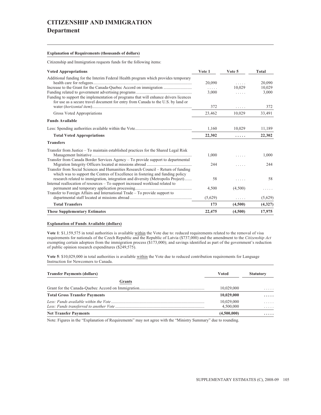## **CITIZENSHIP AND IMMIGRATION Department**

#### **Explanation of Requirements (thousands of dollars)**

Citizenship and Immigration requests funds for the following items:

| <b>Voted Appropriations</b>                                                                                                                                                                                                                                                                                                         | Vote 1               | Vote 5                 | Total                     |
|-------------------------------------------------------------------------------------------------------------------------------------------------------------------------------------------------------------------------------------------------------------------------------------------------------------------------------------|----------------------|------------------------|---------------------------|
| Additional funding for the Interim Federal Health program which provides temporary<br>Increase to the Grant for the Canada-Quebec Accord on immigration<br>Funding to support the implementation of programs that will enhance drivers licences<br>for use as a secure travel document for entry from Canada to the U.S. by land or | 20,090<br>.<br>3.000 | 1.1.1.1<br>10.029<br>. | 20,090<br>10,029<br>3,000 |
|                                                                                                                                                                                                                                                                                                                                     | 372                  | .                      | 372                       |
| Gross Voted Appropriations                                                                                                                                                                                                                                                                                                          | 23,462               | 10,029                 | 33,491                    |
| <b>Funds Available</b>                                                                                                                                                                                                                                                                                                              |                      |                        |                           |
|                                                                                                                                                                                                                                                                                                                                     | 1,160                | 10,029                 | 11,189                    |
| <b>Total Voted Appropriations</b>                                                                                                                                                                                                                                                                                                   | 22,302               | .                      | 22,302                    |
| <b>Transfers</b>                                                                                                                                                                                                                                                                                                                    |                      |                        |                           |
| Transfer from Justice – To maintain established practices for the Shared Legal Risk<br>Transfer from Canada Border Services Agency – To provide support to departmental                                                                                                                                                             | 1,000                | .                      | 1,000                     |
| Transfer from Social Sciences and Humanities Research Council – Return of funding<br>which was to support the Centres of Excellence in fostering and funding policy                                                                                                                                                                 | 244                  |                        | 244                       |
| research related to immigration, integration and diversity (Metropolis Project)<br>Internal reallocation of resources – To support increased workload related to                                                                                                                                                                    | 58                   | .                      | 58                        |
|                                                                                                                                                                                                                                                                                                                                     | 4,500                | (4,500)                |                           |
| Transfer to Foreign Affairs and International Trade – To provide support to                                                                                                                                                                                                                                                         | (5,629)              | .                      | (5,629)                   |
| <b>Total Transfers</b>                                                                                                                                                                                                                                                                                                              | 173                  | (4,500)                | (4,327)                   |
| <b>These Supplementary Estimates</b>                                                                                                                                                                                                                                                                                                | 22,475               | (4,500)                | 17,975                    |

#### **Explanation of Funds Available (dollars)**

**Vote 1**: \$1,159,575 in total authorities is available within the Vote due to: reduced requirements related to the removal of visa requirements for nationals of the Czech Republic and the Republic of Latvia (\$737,000) and the amendment to the *Citizenship Act* exempting certain adoptees from the immigration process (\$173,000); and savings identified as part of the government's reduction of public opinion research expenditures (\$249,575).

Vote 5: \$10,029,000 in total authorities is available within the Vote due to reduced contribution requirements for Language Instruction for Newcomers to Canada.

| <b>Transfer Payments (dollars)</b>   | Voted                   | <b>Statutory</b> |
|--------------------------------------|-------------------------|------------------|
| <b>Grants</b>                        |                         |                  |
|                                      | 10.029,000              | .                |
| <b>Total Gross Transfer Payments</b> | 10.029,000              | .                |
|                                      | 10.029,000<br>4.500,000 | .<br>.           |
| <b>Net Transfer Payments</b>         | (4,500,000)             | .                |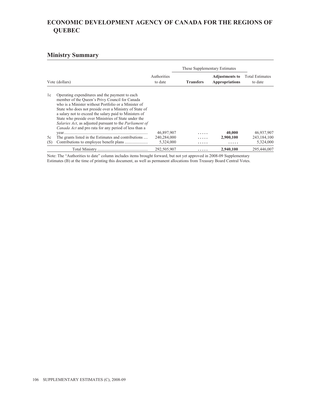## **ECONOMIC DEVELOPMENT AGENCY OF CANADA FOR THE REGIONS OF QUEBEC**

### **Ministry Summary**

|                 |                                                                                                                                                                                                                                                                                                                                                                                                                                                                                                                         |                                        | These Supplementary Estimates |                                                |                                        |  |
|-----------------|-------------------------------------------------------------------------------------------------------------------------------------------------------------------------------------------------------------------------------------------------------------------------------------------------------------------------------------------------------------------------------------------------------------------------------------------------------------------------------------------------------------------------|----------------------------------------|-------------------------------|------------------------------------------------|----------------------------------------|--|
| Vote (dollars)  |                                                                                                                                                                                                                                                                                                                                                                                                                                                                                                                         | Authorities<br>to date                 | <b>Transfers</b>              | <b>Adjustments to</b><br><b>Appropriations</b> | <b>Total Estimates</b><br>to date      |  |
| 1c<br>5c<br>(S) | Operating expenditures and the payment to each<br>member of the Queen's Privy Council for Canada<br>who is a Minister without Portfolio or a Minister of<br>State who does not preside over a Ministry of State of<br>a salary not to exceed the salary paid to Ministers of<br>State who preside over Ministries of State under the<br>Salaries Act, as adjusted pursuant to the Parliament of<br><i>Canada Act</i> and pro rata for any period of less than a<br>The grants listed in the Estimates and contributions | 46,897,907<br>240,284,000<br>5,324,000 | .<br>.<br>.                   | 40,000<br>2,900,100<br>.                       | 46,937,907<br>243,184,100<br>5,324,000 |  |
|                 |                                                                                                                                                                                                                                                                                                                                                                                                                                                                                                                         | 292,505,907                            | .                             | 2.940.100                                      | 295,446,007                            |  |

Note: The "Authorities to date" column includes items brought forward, but not yet approved in 2008-09 Supplementary Estimates (B) at the time of printing this document, as well as permanent allocations from Treasury Board Central Votes.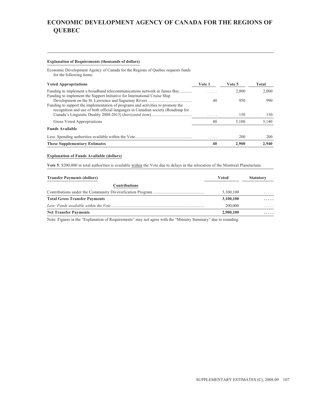## **ECONOMIC DEVELOPMENT AGENCY OF CANADA FOR THE REGIONS OF QUEBEC**

#### **Explanation of Requirements (thousands of dollars)**

Economic Development Agency of Canada for the Regions of Quebec requests funds for the following items:

| <b>Voted Appropriations</b>                                                                                                                           | Vote 1 | Vote 5 | Total |
|-------------------------------------------------------------------------------------------------------------------------------------------------------|--------|--------|-------|
| Funding to implement a broadband telecommunications network in James Bay<br>Funding to implement the Support Initiative for International Cruise Ship |        | 2.000  | 2,000 |
| Funding to support the implementation of programs and activities to promote the                                                                       | 40     | 950    | 990   |
| recognition and use of both official languages in Canadian society (Roadmap for                                                                       | .      | 150    | 150   |
| Gross Voted Appropriations                                                                                                                            | 40     | 3.100  | 3.140 |
| <b>Funds Available</b>                                                                                                                                |        |        |       |
|                                                                                                                                                       | .      | 200    | 200   |
| <b>These Supplementary Estimates</b>                                                                                                                  | 40     | 2.900  | 2.940 |

#### **Explanation of Funds Available (dollars)**

Vote 5: \$200,000 in total authorities is available within the Vote due to delays in the relocation of the Montreal Planetarium.

| <b>Transfer Payments (dollars)</b>   | Voted     | <b>Statutory</b> |  |
|--------------------------------------|-----------|------------------|--|
| <b>Contributions</b>                 |           |                  |  |
|                                      | 3.100.100 | .                |  |
| <b>Total Gross Transfer Payments</b> | 3,100,100 | .                |  |
|                                      | 200,000   | .                |  |
| <b>Net Transfer Payments</b>         | 2,900,100 | .                |  |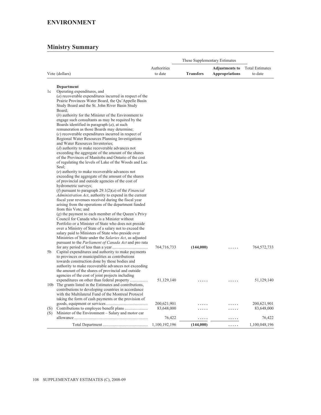|     |                                                                                                                | These Supplementary Estimates |                  |                       |                        |  |
|-----|----------------------------------------------------------------------------------------------------------------|-------------------------------|------------------|-----------------------|------------------------|--|
|     |                                                                                                                | Authorities                   |                  | <b>Adjustments to</b> | <b>Total Estimates</b> |  |
|     | Vote (dollars)                                                                                                 | to date                       | <b>Transfers</b> | <b>Appropriations</b> | to date                |  |
|     |                                                                                                                |                               |                  |                       |                        |  |
|     | Department                                                                                                     |                               |                  |                       |                        |  |
| 1c  | Operating expenditures, and                                                                                    |                               |                  |                       |                        |  |
|     | (a) recoverable expenditures incurred in respect of the                                                        |                               |                  |                       |                        |  |
|     | Prairie Provinces Water Board, the Qu'Appelle Basin<br>Study Board and the St. John River Basin Study          |                               |                  |                       |                        |  |
|     | Board:                                                                                                         |                               |                  |                       |                        |  |
|     | $(b)$ authority for the Minister of the Environment to                                                         |                               |                  |                       |                        |  |
|     | engage such consultants as may be required by the                                                              |                               |                  |                       |                        |  |
|     | Boards identified in paragraph $(a)$ , at such                                                                 |                               |                  |                       |                        |  |
|     | remuneration as those Boards may determine;                                                                    |                               |                  |                       |                        |  |
|     | $(c)$ recoverable expenditures incurred in respect of                                                          |                               |                  |                       |                        |  |
|     | Regional Water Resources Planning Investigations                                                               |                               |                  |                       |                        |  |
|     | and Water Resources Inventories;                                                                               |                               |                  |                       |                        |  |
|     | $(d)$ authority to make recoverable advances not                                                               |                               |                  |                       |                        |  |
|     | exceeding the aggregate of the amount of the shares<br>of the Provinces of Manitoba and Ontario of the cost    |                               |                  |                       |                        |  |
|     | of regulating the levels of Lake of the Woods and Lac                                                          |                               |                  |                       |                        |  |
|     | Seul:                                                                                                          |                               |                  |                       |                        |  |
|     | (e) authority to make recoverable advances not                                                                 |                               |                  |                       |                        |  |
|     | exceeding the aggregate of the amount of the shares                                                            |                               |                  |                       |                        |  |
|     | of provincial and outside agencies of the cost of                                                              |                               |                  |                       |                        |  |
|     | hydrometric surveys;                                                                                           |                               |                  |                       |                        |  |
|     | ( <i>f</i> ) pursuant to paragraph 29.1(2)( <i>a</i> ) of the <i>Financial</i>                                 |                               |                  |                       |                        |  |
|     | Administration Act, authority to expend in the current<br>fiscal year revenues received during the fiscal year |                               |                  |                       |                        |  |
|     | arising from the operations of the department funded                                                           |                               |                  |                       |                        |  |
|     | from this Vote; and                                                                                            |                               |                  |                       |                        |  |
|     | $(g)$ the payment to each member of the Queen's Privy                                                          |                               |                  |                       |                        |  |
|     | Council for Canada who is a Minister without                                                                   |                               |                  |                       |                        |  |
|     | Portfolio or a Minister of State who does not preside                                                          |                               |                  |                       |                        |  |
|     | over a Ministry of State of a salary not to exceed the                                                         |                               |                  |                       |                        |  |
|     | salary paid to Ministers of State who preside over                                                             |                               |                  |                       |                        |  |
|     | Ministries of State under the Salaries Act, as adjusted                                                        |                               |                  |                       |                        |  |
|     | pursuant to the Parliament of Canada Act and pro rata                                                          | 764,716,733                   | (144,000)        |                       | 764, 572, 733          |  |
| 5b  | Capital expenditures and authority to make payments                                                            |                               |                  |                       |                        |  |
|     | to provinces or municipalities as contributions                                                                |                               |                  |                       |                        |  |
|     | towards construction done by those bodies and                                                                  |                               |                  |                       |                        |  |
|     | authority to make recoverable advances not exceeding                                                           |                               |                  |                       |                        |  |
|     | the amount of the shares of provincial and outside                                                             |                               |                  |                       |                        |  |
|     | agencies of the cost of joint projects including                                                               |                               |                  |                       |                        |  |
|     | expenditures on other than federal property                                                                    | 51,129,140                    | .                |                       | 51,129,140             |  |
|     | 10b The grants listed in the Estimates and contributions,                                                      |                               |                  |                       |                        |  |
|     | contributions to developing countries in accordance<br>with the Multilateral Fund of the Montreal Protocol     |                               |                  |                       |                        |  |
|     | taking the form of cash payments or the provision of                                                           |                               |                  |                       |                        |  |
|     |                                                                                                                | 200,621,901                   |                  |                       | 200,621,901            |  |
| (S) |                                                                                                                | 83,648,000                    |                  |                       | 83,648,000             |  |
| (S) | Minister of the Environment - Salary and motor car                                                             |                               |                  |                       |                        |  |
|     |                                                                                                                | 76,422                        | .                | .                     | 76,422                 |  |
|     |                                                                                                                | 1,100,192,196                 | (144,000)        | .                     | 1,100,048,196          |  |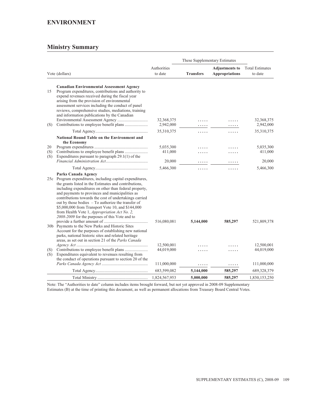### **ENVIRONMENT**

### **Ministry Summary**

|            | Vote (dollars)                                                                                                                                                                                                                                                                                                                                                                                                                                                                                                                                                                                                                                                                                                                                                                                                 | Authorities<br>to date                  | <b>Transfers</b> | <b>Adjustments to</b><br><b>Appropriations</b> | <b>Total Estimates</b><br>to date       |
|------------|----------------------------------------------------------------------------------------------------------------------------------------------------------------------------------------------------------------------------------------------------------------------------------------------------------------------------------------------------------------------------------------------------------------------------------------------------------------------------------------------------------------------------------------------------------------------------------------------------------------------------------------------------------------------------------------------------------------------------------------------------------------------------------------------------------------|-----------------------------------------|------------------|------------------------------------------------|-----------------------------------------|
| 15<br>(S)  | <b>Canadian Environmental Assessment Agency</b><br>Program expenditures, contributions and authority to<br>expend revenues received during the fiscal year<br>arising from the provision of environmental<br>assessment services including the conduct of panel<br>reviews, comprehensive studies, mediations, training<br>and information publications by the Canadian                                                                                                                                                                                                                                                                                                                                                                                                                                        | 32, 368, 375<br>2,942,000               | .                | .                                              | 32,368,375<br>2,942,000                 |
|            |                                                                                                                                                                                                                                                                                                                                                                                                                                                                                                                                                                                                                                                                                                                                                                                                                | 35, 310, 375                            | .                | .                                              | 35,310,375                              |
|            | <b>National Round Table on the Environment and</b><br>the Economy                                                                                                                                                                                                                                                                                                                                                                                                                                                                                                                                                                                                                                                                                                                                              |                                         |                  |                                                |                                         |
| 20         |                                                                                                                                                                                                                                                                                                                                                                                                                                                                                                                                                                                                                                                                                                                                                                                                                | 5,035,300                               |                  |                                                | 5,035,300                               |
| (S)<br>(S) | Expenditures pursuant to paragraph $29.1(1)$ of the                                                                                                                                                                                                                                                                                                                                                                                                                                                                                                                                                                                                                                                                                                                                                            | 411,000                                 |                  |                                                | 411,000                                 |
|            |                                                                                                                                                                                                                                                                                                                                                                                                                                                                                                                                                                                                                                                                                                                                                                                                                | 20,000                                  |                  |                                                | 20,000                                  |
|            |                                                                                                                                                                                                                                                                                                                                                                                                                                                                                                                                                                                                                                                                                                                                                                                                                | 5,466,300                               |                  | .                                              | 5,466,300                               |
| (S)<br>(S) | Parks Canada Agency<br>25c Program expenditures, including capital expenditures,<br>the grants listed in the Estimates and contributions,<br>including expenditures on other than federal property,<br>and payments to provinces and municipalities as<br>contributions towards the cost of undertakings carried<br>out by those bodies - To authorize the transfer of<br>\$5,000,000 from Transport Vote 10, and \$144,000<br>from Health Vote 1, Appropriation Act No. 2,<br>2008-2009 for the purposes of this Vote and to<br>30b Payments to the New Parks and Historic Sites<br>Account for the purposes of establishing new national<br>parks, national historic sites and related heritage<br>areas, as set out in section 21 of the Parks Canada<br>Expenditures equivalent to revenues resulting from | 516,080,081<br>12,500,001<br>44,019,000 | 5,144,000        | 585,297                                        | 521,809,378<br>12,500,001<br>44,019,000 |
|            | the conduct of operations pursuant to section 20 of the                                                                                                                                                                                                                                                                                                                                                                                                                                                                                                                                                                                                                                                                                                                                                        |                                         |                  |                                                |                                         |
|            |                                                                                                                                                                                                                                                                                                                                                                                                                                                                                                                                                                                                                                                                                                                                                                                                                | 111,000,000                             | .                | .                                              | 111,000,000                             |
|            |                                                                                                                                                                                                                                                                                                                                                                                                                                                                                                                                                                                                                                                                                                                                                                                                                | 683,599,082                             | 5,144,000        | 585,297                                        | 689,328,379                             |
|            |                                                                                                                                                                                                                                                                                                                                                                                                                                                                                                                                                                                                                                                                                                                                                                                                                | 1,824,567,953                           | 5,000,000        | 585,297                                        | 1,830,153,250                           |

Note: The "Authorities to date" column includes items brought forward, but not yet approved in 2008-09 Supplementary Estimates (B) at the time of printing this document, as well as permanent allocations from Treasury Board Central Votes.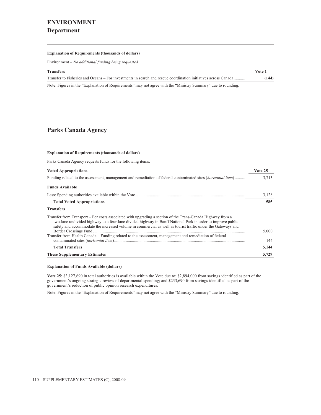## **ENVIRONMENT Department**

#### **Explanation of Requirements (thousands of dollars)**

Environment – *No additional funding being requested*

| <b>Transfers</b>                                                                                               | Vote 1 |
|----------------------------------------------------------------------------------------------------------------|--------|
| Transfer to Fisheries and Oceans – For investments in search and rescue coordination initiatives across Canada | (144)  |
| Note: Figures in the "Explanation of Requirements" may not agree with the "Ministry Summary" due to rounding.  |        |

### **Parks Canada Agency**

| <b>Explanation of Requirements (thousands of dollars)</b>                                                                                                                                                                                                                                                                                |         |
|------------------------------------------------------------------------------------------------------------------------------------------------------------------------------------------------------------------------------------------------------------------------------------------------------------------------------------------|---------|
| Parks Canada Agency requests funds for the following items:                                                                                                                                                                                                                                                                              |         |
| <b>Voted Appropriations</b>                                                                                                                                                                                                                                                                                                              | Vote 25 |
| Funding related to the assessment, management and remediation of federal contaminated sites ( <i>horizontal item</i> )                                                                                                                                                                                                                   | 3,713   |
| <b>Funds Available</b>                                                                                                                                                                                                                                                                                                                   |         |
|                                                                                                                                                                                                                                                                                                                                          | 3,128   |
| <b>Total Voted Appropriations</b>                                                                                                                                                                                                                                                                                                        | 585     |
| <b>Transfers</b>                                                                                                                                                                                                                                                                                                                         |         |
| Transfer from Transport – For costs associated with upgrading a section of the Trans-Canada Highway from a<br>two-lane undivided highway to a four-lane divided highway in Banff National Park in order to improve public<br>safety and accommodate the increased volume in commercial as well as tourist traffic under the Gateways and |         |
|                                                                                                                                                                                                                                                                                                                                          | 5,000   |
| Transfer from Health Canada - Funding related to the assessment, management and remediation of federal                                                                                                                                                                                                                                   | 144     |
| <b>Total Transfers</b>                                                                                                                                                                                                                                                                                                                   | 5,144   |
| <b>These Supplementary Estimates</b>                                                                                                                                                                                                                                                                                                     | 5,729   |

#### **Explanation of Funds Available (dollars)**

**Vote 25**: \$3,127,690 in total authorities is available within the Vote due to: \$2,894,000 from savings identified as part of the government's ongoing strategic review of departmental spending; and \$233,690 from savings identified as part of the government's reduction of public opinion research expenditures.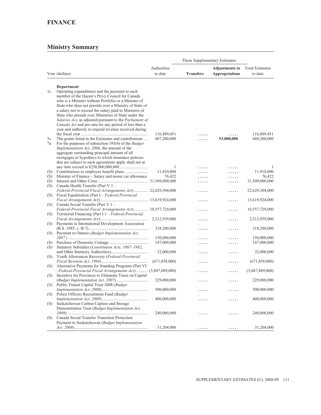|            |                                                                                                                     |                            | These Supplementary Estimates |                       |                            |
|------------|---------------------------------------------------------------------------------------------------------------------|----------------------------|-------------------------------|-----------------------|----------------------------|
|            |                                                                                                                     | Authorities                |                               | <b>Adjustments to</b> | <b>Total Estimates</b>     |
|            | Vote (dollars)                                                                                                      | to date                    | <b>Transfers</b>              | <b>Appropriations</b> | to date                    |
|            |                                                                                                                     |                            |                               |                       |                            |
|            | Department                                                                                                          |                            |                               |                       |                            |
| 1c         | Operating expenditures and the payment to each<br>member of the Queen's Privy Council for Canada                    |                            |                               |                       |                            |
|            | who is a Minister without Portfolio or a Minister of                                                                |                            |                               |                       |                            |
|            | State who does not preside over a Ministry of State of                                                              |                            |                               |                       |                            |
|            | a salary not to exceed the salary paid to Ministers of                                                              |                            |                               |                       |                            |
|            | State who preside over Ministries of State under the                                                                |                            |                               |                       |                            |
|            | Salaries Act, as adjusted pursuant to the Parliament of                                                             |                            |                               |                       |                            |
|            | Canada Act and pro rata for any period of less than a                                                               |                            |                               |                       |                            |
|            | year and authority to expend revenue received during                                                                |                            |                               |                       |                            |
| 5c         | The grants listed in the Estimates and contributions                                                                | 116,889,451<br>607,200,000 |                               | 53,000,000            | 116,889,451<br>660,200,000 |
| 7a         | For the purposes of subsection 193(4) of the <i>Budget</i>                                                          |                            |                               |                       |                            |
|            | <i>Implementation Act, 2006, the amount of the</i>                                                                  |                            |                               |                       |                            |
|            | aggregate outstanding principal amount of all                                                                       |                            |                               |                       |                            |
|            | mortgages or hypothecs to which insurance policies                                                                  |                            |                               |                       |                            |
|            | that are subject to such agreements apply shall not at                                                              |                            |                               |                       |                            |
|            |                                                                                                                     | 1                          |                               |                       |                            |
| (S)<br>(S) | Minister of Finance - Salary and motor car allowance                                                                | 11,910,000<br>76,422       |                               |                       | 11,910,000<br>76.422       |
| (S)        |                                                                                                                     |                            |                               | .                     | 31,509,000,000             |
| (S)        | Canada Health Transfer (Part V.1 -                                                                                  |                            |                               |                       |                            |
|            | Federal-Provincial Fiscal Arrangements Act)  22,629,304,000                                                         |                            |                               | .                     | 22,629,304,000             |
| (S)        | Fiscal Equalization (Part I - Federal-Provincial                                                                    |                            |                               |                       |                            |
|            |                                                                                                                     |                            |                               | .                     | 13,619,924,000             |
| (S)        | Canada Social Transfer (Part V.1 -                                                                                  |                            |                               |                       |                            |
| (S)        | Federal-Provincial Fiscal Arrangements Act)  10,557,729,000<br>Territorial Financing (Part I.1 - Federal-Provincial |                            |                               | .                     | 10,557,729,000             |
|            |                                                                                                                     | 2,312,939,000              |                               | .                     | 2,312,939,000              |
| (S)        | Payments to International Development Association                                                                   |                            |                               |                       |                            |
|            |                                                                                                                     | 318,280,000                |                               |                       | 318,280,000                |
| (S)        | Payment to Ontario (Budget Implementation Act,                                                                      |                            |                               |                       |                            |
|            |                                                                                                                     | 150,000,000                |                               |                       | 150,000,000                |
| (S)        |                                                                                                                     | 147,000,000                |                               |                       | 147,000,000                |
| (S)        | Statutory Subsidies (Constitution Acts, 1867-1982,                                                                  | 32,000,000                 |                               | .                     | 32,000,000                 |
| (S)        | Youth Allowances Recovery (Federal-Provincial                                                                       |                            |                               |                       |                            |
|            |                                                                                                                     | (671,858,000)              |                               | .                     | (671,858,000)              |
| (S)        | Alternative Payments for Standing Programs (Part VI                                                                 |                            |                               |                       |                            |
|            | -Federal-Provincial Fiscal Arrangements Act)  (3,047,889,000)                                                       |                            |                               | .                     | (3,047,889,000)            |
| (S)        | Incentive for Provinces to Eliminate Taxes on Capital                                                               |                            |                               |                       |                            |
|            | Public Transit Capital Trust 2008 (Budget                                                                           | 229,000,000                |                               |                       | 229,000,000                |
| (S)        |                                                                                                                     | 500,000,000                |                               |                       | 500,000,000                |
| (S)        | Police Officers Recruitment Fund (Budget                                                                            |                            |                               |                       |                            |
|            |                                                                                                                     | 400,000,000                | .                             |                       | 400,000,000                |
| (S)        | Saskatchewan Carbon Capture and Storage                                                                             |                            |                               |                       |                            |
|            | Demonstration Trust (Budget Implementation Act,                                                                     |                            |                               |                       |                            |
|            |                                                                                                                     | 240,000,000                |                               |                       | 240,000,000                |
| (S)        | Canada Social Transfer Transition Protection<br>Payment to Saskatchewan (Budget Implementation                      |                            |                               |                       |                            |
|            |                                                                                                                     | 31,204,000                 | .                             | .                     | 31,204,000                 |
|            |                                                                                                                     |                            |                               |                       |                            |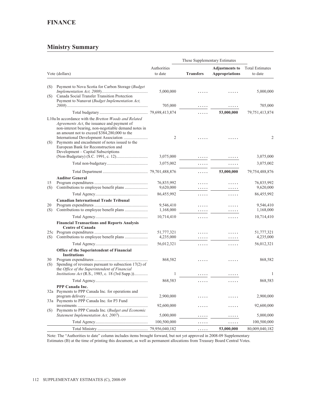### **FINANCE**

### **Ministry Summary**

|           |                                                                                                                                                                                                              |                         | These Supplementary Estimates |                                                |                                   |
|-----------|--------------------------------------------------------------------------------------------------------------------------------------------------------------------------------------------------------------|-------------------------|-------------------------------|------------------------------------------------|-----------------------------------|
|           | Vote (dollars)                                                                                                                                                                                               | Authorities<br>to date  | <b>Transfers</b>              | <b>Adjustments to</b><br><b>Appropriations</b> | <b>Total Estimates</b><br>to date |
| (S)       | Payment to Nova Scotia for Carbon Storage (Budget                                                                                                                                                            |                         |                               |                                                |                                   |
| (S)       | Canada Social Transfer Transition Protection                                                                                                                                                                 | 5,000,000               | .                             |                                                | 5,000,000                         |
|           | Payment to Nunavut (Budget Implementation Act,                                                                                                                                                               | 705,000                 | .                             |                                                | 705,000                           |
|           |                                                                                                                                                                                                              |                         | .                             | 53,000,000                                     | 79,751,413,874                    |
|           | L10a In accordance with the Bretton Woods and Related<br>Agreements Act, the issuance and payment of<br>non-interest bearing, non-negotiable demand notes in<br>an amount not to exceed \$384,280,000 to the |                         |                               |                                                |                                   |
| (S)       | Payments and encashment of notes issued to the<br>European Bank for Reconstruction and<br>Development – Capital Subscriptions                                                                                | 2                       |                               |                                                | 2                                 |
|           |                                                                                                                                                                                                              | 3,075,000               | .                             |                                                | 3,075,000                         |
|           |                                                                                                                                                                                                              | 3,075,002               | .                             | .                                              | 3,075,002                         |
|           |                                                                                                                                                                                                              |                         | .                             | 53,000,000                                     | 79,754,488,876                    |
|           | <b>Auditor General</b>                                                                                                                                                                                       |                         |                               |                                                |                                   |
| 15<br>(S) |                                                                                                                                                                                                              | 76,835,992<br>9,620,000 | .<br>.                        | .                                              | 76,835,992<br>9,620,000           |
|           |                                                                                                                                                                                                              | 86,455,992              | .                             | .                                              | 86,455,992                        |
|           | <b>Canadian International Trade Tribunal</b>                                                                                                                                                                 |                         |                               |                                                |                                   |
| 20        |                                                                                                                                                                                                              | 9,546,410               | .                             | .                                              | 9,546,410                         |
| (S)       | Contributions to employee benefit plans                                                                                                                                                                      | 1,168,000               | .                             | .                                              | 1,168,000                         |
|           |                                                                                                                                                                                                              | 10,714,410              | .                             | .                                              | 10,714,410                        |
|           | <b>Financial Transactions and Reports Analysis</b><br><b>Centre of Canada</b>                                                                                                                                |                         |                               |                                                |                                   |
|           |                                                                                                                                                                                                              | 51,777,321              |                               |                                                | 51,777,321                        |
| (S)       |                                                                                                                                                                                                              | 4,235,000               | .                             | .                                              | 4,235,000                         |
|           |                                                                                                                                                                                                              | 56,012,321              | .                             | .                                              | 56,012,321                        |
|           | <b>Office of the Superintendent of Financial</b><br><b>Institutions</b>                                                                                                                                      |                         |                               |                                                |                                   |
| 30<br>(S) | Spending of revenues pursuant to subsection $17(2)$ of<br>the Office of the Superintendent of Financial                                                                                                      | 868,582                 |                               |                                                | 868,582                           |
|           | <i>Institutions Act</i> (R.S., 1985, c. 18 (3rd Supp.))                                                                                                                                                      | 1                       | .                             |                                                | 1                                 |
|           |                                                                                                                                                                                                              | 868,583                 | .                             | .                                              | 868,583                           |
|           | PPP Canada Inc.<br>32a Payments to PPP Canada Inc. for operations and                                                                                                                                        | 2,900,000               |                               |                                                | 2,900,000                         |
|           | 33a Payments to PPP Canada Inc. for P3 Fund                                                                                                                                                                  | 92,600,000              | .                             | .                                              | 92,600,000                        |
| (S)       | Payments to PPP Canada Inc. (Budget and Economic                                                                                                                                                             |                         |                               |                                                |                                   |
|           |                                                                                                                                                                                                              | 5,000,000               | .                             | .                                              | 5,000,000                         |
|           |                                                                                                                                                                                                              | 100,500,000             | .                             | .                                              | 100,500,000                       |
|           |                                                                                                                                                                                                              |                         | .                             | 53,000,000                                     | 80,009,040,182                    |

Note: The "Authorities to date" column includes items brought forward, but not yet approved in 2008-09 Supplementary Estimates (B) at the time of printing this document, as well as permanent allocations from Treasury Board Central Votes.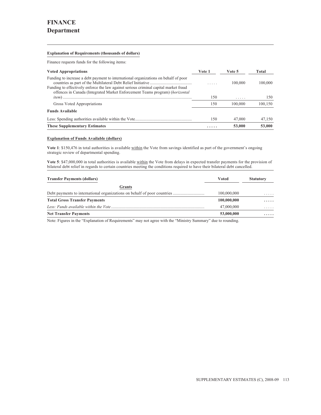### **Explanation of Requirements (thousands of dollars)**

Finance requests funds for the following items:

| <b>Voted Appropriations</b>                                                                                                                                                                                                                                         | Vote 1      | Vote 5  | Total   |
|---------------------------------------------------------------------------------------------------------------------------------------------------------------------------------------------------------------------------------------------------------------------|-------------|---------|---------|
| Funding to increase a debt payment to international organizations on behalf of poor<br>Funding to effectively enforce the law against serious criminal capital market fraud<br>offences in Canada (Integrated Market Enforcement Teams program) ( <i>horizontal</i> | and a state | 100.000 | 100.000 |
|                                                                                                                                                                                                                                                                     | 150         | .       | 150     |
| Gross Voted Appropriations                                                                                                                                                                                                                                          | 150         | 100.000 | 100.150 |
| <b>Funds Available</b>                                                                                                                                                                                                                                              |             |         |         |
|                                                                                                                                                                                                                                                                     | 150         | 47,000  | 47.150  |
| <b>These Supplementary Estimates</b>                                                                                                                                                                                                                                |             | 53,000  | 53,000  |

### **Explanation of Funds Available (dollars)**

**Vote 1**: \$150,476 in total authorities is available within the Vote from savings identified as part of the government's ongoing strategic review of departmental spending.

**Vote 5**: \$47,000,000 in total authorities is available within the Vote from delays in expected transfer payments for the provision of bilateral debt relief in regards to certain countries meeting the conditions required to have their bilateral debt cancelled.

| <b>Transfer Payments (dollars)</b>   | Voted       | <b>Statutory</b> |  |
|--------------------------------------|-------------|------------------|--|
| Grants                               |             |                  |  |
|                                      | 100,000,000 | .                |  |
| <b>Total Gross Transfer Payments</b> | 100,000,000 | .                |  |
|                                      | 47,000,000  | .                |  |
| <b>Net Transfer Payments</b>         | 53,000,000  | .                |  |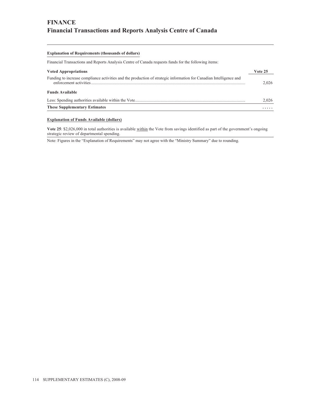### **Explanation of Requirements (thousands of dollars)**

Financial Transactions and Reports Analysis Centre of Canada requests funds for the following items:

| <b>Voted Appropriations</b>                                                                                         | Vote 25 |
|---------------------------------------------------------------------------------------------------------------------|---------|
| Funding to increase compliance activities and the production of strategic information for Canadian Intelligence and | 2.026   |
| <b>Funds Available</b>                                                                                              |         |
|                                                                                                                     | 2.026   |
| <b>These Supplementary Estimates</b>                                                                                | .       |

### **Explanation of Funds Available (dollars)**

**Vote 25**: \$2,026,000 in total authorities is available within the Vote from savings identified as part of the government's ongoing strategic review of departmental spending.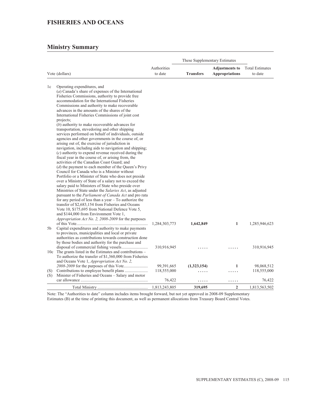### **FISHERIES AND OCEANS**

### **Ministry Summary**

|     |                                                                                                                                                                                                                                                                                                                                                                                                                                                                                                                                                                                                                                                                                                                                                                                                                                                                                                                                                                                                                                                                                                                                                                                                                                                                                                                                                                                                                                                                                  |                        | These Supplementary Estimates |                                                |                                   |  |
|-----|----------------------------------------------------------------------------------------------------------------------------------------------------------------------------------------------------------------------------------------------------------------------------------------------------------------------------------------------------------------------------------------------------------------------------------------------------------------------------------------------------------------------------------------------------------------------------------------------------------------------------------------------------------------------------------------------------------------------------------------------------------------------------------------------------------------------------------------------------------------------------------------------------------------------------------------------------------------------------------------------------------------------------------------------------------------------------------------------------------------------------------------------------------------------------------------------------------------------------------------------------------------------------------------------------------------------------------------------------------------------------------------------------------------------------------------------------------------------------------|------------------------|-------------------------------|------------------------------------------------|-----------------------------------|--|
|     | Vote (dollars)                                                                                                                                                                                                                                                                                                                                                                                                                                                                                                                                                                                                                                                                                                                                                                                                                                                                                                                                                                                                                                                                                                                                                                                                                                                                                                                                                                                                                                                                   | Authorities<br>to date | <b>Transfers</b>              | <b>Adjustments to</b><br><b>Appropriations</b> | <b>Total Estimates</b><br>to date |  |
| 1c  | Operating expenditures, and<br>$(a)$ Canada's share of expenses of the International<br>Fisheries Commissions, authority to provide free<br>accommodation for the International Fisheries<br>Commissions and authority to make recoverable<br>advances in the amounts of the shares of the<br>International Fisheries Commissions of joint cost<br>projects;<br>$(b)$ authority to make recoverable advances for<br>transportation, stevedoring and other shipping<br>services performed on behalf of individuals, outside<br>agencies and other governments in the course of, or<br>arising out of, the exercise of jurisdiction in<br>navigation, including aids to navigation and shipping;<br>$(c)$ authority to expend revenue received during the<br>fiscal year in the course of, or arising from, the<br>activities of the Canadian Coast Guard; and<br>$(d)$ the payment to each member of the Queen's Privy<br>Council for Canada who is a Minister without<br>Portfolio or a Minister of State who does not preside<br>over a Ministry of State of a salary not to exceed the<br>salary paid to Ministers of State who preside over<br>Ministries of State under the Salaries Act, as adjusted<br>pursuant to the Parliament of Canada Act and pro rata<br>for any period of less than a year $-$ To authorize the<br>transfer of \$2,683,154 from Fisheries and Oceans<br>Vote 10, \$175,695 from National Defence Vote 5,<br>and \$144,000 from Environment Vote 1, |                        |                               |                                                |                                   |  |
| 5b  | Appropriation Act No. 2, 2008-2009 for the purposes<br>Capital expenditures and authority to make payments<br>to provinces, municipalities and local or private<br>authorities as contributions towards construction done                                                                                                                                                                                                                                                                                                                                                                                                                                                                                                                                                                                                                                                                                                                                                                                                                                                                                                                                                                                                                                                                                                                                                                                                                                                        | 1,284,303,773          | 1,642,849                     | 1                                              | 1,285,946,623                     |  |
|     | by those bodies and authority for the purchase and<br>10c The grants listed in the Estimates and contributions –<br>To authorize the transfer of \$1,360,000 from Fisheries<br>and Oceans Vote 1, Appropriation Act No. 2,                                                                                                                                                                                                                                                                                                                                                                                                                                                                                                                                                                                                                                                                                                                                                                                                                                                                                                                                                                                                                                                                                                                                                                                                                                                       | 310,916,945            |                               |                                                | 310,916,945                       |  |
|     |                                                                                                                                                                                                                                                                                                                                                                                                                                                                                                                                                                                                                                                                                                                                                                                                                                                                                                                                                                                                                                                                                                                                                                                                                                                                                                                                                                                                                                                                                  | 99,391,665             | (1,323,154)                   | 1                                              | 98,068,512                        |  |
| (S) |                                                                                                                                                                                                                                                                                                                                                                                                                                                                                                                                                                                                                                                                                                                                                                                                                                                                                                                                                                                                                                                                                                                                                                                                                                                                                                                                                                                                                                                                                  | 118,555,000            |                               | .                                              | 118,555,000                       |  |
| (S) | Minister of Fisheries and Oceans – Salary and motor                                                                                                                                                                                                                                                                                                                                                                                                                                                                                                                                                                                                                                                                                                                                                                                                                                                                                                                                                                                                                                                                                                                                                                                                                                                                                                                                                                                                                              | 76,422                 | .                             | .                                              | 76,422                            |  |
|     |                                                                                                                                                                                                                                                                                                                                                                                                                                                                                                                                                                                                                                                                                                                                                                                                                                                                                                                                                                                                                                                                                                                                                                                                                                                                                                                                                                                                                                                                                  | 1,813,243,805          | 319,695                       | $\overline{2}$                                 | 1,813,563,502                     |  |

Note: The "Authorities to date" column includes items brought forward, but not yet approved in 2008-09 Supplementary Estimates (B) at the time of printing this document, as well as permanent allocations from Treasury Board Central Votes.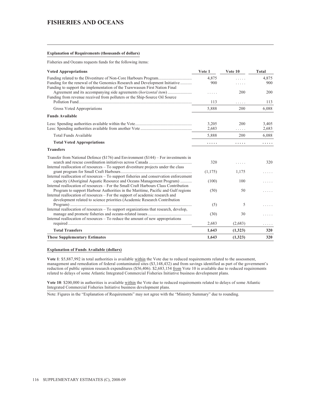### **FISHERIES AND OCEANS**

#### **Explanation of Requirements (thousands of dollars)**

Fisheries and Oceans requests funds for the following items:

| <b>Voted Appropriations</b>                                                                                                                                                                                                                            | Vote 1       | Vote 10 | Total        |
|--------------------------------------------------------------------------------------------------------------------------------------------------------------------------------------------------------------------------------------------------------|--------------|---------|--------------|
| Funding for the renewal of the Genomics Research and Development Initiative<br>Funding to support the implementation of the Tsawwassen First Nation Final                                                                                              | 4,875<br>900 | .<br>.  | 4,875<br>900 |
| Funding from revenue received from polluters or the Ship-Source Oil Source                                                                                                                                                                             | .            | 200     | 200          |
|                                                                                                                                                                                                                                                        | 113          | .       | 113          |
| Gross Voted Appropriations                                                                                                                                                                                                                             | 5,888        | 200     | 6,088        |
| <b>Funds Available</b>                                                                                                                                                                                                                                 |              |         |              |
|                                                                                                                                                                                                                                                        | 3,205        | 200     | 3,405        |
|                                                                                                                                                                                                                                                        | 2,683        | .       | 2,683        |
| <b>Total Funds Available</b>                                                                                                                                                                                                                           | 5,888        | 200     | 6,088        |
| <b>Total Voted Appropriations</b>                                                                                                                                                                                                                      | .            | .       | .            |
| <b>Transfers</b>                                                                                                                                                                                                                                       |              |         |              |
| Transfer from National Defence $(\$176)$ and Environment $(\$144)$ – For investments in                                                                                                                                                                |              |         |              |
| Internal reallocation of resources – To support divestiture projects under the class                                                                                                                                                                   | 320          | .       | 320          |
|                                                                                                                                                                                                                                                        | (1,175)      | 1,175   |              |
| Internal reallocation of resources – To support fisheries and conservation enforcement<br>capacity (Aboriginal Aquatic Resource and Oceans Management Program)<br>Internal reallocation of resources – For the Small Craft Harbours Class Contribution | (100)        | 100     |              |
| Program to support Harbour Authorities in the Maritime, Pacific and Gulf regions<br>Internal reallocation of resources – For the support of academic research and                                                                                      | (50)         | 50      |              |
| development related to science priorities (Academic Research Contribution                                                                                                                                                                              | (5)          | 5       |              |
| Internal reallocation of resources – To support organizations that research, develop,<br>Internal reallocation of resources – To reduce the amount of new appropriations                                                                               | (30)         | 30      |              |
|                                                                                                                                                                                                                                                        | 2,683        | (2,683) |              |
| <b>Total Transfers</b>                                                                                                                                                                                                                                 | 1,643        | (1,323) | 320          |
| <b>These Supplementary Estimates</b>                                                                                                                                                                                                                   | 1,643        | (1,323) | 320          |

#### **Explanation of Funds Available (dollars)**

**Vote 1**: \$5,887,992 in total authorities is available within the Vote due to reduced requirements related to the assessment, management and remediation of federal contaminated sites (\$3,148,432) and from savings identified as part of the government's reduction of public opinion research expenditures (\$56,406). \$2,683,154 from Vote 10 is available due to reduced requirements related to delays of some Atlantic Integrated Commercial Fisheries Initiative business development plans.

**Vote 10**: \$200,000 in authorities is available within the Vote due to reduced requirements related to delays of some Atlantic Integrated Commercial Fisheries Initiative business development plans.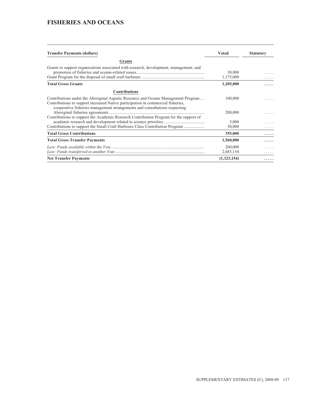## **FISHERIES AND OCEANS**

| <b>Transfer Payments (dollars)</b>                                                                                                                                                                                                                  | <b>Voted</b>         | <b>Statutory</b> |
|-----------------------------------------------------------------------------------------------------------------------------------------------------------------------------------------------------------------------------------------------------|----------------------|------------------|
| Grants                                                                                                                                                                                                                                              |                      |                  |
| Grants to support organizations associated with research, development, management, and                                                                                                                                                              | 30,000<br>1,175,000  |                  |
| <b>Total Gross Grants</b>                                                                                                                                                                                                                           | 1,205,000            |                  |
| <b>Contributions</b>                                                                                                                                                                                                                                |                      |                  |
| Contributions under the Aboriginal Aquatic Resource and Oceans Management Program<br>Contributions to support increased Native participation in commercial fisheries,<br>cooperative fisheries management arrangements and consultations respecting | 100,000              |                  |
|                                                                                                                                                                                                                                                     | 200,000              |                  |
| Contributions to support the Academic Research Contribution Program for the support of<br>Contributions to support the Small Craft Harbours Class Contribution Program                                                                              | 5,000<br>50,000      |                  |
| <b>Total Gross Contributions</b>                                                                                                                                                                                                                    | 355,000              | .                |
| <b>Total Gross Transfer Payments</b>                                                                                                                                                                                                                | 1,560,000            | .                |
|                                                                                                                                                                                                                                                     | 200,000<br>2,683,154 | .                |
| <b>Net Transfer Payments</b>                                                                                                                                                                                                                        | (1,323,154)          | .                |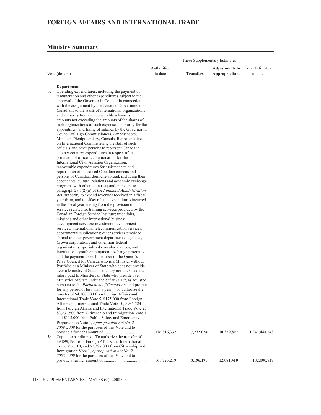## **Ministry Summary**

|                |                        |                  | These Supplementary Estimates |                                                  |
|----------------|------------------------|------------------|-------------------------------|--------------------------------------------------|
| Vote (dollars) | Authorities<br>to date | <b>Transfers</b> | <b>Appropriations</b>         | <b>Adjustments to</b> Total Estimates<br>to date |

### **Department**

| 1c | Operating expenditures, including the payment of              |               |           |            |               |
|----|---------------------------------------------------------------|---------------|-----------|------------|---------------|
|    | remuneration and other expenditures subject to the            |               |           |            |               |
|    | approval of the Governor in Council in connection             |               |           |            |               |
|    | with the assignment by the Canadian Government of             |               |           |            |               |
|    | Canadians to the staffs of international organizations        |               |           |            |               |
|    | and authority to make recoverable advances in                 |               |           |            |               |
|    | amounts not exceeding the amounts of the shares of            |               |           |            |               |
|    | such organizations of such expenses; authority for the        |               |           |            |               |
|    | appointment and fixing of salaries by the Governor in         |               |           |            |               |
|    | Council of High Commissioners, Ambassadors,                   |               |           |            |               |
|    | Ministers Plenipotentiary, Consuls, Representatives           |               |           |            |               |
|    | on International Commissions, the staff of such               |               |           |            |               |
|    | officials and other persons to represent Canada in            |               |           |            |               |
|    | another country; expenditures in respect of the               |               |           |            |               |
|    | provision of office accommodation for the                     |               |           |            |               |
|    | International Civil Aviation Organization;                    |               |           |            |               |
|    | recoverable expenditures for assistance to and                |               |           |            |               |
|    | repatriation of distressed Canadian citizens and              |               |           |            |               |
|    | persons of Canadian domicile abroad, including their          |               |           |            |               |
|    | dependants; cultural relations and academic exchange          |               |           |            |               |
|    | programs with other countries; and, pursuant to               |               |           |            |               |
|    | paragraph $29.1(2)(a)$ of the <i>Financial Administration</i> |               |           |            |               |
|    | Act, authority to expend revenues received in a fiscal        |               |           |            |               |
|    | year from, and to offset related expenditures incurred        |               |           |            |               |
|    | in the fiscal year arising from the provision of              |               |           |            |               |
|    | services related to: training services provided by the        |               |           |            |               |
|    | Canadian Foreign Service Institute; trade fairs,              |               |           |            |               |
|    | missions and other international business                     |               |           |            |               |
|    | development services; investment development                  |               |           |            |               |
|    | services; international telecommunication services;           |               |           |            |               |
|    | departmental publications; other services provided            |               |           |            |               |
|    | abroad to other government departments, agencies,             |               |           |            |               |
|    | Crown corporations and other non-federal                      |               |           |            |               |
|    | organizations; specialized consular services; and             |               |           |            |               |
|    | international youth employment exchange programs              |               |           |            |               |
|    | and the payment to each member of the Queen's                 |               |           |            |               |
|    | Privy Council for Canada who is a Minister without            |               |           |            |               |
|    | Portfolio or a Minister of State who does not preside         |               |           |            |               |
|    | over a Ministry of State of a salary not to exceed the        |               |           |            |               |
|    | salary paid to Ministers of State who preside over            |               |           |            |               |
|    | Ministries of State under the Salaries Act, as adjusted       |               |           |            |               |
|    | pursuant to the <i>Parliament of Canada Act</i> and pro rata  |               |           |            |               |
|    | for any period of less than a year $-$ To authorize the       |               |           |            |               |
|    | transfer of \$4,100,000 from Foreign Affairs and              |               |           |            |               |
|    |                                                               |               |           |            |               |
|    | International Trade Vote 5, \$175,000 from Foreign            |               |           |            |               |
|    | Affairs and International Trade Vote 10, \$935,524            |               |           |            |               |
|    | from Foreign Affairs and International Trade Vote 25,         |               |           |            |               |
|    | \$3,231,500 from Citizenship and Immigration Vote 1,          |               |           |            |               |
|    | and \$115,000 from Public Safety and Emergency                |               |           |            |               |
|    | Preparedness Vote 1, Appropriation Act No. 2,                 |               |           |            |               |
|    | 2008-2009 for the purposes of this Vote and to                |               |           |            |               |
|    |                                                               | 1,316,816,332 | 7,272,024 | 18,359,892 | 1,342,448,248 |
| 5c | Capital expenditures – To authorize the transfer of           |               |           |            |               |
|    | \$9,899,190 from Foreign Affairs and International            |               |           |            |               |
|    | Trade Vote 10, and \$2,397,000 from Citizenship and           |               |           |            |               |
|    | Immigration Vote 1, <i>Appropriation Act No. 2</i> ,          |               |           |            |               |
|    | 2008-2009 for the purposes of this Vote and to                |               |           |            |               |
|    |                                                               | 161,723,219   | 8,196,190 | 12,081,410 | 182,000,819   |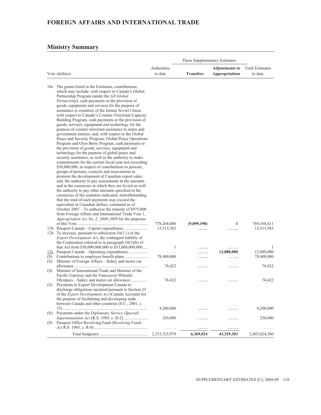## **Ministry Summary**

|            |                                                                                                                                                                                                                                                                                                                                                                                                                                                                                                                                                                                                                                                                                                                                                                                                                                                                                                                                                                                                                                                                                                                                                                                                                                                                                                                                                                                                                                                                                                                                                                                                                               |                           | These Supplementary Estimates |                                                |                                   |
|------------|-------------------------------------------------------------------------------------------------------------------------------------------------------------------------------------------------------------------------------------------------------------------------------------------------------------------------------------------------------------------------------------------------------------------------------------------------------------------------------------------------------------------------------------------------------------------------------------------------------------------------------------------------------------------------------------------------------------------------------------------------------------------------------------------------------------------------------------------------------------------------------------------------------------------------------------------------------------------------------------------------------------------------------------------------------------------------------------------------------------------------------------------------------------------------------------------------------------------------------------------------------------------------------------------------------------------------------------------------------------------------------------------------------------------------------------------------------------------------------------------------------------------------------------------------------------------------------------------------------------------------------|---------------------------|-------------------------------|------------------------------------------------|-----------------------------------|
|            | Vote (dollars)                                                                                                                                                                                                                                                                                                                                                                                                                                                                                                                                                                                                                                                                                                                                                                                                                                                                                                                                                                                                                                                                                                                                                                                                                                                                                                                                                                                                                                                                                                                                                                                                                | Authorities<br>to date    | <b>Transfers</b>              | <b>Adjustments to</b><br><b>Appropriations</b> | <b>Total Estimates</b><br>to date |
|            | 10c The grants listed in the Estimates, contributions,<br>which may include: with respect to Canada's Global<br>Partnership Program (under the G8 Global<br>Partnership), cash payments or the provision of<br>goods, equipment and services for the purpose of<br>assistance to countries of the former Soviet Union;<br>with respect to Canada's Counter-Terrorism Capacity<br>Building Program, cash payments or the provision of<br>goods, services, equipment and technology for the<br>purpose of counter-terrorism assistance to states and<br>government entities; and, with respect to the Global<br>Peace and Security Program, Global Peace Operations<br>Program and Glyn Berry Program, cash payments or<br>the provision of goods, services, equipment and<br>technology for the purpose of global peace and<br>security assistance; as well as the authority to make<br>commitments for the current fiscal year not exceeding<br>\$30,000,000, in respect of contributions to persons,<br>groups of persons, councils and associations to<br>promote the development of Canadian export sales;<br>and, the authority to pay assessments in the amounts<br>and in the currencies in which they are levied as well<br>the authority to pay other amounts specified in the<br>currencies of the countries indicated, notwithstanding<br>that the total of such payments may exceed the<br>equivalent in Canadian dollars, estimated as of<br>October 2007 – To authorize the transfer of \$975,000<br>from Foreign Affairs and International Trade Vote 1,<br>Appropriation Act No. 2, 2008-2009 for the purposes |                           |                               |                                                |                                   |
|            | 12b To increase, pursuant to subsection $10(3.1)$ of the<br><i>Export Development Act</i> , the contingent liability of<br>the Corporation referred to in paragraph $10(3)(b)$ of                                                                                                                                                                                                                                                                                                                                                                                                                                                                                                                                                                                                                                                                                                                                                                                                                                                                                                                                                                                                                                                                                                                                                                                                                                                                                                                                                                                                                                             | 778,268,000<br>13,515,583 | (9,099,190)                   | 1                                              | 769,168,811<br>13,515,583         |
|            | that Act from \$30,000,000,000 to \$33,000,000,000                                                                                                                                                                                                                                                                                                                                                                                                                                                                                                                                                                                                                                                                                                                                                                                                                                                                                                                                                                                                                                                                                                                                                                                                                                                                                                                                                                                                                                                                                                                                                                            | 1                         |                               |                                                | 1                                 |
|            |                                                                                                                                                                                                                                                                                                                                                                                                                                                                                                                                                                                                                                                                                                                                                                                                                                                                                                                                                                                                                                                                                                                                                                                                                                                                                                                                                                                                                                                                                                                                                                                                                               | .                         |                               | 12,888,000                                     | 12,888,000                        |
| (S)<br>(S) | Minister of Foreign Affairs - Salary and motor car                                                                                                                                                                                                                                                                                                                                                                                                                                                                                                                                                                                                                                                                                                                                                                                                                                                                                                                                                                                                                                                                                                                                                                                                                                                                                                                                                                                                                                                                                                                                                                            | 78,400,000                |                               | .                                              | 78,400,000                        |
| (S)        | Minister of International Trade and Minister of the<br>Pacific Gateway and the Vancouver-Whistler                                                                                                                                                                                                                                                                                                                                                                                                                                                                                                                                                                                                                                                                                                                                                                                                                                                                                                                                                                                                                                                                                                                                                                                                                                                                                                                                                                                                                                                                                                                             | 76,422                    |                               |                                                | 76,422                            |
|            | Olympics – Salary and motor car allowance<br>(S) Payments to Export Development Canada to<br>discharge obligations incurred pursuant to Section 23<br>of the Export Development Act (Canada Account) for<br>the purpose of facilitating and developing trade<br>between Canada and other countries (S.C., 2001, c.                                                                                                                                                                                                                                                                                                                                                                                                                                                                                                                                                                                                                                                                                                                                                                                                                                                                                                                                                                                                                                                                                                                                                                                                                                                                                                            | 76,422                    |                               |                                                | 76,422                            |
| (S)        | Payments under the Diplomatic Service (Special)                                                                                                                                                                                                                                                                                                                                                                                                                                                                                                                                                                                                                                                                                                                                                                                                                                                                                                                                                                                                                                                                                                                                                                                                                                                                                                                                                                                                                                                                                                                                                                               | 4,200,000                 |                               |                                                | 4,200,000                         |
| (S)        | Passport Office Revolving Fund (Revolving Funds                                                                                                                                                                                                                                                                                                                                                                                                                                                                                                                                                                                                                                                                                                                                                                                                                                                                                                                                                                                                                                                                                                                                                                                                                                                                                                                                                                                                                                                                                                                                                                               | 250,000                   | .                             | . <b>.</b>                                     | 250,000                           |
|            |                                                                                                                                                                                                                                                                                                                                                                                                                                                                                                                                                                                                                                                                                                                                                                                                                                                                                                                                                                                                                                                                                                                                                                                                                                                                                                                                                                                                                                                                                                                                                                                                                               |                           | .                             | .                                              |                                   |
|            |                                                                                                                                                                                                                                                                                                                                                                                                                                                                                                                                                                                                                                                                                                                                                                                                                                                                                                                                                                                                                                                                                                                                                                                                                                                                                                                                                                                                                                                                                                                                                                                                                               | 2,353,325,979             | 6,369,024                     | 43,329,303                                     | 2,403,024,306                     |

<u> 1989 - Johann Barn, mars and de Brasilian (b. 1989)</u>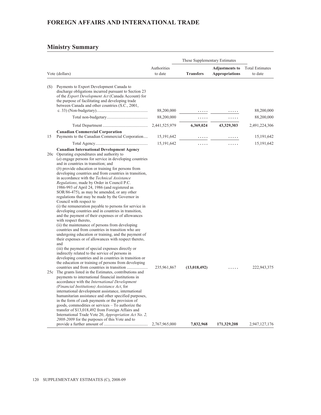## **Ministry Summary**

|     |                                                                                                                                                                                                                                                                                                                                                                                                                                                                                                                                                                                                                                                                                                                                                                                                                                                                                                                                                                                                                                                                                                                                                                                                                                                                                                                                                                                                                                                                                                                                                                                               |                          | These Supplementary Estimates |                                                |                                   |
|-----|-----------------------------------------------------------------------------------------------------------------------------------------------------------------------------------------------------------------------------------------------------------------------------------------------------------------------------------------------------------------------------------------------------------------------------------------------------------------------------------------------------------------------------------------------------------------------------------------------------------------------------------------------------------------------------------------------------------------------------------------------------------------------------------------------------------------------------------------------------------------------------------------------------------------------------------------------------------------------------------------------------------------------------------------------------------------------------------------------------------------------------------------------------------------------------------------------------------------------------------------------------------------------------------------------------------------------------------------------------------------------------------------------------------------------------------------------------------------------------------------------------------------------------------------------------------------------------------------------|--------------------------|-------------------------------|------------------------------------------------|-----------------------------------|
|     | Vote (dollars)                                                                                                                                                                                                                                                                                                                                                                                                                                                                                                                                                                                                                                                                                                                                                                                                                                                                                                                                                                                                                                                                                                                                                                                                                                                                                                                                                                                                                                                                                                                                                                                | Authorities<br>to date   | <b>Transfers</b>              | <b>Adjustments to</b><br><b>Appropriations</b> | <b>Total Estimates</b><br>to date |
| (S) | Payments to Export Development Canada to<br>discharge obligations incurred pursuant to Section 23<br>of the <i>Export Development Act</i> (Canada Account) for<br>the purpose of facilitating and developing trade<br>between Canada and other countries (S.C., 2001,                                                                                                                                                                                                                                                                                                                                                                                                                                                                                                                                                                                                                                                                                                                                                                                                                                                                                                                                                                                                                                                                                                                                                                                                                                                                                                                         |                          |                               |                                                |                                   |
|     |                                                                                                                                                                                                                                                                                                                                                                                                                                                                                                                                                                                                                                                                                                                                                                                                                                                                                                                                                                                                                                                                                                                                                                                                                                                                                                                                                                                                                                                                                                                                                                                               | 88,200,000<br>88,200,000 |                               |                                                | 88,200,000<br>88,200,000          |
|     |                                                                                                                                                                                                                                                                                                                                                                                                                                                                                                                                                                                                                                                                                                                                                                                                                                                                                                                                                                                                                                                                                                                                                                                                                                                                                                                                                                                                                                                                                                                                                                                               |                          | .                             | .                                              |                                   |
|     |                                                                                                                                                                                                                                                                                                                                                                                                                                                                                                                                                                                                                                                                                                                                                                                                                                                                                                                                                                                                                                                                                                                                                                                                                                                                                                                                                                                                                                                                                                                                                                                               | 2,441,525,979            | 6,369,024                     | 43,329,303                                     | 2,491,224,306                     |
| 15  | <b>Canadian Commercial Corporation</b><br>Payments to the Canadian Commercial Corporation                                                                                                                                                                                                                                                                                                                                                                                                                                                                                                                                                                                                                                                                                                                                                                                                                                                                                                                                                                                                                                                                                                                                                                                                                                                                                                                                                                                                                                                                                                     | 15, 191, 642             |                               |                                                | 15, 191, 642                      |
|     |                                                                                                                                                                                                                                                                                                                                                                                                                                                                                                                                                                                                                                                                                                                                                                                                                                                                                                                                                                                                                                                                                                                                                                                                                                                                                                                                                                                                                                                                                                                                                                                               | 15, 191, 642             | .                             |                                                | 15, 191, 642                      |
|     | <b>Canadian International Development Agency</b><br>20c Operating expenditures and authority to<br>( <i>a</i> ) engage persons for service in developing countries<br>and in countries in transition; and<br>$(b)$ provide education or training for persons from<br>developing countries and from countries in transition,<br>in accordance with the Technical Assistance<br>Regulations, made by Order in Council P.C.<br>1986-993 of April 24, 1986 (and registered as<br>SOR/86-475), as may be amended, or any other<br>regulations that may be made by the Governor in<br>Council with respect to<br>(i) the remuneration payable to persons for service in<br>developing countries and in countries in transition,<br>and the payment of their expenses or of allowances<br>with respect thereto,<br>(ii) the maintenance of persons from developing<br>countries and from countries in transition who are<br>undergoing education or training, and the payment of<br>their expenses or of allowances with respect thereto,<br>and<br>(iii) the payment of special expenses directly or<br>indirectly related to the service of persons in<br>developing countries and in countries in transition or<br>the education or training of persons from developing<br>countries and from countries in transition<br>25c The grants listed in the Estimates, contributions and<br>payments to international financial institutions in<br>accordance with the International Development<br>(Financial Institutions) Assistance Act, for<br>international development assistance, international | 235,961,867              | (13,018,492)                  |                                                | 222,943,375                       |
|     | humanitarian assistance and other specified purposes,<br>in the form of cash payments or the provision of<br>goods, commodities or services – To authorize the<br>transfer of \$13,018,492 from Foreign Affairs and<br>International Trade Vote 20, Appropriation Act No. 2,<br>2008-2009 for the purposes of this Vote and to                                                                                                                                                                                                                                                                                                                                                                                                                                                                                                                                                                                                                                                                                                                                                                                                                                                                                                                                                                                                                                                                                                                                                                                                                                                                |                          | 7,832,968                     | 171,329,208                                    | 2,947,127,176                     |

<u> 1989 - Johann Barbara, martxa alemaniar a</u>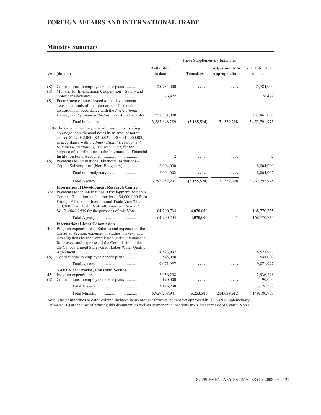## **Ministry Summary**

|            |                                                                                                                                                                                                                                                                                                                                     |                       | These Supplementary Estimates |                       |                        |
|------------|-------------------------------------------------------------------------------------------------------------------------------------------------------------------------------------------------------------------------------------------------------------------------------------------------------------------------------------|-----------------------|-------------------------------|-----------------------|------------------------|
|            |                                                                                                                                                                                                                                                                                                                                     | Authorities           |                               | <b>Adjustments to</b> | <b>Total Estimates</b> |
|            | Vote (dollars)                                                                                                                                                                                                                                                                                                                      | to date               | <b>Transfers</b>              | <b>Appropriations</b> | to date                |
| (S)<br>(S) | Minister for International Cooperation - Salary and                                                                                                                                                                                                                                                                                 | 25,784,000            |                               |                       | 25,784,000             |
| (S)        | Encashment of notes issued to the development<br>assistance funds of the international financial<br>institutions in accordance with the International<br>Development (Financial Institutions) Assistance Act                                                                                                                        | 76,422<br>257,861,000 |                               |                       | 76,422<br>257,861,000  |
|            |                                                                                                                                                                                                                                                                                                                                     | 3,287,648,289         | (5, 185, 524)                 | 171,329,208           | 3,453,791,973          |
|            | L30a The issuance and payment of non-interest bearing,<br>non-negotiable demand notes in an amount not to<br>exceed \$227,032,000 (\$215,032,000 + \$12,000,000)<br>in accordance with the International Development<br>(Financial Institutions) Assistance Act, for the<br>purpose of contributions to the International Financial |                       |                               |                       |                        |
| (S)        | Payments to International Financial Institutions -                                                                                                                                                                                                                                                                                  | $\overline{2}$        |                               |                       | $\overline{2}$         |
|            | Capital Subscriptions (Non-Budgetary)                                                                                                                                                                                                                                                                                               | 8,004,000             |                               |                       | 8,004,000              |
|            |                                                                                                                                                                                                                                                                                                                                     | 8,004,002             |                               | .                     | 8,004,002              |
|            |                                                                                                                                                                                                                                                                                                                                     | 3,295,652,291         | (5, 185, 524)                 | 171,329,208           | 3,461,795,975          |
|            | <b>International Development Research Centre</b><br>35c Payments to the International Development Research<br>Centre – To authorize the transfer of $$4,000,000$ from<br>Foreign Affairs and International Trade Vote 25, and<br>\$70,000 from Health Vote 40, Appropriation Act<br>No. 2, 2008-2009 for the purposes of this Vote  | 164,700,734           | 4,070,000                     | 1                     | 168,770,735            |
|            |                                                                                                                                                                                                                                                                                                                                     | 164,700,734           | 4,070,000                     | $\mathbf{1}$          | 168,770,735            |
|            | <b>International Joint Commission</b><br>40b Program expenditures – Salaries and expenses of the<br>Canadian Section, expenses of studies, surveys and<br>investigations by the Commission under International<br>References and expenses of the Commission under<br>the Canada-United States Great Lakes Water Quality             |                       |                               |                       |                        |
| (S)        | Contributions to employee benefit plans                                                                                                                                                                                                                                                                                             | 8,523,997<br>548,000  |                               |                       | 8,523,997<br>548,000   |
|            |                                                                                                                                                                                                                                                                                                                                     | 9,071,997             |                               |                       | 9,071,997              |
|            | <b>NAFTA Secretariat, Canadian Section</b>                                                                                                                                                                                                                                                                                          |                       | .                             | .                     |                        |
| 45<br>(S)  |                                                                                                                                                                                                                                                                                                                                     | 2,936,298<br>190,000  |                               |                       | 2,936,298<br>190,000   |
|            |                                                                                                                                                                                                                                                                                                                                     | 3,126,298             | .                             | .                     | 3,126,298              |
|            |                                                                                                                                                                                                                                                                                                                                     | 5,929,268,941         | 5,253,500                     | 214,658,512           | 6,149,180,953          |

Note: The "Authorities to date" column includes items brought forward, but not yet approved in 2008-09 Supplementary Estimates (B) at the time of printing this document, as well as permanent allocations from Treasury Board Central Votes.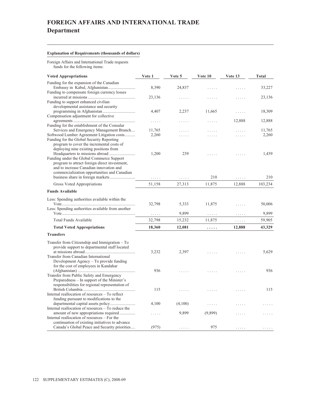# **FOREIGN AFFAIRS AND INTERNATIONAL TRADE Department**

### **Explanation of Requirements (thousands of dollars)**

Foreign Affairs and International Trade requests funds for the following items:

| <b>Voted Appropriations</b>                                                                                                                                                           | Vote 1  | Vote 5  | Vote 10                                          | Vote 13                        | <b>Total</b> |
|---------------------------------------------------------------------------------------------------------------------------------------------------------------------------------------|---------|---------|--------------------------------------------------|--------------------------------|--------------|
| Funding for the expansion of the Canadian<br>Funding to compensate foreign currency losses                                                                                            | 8,390   | 24,837  | .                                                | .                              | 33,227       |
| Funding to support enhanced civilian<br>developmental assistance and security                                                                                                         | 23,136  | .       | .                                                | .                              | 23,136       |
| Compensation adjustment for collective                                                                                                                                                | 4,407   | 2,237   | 11,665                                           | .                              | 18,309       |
|                                                                                                                                                                                       | .       | .       | .                                                | 12,888                         | 12,888       |
| Funding for the establishment of the Consular<br>Services and Emergency Management Branch                                                                                             | 11,765  |         | .                                                |                                | 11,765       |
| Softwood Lumber Agreement Litigation costs                                                                                                                                            | 2,260   | .       | .                                                | .                              | 2,260        |
| Funding for the Global Security Reporting<br>program to cover the incremental costs of<br>deploying nine existing positions from<br>Headquarters to missions abroad                   | 1,200   | 239     | .                                                |                                | 1,439        |
| Funding under the Global Commerce Support<br>program to attract foreign direct investment,<br>and to increase Canadian innovation and<br>commercialization opportunities and Canadian |         |         |                                                  |                                |              |
|                                                                                                                                                                                       | .       | .       | 210                                              | .                              | 210          |
| Gross Voted Appropriations                                                                                                                                                            | 51,158  | 27,313  | 11,875                                           | 12,888                         | 103,234      |
| <b>Funds Available</b>                                                                                                                                                                |         |         |                                                  |                                |              |
| Less: Spending authorities available within the                                                                                                                                       | 32,798  | 5,333   | 11,875                                           | .                              | 50,006       |
| Less: Spending authorities available from another                                                                                                                                     | $\dots$ | 9,899   | $\mathbb{Z}^2$ . $\mathbb{Z}^2$ , $\mathbb{Z}^2$ | .                              | 9,899        |
| Total Funds Available                                                                                                                                                                 | 32,798  | 15,232  | 11,875                                           | .                              | 59,905       |
| <b>Total Voted Appropriations</b>                                                                                                                                                     | 18,360  | 12,081  | .                                                | 12,888                         | 43,329       |
| <b>Transfers</b>                                                                                                                                                                      |         |         |                                                  |                                |              |
| Transfer from Citizenship and Immigration - To<br>provide support to departmental staff located<br>Transfer from Canadian International<br>Development Agency – To provide funding    | 3,232   | 2,397   |                                                  |                                | 5,629        |
| for the cost of employees in Kandahar<br>Transfer from Public Safety and Emergency<br>Preparedness – In support of the Minister's                                                     | 936     | .       | .                                                | $\alpha$ , $\alpha$ , $\alpha$ | 936          |
| responsibilities for regional representation of<br>Internal reallocation of resources – To reflect<br>funding pursuant to modifications to the                                        | 115     | .       | .                                                | .                              | 115          |
| Internal reallocation of resources - To reduce the                                                                                                                                    | 4,100   | (4,100) | .                                                |                                |              |
| amount of new appropriations required<br>Internal reallocation of resources – For the                                                                                                 |         | 9,899   | (9,899)                                          |                                |              |
| continuation of existing initiatives to advance<br>Canada's Global Peace and Security priorities                                                                                      | (975)   | 1.1.1.1 | 975                                              | .                              | 1.1.1.1      |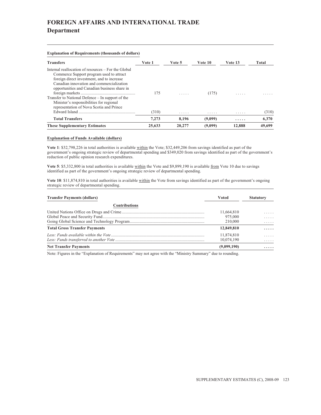## **FOREIGN AFFAIRS AND INTERNATIONAL TRADE Department**

**Explanation of Requirements (thousands of dollars)**

| <b>Transfers</b>                                                                                                                                                                                                                                                                                                                                                                       | Vote 1       | Vote 5     | Vote 10 | Vote 13 | Total  |
|----------------------------------------------------------------------------------------------------------------------------------------------------------------------------------------------------------------------------------------------------------------------------------------------------------------------------------------------------------------------------------------|--------------|------------|---------|---------|--------|
| Internal reallocation of resources – For the Global<br>Commerce Support program used to attract<br>foreign direct investment, and to increase<br>Canadian innovation and commercialization<br>opportunities and Canadian business share in<br>Transfer to National Defence – In support of the<br>Minister's responsibilities for regional<br>representation of Nova Scotia and Prince | 175<br>(310) |            | (175)   |         | (310)  |
| <b>Total Transfers</b>                                                                                                                                                                                                                                                                                                                                                                 | 7,273        | .<br>8.196 | (9,099) | .<br>.  | 6,370  |
| <b>These Supplementary Estimates</b>                                                                                                                                                                                                                                                                                                                                                   | 25,633       | 20,277     | (9,099) | 12.888  | 49,699 |

### **Explanation of Funds Available (dollars)**

**Vote 1**: \$32,798,226 in total authorities is available within the Vote; \$32,449,206 from savings identified as part of the government's ongoing strategic review of departmental spending and \$349,020 from savings identified as part of the government's reduction of public opinion research expenditures.

Vote 5: \$5,332,800 in total authorities is available within the Vote and \$9,899,190 is available from Vote 10 due to savings identified as part of the government's ongoing strategic review of departmental spending.

**Vote 10**: \$11,874,810 in total authorities is available within the Vote from savings identified as part of the government's ongoing strategic review of departmental spending.

| <b>Transfer Payments (dollars)</b>   | Voted                    | <b>Statutory</b> |
|--------------------------------------|--------------------------|------------------|
| <b>Contributions</b>                 |                          |                  |
|                                      | 11,664,810<br>975,000    | .                |
|                                      | 210,000                  | .<br>.           |
| <b>Total Gross Transfer Payments</b> | 12,849,810               | .                |
|                                      | 11,874,810<br>10.074.190 | .<br>.           |
| <b>Net Transfer Payments</b>         | (9,099,190)              | .                |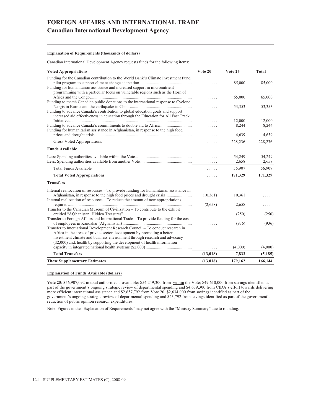# **FOREIGN AFFAIRS AND INTERNATIONAL TRADE Canadian International Development Agency**

#### **Explanation of Requirements (thousands of dollars)**

Canadian International Development Agency requests funds for the following items:

| <b>Voted Appropriations</b>                                                                                                                                                                                                       | Vote 20   | Vote 25 | <b>Total</b> |
|-----------------------------------------------------------------------------------------------------------------------------------------------------------------------------------------------------------------------------------|-----------|---------|--------------|
| Funding for the Canadian contribution to the World Bank's Climate Investment Fund                                                                                                                                                 | .         | 85,000  | 85,000       |
| Funding for humanitarian assistance and increased support in micronutrient<br>programming with a particular focus on vulnerable regions such as the Horn of                                                                       | .         | 65,000  | 65,000       |
| Funding to match Canadian public donations to the international response to Cyclone                                                                                                                                               | .         | 53,353  | 53,353       |
| Funding to advance Canada's contribution to global education goals and support<br>increased aid effectiveness in education through the Education for All Fast Track                                                               |           |         |              |
|                                                                                                                                                                                                                                   | .         | 12,000  | 12,000       |
| Funding for humanitarian assistance in Afghanistan, in response to the high food                                                                                                                                                  | .         | 8,244   | 8,244        |
|                                                                                                                                                                                                                                   | 1.1.1.1   | 4,639   | 4,639        |
| Gross Voted Appropriations                                                                                                                                                                                                        | .         | 228,236 | 228,236      |
| <b>Funds Available</b>                                                                                                                                                                                                            |           |         |              |
|                                                                                                                                                                                                                                   | 1.1.1.1   | 54,249  | 54,249       |
|                                                                                                                                                                                                                                   |           | 2,658   | 2,658        |
| <b>Total Funds Available</b>                                                                                                                                                                                                      | .         | 56,907  | 56,907       |
| <b>Total Voted Appropriations</b>                                                                                                                                                                                                 | .         | 171,329 | 171,329      |
| <b>Transfers</b>                                                                                                                                                                                                                  |           |         |              |
| Internal reallocation of resources – To provide funding for humanitarian assistance in<br>Internal reallocation of resources – To reduce the amount of new appropriations                                                         | (10, 361) | 10,361  |              |
| Transfer to the Canadian Museum of Civilization $-$ To contribute to the exhibit                                                                                                                                                  | (2,658)   | 2,658   |              |
| Transfer to Foreign Affairs and International Trade – To provide funding for the cost                                                                                                                                             | .         | (250)   | (250)        |
| Transfer to International Development Research Council – To conduct research in                                                                                                                                                   | .         | (936)   | (936)        |
| Africa in the areas of private sector development by promoting a better<br>investment climate and business environment through research and advocacy<br>(\$2,000) and, health by supporting the development of health information |           |         |              |
|                                                                                                                                                                                                                                   | .         | (4,000) | (4,000)      |
| <b>Total Transfers</b>                                                                                                                                                                                                            | (13,018)  | 7,833   | (5, 185)     |
| <b>These Supplementary Estimates</b>                                                                                                                                                                                              | (13, 018) | 179,162 | 166,144      |

#### **Explanation of Funds Available (dollars)**

Vote 25: \$56,907,092 in total authorities is available: \$54,249,300 from within the Vote; \$49,610,000 from savings identified as part of the government's ongoing strategic review of departmental spending and \$4,639,300 from CIDA's effort towards delivering more efficient international assistance and \$2,657,792 from Vote 20; \$2,634,000 from savings identified as part of the government's ongoing strategic review of departmental spending and \$23,792 from savings identified as part of the government's reduction of public opinion research expenditures.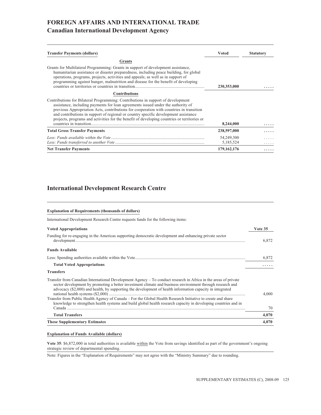# **FOREIGN AFFAIRS AND INTERNATIONAL TRADE Canadian International Development Agency**

| <b>Transfer Payments (dollars)</b>                                                                                                                                                                                                                                                                                                                                                                                                                                               | <b>Voted</b>            | <b>Statutory</b> |
|----------------------------------------------------------------------------------------------------------------------------------------------------------------------------------------------------------------------------------------------------------------------------------------------------------------------------------------------------------------------------------------------------------------------------------------------------------------------------------|-------------------------|------------------|
| Grants                                                                                                                                                                                                                                                                                                                                                                                                                                                                           |                         |                  |
| Grants for Multilateral Programming: Grants in support of development assistance,<br>humanitarian assistance or disaster preparedness, including peace building, for global<br>operations, programs, projects, activities and appeals; as well as in support of<br>programming against hunger, malnutrition and disease for the benefit of developing                                                                                                                            | 230,353,000             |                  |
| <b>Contributions</b>                                                                                                                                                                                                                                                                                                                                                                                                                                                             |                         |                  |
| Contributions for Bilateral Programming: Contributions in support of development<br>assistance, including payments for loan agreements issued under the authority of<br>previous Appropriation Acts, contributions for cooperation with countries in transition<br>and contributions in support of regional or country specific development assistance<br>projects, programs and activities for the benefit of developing countries or territories or<br>countries in transition | 8,244,000               |                  |
| <b>Total Gross Transfer Payments</b>                                                                                                                                                                                                                                                                                                                                                                                                                                             | 238,597,000             |                  |
|                                                                                                                                                                                                                                                                                                                                                                                                                                                                                  | 54,249,300<br>5,185,524 |                  |
| <b>Net Transfer Payments</b>                                                                                                                                                                                                                                                                                                                                                                                                                                                     | 179, 162, 176           |                  |

## **International Development Research Centre**

| <b>Explanation of Requirements (thousands of dollars)</b>                                                                                                                                                                                                                                                                                 |         |
|-------------------------------------------------------------------------------------------------------------------------------------------------------------------------------------------------------------------------------------------------------------------------------------------------------------------------------------------|---------|
| International Development Research Centre requests funds for the following items:                                                                                                                                                                                                                                                         |         |
| <b>Voted Appropriations</b>                                                                                                                                                                                                                                                                                                               | Vote 35 |
| Funding for re-engaging in the Americas supporting democratic development and enhancing private sector                                                                                                                                                                                                                                    | 6,872   |
| <b>Funds Available</b>                                                                                                                                                                                                                                                                                                                    |         |
|                                                                                                                                                                                                                                                                                                                                           | 6.872   |
| <b>Total Voted Appropriations</b>                                                                                                                                                                                                                                                                                                         |         |
| <b>Transfers</b>                                                                                                                                                                                                                                                                                                                          |         |
| Transfer from Canadian International Development Agency – To conduct research in Africa in the areas of private<br>sector development by promoting a better investment climate and business environment through research and<br>advocacy (\$2,000) and health, by supporting the development of health information capacity in integrated | 4.000   |
| Transfer from Public Health Agency of Canada – For the Global Health Research Initiative to create and share<br>knowledge to strengthen health systems and build global health research capacity in developing countries and in                                                                                                           | 70      |
| <b>Total Transfers</b>                                                                                                                                                                                                                                                                                                                    | 4,070   |
| <b>These Supplementary Estimates</b>                                                                                                                                                                                                                                                                                                      | 4,070   |

### **Explanation of Funds Available (dollars)**

Vote 35: \$6,872,000 in total authorities is available within the Vote from savings identified as part of the government's ongoing strategic review of departmental spending.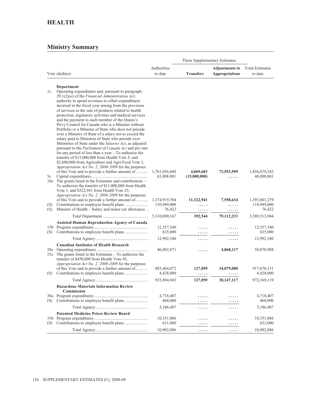## **Ministry Summary**

|            |                                                                                                                                                                                                                                                                                                                                                                                                                                                                                                                                                                             |                                              | These Supplementary Estimates           |                         |                                              |
|------------|-----------------------------------------------------------------------------------------------------------------------------------------------------------------------------------------------------------------------------------------------------------------------------------------------------------------------------------------------------------------------------------------------------------------------------------------------------------------------------------------------------------------------------------------------------------------------------|----------------------------------------------|-----------------------------------------|-------------------------|----------------------------------------------|
|            |                                                                                                                                                                                                                                                                                                                                                                                                                                                                                                                                                                             | Authorities                                  |                                         | <b>Adjustments to</b>   | <b>Total Estimates</b>                       |
|            | Vote (dollars)                                                                                                                                                                                                                                                                                                                                                                                                                                                                                                                                                              | to date                                      | <b>Transfers</b>                        | <b>Appropriations</b>   | to date                                      |
| 1c         | Department<br>Operating expenditures and, pursuant to paragraph<br>$29.1(2)(a)$ of the <i>Financial Administration Act</i> ,<br>authority to spend revenues to offset expenditures<br>incurred in the fiscal year arising from the provision<br>of services or the sale of products related to health<br>protection, regulatory activities and medical services<br>and the payment to each member of the Queen's                                                                                                                                                            |                                              |                                         |                         |                                              |
|            | Privy Council for Canada who is a Minister without<br>Portfolio or a Minister of State who does not preside<br>over a Ministry of State of a salary not to exceed the<br>salary paid to Ministers of State who preside over<br>Ministries of State under the Salaries Act, as adjusted<br>pursuant to the Parliament of Canada Act and pro rata<br>for any period of less than a year $-$ To authorize the<br>transfer of \$15,000,000 from Health Vote 5, and<br>\$2,600,000 from Agriculture and Agri-Food Vote 1,<br>Appropriation Act No. 2, 2008-2009 for the purposes |                                              |                                         |                         |                                              |
| 5c         | of this Vote and to provide a further amount of<br>10c The grants listed in the Estimates and contributions –<br>To authorize the transfer of \$11,000,000 from Health<br>Vote 1, and \$322,941 from Health Vote 25,<br>Appropriation Act No. 2, 2008-2009 for the purposes<br>of this Vote and to provide a further amount of                                                                                                                                                                                                                                              | 1,761,056,040<br>63,008,001<br>1,374,919,704 | 4,069,603<br>(15,000,000)<br>11,322,941 | 71,553,599<br>7,558,634 | 1,836,679,242<br>48,008,001<br>1,393,801,279 |
| (S)<br>(S) | Minister of Health - Salary and motor car allowance                                                                                                                                                                                                                                                                                                                                                                                                                                                                                                                         | 110,949,000<br>76,422                        | .<br>$\cdots\cdots$                     | .<br>.                  | 110,949,000<br>76,422                        |
|            |                                                                                                                                                                                                                                                                                                                                                                                                                                                                                                                                                                             | 3,310,009,167                                | 392,544                                 | 79,112,233              | 3,389,513,944                                |
| (S)        | <b>Assisted Human Reproduction Agency of Canada</b>                                                                                                                                                                                                                                                                                                                                                                                                                                                                                                                         | 12,357,540<br>635,000                        | .<br>.                                  |                         | 12,357,540<br>635,000                        |
|            |                                                                                                                                                                                                                                                                                                                                                                                                                                                                                                                                                                             | 12,992,540                                   | .                                       | .                       | 12,992,540                                   |
|            | <b>Canadian Institutes of Health Research</b><br>25c The grants listed in the Estimates – To authorize the<br>transfer of \$450,000 from Health Vote 45,                                                                                                                                                                                                                                                                                                                                                                                                                    | 46,002,871                                   | .                                       | 4,068,117               | 50,070,988                                   |
| (S)        | Appropriation Act No. 2, 2008-2009 for the purposes<br>of this Vote and to provide a further amount of                                                                                                                                                                                                                                                                                                                                                                                                                                                                      | 883,464,072<br>4,428,000                     | 127,059<br>.                            | 34,079,000              | 917,670,131<br>4,428,000                     |
|            |                                                                                                                                                                                                                                                                                                                                                                                                                                                                                                                                                                             | 933,894,943                                  | 127,059                                 | 38, 147, 117            | 972,169,119                                  |
|            | <b>Hazardous Materials Information Review</b>                                                                                                                                                                                                                                                                                                                                                                                                                                                                                                                               |                                              |                                         |                         |                                              |
| (S)        | Commission                                                                                                                                                                                                                                                                                                                                                                                                                                                                                                                                                                  | 4,718,407<br>468,000                         | .                                       | .                       | 4,718,407<br>468,000                         |
|            |                                                                                                                                                                                                                                                                                                                                                                                                                                                                                                                                                                             | 5,186,407                                    | .                                       | .                       | 5,186,407                                    |
|            | <b>Patented Medicine Prices Review Board</b>                                                                                                                                                                                                                                                                                                                                                                                                                                                                                                                                |                                              |                                         |                         |                                              |
| (S)        |                                                                                                                                                                                                                                                                                                                                                                                                                                                                                                                                                                             | 10,351,086<br>631,000                        | .                                       | .                       | 10,351,086<br>631,000                        |
|            |                                                                                                                                                                                                                                                                                                                                                                                                                                                                                                                                                                             | 10,982,086                                   | .                                       | .                       | 10,982,086                                   |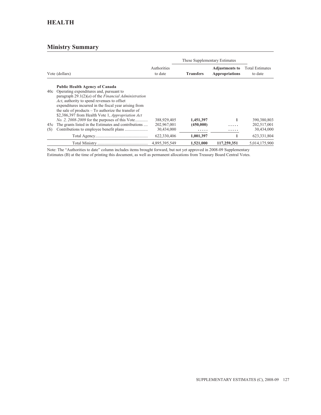## **HEALTH**

### **Ministry Summary**

|     |                                                                                                            |                        | These Supplementary Estimates |                                                |                                   |
|-----|------------------------------------------------------------------------------------------------------------|------------------------|-------------------------------|------------------------------------------------|-----------------------------------|
|     | Vote (dollars)                                                                                             | Authorities<br>to date | <b>Transfers</b>              | <b>Adjustments to</b><br><b>Appropriations</b> | <b>Total Estimates</b><br>to date |
|     | <b>Public Health Agency of Canada</b>                                                                      |                        |                               |                                                |                                   |
| 40c | Operating expenditures and, pursuant to<br>paragraph $29.1(2)(a)$ of the <i>Financial Administration</i>   |                        |                               |                                                |                                   |
|     | Act, authority to spend revenues to offset                                                                 |                        |                               |                                                |                                   |
|     | expenditures incurred in the fiscal year arising from                                                      |                        |                               |                                                |                                   |
|     | the sale of products – To authorize the transfer of                                                        |                        |                               |                                                |                                   |
|     | \$2,386,397 from Health Vote 1, Appropriation Act<br><i>No. 2, 2008-2009</i> for the purposes of this Vote | 388,929,405            | 1,451,397                     | 1                                              | 390,380,803                       |
| 45c | The grants listed in the Estimates and contributions                                                       | 202,967,001            | (450,000)                     | .                                              | 202,517,001                       |
| (S) |                                                                                                            | 30,434,000             | .                             | .                                              | 30,434,000                        |
|     |                                                                                                            | 622,330,406            | 1,001,397                     |                                                | 623,331,804                       |
|     |                                                                                                            | 4,895,395,549          | 1,521,000                     | 117,259,351                                    | 5,014,175,900                     |

Note: The "Authorities to date" column includes items brought forward, but not yet approved in 2008-09 Supplementary Estimates (B) at the time of printing this document, as well as permanent allocations from Treasury Board Central Votes.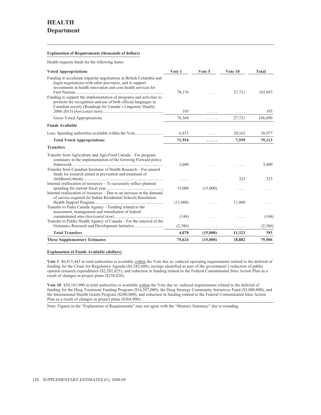#### **Explanation of Requirements (thousands of dollars)**

Health requests funds for the following items:

| <b>Voted Appropriations</b>                                                                                                                                                                                                                                    | Vote 1   | Vote 5   | Vote 10 | <b>Total</b> |
|----------------------------------------------------------------------------------------------------------------------------------------------------------------------------------------------------------------------------------------------------------------|----------|----------|---------|--------------|
| Funding to accelerate tripartite negotiations in British Columbia and<br>begin negotiations with other provinces, and to support<br>investments in health innovation and core health services for                                                              | 78,176   | .        | 27,721  | 105,897      |
| Funding to support the implementation of programs and activities to<br>promote the recognition and use of both official languages in<br>Canadian society (Roadmap for Canada's Linguistic Duality                                                              | 193      |          |         | 193          |
|                                                                                                                                                                                                                                                                |          | .        | .       |              |
| Gross Voted Appropriations                                                                                                                                                                                                                                     | 78,369   | .        | 27,721  | 106,090      |
| <b>Funds Available</b>                                                                                                                                                                                                                                         |          |          |         |              |
|                                                                                                                                                                                                                                                                | 6,815    | .        | 20,162  | 26,977       |
| <b>Total Voted Appropriations</b>                                                                                                                                                                                                                              | 71,554   | .        | 7,559   | 79,113       |
| <b>Transfers</b>                                                                                                                                                                                                                                               |          |          |         |              |
| Transfer from Agriculture and Agri-Food Canada – For program<br>continuity in the implementation of the Growing Forward policy<br>Transfer from Canadian Institutes of Health Research – For unused<br>funds for research aimed at prevention and treatment of | 2,600    | .        | .       | 2,600        |
|                                                                                                                                                                                                                                                                |          |          | 323     | 323          |
| Internal reallocation of resources – To accurately reflect planned<br>Internal reallocation of resources – Due to an increase in the demand                                                                                                                    | 15,000   | (15,000) | .       |              |
| of service required for Indian Residential Schools Resolution<br>Transfer to Parks Canada Agency – Funding related to the                                                                                                                                      | (11,000) | .        | 11,000  |              |
| assessment, management and remediation of federal                                                                                                                                                                                                              | (144)    | .        | .       | (144)        |
| Transfer to Public Health Agency of Canada – For the renewal of the                                                                                                                                                                                            |          |          |         |              |
|                                                                                                                                                                                                                                                                | (2,386)  | .        | .       | (2,386)      |
| <b>Total Transfers</b>                                                                                                                                                                                                                                         | 4,070    | (15,000) | 11,323  | 393          |
| <b>These Supplementary Estimates</b>                                                                                                                                                                                                                           | 75,624   | (15,000) | 18,882  | 79,506       |

### **Explanation of Funds Available (dollars)**

**Vote 1**: \$6,815,445 in total authorities is available within the Vote due to: reduced operating requirements related to the deferral of funding for the Clean Air Regulatory Agenda (\$4,282,600); savings identified as part of the government's reduction of public opinion research expenditures (\$2,282,025); and reduction in funding related to the Federal Contaminated Sites Action Plan as a result of changes in project plans (\$250,820).

**Vote 10**: \$20,161,900 in total authorities is available within the Vote due to: reduced requirements related to the deferral of funding for the Drug Treatment Funding Program (\$16,597,000), the Drug Strategy Community Initiatives Fund (\$3,000,000), and the International Health Grants Program (\$200,000); and reduction in funding related to the Federal Contaminated Sites Action Plan as a result of changes in project plans (\$364,900).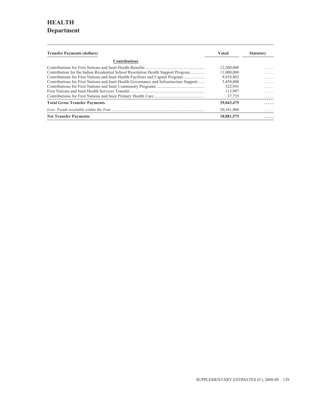# **HEALTH Department**

| <b>Transfer Payments (dollars)</b>                                                     | <b>Voted</b> | <b>Statutory</b> |
|----------------------------------------------------------------------------------------|--------------|------------------|
| <b>Contributions</b>                                                                   |              |                  |
|                                                                                        | 12,200,000   | .                |
| Contribution for the Indian Residential School Resolution Health Support Program       | 11,000,000   | .                |
| Contributions for First Nations and Inuit Health Facilities and Capital Program        | 9.918.802    | .                |
| Contributions for First Nations and Inuit Health Governance and Infrastructure Support | 5,450,000    | .                |
|                                                                                        | 322.941      | .                |
|                                                                                        | 113,997      | .                |
|                                                                                        | 37.735       | .                |
| <b>Total Gross Transfer Payments</b>                                                   | 39,043,475   | .                |
|                                                                                        | 20, 161, 900 | .                |
| <b>Net Transfer Payments</b>                                                           | 18,881,575   | .                |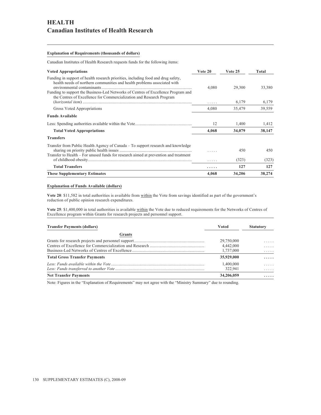## **HEALTH Canadian Institutes of Health Research**

### **Explanation of Requirements (thousands of dollars)**

Canadian Institutes of Health Research requests funds for the following items:

| <b>Voted Appropriations</b>                                                                                                                                              | Vote 20 | Vote 25 | Total  |
|--------------------------------------------------------------------------------------------------------------------------------------------------------------------------|---------|---------|--------|
| Funding in support of health research priorities, including food and drug safety,<br>health needs of northern communities and health problems associated with            | 4,080   | 29,300  | 33,380 |
| Funding to support the Business-Led Networks of Centres of Excellence Program and<br>the Centres of Excellence for Commercialization and Research Program                |         |         |        |
|                                                                                                                                                                          | .       | 6,179   | 6,179  |
| Gross Voted Appropriations                                                                                                                                               | 4,080   | 35,479  | 39,559 |
| <b>Funds Available</b>                                                                                                                                                   |         |         |        |
|                                                                                                                                                                          | 12      | 1,400   | 1,412  |
| <b>Total Voted Appropriations</b>                                                                                                                                        | 4,068   | 34,079  | 38,147 |
| <b>Transfers</b>                                                                                                                                                         |         |         |        |
| Transfer from Public Health Agency of Canada – To support research and knowledge<br>Transfer to Health – For unused funds for research aimed at prevention and treatment |         | 450     | 450    |
|                                                                                                                                                                          | .       | (323)   | (323)  |
| <b>Total Transfers</b>                                                                                                                                                   | .       | 127     | 127    |
| <b>These Supplementary Estimates</b>                                                                                                                                     | 4,068   | 34,206  | 38,274 |

### **Explanation of Funds Available (dollars)**

**Vote 20**: \$11,582 in total authorities is available from within the Vote from savings identified as part of the government's reduction of public opinion research expenditures.

**Vote 25**: \$1,400,000 in total authorities is available within the Vote due to reduced requirements for the Networks of Centres of Excellence program within Grants for research projects and personnel support.

| <b>Transfer Payments (dollars)</b>   | Voted      | <b>Statutory</b> |
|--------------------------------------|------------|------------------|
| <b>Grants</b>                        |            |                  |
|                                      | 29,750,000 | .                |
|                                      | 4.442,000  | .                |
|                                      | 1,737,000  | .                |
| <b>Total Gross Transfer Payments</b> | 35,929,000 | .                |
|                                      | 1,400,000  | .                |
|                                      | 322.941    | .                |
| <b>Net Transfer Payments</b>         | 34,206,059 | .                |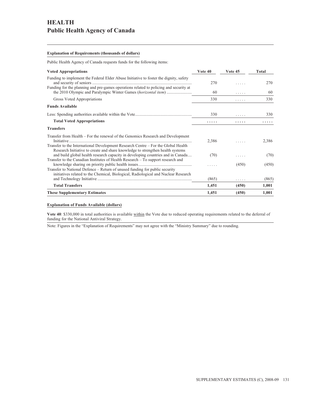### **Explanation of Requirements (thousands of dollars)**

Public Health Agency of Canada requests funds for the following items:

| <b>Voted Appropriations</b>                                                                                                                                                                                                                             | Vote 40 | Vote 45 | Total |
|---------------------------------------------------------------------------------------------------------------------------------------------------------------------------------------------------------------------------------------------------------|---------|---------|-------|
| Funding to implement the Federal Elder Abuse Initiative to foster the dignity, safety                                                                                                                                                                   | 270     |         | 270   |
| Funding for the planning and pre-games operations related to policing and security at                                                                                                                                                                   | 60      | .       | 60    |
| Gross Voted Appropriations                                                                                                                                                                                                                              | 330     | .       | 330   |
| <b>Funds Available</b>                                                                                                                                                                                                                                  |         |         |       |
|                                                                                                                                                                                                                                                         | 330     | .       | 330   |
| <b>Total Voted Appropriations</b>                                                                                                                                                                                                                       | .       | .       |       |
| <b>Transfers</b>                                                                                                                                                                                                                                        |         |         |       |
| Transfer from Health – For the renewal of the Genomics Research and Development<br>Transfer to the International Development Research Centre – For the Global Health                                                                                    | 2,386   |         | 2,386 |
| Research Initiative to create and share knowledge to strengthen health systems<br>and build global health research capacity in developing countries and in Canada<br>Transfer to the Canadian Institutes of Health Research $-$ To support research and | (70)    |         | (70)  |
| Transfer to National Defence – Return of unused funding for public security<br>initiatives related to the Chemical, Biological, Radiological and Nuclear Research                                                                                       |         | (450)   | (450) |
|                                                                                                                                                                                                                                                         | (865)   | .       | (865) |
| <b>Total Transfers</b>                                                                                                                                                                                                                                  | 1,451   | (450)   | 1,001 |
| <b>These Supplementary Estimates</b>                                                                                                                                                                                                                    | 1,451   | (450)   | 1,001 |

### **Explanation of Funds Available (dollars)**

**Vote 40**: \$330,000 in total authorities is available within the Vote due to reduced operating requirements related to the deferral of funding for the National Antiviral Strategy.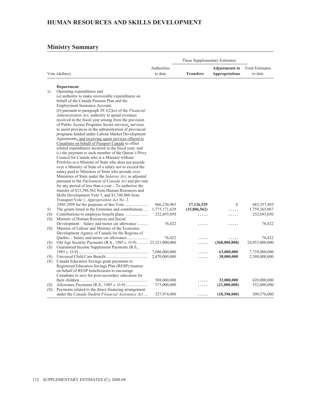## **HUMAN RESOURCES AND SKILLS DEVELOPMENT**

## **Ministry Summary**

|     |                                                                                                 |               | These Supplementary Estimates |                       |                        |
|-----|-------------------------------------------------------------------------------------------------|---------------|-------------------------------|-----------------------|------------------------|
|     |                                                                                                 | Authorities   |                               | <b>Adjustments to</b> | <b>Total Estimates</b> |
|     | Vote (dollars)                                                                                  | to date       | <b>Transfers</b>              | <b>Appropriations</b> | to date                |
|     | Department                                                                                      |               |                               |                       |                        |
| 1c  | Operating expenditures and                                                                      |               |                               |                       |                        |
|     | $(a)$ authority to make recoverable expenditures on                                             |               |                               |                       |                        |
|     | behalf of the Canada Pension Plan and the                                                       |               |                               |                       |                        |
|     | <b>Employment Insurance Account:</b>                                                            |               |                               |                       |                        |
|     | (b) pursuant to paragraph 29.1(2)( <i>a</i> ) of the <i>Financial</i>                           |               |                               |                       |                        |
|     | <i>Administration Act</i> , authority to spend revenues                                         |               |                               |                       |                        |
|     | received in the fiscal year arising from the provision                                          |               |                               |                       |                        |
|     | of Public Access Programs Sector services; services                                             |               |                               |                       |                        |
|     | to assist provinces in the administration of provincial                                         |               |                               |                       |                        |
|     | programs funded under Labour Market Development                                                 |               |                               |                       |                        |
|     | Agreements; and receiving agent services offered to                                             |               |                               |                       |                        |
|     | Canadians on behalf of Passport Canada to offset                                                |               |                               |                       |                        |
|     | related expenditures incurred in the fiscal year; and                                           |               |                               |                       |                        |
|     | $(c)$ the payment to each member of the Queen's Privy                                           |               |                               |                       |                        |
|     | Council for Canada who is a Minister without                                                    |               |                               |                       |                        |
|     | Portfolio or a Minister of State who does not preside                                           |               |                               |                       |                        |
|     | over a Ministry of State of a salary not to exceed the                                          |               |                               |                       |                        |
|     | salary paid to Ministers of State who preside over                                              |               |                               |                       |                        |
|     | Ministries of State under the Salaries Act, as adjusted                                         |               |                               |                       |                        |
|     | pursuant to the Parliament of Canada Act and pro rata                                           |               |                               |                       |                        |
|     | for any period of less than a year $-$ To authorize the                                         |               |                               |                       |                        |
|     | transfer of \$15,586,562 from Human Resources and                                               |               |                               |                       |                        |
|     | Skills Development Vote 5, and \$1,740,800 from                                                 |               |                               |                       |                        |
|     | Transport Vote 1, Appropriation Act No. 2,                                                      |               |                               |                       |                        |
|     |                                                                                                 | 666,230,965   | 17,126,529                    | $\mathbf{1}$          | 683, 357, 495          |
| 5c  | The grants listed in the Estimates and contributions                                            | 1,775,171,629 | (15,806,562)                  | .                     | 1,759,365,067          |
| (S) |                                                                                                 | 232,693,050   | .                             |                       | 232,693,050            |
| (S) | Minister of Human Resources and Social                                                          |               |                               |                       |                        |
|     | Development – Salary and motor car allowance                                                    | 76,422        | .                             | .                     | 76,422                 |
| (S) | Minister of Labour and Minister of the Economic                                                 |               |                               |                       |                        |
|     | Development Agency of Canada for the Regions of                                                 |               |                               |                       |                        |
|     |                                                                                                 | 76,422        | .                             | .                     | 76,422                 |
| (S) | Old Age Security Payments (R.S., 1985 c. O-9)  25,321,000,000                                   |               | .                             | (368,000,000)         | 24,953,000,000         |
| (S) | Guaranteed Income Supplement Payments (R.S.,                                                    |               |                               |                       |                        |
|     |                                                                                                 | 7,696,000,000 |                               | 63,000,000            | 7,759,000,000          |
| (S) |                                                                                                 | 2,470,000,000 | .                             | 38,000,000            | 2,508,000,000          |
| (S) | Canada Education Savings grant payments to<br>Registered Education Savings Plan (RESP) trustees |               |                               |                       |                        |
|     | on behalf of RESP beneficiaries to encourage                                                    |               |                               |                       |                        |
|     | Canadians to save for post-secondary education for                                              |               |                               |                       |                        |
|     |                                                                                                 | 588,000,000   |                               | 32,000,000            | 620,000,000            |
| (S) |                                                                                                 | 573,000,000   | .                             | (21,000,000)          | 552,000,000            |
| (S) | Payments related to the direct financing arrangement                                            |               |                               |                       |                        |
|     | under the Canada Student Financial Assistance Act                                               | 327,974,000   | .                             | (18,398,000)          | 309,576,000            |
|     |                                                                                                 |               |                               |                       |                        |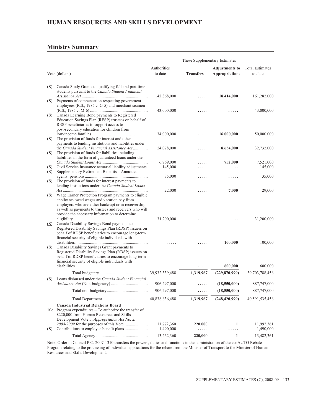### **HUMAN RESOURCES AND SKILLS DEVELOPMENT**

### **Ministry Summary**

|            |                                                                                                                                                                                                                                                                        |                         | These Supplementary Estimates |                                                |                                   |  |  |
|------------|------------------------------------------------------------------------------------------------------------------------------------------------------------------------------------------------------------------------------------------------------------------------|-------------------------|-------------------------------|------------------------------------------------|-----------------------------------|--|--|
|            | Vote (dollars)                                                                                                                                                                                                                                                         | Authorities<br>to date  | <b>Transfers</b>              | <b>Adjustments to</b><br><b>Appropriations</b> | <b>Total Estimates</b><br>to date |  |  |
| (S)        | Canada Study Grants to qualifying full and part-time<br>students pursuant to the Canada Student Financial                                                                                                                                                              | 142,868,000             |                               | 18,414,000                                     | 161,282,000                       |  |  |
| (S)        | Payments of compensation respecting government<br>employees (R.S., 1985 c. G-5) and merchant seamen                                                                                                                                                                    |                         |                               |                                                |                                   |  |  |
| (S)        | Canada Learning Bond payments to Registered<br>Education Savings Plan (RESP) trustees on behalf of<br>RESP beneficiaries to support access to<br>post-secondary education for children from                                                                            | 43,000,000              |                               |                                                | 43,000,000                        |  |  |
| (S)        | The provision of funds for interest and other                                                                                                                                                                                                                          | 34,000,000              |                               | 16,000,000                                     | 50,000,000                        |  |  |
| (S)        | payments to lending institutions and liabilities under<br>the Canada Student Financial Assistance Act<br>The provision of funds for liabilities including<br>liabilities in the form of guaranteed loans under the                                                     | 24,078,000              | .                             | 8,654,000                                      | 32,732,000                        |  |  |
|            |                                                                                                                                                                                                                                                                        | 6,769,000               |                               | 752,000                                        | 7,521,000                         |  |  |
| (S)<br>(S) | Civil Service Insurance actuarial liability adjustments.<br>Supplementary Retirement Benefits - Annuities                                                                                                                                                              | 145,000                 |                               |                                                | 145,000                           |  |  |
| (S)        | The provision of funds for interest payments to<br>lending institutions under the Canada Student Loans                                                                                                                                                                 | 35,000                  |                               |                                                | 35,000                            |  |  |
| (S)        | Wage Earner Protection Program payments to eligible<br>applicants owed wages and vacation pay from<br>employers who are either bankrupt or in receivership<br>as well as payments to trustees and receivers who will<br>provide the necessary information to determine | 22,000                  |                               | 7,000                                          | 29,000                            |  |  |
| (S)        | Canada Disability Savings Bond payments to<br>Registered Disability Savings Plan (RDSP) issuers on<br>behalf of RDSP beneficiaries to encourage long-term<br>financial security of eligible individuals with                                                           | 31,200,000              |                               |                                                | 31,200,000                        |  |  |
| (S)        | Canada Disability Savings Grant payments to<br>Registered Disability Savings Plan (RDSP) issuers on<br>behalf of RDSP beneficiaries to encourage long-term<br>financial security of eligible individuals with                                                          |                         |                               | 100,000                                        | 100,000                           |  |  |
|            |                                                                                                                                                                                                                                                                        |                         |                               | 600,000                                        | 600,000                           |  |  |
| (S)        | Loans disbursed under the Canada Student Financial                                                                                                                                                                                                                     |                         | 1,319,967                     | (229,870,999)                                  | 39,703,788,456                    |  |  |
|            |                                                                                                                                                                                                                                                                        | 906,297,000             | .                             | (18,550,000)                                   | 887,747,000                       |  |  |
|            |                                                                                                                                                                                                                                                                        | 906,297,000             | .                             | (18,550,000)                                   | 887,747,000                       |  |  |
|            |                                                                                                                                                                                                                                                                        |                         | 1,319,967                     | (248, 420, 999)                                | 40,591,535,456                    |  |  |
|            | <b>Canada Industrial Relations Board</b><br>10c Program expenditures $-$ To authorize the transfer of<br>\$220,000 from Human Resources and Skills<br>Development Vote 5, <i>Appropriation Act No. 2</i> ,                                                             |                         |                               |                                                |                                   |  |  |
| (S)        |                                                                                                                                                                                                                                                                        | 11,772,360<br>1,490,000 | 220,000<br>.                  | 1<br>$\cdots$                                  | 11,992,361<br>1,490,000           |  |  |
|            |                                                                                                                                                                                                                                                                        | 13,262,360              | 220,000                       | 1                                              | 13,482,361                        |  |  |

Note: Order in Council P.C. 2007-1310 transfers the powers, duties and functions in the administration of the ecoAUTO Rebate Program relating to the processing of individual applications for the rebate from the Minister of Transport to the Minister of Human Resources and Skills Development.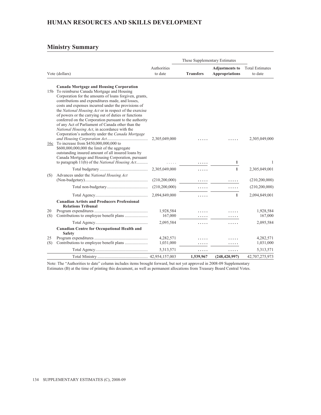### **HUMAN RESOURCES AND SKILLS DEVELOPMENT**

### **Ministry Summary**

|            |                                                                                                                                                                                                                                                                                                                                                                                                                                                                                                                                                                                                                                                                                                                                                                                                                  |                        | These Supplementary Estimates |                                                |                                   |
|------------|------------------------------------------------------------------------------------------------------------------------------------------------------------------------------------------------------------------------------------------------------------------------------------------------------------------------------------------------------------------------------------------------------------------------------------------------------------------------------------------------------------------------------------------------------------------------------------------------------------------------------------------------------------------------------------------------------------------------------------------------------------------------------------------------------------------|------------------------|-------------------------------|------------------------------------------------|-----------------------------------|
|            | Vote (dollars)                                                                                                                                                                                                                                                                                                                                                                                                                                                                                                                                                                                                                                                                                                                                                                                                   | Authorities<br>to date | <b>Transfers</b>              | <b>Adjustments to</b><br><b>Appropriations</b> | <b>Total Estimates</b><br>to date |
| 15b<br>16c | <b>Canada Mortgage and Housing Corporation</b><br>To reimburse Canada Mortgage and Housing<br>Corporation for the amounts of loans forgiven, grants,<br>contributions and expenditures made, and losses,<br>costs and expenses incurred under the provisions of<br>the <i>National Housing Act</i> or in respect of the exercise<br>of powers or the carrying out of duties or functions<br>conferred on the Corporation pursuant to the authority<br>of any Act of Parliament of Canada other than the<br>National Housing Act, in accordance with the<br>Corporation's authority under the Canada Mortgage<br>To increase from \$450,000,000,000 to<br>\$600,000,000,000 the limit of the aggregate<br>outstanding insured amount of all insured loans by<br>Canada Mortgage and Housing Corporation, pursuant | 2,305,049,000          |                               |                                                | 2,305,049,000                     |
|            | to paragraph 11(b) of the National Housing Act                                                                                                                                                                                                                                                                                                                                                                                                                                                                                                                                                                                                                                                                                                                                                                   |                        |                               | 1                                              |                                   |
|            |                                                                                                                                                                                                                                                                                                                                                                                                                                                                                                                                                                                                                                                                                                                                                                                                                  | 2,305,049,000          |                               | $\mathbf{1}$                                   | 2,305,049,001                     |
| (S)        | Advances under the National Housing Act                                                                                                                                                                                                                                                                                                                                                                                                                                                                                                                                                                                                                                                                                                                                                                          | (210,200,000)          |                               |                                                | (210,200,000)                     |
|            |                                                                                                                                                                                                                                                                                                                                                                                                                                                                                                                                                                                                                                                                                                                                                                                                                  | (210, 200, 000)        | .                             |                                                | (210, 200, 000)                   |
|            |                                                                                                                                                                                                                                                                                                                                                                                                                                                                                                                                                                                                                                                                                                                                                                                                                  | 2,094,849,000          |                               | 1                                              | 2,094,849,001                     |
| 20<br>(S)  | <b>Canadian Artists and Producers Professional</b><br><b>Relations Tribunal</b>                                                                                                                                                                                                                                                                                                                                                                                                                                                                                                                                                                                                                                                                                                                                  | 1,928,584<br>167,000   |                               |                                                | 1,928,584<br>167,000              |
|            |                                                                                                                                                                                                                                                                                                                                                                                                                                                                                                                                                                                                                                                                                                                                                                                                                  | 2,095,584              | .                             | .                                              | 2,095,584                         |
|            | <b>Canadian Centre for Occupational Health and</b><br><b>Safety</b>                                                                                                                                                                                                                                                                                                                                                                                                                                                                                                                                                                                                                                                                                                                                              |                        |                               |                                                |                                   |
| 25<br>(S)  |                                                                                                                                                                                                                                                                                                                                                                                                                                                                                                                                                                                                                                                                                                                                                                                                                  | 4,282,571<br>1,031,000 |                               |                                                | 4,282,571<br>1,031,000            |
|            |                                                                                                                                                                                                                                                                                                                                                                                                                                                                                                                                                                                                                                                                                                                                                                                                                  | 5,313,571              | .                             | .                                              | 5,313,571                         |
|            |                                                                                                                                                                                                                                                                                                                                                                                                                                                                                                                                                                                                                                                                                                                                                                                                                  |                        | 1,539,967                     | (248, 420, 997)                                | 42,707,275,973                    |

Note: The "Authorities to date" column includes items brought forward, but not yet approved in 2008-09 Supplementary Estimates (B) at the time of printing this document, as well as permanent allocations from Treasury Board Central Votes.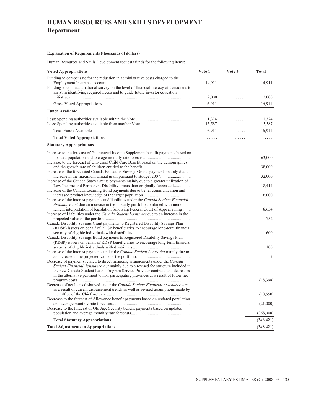# **HUMAN RESOURCES AND SKILLS DEVELOPMENT Department**

### **Explanation of Requirements (thousands of dollars)**

Human Resources and Skills Development requests funds for the following items:

| <b>Voted Appropriations</b>                                                                                                                                                                                                                                                                                                                        | Vote 1          | Vote 5 | Total           |
|----------------------------------------------------------------------------------------------------------------------------------------------------------------------------------------------------------------------------------------------------------------------------------------------------------------------------------------------------|-----------------|--------|-----------------|
| Funding to compensate for the reduction in administrative costs charged to the<br>Funding to conduct a national survey on the level of financial literacy of Canadians to                                                                                                                                                                          | 14,911          |        | 14,911          |
| assist in identifying required needs and to guide future investor education                                                                                                                                                                                                                                                                        | 2,000           | .      | 2,000           |
| Gross Voted Appropriations                                                                                                                                                                                                                                                                                                                         | 16,911          | .      | 16,911          |
| <b>Funds Available</b>                                                                                                                                                                                                                                                                                                                             |                 |        |                 |
|                                                                                                                                                                                                                                                                                                                                                    | 1,324<br>15,587 | .<br>. | 1,324<br>15,587 |
| Total Funds Available                                                                                                                                                                                                                                                                                                                              | 16,911          | .      | 16,911          |
| <b>Total Voted Appropriations</b>                                                                                                                                                                                                                                                                                                                  | .               | .      | .               |
| <b>Statutory Appropriations</b>                                                                                                                                                                                                                                                                                                                    |                 |        |                 |
| Increase to the forecast of Guaranteed Income Supplement benefit payments based on<br>Increase to the forecast of Universal Child Care Benefit based on the demographics                                                                                                                                                                           |                 |        | 63,000          |
| Increase of the forecasted Canada Education Savings Grants payments mainly due to                                                                                                                                                                                                                                                                  |                 |        | 38,000          |
| Increase of the Canada Study Grants payments mainly due to a greater utilization of                                                                                                                                                                                                                                                                |                 |        | 32,000          |
| Increase of the Canada Learning Bond payments due to better communication and                                                                                                                                                                                                                                                                      |                 |        | 18,414          |
| Increase of the interest payments and liabilities under the <i>Canada Student Financial</i>                                                                                                                                                                                                                                                        |                 |        | 16,000          |
| Assistance Act due an increase in the in-study portfolio combined with more<br>lenient interpretation of legislation following Federal Court of Appeal ruling<br>Increase of Liabilities under the <i>Canada Student Loans Act</i> due to an increase in the                                                                                       |                 |        | 8,654           |
| Canada Disability Savings Grant payments to Registered Disability Savings Plan                                                                                                                                                                                                                                                                     |                 |        | 752             |
| (RDSP) issuers on behalf of RDSP beneficiaries to encourage long-term financial<br>Canada Disability Savings Bond payments to Registered Disability Savings Plan                                                                                                                                                                                   |                 |        | 600             |
| (RDSP) issuers on behalf of RDSP beneficiaries to encourage long-term financial                                                                                                                                                                                                                                                                    |                 |        | 100             |
| Increase of the interest payments under the <i>Canada Student Loans Act</i> mainly due to                                                                                                                                                                                                                                                          |                 |        | 7               |
| Decrease of payments related to direct financing arrangements under the <i>Canada</i><br>Student Financial Assistance Act mainly due to a revised fee structure included in<br>the new Canada Student Loans Program Service Provider contract, and decreases<br>in the alternative payment to non-participating provinces as a result of lower net |                 |        |                 |
| Decrease of net loans disbursed under the Canada Student Financial Assistance Act<br>as a result of current disbursement trends as well as revised assumptions made by                                                                                                                                                                             |                 |        | (18, 398)       |
| Decrease to the forecast of Allowance benefit payments based on updated population                                                                                                                                                                                                                                                                 |                 |        | (18, 550)       |
| Decrease to the forecast of Old Age Security benefit payments based on updated                                                                                                                                                                                                                                                                     |                 |        | (21,000)        |
|                                                                                                                                                                                                                                                                                                                                                    |                 |        | (368,000)       |
| <b>Total Statutory Appropriations</b>                                                                                                                                                                                                                                                                                                              |                 |        | (248, 421)      |
| <b>Total Adjustments to Appropriations</b>                                                                                                                                                                                                                                                                                                         |                 |        | (248, 421)      |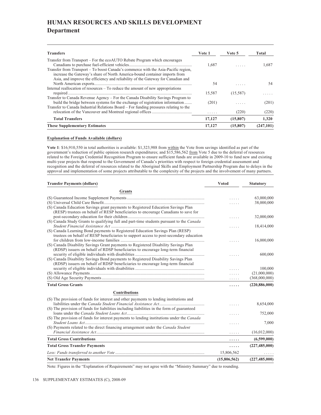## **HUMAN RESOURCES AND SKILLS DEVELOPMENT Department**

| <b>Transfers</b>                                                                                                                                                                                                                                           | Vote 1 | Vote 5    | Total      |
|------------------------------------------------------------------------------------------------------------------------------------------------------------------------------------------------------------------------------------------------------------|--------|-----------|------------|
| Transfer from Transport – For the ecoAUTO Rebate Program which encourages<br>Transfer from Transport – To boost Canada's commerce with the Asia-Pacific region,<br>increase the Gateway's share of North America-bound container imports from              | 1,687  |           | 1,687      |
| Asia, and improve the efficiency and reliability of the Gateway for Canadian and<br>Internal reallocation of resources – To reduce the amount of new appropriations                                                                                        | 54     | .         | 54         |
|                                                                                                                                                                                                                                                            | 15,587 | (15, 587) | .          |
| Transfer to Canada Revenue Agency – For the Canada Disability Savings Program to<br>build the bridge between systems for the exchange of registration information<br>Transfer to Canada Industrial Relations Board – For funding pressures relating to the | (201)  | .         | (201)      |
|                                                                                                                                                                                                                                                            | .      | (220)     | (220)      |
| <b>Total Transfers</b>                                                                                                                                                                                                                                     | 17,127 | (15,807)  | 1,320      |
| <b>These Supplementary Estimates</b>                                                                                                                                                                                                                       | 17,127 | (15,807)  | (247, 101) |

#### **Explanation of Funds Available (dollars)**

**Vote 1**: \$16,910,550 in total authorities is available: \$1,323,988 from within the Vote from savings identified as part of the government's reduction of public opinion research expenditures; and \$15,586,562 from Vote 5 due to the deferral of resources related to the Foreign Credential Recognition Program to ensure sufficient funds are available in 2009-10 to fund new and existing multi-year projects that respond to the Government of Canada's priorities with respect to foreign credential assessment and recognition and the deferral of resources related to the Aboriginal Skills and Employment Partnership Program due to delays in the approval and implementation of some projects attributable to the complexity of the projects and the involvement of many partners.

| <b>Transfer Payments (dollars)</b>                                                                                                                                     | <b>Voted</b> | <b>Statutory</b>         |
|------------------------------------------------------------------------------------------------------------------------------------------------------------------------|--------------|--------------------------|
| Grants                                                                                                                                                                 |              |                          |
|                                                                                                                                                                        |              | 63,000,000<br>38,000,000 |
| (S) Canada Education Savings grant payments to Registered Education Savings Plan<br>(RESP) trustees on behalf of RESP beneficiaries to encourage Canadians to save for |              |                          |
| (S) Canada Study Grants to qualifying full and part-time students pursuant to the <i>Canada</i>                                                                        |              | 32,000,000               |
| (S) Canada Learning Bond payments to Registered Education Savings Plan (RESP)                                                                                          |              | 18,414,000               |
| trustees on behalf of RESP beneficiaries to support access to post-secondary education                                                                                 | .            | 16,000,000               |
| (S) Canada Disability Savings Grant payments to Registered Disability Savings Plan<br>(RDSP) issuers on behalf of RDSP beneficiaries to encourage long-term financial  | $\ldots$ .   | 600,000                  |
| (S) Canada Disability Savings Bond payments to Registered Disability Savings Plan<br>(RDSP) issuers on behalf of RDSP beneficiaries to encourage long-term financial   |              |                          |
|                                                                                                                                                                        | .            | 100,000<br>(21,000,000)  |
|                                                                                                                                                                        | .            | (368,000,000)            |
| <b>Total Gross Grants</b>                                                                                                                                              | .            | (220, 886, 000)          |
| <b>Contributions</b>                                                                                                                                                   |              |                          |
| (S) The provision of funds for interest and other payments to lending institutions and                                                                                 |              |                          |
| (S) The provision of funds for liabilities including liabilities in the form of guaranteed                                                                             |              | 8,654,000                |
|                                                                                                                                                                        |              | 752,000                  |
| (S) The provision of funds for interest payments to lending institutions under the Canada                                                                              |              |                          |
| (S) Payments related to the direct financing arrangement under the <i>Canada Student</i>                                                                               | .            | 7,000                    |
|                                                                                                                                                                        | .            | (16,012,000)             |
| <b>Total Gross Contributions</b>                                                                                                                                       | .            | (6,599,000)              |
| <b>Total Gross Transfer Payments</b>                                                                                                                                   | .            | (227, 485, 000)          |
|                                                                                                                                                                        | 15,806,562   |                          |
| <b>Net Transfer Payments</b>                                                                                                                                           | (15,806,562) | (227, 485, 000)          |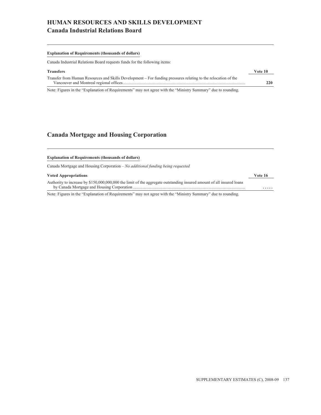# **HUMAN RESOURCES AND SKILLS DEVELOPMENT Canada Industrial Relations Board**

### **Explanation of Requirements (thousands of dollars)**

Canada Industrial Relations Board requests funds for the following items:

| <b>Transfers</b>                                                                                               | Vote 10    |
|----------------------------------------------------------------------------------------------------------------|------------|
| Transfer from Human Resources and Skills Development – For funding pressures relating to the relocation of the |            |
|                                                                                                                | <b>220</b> |

Note: Figures in the "Explanation of Requirements" may not agree with the "Ministry Summary" due to rounding.

### **Canada Mortgage and Housing Corporation**

| <b>Explanation of Requirements (thousands of dollars)</b>                                                             |          |
|-----------------------------------------------------------------------------------------------------------------------|----------|
| Canada Mortgage and Housing Corporation $-$ No additional funding being requested                                     |          |
| <b>Voted Appropriations</b>                                                                                           | Vote 16  |
| Authority to increase by \$150,000,000,000 the limit of the aggregate outstanding insured amount of all insured loans | $\cdots$ |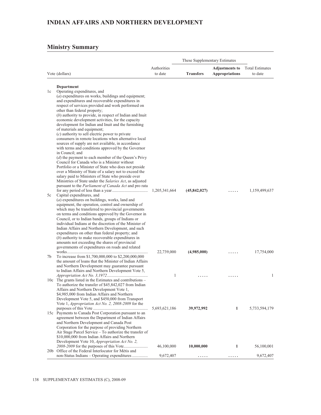## **INDIAN AFFAIRS AND NORTHERN DEVELOPMENT**

## **Ministry Summary**

|    |                                                                                                                                                                                                                                                                                                                                                                                                                                                                                                                                                       |               | These Supplementary Estimates |                       |                        |
|----|-------------------------------------------------------------------------------------------------------------------------------------------------------------------------------------------------------------------------------------------------------------------------------------------------------------------------------------------------------------------------------------------------------------------------------------------------------------------------------------------------------------------------------------------------------|---------------|-------------------------------|-----------------------|------------------------|
|    |                                                                                                                                                                                                                                                                                                                                                                                                                                                                                                                                                       | Authorities   |                               | <b>Adjustments to</b> | <b>Total Estimates</b> |
|    | Vote (dollars)                                                                                                                                                                                                                                                                                                                                                                                                                                                                                                                                        | to date       | <b>Transfers</b>              | <b>Appropriations</b> | to date                |
| 1c | Department<br>Operating expenditures, and<br>$\overrightarrow{a}$ expenditures on works, buildings and equipment;<br>and expenditures and recoverable expenditures in<br>respect of services provided and work performed on<br>other than federal property;                                                                                                                                                                                                                                                                                           |               |                               |                       |                        |
|    | $(b)$ authority to provide, in respect of Indian and Inuit<br>economic development activities, for the capacity<br>development for Indian and Inuit and the furnishing<br>of materials and equipment;<br>(c) authority to sell electric power to private<br>consumers in remote locations when alternative local<br>sources of supply are not available, in accordance<br>with terms and conditions approved by the Governor<br>in Council; and                                                                                                       |               |                               |                       |                        |
|    | (d) the payment to each member of the Queen's Privy<br>Council for Canada who is a Minister without<br>Portfolio or a Minister of State who does not preside<br>over a Ministry of State of a salary not to exceed the<br>salary paid to Ministers of State who preside over<br>Ministries of State under the Salaries Act, as adjusted                                                                                                                                                                                                               |               |                               |                       |                        |
| 5c | pursuant to the Parliament of Canada Act and pro rata<br>Capital expenditures, and                                                                                                                                                                                                                                                                                                                                                                                                                                                                    | 1,205,341,664 | (45, 842, 027)                |                       | 1,159,499,637          |
|    | $(a)$ expenditures on buildings, works, land and<br>equipment, the operation, control and ownership of<br>which may be transferred to provincial governments<br>on terms and conditions approved by the Governor in<br>Council, or to Indian bands, groups of Indians or<br>individual Indians at the discretion of the Minister of<br>Indian Affairs and Northern Development, and such<br>expenditures on other than federal property; and<br>$(b)$ authority to make recoverable expenditures in<br>amounts not exceeding the shares of provincial |               |                               |                       |                        |
| 7b | governments of expenditures on roads and related<br>To increase from \$1,700,000,000 to \$2,200,000,000<br>the amount of loans that the Minister of Indian Affairs<br>and Northern Development may guarantee pursuant                                                                                                                                                                                                                                                                                                                                 | 22,739,000    | (4,985,000)                   |                       | 17,754,000             |
|    | to Indian Affairs and Northern Development Vote 5,<br>10c The grants listed in the Estimates and contributions –                                                                                                                                                                                                                                                                                                                                                                                                                                      | 1             |                               |                       | 1                      |
|    | To authorize the transfer of \$45,842,027 from Indian<br>Affairs and Northern Development Vote 1,<br>\$4,985,000 from Indian Affairs and Northern<br>Development Vote 5, and \$450,000 from Transport<br>Vote 1, Appropriation Act No. 2, 2008-2009 for the                                                                                                                                                                                                                                                                                           |               |                               |                       |                        |
|    | 15c Payments to Canada Post Corporation pursuant to an<br>agreement between the Department of Indian Affairs<br>and Northern Development and Canada Post<br>Corporation for the purpose of providing Northern<br>Air Stage Parcel Service - To authorize the transfer of<br>\$10,000,000 from Indian Affairs and Northern                                                                                                                                                                                                                             | 5,693,621,186 | 39,972,992                    | 1                     | 5,733,594,179          |
|    | Development Vote 10, Appropriation Act No. 2,<br>20b Office of the Federal Interlocutor for Métis and                                                                                                                                                                                                                                                                                                                                                                                                                                                 | 46,100,000    | 10,000,000                    | 1                     | 56,100,001             |
|    | non-Status Indians – Operating expenditures                                                                                                                                                                                                                                                                                                                                                                                                                                                                                                           | 9,672,407     |                               |                       | 9,672,407              |

<u> 1989 - Johann Barn, mars and de Brasilian (b. 1989)</u>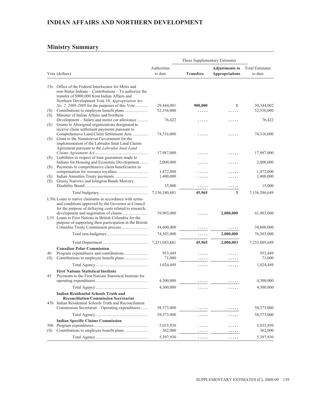## **INDIAN AFFAIRS AND NORTHERN DEVELOPMENT**

## **Ministry Summary**

|     |                                                                                                               |                  | These Supplementary Estimates |                       |                        |
|-----|---------------------------------------------------------------------------------------------------------------|------------------|-------------------------------|-----------------------|------------------------|
|     |                                                                                                               | Authorities      |                               | <b>Adjustments to</b> | <b>Total Estimates</b> |
|     | Vote (dollars)                                                                                                | to date          | <b>Transfers</b>              | <b>Appropriations</b> | to date                |
|     |                                                                                                               |                  |                               |                       |                        |
|     | 25c Office of the Federal Interlocutor for Métis and<br>non-Status Indians – Contributions – To authorize the |                  |                               |                       |                        |
|     | transfer of \$900,000 from Indian Affairs and                                                                 |                  |                               |                       |                        |
|     | Northern Development Vote 10, Appropriation Act                                                               |                  |                               |                       |                        |
|     | No. 2, 2008-2009 for the purposes of this Vote                                                                | 29,444,001       | 900,000                       | 1                     | 30,344,002             |
| (S) |                                                                                                               | 52,356,000       | .                             |                       | 52,356,000             |
| (S) | Minister of Indian Affairs and Northern                                                                       |                  |                               |                       |                        |
|     | Development – Salary and motor car allowance                                                                  | 76,422           | .                             |                       | 76,422                 |
| (S) | Grants to Aboriginal organizations designated to                                                              |                  |                               |                       |                        |
|     | receive claim settlement payments pursuant to                                                                 |                  |                               |                       |                        |
| (S) | Comprehensive Land Claim Settlement Acts<br>Grant to the Nunatsiavut Government for the                       | 74,316,000       |                               |                       | 74,316,000             |
|     | implementation of the Labrador Inuit Land Claims                                                              |                  |                               |                       |                        |
|     | Agreement pursuant to the Labrador Inuit Land                                                                 |                  |                               |                       |                        |
|     |                                                                                                               | 17,987,000       |                               |                       | 17,987,000             |
| (S) | Liabilities in respect of loan guarantees made to                                                             |                  |                               |                       |                        |
|     | Indians for Housing and Economic Development                                                                  | 2,000,000        | .                             | .                     | 2,000,000              |
| (S) | Payments to comprehensive claim beneficiaries in                                                              |                  |                               |                       |                        |
|     |                                                                                                               | 1,472,000        |                               |                       | 1,472,000              |
| (S) |                                                                                                               | 1,400,000        |                               |                       | 1,400,000              |
| (S) | Grassy Narrows and Islington Bands Mercury                                                                    | 15,000           | .                             |                       | 15,000                 |
|     |                                                                                                               |                  |                               | 3                     |                        |
|     |                                                                                                               | 7,156,540,681    | 45,965                        |                       | 7,156,586,649          |
|     | L30c Loans to native claimants in accordance with terms                                                       |                  |                               |                       |                        |
|     | and conditions approved by the Governor in Council<br>for the purpose of defraying costs related to research, |                  |                               |                       |                        |
|     | development and negotiation of claims                                                                         | 39,903,000       | .                             | 2,000,000             | 41,903,000             |
|     | L35 Loans to First Nations in British Columbia for the                                                        |                  |                               |                       |                        |
|     | purpose of supporting their participation in the British                                                      |                  |                               |                       |                        |
|     |                                                                                                               | 34,600,000       |                               |                       | 34,600,000             |
|     |                                                                                                               | 74,503,000       | .                             | 2,000,000             | 76,503,000             |
|     |                                                                                                               | 7, 231, 043, 681 | 45,965                        | 2,000,003             | 7,233,089,649          |
|     |                                                                                                               |                  |                               |                       |                        |
| 40  | <b>Canadian Polar Commission</b>                                                                              | 953,449          |                               |                       | 953,449                |
| (S) |                                                                                                               | 71,000           | .                             | .                     | 71,000                 |
|     |                                                                                                               |                  |                               |                       |                        |
|     |                                                                                                               | 1,024,449        | .                             | .                     | 1,024,449              |
|     | <b>First Nations Statistical Institute</b>                                                                    |                  |                               |                       |                        |
| 45  | Payments to the First Nations Statistical Institute for                                                       | 4,300,000        |                               |                       | 4,300,000              |
|     |                                                                                                               |                  |                               |                       |                        |
|     |                                                                                                               | 4,300,000        | .                             |                       | 4,300,000              |
|     | <b>Indian Residential Schools Truth and</b>                                                                   |                  |                               |                       |                        |
|     | <b>Reconciliation Commission Secretariat</b>                                                                  |                  |                               |                       |                        |
|     | 47b Indian Residential Schools Truth and Reconciliation                                                       |                  |                               |                       |                        |
|     | Commission Secretariat – Operating expenditures                                                               | 58, 373, 000     |                               |                       | 58,373,000             |
|     |                                                                                                               | 58,373,000       | .                             |                       | 58,373,000             |
|     | <b>Indian Specific Claims Commission</b>                                                                      |                  |                               |                       |                        |
|     |                                                                                                               | 5,035,930        |                               | .                     | 5,035,930              |
| (S) |                                                                                                               | 362,000          |                               |                       | 362,000                |
|     |                                                                                                               | 5,397,930        | .                             | .                     | 5,397,930              |

<u> 1989 - Johann Barn, mars and de Brasilian (b. 1989)</u>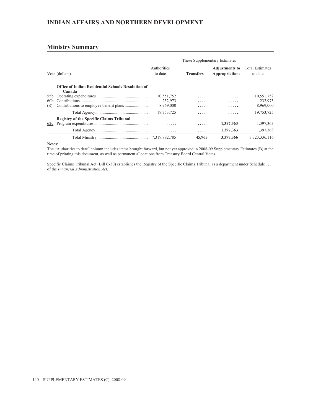### **INDIAN AFFAIRS AND NORTHERN DEVELOPMENT**

### **Ministry Summary**

|                 |                                                                     |                        | These Supplementary Estimates |                                                |                                   |
|-----------------|---------------------------------------------------------------------|------------------------|-------------------------------|------------------------------------------------|-----------------------------------|
|                 | Vote (dollars)                                                      | Authorities<br>to date | <b>Transfers</b>              | <b>Adjustments to</b><br><b>Appropriations</b> | <b>Total Estimates</b><br>to date |
|                 | <b>Office of Indian Residential Schools Resolution of</b><br>Canada |                        |                               |                                                |                                   |
| 55 <sub>b</sub> |                                                                     | 10,551,752             | .                             | .                                              | 10,551,752                        |
| 60 <sub>b</sub> |                                                                     | 232,973                | .                             | .                                              | 232,973                           |
| (S)             |                                                                     | 8,969,000              | .                             |                                                | 8,969,000                         |
|                 |                                                                     | 19,753,725             | .                             | .                                              | 19,753,725                        |
|                 | <b>Registry of the Specific Claims Tribunal</b>                     |                        |                               |                                                |                                   |
| 62c             |                                                                     | .                      | .                             | 1,397,363                                      | 1,397,363                         |
|                 |                                                                     | .                      | .                             | 1,397,363                                      | 1,397,363                         |
|                 |                                                                     | 7,319,892,785          | 45,965                        | 3,397,366                                      | 7,323,336,116                     |

Notes:

The "Authorities to date" column includes items brought forward, but not yet approved in 2008-09 Supplementary Estimates (B) at the time of printing this document, as well as permanent allocations from Treasury Board Central Votes.

Specific Claims Tribunal Act (Bill C-30) establishes the Registry of the Specific Claims Tribunal as a department under Schedule 1.1 of the *Financial Administration Act*.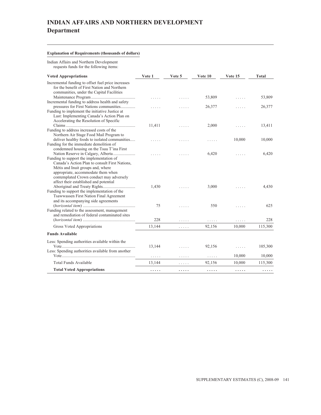### **Explanation of Requirements (thousands of dollars)**

Indian Affairs and Northern Development requests funds for the following items:

| <b>Voted Appropriations</b>                                                                                                                     | Vote 1   | Vote 5  | Vote 10 | Vote 15 | <b>Total</b> |
|-------------------------------------------------------------------------------------------------------------------------------------------------|----------|---------|---------|---------|--------------|
| Incremental funding to offset fuel price increases<br>for the benefit of First Nation and Northern<br>communities, under the Capital Facilities |          |         |         |         |              |
|                                                                                                                                                 |          |         | 53,809  |         | 53,809       |
| Incremental funding to address health and safety<br>pressures for First Nations communities                                                     |          |         | 26,377  |         | 26,377       |
| Funding to implement the initiative Justice at                                                                                                  |          |         |         |         |              |
| Last: Implementing Canada's Action Plan on                                                                                                      |          |         |         |         |              |
| Accelerating the Resolution of Specific                                                                                                         |          |         |         |         |              |
| Funding to address increased costs of the                                                                                                       | 11,411   | 1.1.1.1 | 2,000   | .       | 13,411       |
| Northern Air Stage Food Mail Program to                                                                                                         |          |         |         |         |              |
| deliver healthy foods to isolated communities                                                                                                   | .        | .       | .       | 10,000  | 10,000       |
| Funding for the immediate demolition of                                                                                                         |          |         |         |         |              |
| condemned housing on the Tsuu T'ina First                                                                                                       |          |         |         |         |              |
|                                                                                                                                                 | .        | 1.1.1.1 | 6,420   | .       | 6,420        |
| Funding to support the implementation of<br>Canada's Action Plan to consult First Nations,                                                      |          |         |         |         |              |
| Métis and Inuit groups and, where                                                                                                               |          |         |         |         |              |
| appropriate, accommodate them when                                                                                                              |          |         |         |         |              |
| contemplated Crown conduct may adversely                                                                                                        |          |         |         |         |              |
| affect their established and potential                                                                                                          |          |         |         |         |              |
|                                                                                                                                                 | 1,430    | .       | 3,000   | .       | 4,430        |
| Funding to support the implementation of the<br>Tsawwassen First Nation Final Agreement                                                         |          |         |         |         |              |
| and its accompanying side agreements                                                                                                            |          |         |         |         |              |
|                                                                                                                                                 | 75       | .       | 550     | 1.1.1   | 625          |
| Funding related to the assessment, management                                                                                                   |          |         |         |         |              |
| and remediation of federal contaminated sites                                                                                                   |          |         |         |         |              |
|                                                                                                                                                 | 228      | .       | .       | .       | 228          |
| Gross Voted Appropriations                                                                                                                      | 13,144   | .       | 92,156  | 10,000  | 115,300      |
| <b>Funds Available</b>                                                                                                                          |          |         |         |         |              |
| Less: Spending authorities available within the                                                                                                 |          |         |         |         |              |
|                                                                                                                                                 | 13,144   | .       | 92,156  | .       | 105,300      |
| Less: Spending authorities available from another                                                                                               |          |         |         |         |              |
|                                                                                                                                                 | $\cdots$ | .       | .       | 10,000  | 10,000       |
| Total Funds Available                                                                                                                           | 13.144   | .       | 92,156  | 10,000  | 115,300      |
| <b>Total Voted Appropriations</b>                                                                                                               | .        | .       | .       | .       | .            |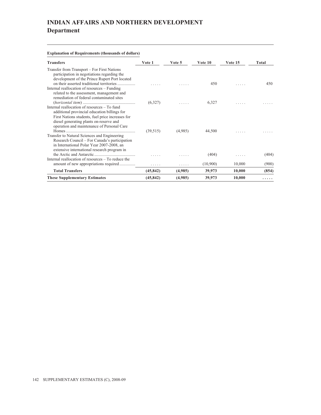**Explanation of Requirements (thousands of dollars)**

| <b>Transfers</b>                                                                                                                                                                                                                                                                                                                   | Vote 1    | Vote 5  | Vote 10  | Vote 15 | Total |
|------------------------------------------------------------------------------------------------------------------------------------------------------------------------------------------------------------------------------------------------------------------------------------------------------------------------------------|-----------|---------|----------|---------|-------|
| Transfer from Transport – For First Nations<br>participation in negotiations regarding the<br>development of the Prince Rupert Port located<br>on their asserted traditional territories<br>Internal reallocation of resources – Funding<br>related to the assessment, management and<br>remediation of federal contaminated sites |           |         | 450      |         | 450   |
| Internal reallocation of resources – To fund                                                                                                                                                                                                                                                                                       | (6,327)   | 1.1.1.1 | 6,327    |         |       |
| additional provincial education billings for<br>First Nations students, fuel price increases for<br>diesel generating plants on-reserve and<br>operation and maintenance of Personal Care                                                                                                                                          | (39,515)  | (4,985) | 44,500   |         |       |
| Transfer to Natural Sciences and Engineering<br>Research Council – For Canada's participation<br>in International Polar Year 2007-2008, an<br>extensive international research program in                                                                                                                                          |           |         | (404)    |         | (404) |
| Internal reallocation of resources – To reduce the                                                                                                                                                                                                                                                                                 |           |         |          |         |       |
|                                                                                                                                                                                                                                                                                                                                    | .         | .       | (10,900) | 10,000  | (900) |
| <b>Total Transfers</b>                                                                                                                                                                                                                                                                                                             | (45, 842) | (4,985) | 39,973   | 10,000  | (854) |
| <b>These Supplementary Estimates</b>                                                                                                                                                                                                                                                                                               | (45, 842) | (4,985) | 39,973   | 10,000  | .     |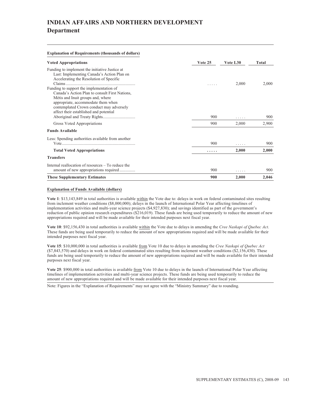| <b>Explanation of Requirements (thousands of dollars)</b>                                                                                                                                                                                                   |          |            |       |
|-------------------------------------------------------------------------------------------------------------------------------------------------------------------------------------------------------------------------------------------------------------|----------|------------|-------|
| <b>Voted Appropriations</b>                                                                                                                                                                                                                                 | Vote 25  | Vote L30   | Total |
| Funding to implement the initiative Justice at<br>Last: Implementing Canada's Action Plan on<br>Accelerating the Resolution of Specific                                                                                                                     |          | 2,000      | 2,000 |
| Funding to support the implementation of<br>Canada's Action Plan to consult First Nations,<br>Métis and Inuit groups and, where<br>appropriate, accommodate them when<br>contemplated Crown conduct may adversely<br>affect their established and potential | .<br>900 |            | 900   |
| Gross Voted Appropriations                                                                                                                                                                                                                                  | 900      | .<br>2,000 | 2,900 |
| <b>Funds Available</b>                                                                                                                                                                                                                                      |          |            |       |
| Less: Spending authorities available from another                                                                                                                                                                                                           | 900      | .          | 900   |
| <b>Total Voted Appropriations</b>                                                                                                                                                                                                                           | .        | 2,000      | 2,000 |
| <b>Transfers</b>                                                                                                                                                                                                                                            |          |            |       |
| Internal reallocation of resources – To reduce the                                                                                                                                                                                                          | 900      | .          | 900   |
| <b>These Supplementary Estimates</b>                                                                                                                                                                                                                        | 900      | 2,000      | 2,046 |

#### **Explanation of Funds Available (dollars)**

**Vote 1**: \$13,143,849 in total authorities is available within the Vote due to: delays in work on federal contaminated sites resulting from inclement weather conditions (\$8,000,000); delays in the launch of International Polar Year affecting timelines of implementation activities and multi-year science projects (\$4,927,830); and savings identified as part of the government's reduction of public opinion research expenditures (\$216,019). These funds are being used temporarily to reduce the amount of new appropriations required and will be made available for their intended purposes next fiscal year.

**Vote 10**: \$92,156,430 in total authorities is available within the Vote due to delays in amending the *Cree Naskapi of Quebec Act*. These funds are being used temporarily to reduce the amount of new appropriations required and will be made available for their intended purposes next fiscal year.

**Vote 15**: \$10,000,000 in total authorities is available from Vote 10 due to delays in amending the *Cree Naskapi of Quebec Act*  $(57,843,570)$  and delays in work on federal contaminated sites resulting from inclement weather conditions  $(\$2,156,430)$ . These funds are being used temporarily to reduce the amount of new appropriations required and will be made available for their intended purposes next fiscal year.

**Vote 25**: \$900,000 in total authorities is available from Vote 10 due to delays in the launch of International Polar Year affecting timelines of implementation activities and multi-year science projects. These funds are being used temporarily to reduce the amount of new appropriations required and will be made available for their intended purposes next fiscal year.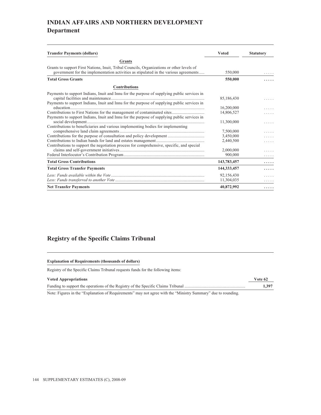| <b>Transfer Payments (dollars)</b>                                                                                                                                                | <b>Voted</b>             | <b>Statutory</b> |  |
|-----------------------------------------------------------------------------------------------------------------------------------------------------------------------------------|--------------------------|------------------|--|
| <b>Grants</b>                                                                                                                                                                     |                          |                  |  |
| Grants to support First Nations, Inuit, Tribal Councils, Organizations or other levels of<br>government for the implementation activities as stipulated in the various agreements | 550,000                  |                  |  |
| <b>Total Gross Grants</b>                                                                                                                                                         | 550,000                  |                  |  |
| <b>Contributions</b>                                                                                                                                                              |                          |                  |  |
| Payments to support Indians, Inuit and Innu for the purpose of supplying public services in                                                                                       | 85,186,430               | $\cdots$         |  |
| Payments to support Indians, Inuit and Innu for the purpose of supplying public services in                                                                                       | 16,200,000<br>14,806,527 |                  |  |
| Payments to support Indians, Inuit and Innu for the purpose of supplying public services in<br>Contributions to beneficiaries and various implementing bodies for implementing    | 11,300,000               |                  |  |
|                                                                                                                                                                                   | 7,500,000<br>3,450,000   |                  |  |
| Contributions to support the negotiation process for comprehensive, specific, and special                                                                                         | 2,440,500                | .                |  |
|                                                                                                                                                                                   | 2,000,000<br>900,000     |                  |  |
| <b>Total Gross Contributions</b>                                                                                                                                                  | 143,783,457              |                  |  |
| <b>Total Gross Transfer Payments</b>                                                                                                                                              | 144, 333, 457            |                  |  |
|                                                                                                                                                                                   | 92,156,430<br>11,304,035 | .                |  |
| <b>Net Transfer Payments</b>                                                                                                                                                      | 40.872.992               | .                |  |

# **Registry of the Specific Claims Tribunal**

### **Explanation of Requirements (thousands of dollars)**

Registry of the Specific Claims Tribunal requests funds for the following items:

| <b>Voted Appropriations</b> | Vote 62 |
|-----------------------------|---------|
|                             | 1.397   |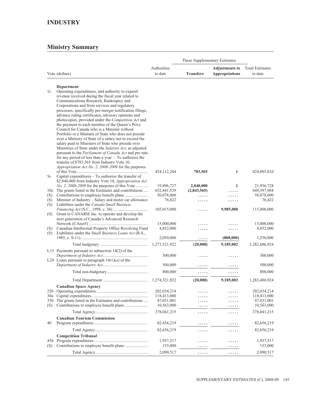## **Ministry Summary**

|            |                                                                                                         |                           | These Supplementary Estimates |                       |                           |
|------------|---------------------------------------------------------------------------------------------------------|---------------------------|-------------------------------|-----------------------|---------------------------|
|            |                                                                                                         | Authorities               |                               | <b>Adjustments to</b> | <b>Total Estimates</b>    |
|            | Vote (dollars)                                                                                          | to date                   | <b>Transfers</b>              | <b>Appropriations</b> | to date                   |
|            | Department                                                                                              |                           |                               |                       |                           |
| 1c         | Operating expenditures, and authority to expend                                                         |                           |                               |                       |                           |
|            | revenue received during the fiscal year related to                                                      |                           |                               |                       |                           |
|            | Communications Research, Bankruptcy and                                                                 |                           |                               |                       |                           |
|            | Corporations and from services and regulatory                                                           |                           |                               |                       |                           |
|            | processes, specifically pre-merger notification filings,                                                |                           |                               |                       |                           |
|            | advance ruling certificates, advisory opinions and                                                      |                           |                               |                       |                           |
|            | photocopies, provided under the <i>Competition Act</i> and                                              |                           |                               |                       |                           |
|            | the payment to each member of the Queen's Privy<br>Council for Canada who is a Minister without         |                           |                               |                       |                           |
|            | Portfolio or a Minister of State who does not preside                                                   |                           |                               |                       |                           |
|            | over a Ministry of State of a salary not to exceed the                                                  |                           |                               |                       |                           |
|            | salary paid to Ministers of State who preside over                                                      |                           |                               |                       |                           |
|            | Ministries of State under the Salaries Act, as adjusted                                                 |                           |                               |                       |                           |
|            | pursuant to the Parliament of Canada Act and pro rata                                                   |                           |                               |                       |                           |
|            | for any period of less than a year $-$ To authorize the<br>transfer of \$783,565 from Industry Vote 10, |                           |                               |                       |                           |
|            | Appropriation Act No. 2, 2008-2009 for the purposes                                                     |                           |                               |                       |                           |
|            |                                                                                                         | 424,112,244               | 783,565                       | 1                     | 424,895,810               |
| 5c         | Capital expenditures $-$ To authorize the transfer of                                                   |                           |                               |                       |                           |
|            | \$2,040,000 from Industry Vote 10, Appropriation Act                                                    |                           |                               |                       |                           |
|            | No. 2, 2008-2009 for the purposes of this Vote                                                          | 19,896,727                | 2,040,000                     | 1                     | 21,936,728                |
| (S)        | 10c The grants listed in the Estimates and contributions                                                | 652,441,529<br>50,078,000 | (2,843,565)                   |                       | 649,597,964<br>50,078,000 |
| (S)        | Minister of Industry - Salary and motor car allowance                                                   | 76,422                    | .<br>.                        |                       | 76,422                    |
| (S)        | Liabilities under the Canada Small Business                                                             |                           |                               |                       |                           |
|            |                                                                                                         | 105,015,000               |                               | 9,985,000             | 115,000,000               |
| (S)        | Grant to CANARIE Inc. to operate and develop the                                                        |                           |                               |                       |                           |
|            | next generation of Canada's Advanced Research                                                           |                           |                               |                       |                           |
| (S)        | Canadian Intellectual Property Office Revolving Fund                                                    | 15,000,000<br>4,852,000   |                               |                       | 15,000,000<br>4,852,000   |
| (S)        | Liabilities under the <i>Small Business Loans Act</i> (R.S.,                                            |                           |                               | .                     |                           |
|            |                                                                                                         | 2,050,000                 |                               | (800,000)             | 1,250,000                 |
|            |                                                                                                         | 1,273,521,922             | (20,000)                      | 9,185,002             | 1,282,686,924             |
|            | L15 Payments pursuant to subsection $14(2)$ of the                                                      |                           |                               |                       |                           |
|            |                                                                                                         | 300,000                   | .                             | .                     | 300,000                   |
|            | L20 Loans pursuant to paragraph $14(1)(a)$ of the                                                       |                           |                               |                       |                           |
|            |                                                                                                         | 500,000                   | .                             | .                     | 500,000                   |
|            |                                                                                                         | 800,000                   | .                             | .                     | 800,000                   |
|            |                                                                                                         | 1,274,321,922             | (20,000)                      | 9,185,002             | 1,283,486,924             |
|            | <b>Canadian Space Agency</b>                                                                            |                           |                               |                       |                           |
|            |                                                                                                         | 202,034,214               |                               |                       | 202,034,214               |
|            |                                                                                                         | 118,413,000               |                               |                       | 118,413,000               |
| 35b<br>(S) | The grants listed in the Estimates and contributions                                                    | 47,031,001<br>10,563,000  |                               |                       | 47,031,001<br>10,563,000  |
|            |                                                                                                         |                           | .                             | .                     |                           |
|            |                                                                                                         | 378,041,215               | .                             | .                     | 378,041,215               |
| 40         | <b>Canadian Tourism Commission</b>                                                                      | 82,656,219                |                               |                       | 82,656,219                |
|            |                                                                                                         |                           | .                             | .                     |                           |
|            |                                                                                                         | 82,656,219                | .                             | .                     | 82,656,219                |
|            | <b>Competition Tribunal</b>                                                                             |                           |                               |                       |                           |
| (S)        |                                                                                                         | 1,937,517<br>153,000      | .                             | .                     | 1,937,517<br>153,000      |
|            |                                                                                                         |                           |                               |                       | 2,090,517                 |
|            |                                                                                                         | 2,090,517                 | .                             | .                     |                           |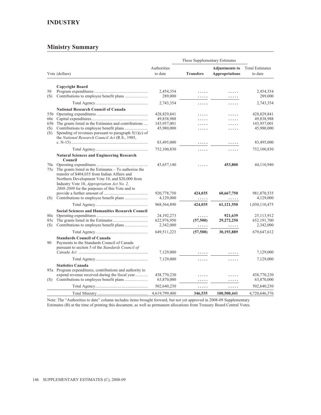### **Ministry Summary**

|                   | Vote (dollars)                                                                                                                                                                                                                                                                                                             | Authorities<br>to date                                 | <b>Transfers</b>   | <b>Adjustments to</b><br><b>Appropriations</b> | <b>Total Estimates</b><br>to date                      |
|-------------------|----------------------------------------------------------------------------------------------------------------------------------------------------------------------------------------------------------------------------------------------------------------------------------------------------------------------------|--------------------------------------------------------|--------------------|------------------------------------------------|--------------------------------------------------------|
| 50<br>(S)         | <b>Copyright Board</b>                                                                                                                                                                                                                                                                                                     | 2,454,354<br>289,000                                   | .                  |                                                | 2,454,354<br>289,000                                   |
|                   |                                                                                                                                                                                                                                                                                                                            | 2,743,354                                              | .                  | .                                              | 2,743,354                                              |
| 60c<br>65b<br>(S) | National Research Council of Canada<br>The grants listed in the Estimates and contributions                                                                                                                                                                                                                                | 428,829,841<br>49,838,988<br>143,957,001<br>45,980,000 | .<br>.<br>.<br>.   | .<br>.<br>.                                    | 428,829,841<br>49,838,988<br>143,957,001<br>45,980,000 |
| (S)               | Spending of revenues pursuant to paragraph $5(1)(e)$ of<br>the National Research Council Act (R.S., 1985,                                                                                                                                                                                                                  | 83,495,000                                             | .                  | .                                              | 83,495,000                                             |
|                   |                                                                                                                                                                                                                                                                                                                            | 752,100,830                                            | .                  | .                                              | 752,100,830                                            |
| 70c<br>75c        | <b>Natural Sciences and Engineering Research</b><br>Council<br>The grants listed in the Estimates $-$ To authorize the<br>transfer of \$404,035 from Indian Affairs and<br>Northern Development Vote 10, and \$20,000 from<br>Industry Vote 10, Appropriation Act No. 2,<br>2008-2009 for the purposes of this Vote and to | 43,657,140                                             | .                  | 453,800                                        | 44,110,940                                             |
| (S)               |                                                                                                                                                                                                                                                                                                                            | 920,778,750<br>4,129,000                               | 424,035            | 60,667,750                                     | 981,870,535<br>4,129,000                               |
|                   |                                                                                                                                                                                                                                                                                                                            | 968,564,890                                            | .<br>424,035       | .<br>61,121,550                                | 1,030,110,475                                          |
| 80c<br>85c<br>(S) | <b>Social Sciences and Humanities Research Council</b><br>Contributions to employee benefit plans                                                                                                                                                                                                                          | 24, 192, 273<br>622,976,950<br>2,342,000               | .<br>(57,500)<br>. | 921,639<br>29,272,250<br>.                     | 25,113,912<br>652,191,700<br>2,342,000                 |
|                   |                                                                                                                                                                                                                                                                                                                            | 649,511,223                                            | (57,500)           | 30,193,889                                     | 679,647,612                                            |
| 90                | <b>Standards Council of Canada</b><br>Payments to the Standards Council of Canada<br>pursuant to section 5 of the Standards Council of                                                                                                                                                                                     | 7,129,000                                              |                    |                                                | 7,129,000                                              |
|                   |                                                                                                                                                                                                                                                                                                                            | 7,129,000                                              | .                  | .                                              | 7,129,000                                              |
| (S)               | <b>Statistics Canada</b><br>95a Program expenditures, contributions and authority to<br>expend revenue received during the fiscal year                                                                                                                                                                                     | 438,770,230<br>63,870,000                              |                    |                                                | 438,770,230<br>63,870,000                              |
|                   |                                                                                                                                                                                                                                                                                                                            | 502,640,230                                            | .                  | .                                              | 502,640,230                                            |
|                   |                                                                                                                                                                                                                                                                                                                            | 4,619,799,400                                          | 346,535            | 100,500,441                                    | 4,720,646,376                                          |

Note: The "Authorities to date" column includes items brought forward, but not yet approved in 2008-09 Supplementary Estimates (B) at the time of printing this document, as well as permanent allocations from Treasury Board Central Votes.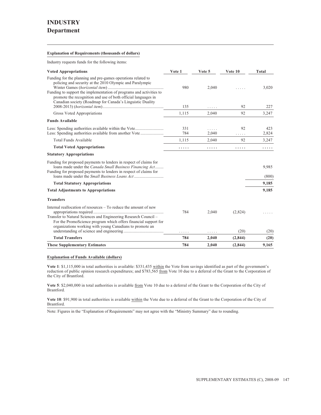### **Explanation of Requirements (thousands of dollars)**

Industry requests funds for the following items:

| <b>Voted Appropriations</b>                                                                                                                                                                                                                                                                                                   | Vote 1     | Vote 5     | Vote 10  | <b>Total</b>   |
|-------------------------------------------------------------------------------------------------------------------------------------------------------------------------------------------------------------------------------------------------------------------------------------------------------------------------------|------------|------------|----------|----------------|
| Funding for the planning and pre-games operations related to<br>policing and security at the 2010 Olympic and Paralympic<br>Funding to support the implementation of programs and activities to<br>promote the recognition and use of both official languages in<br>Canadian society (Roadmap for Canada's Linguistic Duality | 980<br>135 | 2,040<br>. | 92       | 3,020<br>227   |
| Gross Voted Appropriations                                                                                                                                                                                                                                                                                                    | 1,115      | 2,040      | 92       | 3,247          |
| <b>Funds Available</b>                                                                                                                                                                                                                                                                                                        |            |            |          |                |
|                                                                                                                                                                                                                                                                                                                               | 331<br>784 | .<br>2,040 | 92<br>.  | 423<br>2,824   |
| Total Funds Available                                                                                                                                                                                                                                                                                                         | 1,115      | 2,040      | 92       | 3,247          |
| <b>Total Voted Appropriations</b>                                                                                                                                                                                                                                                                                             | .          | .          | .        | .              |
| <b>Statutory Appropriations</b>                                                                                                                                                                                                                                                                                               |            |            |          |                |
| Funding for proposed payments to lenders in respect of claims for<br>loans made under the Canada Small Business Financing Act<br>Funding for proposed payments to lenders in respect of claims for                                                                                                                            |            |            |          | 9,985<br>(800) |
| <b>Total Statutory Appropriations</b>                                                                                                                                                                                                                                                                                         |            |            |          | 9,185          |
| <b>Total Adjustments to Appropriations</b>                                                                                                                                                                                                                                                                                    |            |            |          | 9,185          |
| <b>Transfers</b>                                                                                                                                                                                                                                                                                                              |            |            |          |                |
| Internal reallocation of resources – To reduce the amount of new<br>Transfer to Natural Sciences and Engineering Research Council -<br>For the PromoScience program which offers financial support for<br>organizations working with young Canadians to promote an                                                            | 784        | 2,040      | (2,824)  |                |
|                                                                                                                                                                                                                                                                                                                               | .          | .          | (20)     | (20)           |
| <b>Total Transfers</b>                                                                                                                                                                                                                                                                                                        | 784        | 2,040      | (2, 844) | (20)           |
| <b>These Supplementary Estimates</b>                                                                                                                                                                                                                                                                                          | 784        | 2,040      | (2, 844) | 9,165          |

#### **Explanation of Funds Available (dollars)**

**Vote 1**: \$1,115,000 in total authorities is available: \$331,435 within the Vote from savings identified as part of the government's reduction of public opinion research expenditures; and \$783,565 from Vote 10 due to a deferral of the Grant to the Corporation of the City of Brantford.

**Vote 5**: \$2,040,000 in total authorities is available from Vote 10 due to a deferral of the Grant to the Corporation of the City of Brantford.

**Vote 10**: \$91,900 in total authorities is available within the Vote due to a deferral of the Grant to the Corporation of the City of Brantford.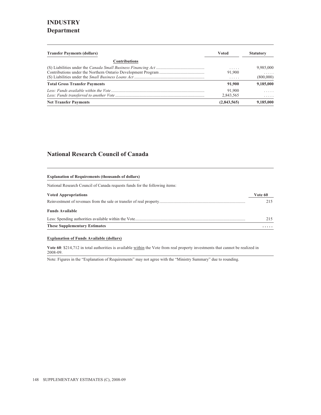# **INDUSTRY Department**

| <b>Transfer Payments (dollars)</b>   | Voted             | <b>Statutory</b>     |
|--------------------------------------|-------------------|----------------------|
| <b>Contributions</b>                 |                   |                      |
|                                      | 1.1.1.1<br>91,900 | 9,985,000<br>1.1.1.1 |
|                                      | .                 | (800,000)            |
| <b>Total Gross Transfer Payments</b> | 91,900            | 9,185,000            |
|                                      | 91,900            | .                    |
|                                      | 2,843,565         | .                    |
| <b>Net Transfer Payments</b>         | (2,843,565)       | 9,185,000            |

# **National Research Council of Canada**

#### **Explanation of Requirements (thousands of dollars)**

National Research Council of Canada requests funds for the following items:

| <b>Voted Appropriations</b>          | Vote 60 |
|--------------------------------------|---------|
|                                      | 215     |
| <b>Funds Available</b>               |         |
|                                      | 215     |
| <b>These Supplementary Estimates</b> | .       |

### **Explanation of Funds Available (dollars)**

Vote 60: \$214,712 in total authorities is available within the Vote from real property investments that cannot be realized in 2008-09.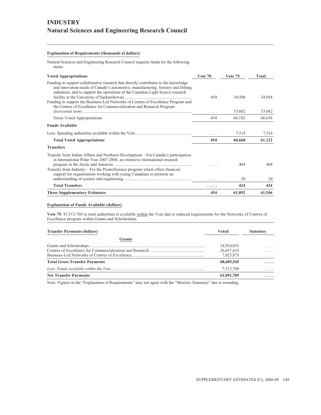# **INDUSTRY Natural Sciences and Engineering Research Council**

#### **Explanation of Requirements (thousands of dollars)**

Natural Sciences and Engineering Research Council requests funds for the following items:

| <b>Voted Appropriations</b>                                                                                                                                                                                                                                                                                                                      | Vote 70 | Vote 75 | Total  |
|--------------------------------------------------------------------------------------------------------------------------------------------------------------------------------------------------------------------------------------------------------------------------------------------------------------------------------------------------|---------|---------|--------|
| Funding to support collaborative research that directly contributes to the knowledge<br>and innovation needs of Canada's automotive, manufacturing, forestry and fishing<br>industries, and to support the operations of the Canadian Light Source research<br>Funding to support the Business-Led Networks of Centres of Excellence Program and | 454     | 34,500  | 34,954 |
| the Centres of Excellence for Commercialization and Research Program                                                                                                                                                                                                                                                                             |         |         |        |
|                                                                                                                                                                                                                                                                                                                                                  |         | 33,682  | 33,682 |
| Gross Voted Appropriations                                                                                                                                                                                                                                                                                                                       | 454     | 68,182  | 68,636 |
| <b>Funds Available</b>                                                                                                                                                                                                                                                                                                                           |         |         |        |
|                                                                                                                                                                                                                                                                                                                                                  |         | 7,514   | 7,514  |
| <b>Total Voted Appropriations</b>                                                                                                                                                                                                                                                                                                                | 454     | 60,668  | 61,122 |
| <b>Transfers</b>                                                                                                                                                                                                                                                                                                                                 |         |         |        |
| Transfer from Indian Affairs and Northern Development – For Canada's participation<br>in International Polar Year 2007-2008, an extensive international research                                                                                                                                                                                 |         | 404     | 404    |
| Transfer from Industry – For the PromoScience program which offers financial<br>support for organizations working with young Canadians to promote an                                                                                                                                                                                             |         |         |        |
|                                                                                                                                                                                                                                                                                                                                                  | .       | 20      | 20     |
| <b>Total Transfers</b>                                                                                                                                                                                                                                                                                                                           | .       | 424     | 424    |
| <b>These Supplementary Estimates</b>                                                                                                                                                                                                                                                                                                             | 454     | 61,092  | 61,546 |

#### **Explanation of Funds Available (dollars)**

**Vote 75**: \$7,513,760 in total authorities is available within the Vote due to reduced requirements for the Networks of Centres of Excellence program within Grants and Scholarships.

| <b>Transfer Payments (dollars)</b>   | Voted      | <b>Statutory</b> |
|--------------------------------------|------------|------------------|
| <b>Grants</b>                        |            |                  |
|                                      | 34,924,035 | .                |
|                                      | 26,657,635 | .                |
|                                      | 7.023.875  | .                |
| <b>Total Gross Transfer Payments</b> | 68,605,545 | .                |
|                                      | 7,513,760  | .                |
| <b>Net Transfer Payments</b>         | 61,091,785 | .                |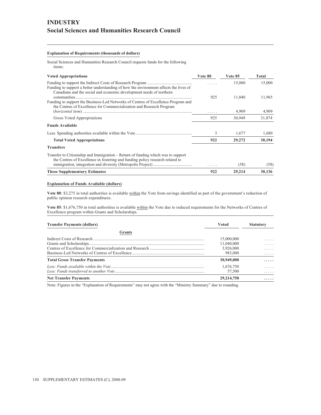# **INDUSTRY Social Sciences and Humanities Research Council**

#### **Explanation of Requirements (thousands of dollars)**

Social Sciences and Humanities Research Council requests funds for the following items:

| <b>Voted Appropriations</b>                                                                                                                                       | Vote 80 | Vote 85 | Total  |
|-------------------------------------------------------------------------------------------------------------------------------------------------------------------|---------|---------|--------|
| Funding to support a better understanding of how the environment affects the lives of<br>Canadians and the social and economic development needs of northern      |         | 15,000  | 15,000 |
| Funding to support the Business-Led Networks of Centres of Excellence Program and<br>the Centres of Excellence for Commercialization and Research Program         | 925     | 11,040  | 11,965 |
|                                                                                                                                                                   |         | 4,909   | 4,909  |
| Gross Voted Appropriations                                                                                                                                        | 925     | 30,949  | 31,874 |
| <b>Funds Available</b>                                                                                                                                            |         |         |        |
|                                                                                                                                                                   | 3       | 1,677   | 1,680  |
| <b>Total Voted Appropriations</b>                                                                                                                                 | 922     | 29,272  | 30,194 |
| <b>Transfers</b>                                                                                                                                                  |         |         |        |
| Transfer to Citizenship and Immigration – Return of funding which was to support<br>the Centres of Excellence in fostering and funding policy research related to |         |         |        |
|                                                                                                                                                                   |         | (58)    | (58)   |
| <b>These Supplementary Estimates</b>                                                                                                                              | 922     | 29,214  | 30,136 |

#### **Explanation of Funds Available (dollars)**

**Vote 80**: \$3,275 in total authorities is available within the Vote from savings identified as part of the government's reduction of public opinion research expenditures.

**Vote 85**: \$1,676,750 in total authorities is available within the Vote due to reduced requirements for the Networks of Centres of Excellence program within Grants and Scholarships.

| <b>Transfer Payments (dollars)</b>   | <b>Voted</b> | <b>Statutory</b> |
|--------------------------------------|--------------|------------------|
| <b>Grants</b>                        |              |                  |
|                                      | 15,000,000   | .                |
|                                      | 11,040,000   | .                |
|                                      | 3,926,000    | .                |
|                                      | 983.000      | .                |
| <b>Total Gross Transfer Payments</b> | 30,949,000   | .                |
|                                      | 1,676,750    | .                |
|                                      | 57,500       | .                |
| <b>Net Transfer Payments</b>         | 29.214.750   | .                |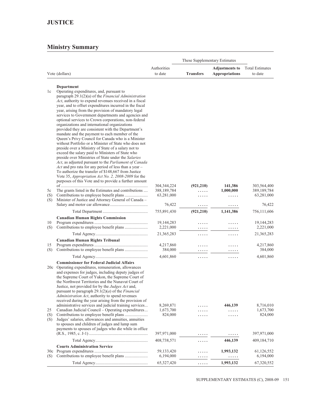# **Ministry Summary**

|                  |                                                                                                                                                                                                                                                                                                                                                                                                                                                                                                                                                                                                                                                                                                                                                                                                                                                                                                                                                                                                                                                                                      |                                   | These Supplementary Estimates |                                                |                                   |
|------------------|--------------------------------------------------------------------------------------------------------------------------------------------------------------------------------------------------------------------------------------------------------------------------------------------------------------------------------------------------------------------------------------------------------------------------------------------------------------------------------------------------------------------------------------------------------------------------------------------------------------------------------------------------------------------------------------------------------------------------------------------------------------------------------------------------------------------------------------------------------------------------------------------------------------------------------------------------------------------------------------------------------------------------------------------------------------------------------------|-----------------------------------|-------------------------------|------------------------------------------------|-----------------------------------|
|                  | Vote (dollars)                                                                                                                                                                                                                                                                                                                                                                                                                                                                                                                                                                                                                                                                                                                                                                                                                                                                                                                                                                                                                                                                       | Authorities<br>to date            | <b>Transfers</b>              | <b>Adjustments to</b><br><b>Appropriations</b> | <b>Total Estimates</b><br>to date |
| 1c               | Department<br>Operating expenditures, and, pursuant to<br>paragraph $29.1(2)(a)$ of the Financial Administration<br>Act, authority to expend revenues received in a fiscal<br>year, and to offset expenditures incurred in the fiscal<br>year, arising from the provision of mandatory legal<br>services to Government departments and agencies and<br>optional services to Crown corporations, non-federal<br>organizations and international organizations<br>provided they are consistent with the Department's<br>mandate and the payment to each member of the<br>Queen's Privy Council for Canada who is a Minister<br>without Portfolio or a Minister of State who does not<br>preside over a Ministry of State of a salary not to<br>exceed the salary paid to Ministers of State who<br>preside over Ministries of State under the Salaries<br>Act, as adjusted pursuant to the Parliament of Canada<br>Act and pro rata for any period of less than a year -<br>To authorize the transfer of \$148,667 from Justice<br>Vote 35, Appropriation Act No. 2, 2008-2009 for the |                                   |                               |                                                |                                   |
|                  | purposes of this Vote and to provide a further amount                                                                                                                                                                                                                                                                                                                                                                                                                                                                                                                                                                                                                                                                                                                                                                                                                                                                                                                                                                                                                                |                                   |                               |                                                |                                   |
| 5c               | The grants listed in the Estimates and contributions                                                                                                                                                                                                                                                                                                                                                                                                                                                                                                                                                                                                                                                                                                                                                                                                                                                                                                                                                                                                                                 | 304, 344, 224<br>388,189,784      | (921, 210)<br>.               | 141,386<br>1,000,000                           | 303,564,400<br>389, 189, 784      |
| (S)              |                                                                                                                                                                                                                                                                                                                                                                                                                                                                                                                                                                                                                                                                                                                                                                                                                                                                                                                                                                                                                                                                                      | 63,281,000                        | .                             | .                                              | 63,281,000                        |
| (S)              | Minister of Justice and Attorney General of Canada -                                                                                                                                                                                                                                                                                                                                                                                                                                                                                                                                                                                                                                                                                                                                                                                                                                                                                                                                                                                                                                 | 76,422                            |                               | .                                              | 76,422                            |
|                  |                                                                                                                                                                                                                                                                                                                                                                                                                                                                                                                                                                                                                                                                                                                                                                                                                                                                                                                                                                                                                                                                                      | 755,891,430                       | .<br>(921, 210)               | 1,141,386                                      | 756,111,606                       |
|                  | <b>Canadian Human Rights Commission</b>                                                                                                                                                                                                                                                                                                                                                                                                                                                                                                                                                                                                                                                                                                                                                                                                                                                                                                                                                                                                                                              |                                   |                               |                                                |                                   |
| 10               |                                                                                                                                                                                                                                                                                                                                                                                                                                                                                                                                                                                                                                                                                                                                                                                                                                                                                                                                                                                                                                                                                      | 19, 144, 283                      |                               |                                                | 19, 144, 283                      |
| (S)              |                                                                                                                                                                                                                                                                                                                                                                                                                                                                                                                                                                                                                                                                                                                                                                                                                                                                                                                                                                                                                                                                                      | 2,221,000                         | .                             | .                                              | 2,221,000                         |
|                  |                                                                                                                                                                                                                                                                                                                                                                                                                                                                                                                                                                                                                                                                                                                                                                                                                                                                                                                                                                                                                                                                                      | 21, 365, 283                      | .                             | .                                              | 21, 365, 283                      |
|                  | Canadian Human Rights Tribunal                                                                                                                                                                                                                                                                                                                                                                                                                                                                                                                                                                                                                                                                                                                                                                                                                                                                                                                                                                                                                                                       |                                   |                               |                                                |                                   |
| 15<br>(S)        | Contributions to employee benefit plans                                                                                                                                                                                                                                                                                                                                                                                                                                                                                                                                                                                                                                                                                                                                                                                                                                                                                                                                                                                                                                              | 4,217,860<br>384,000              | .<br>.                        | .                                              | 4,217,860<br>384,000              |
|                  |                                                                                                                                                                                                                                                                                                                                                                                                                                                                                                                                                                                                                                                                                                                                                                                                                                                                                                                                                                                                                                                                                      | 4,601,860                         | .                             | .                                              | 4,601,860                         |
|                  | <b>Commissioner for Federal Judicial Affairs</b><br>20c Operating expenditures, remuneration, allowances<br>and expenses for judges, including deputy judges of<br>the Supreme Court of Yukon, the Supreme Court of<br>the Northwest Territories and the Nunavut Court of<br>Justice, not provided for by the <i>Judges Act</i> and,<br>pursuant to paragraph $29.1(2)(a)$ of the <i>Financial</i><br>Administration Act, authority to spend revenues                                                                                                                                                                                                                                                                                                                                                                                                                                                                                                                                                                                                                                |                                   |                               |                                                |                                   |
| 25<br>(S)<br>(S) | received during the year arising from the provision of<br>administrative services and judicial training services<br>Canadian Judicial Council - Operating expenditures<br>Judges' salaries, allowances and annuities, annuities<br>to spouses and children of judges and lump sum<br>payments to spouses of judges who die while in office                                                                                                                                                                                                                                                                                                                                                                                                                                                                                                                                                                                                                                                                                                                                           | 8,269,871<br>1,673,700<br>824,000 | .                             | 446,139<br>.<br>.                              | 8,716,010<br>1,673,700<br>824,000 |
|                  |                                                                                                                                                                                                                                                                                                                                                                                                                                                                                                                                                                                                                                                                                                                                                                                                                                                                                                                                                                                                                                                                                      | 397,971,000                       |                               | .                                              | 397,971,000                       |
|                  |                                                                                                                                                                                                                                                                                                                                                                                                                                                                                                                                                                                                                                                                                                                                                                                                                                                                                                                                                                                                                                                                                      | 408,738,571                       | .                             | 446,139                                        | 409,184,710                       |
|                  | <b>Courts Administration Service</b>                                                                                                                                                                                                                                                                                                                                                                                                                                                                                                                                                                                                                                                                                                                                                                                                                                                                                                                                                                                                                                                 |                                   |                               |                                                |                                   |
|                  |                                                                                                                                                                                                                                                                                                                                                                                                                                                                                                                                                                                                                                                                                                                                                                                                                                                                                                                                                                                                                                                                                      | 59, 133, 420                      | .                             | 1,993,132                                      | 61,126,552                        |
| (S)              | Contributions to employee benefit plans                                                                                                                                                                                                                                                                                                                                                                                                                                                                                                                                                                                                                                                                                                                                                                                                                                                                                                                                                                                                                                              | 6,194,000                         | .                             | .                                              | 6,194,000                         |
|                  |                                                                                                                                                                                                                                                                                                                                                                                                                                                                                                                                                                                                                                                                                                                                                                                                                                                                                                                                                                                                                                                                                      | 65,327,420                        | .                             | 1,993,132                                      | 67,320,552                        |

SUPPLEMENTARY ESTIMATES (C), 2008-09 151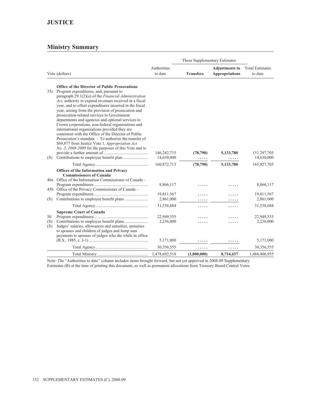### **Ministry Summary**

|            |                                                                                                                                                                                                                                                                                                                                                                                                                                                                                                                                                                                                                                                                                                                                |                             | These Supplementary Estimates |                                                |                                   |
|------------|--------------------------------------------------------------------------------------------------------------------------------------------------------------------------------------------------------------------------------------------------------------------------------------------------------------------------------------------------------------------------------------------------------------------------------------------------------------------------------------------------------------------------------------------------------------------------------------------------------------------------------------------------------------------------------------------------------------------------------|-----------------------------|-------------------------------|------------------------------------------------|-----------------------------------|
|            | Vote (dollars)                                                                                                                                                                                                                                                                                                                                                                                                                                                                                                                                                                                                                                                                                                                 | Authorities<br>to date      | <b>Transfers</b>              | <b>Adjustments to</b><br><b>Appropriations</b> | <b>Total Estimates</b><br>to date |
|            | <b>Office of the Director of Public Prosecutions</b>                                                                                                                                                                                                                                                                                                                                                                                                                                                                                                                                                                                                                                                                           |                             |                               |                                                |                                   |
| (S)        | 35c Program expenditures, and, pursuant to<br>paragraph $29.1(2)(a)$ of the <i>Financial Administration</i><br>Act, authority to expend revenues received in a fiscal<br>year, and to offset expenditures incurred in the fiscal<br>year, arising from the provision of prosecution and<br>prosecution-related services to Government<br>departments and agencies and optional services to<br>Crown corporations, non-federal organizations and<br>international organizations provided they are<br>consistent with the Office of the Director of Public<br>Prosecution's mandate $-$ To authorize the transfer of<br>\$69,877 from Justice Vote 1, Appropriation Act<br>No. 2, 2008-2009 for the purposes of this Vote and to | 146, 242, 715<br>14,630,000 | (78, 790)<br>.                | 5,133,780<br>.                                 | 151,297,705<br>14,630,000         |
|            |                                                                                                                                                                                                                                                                                                                                                                                                                                                                                                                                                                                                                                                                                                                                | 160,872,715                 | (78, 790)                     | 5,133,780                                      | 165,927,705                       |
|            | <b>Offices of the Information and Privacy</b><br><b>Commissioners of Canada</b><br>40a Office of the Information Commissioner of Canada –                                                                                                                                                                                                                                                                                                                                                                                                                                                                                                                                                                                      |                             |                               |                                                |                                   |
|            | 45b Office of the Privacy Commissioner of Canada -                                                                                                                                                                                                                                                                                                                                                                                                                                                                                                                                                                                                                                                                             | 8,866,117                   |                               |                                                | 8,866,117                         |
|            |                                                                                                                                                                                                                                                                                                                                                                                                                                                                                                                                                                                                                                                                                                                                | 19,811,567                  |                               |                                                | 19,811,567                        |
| (S)        |                                                                                                                                                                                                                                                                                                                                                                                                                                                                                                                                                                                                                                                                                                                                | 2,861,000                   |                               | .                                              | 2,861,000                         |
|            |                                                                                                                                                                                                                                                                                                                                                                                                                                                                                                                                                                                                                                                                                                                                | 31,538,684                  | .                             | .                                              | 31,538,684                        |
|            | <b>Supreme Court of Canada</b>                                                                                                                                                                                                                                                                                                                                                                                                                                                                                                                                                                                                                                                                                                 |                             |                               |                                                |                                   |
| 50         |                                                                                                                                                                                                                                                                                                                                                                                                                                                                                                                                                                                                                                                                                                                                | 22,949,555                  |                               |                                                | 22,949,555                        |
| (S)<br>(S) | Judges' salaries, allowances and annuities, annuities<br>to spouses and children of judges and lump sum<br>payments to spouses of judges who die while in office                                                                                                                                                                                                                                                                                                                                                                                                                                                                                                                                                               | 2,236,000                   |                               |                                                | 2,236,000                         |
|            |                                                                                                                                                                                                                                                                                                                                                                                                                                                                                                                                                                                                                                                                                                                                | 5,171,000                   |                               |                                                | 5,171,000                         |
|            |                                                                                                                                                                                                                                                                                                                                                                                                                                                                                                                                                                                                                                                                                                                                | 30,356,555                  | .                             | .                                              | 30,356,555                        |
|            |                                                                                                                                                                                                                                                                                                                                                                                                                                                                                                                                                                                                                                                                                                                                | 1,478,692,518               | (1,000,000)                   | 8,714,437                                      | 1,486,406,955                     |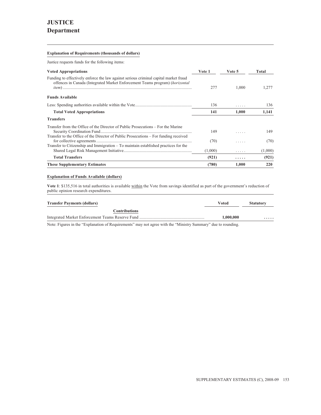#### **Explanation of Requirements (thousands of dollars)**

Justice requests funds for the following items:

| <b>Voted Appropriations</b>                                                                                                                                          | Vote 1  | Vote 5 | Total      |
|----------------------------------------------------------------------------------------------------------------------------------------------------------------------|---------|--------|------------|
| Funding to effectively enforce the law against serious criminal capital market fraud<br>offences in Canada (Integrated Market Enforcement Teams program) (horizontal | 277     | 1.000  | 1.277      |
| <b>Funds Available</b>                                                                                                                                               |         |        |            |
|                                                                                                                                                                      | 136     | .      | 136        |
| <b>Total Voted Appropriations</b>                                                                                                                                    | 141     | 1,000  | 1,141      |
| <b>Transfers</b>                                                                                                                                                     |         |        |            |
| Transfer from the Office of the Director of Public Prosecutions – For the Marine                                                                                     | 149     |        | 149        |
| Transfer to the Office of the Director of Public Prosecutions – For funding received                                                                                 | (70)    | .      | (70)       |
| Transfer to Citizenship and Immigration – To maintain established practices for the                                                                                  | (1,000) | .      | (1,000)    |
| <b>Total Transfers</b>                                                                                                                                               | (921)   | .      | (921)      |
| <b>These Supplementary Estimates</b>                                                                                                                                 | (780)   | 1.000  | <b>220</b> |

#### **Explanation of Funds Available (dollars)**

**Vote 1**: \$135,516 in total authorities is available within the Vote from savings identified as part of the government's reduction of public opinion research expenditures.

| <b>Transfer Payments (dollars)</b> | Voted     | <b>Statutory</b> |
|------------------------------------|-----------|------------------|
| <b>Contributions</b>               |           |                  |
|                                    | 1.000.000 | .                |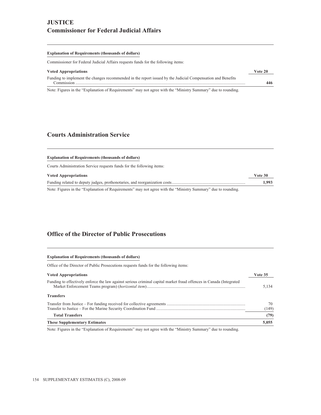## **JUSTICE Commissioner for Federal Judicial Affairs**

#### **Explanation of Requirements (thousands of dollars)**

Commissioner for Federal Judicial Affairs requests funds for the following items:

**Voted Appropriations Vote 20** Funding to implement the changes recommended in the report issued by the Judicial Compensation and Benefits Commission .................................................................................................................................................................. **446**

Note: Figures in the "Explanation of Requirements" may not agree with the "Ministry Summary" due to rounding.

### **Courts Administration Service**

| <b>Explanation of Requirements (thousands of dollars)</b>             |         |
|-----------------------------------------------------------------------|---------|
| Courts Administration Service requests funds for the following items: |         |
| <b>Voted Appropriations</b>                                           | Vote 30 |
|                                                                       | 1,993   |

Note: Figures in the "Explanation of Requirements" may not agree with the "Ministry Summary" due to rounding.

### **Office of the Director of Public Prosecutions**

| <b>Explanation of Requirements (thousands of dollars)</b>                                                           |             |
|---------------------------------------------------------------------------------------------------------------------|-------------|
| Office of the Director of Public Prosecutions requests funds for the following items:                               |             |
| <b>Voted Appropriations</b>                                                                                         | Vote 35     |
| Funding to effectively enforce the law against serious criminal capital market fraud offences in Canada (Integrated | 5.134       |
| <b>Transfers</b>                                                                                                    |             |
|                                                                                                                     | 70<br>(149) |
| <b>Total Transfers</b>                                                                                              | (79)        |
| <b>These Supplementary Estimates</b>                                                                                | 5.055       |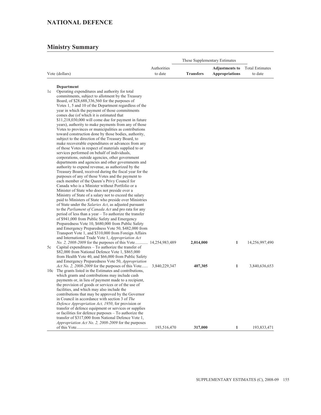# **NATIONAL DEFENCE**

### **Ministry Summary**

|    |                                                                                                                   |               | These Supplementary Estimates |                       |                        |  |
|----|-------------------------------------------------------------------------------------------------------------------|---------------|-------------------------------|-----------------------|------------------------|--|
|    |                                                                                                                   | Authorities   |                               | <b>Adjustments to</b> | <b>Total Estimates</b> |  |
|    | Vote (dollars)                                                                                                    | to date       | <b>Transfers</b>              | <b>Appropriations</b> | to date                |  |
|    |                                                                                                                   |               |                               |                       |                        |  |
|    | Department                                                                                                        |               |                               |                       |                        |  |
| 1c | Operating expenditures and authority for total                                                                    |               |                               |                       |                        |  |
|    | commitments, subject to allotment by the Treasury                                                                 |               |                               |                       |                        |  |
|    | Board, of \$28,688,336,560 for the purposes of                                                                    |               |                               |                       |                        |  |
|    | Votes 1, 5 and 10 of the Department regardless of the                                                             |               |                               |                       |                        |  |
|    | year in which the payment of those commitments                                                                    |               |                               |                       |                        |  |
|    | comes due (of which it is estimated that                                                                          |               |                               |                       |                        |  |
|    | \$11,218,030,000 will come due for payment in future                                                              |               |                               |                       |                        |  |
|    | years), authority to make payments from any of those<br>Votes to provinces or municipalities as contributions     |               |                               |                       |                        |  |
|    | toward construction done by those bodies, authority,                                                              |               |                               |                       |                        |  |
|    | subject to the direction of the Treasury Board, to                                                                |               |                               |                       |                        |  |
|    | make recoverable expenditures or advances from any                                                                |               |                               |                       |                        |  |
|    | of those Votes in respect of materials supplied to or                                                             |               |                               |                       |                        |  |
|    | services performed on behalf of individuals,                                                                      |               |                               |                       |                        |  |
|    | corporations, outside agencies, other government                                                                  |               |                               |                       |                        |  |
|    | departments and agencies and other governments and                                                                |               |                               |                       |                        |  |
|    | authority to expend revenue, as authorized by the                                                                 |               |                               |                       |                        |  |
|    | Treasury Board, received during the fiscal year for the<br>purposes of any of those Votes and the payment to      |               |                               |                       |                        |  |
|    | each member of the Queen's Privy Council for                                                                      |               |                               |                       |                        |  |
|    | Canada who is a Minister without Portfolio or a                                                                   |               |                               |                       |                        |  |
|    | Minister of State who does not preside over a                                                                     |               |                               |                       |                        |  |
|    | Ministry of State of a salary not to exceed the salary                                                            |               |                               |                       |                        |  |
|    | paid to Ministers of State who preside over Ministries                                                            |               |                               |                       |                        |  |
|    | of State under the Salaries Act, as adjusted pursuant                                                             |               |                               |                       |                        |  |
|    | to the <i>Parliament of Canada Act</i> and pro rata for any                                                       |               |                               |                       |                        |  |
|    | period of less than a year $-$ To authorize the transfer                                                          |               |                               |                       |                        |  |
|    | of \$941,000 from Public Safety and Emergency<br>Preparedness Vote 10, \$680,000 from Public Safety               |               |                               |                       |                        |  |
|    | and Emergency Preparedness Vote 50, \$482,000 from                                                                |               |                               |                       |                        |  |
|    | Transport Vote 1, and \$310,000 from Foreign Affairs                                                              |               |                               |                       |                        |  |
|    | and International Trade Vote 1, Appropriation Act                                                                 |               |                               |                       |                        |  |
|    | <i>No. 2, 2008-2009</i> for the purposes of this Vote 14,254,983,489                                              |               | 2,014,000                     | $\mathbf{1}$          | 14,256,997,490         |  |
| 5c | Capital expenditures – To authorize the transfer of                                                               |               |                               |                       |                        |  |
|    | \$82,000 from National Defence Vote 1, \$865,000                                                                  |               |                               |                       |                        |  |
|    | from Health Vote 40, and \$66,000 from Public Safety                                                              |               |                               |                       |                        |  |
|    | and Emergency Preparedness Vote 50, Appropriation                                                                 |               |                               |                       |                        |  |
|    | Act No. 2, 2008-2009 for the purposes of this Vote<br>10c The grants listed in the Estimates and contributions,   | 3,840,229,347 | 407,305                       | 1                     | 3,840,636,653          |  |
|    | which grants and contributions may include cash                                                                   |               |                               |                       |                        |  |
|    | payments or, in lieu of payment made to a recipient,                                                              |               |                               |                       |                        |  |
|    | the provision of goods or services or of the use of                                                               |               |                               |                       |                        |  |
|    | facilities, and which may also include the                                                                        |               |                               |                       |                        |  |
|    | contributions that may be approved by the Governor                                                                |               |                               |                       |                        |  |
|    | in Council in accordance with section 3 of The                                                                    |               |                               |                       |                        |  |
|    | Defence Appropriation Act, 1950, for provision or                                                                 |               |                               |                       |                        |  |
|    | transfer of defence equipment or services or supplies                                                             |               |                               |                       |                        |  |
|    | or facilities for defence purposes - To authorize the                                                             |               |                               |                       |                        |  |
|    | transfer of \$317,000 from National Defence Vote 1,<br><i>Appropriation Act No. 2, 2008-2009</i> for the purposes |               |                               |                       |                        |  |
|    |                                                                                                                   | 193,516,470   | 317,000                       | $\mathbf{1}$          | 193,833,471            |  |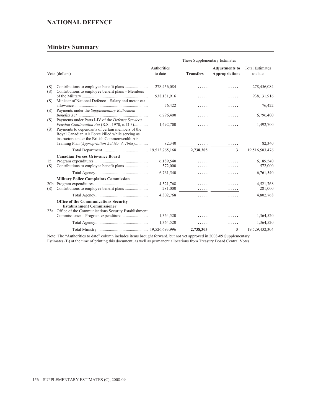### **NATIONAL DEFENCE**

### **Ministry Summary**

|                 |                                                                                                                                                                                                            |                        |                  | These Supplementary Estimates                  |                                   |
|-----------------|------------------------------------------------------------------------------------------------------------------------------------------------------------------------------------------------------------|------------------------|------------------|------------------------------------------------|-----------------------------------|
|                 | Vote (dollars)                                                                                                                                                                                             | Authorities<br>to date | <b>Transfers</b> | <b>Adjustments to</b><br><b>Appropriations</b> | <b>Total Estimates</b><br>to date |
|                 |                                                                                                                                                                                                            |                        |                  |                                                |                                   |
| (S)<br>(S)      | Contributions to employee benefit plans – Members                                                                                                                                                          | 278,456,084            |                  |                                                | 278,456,084                       |
| (S)             | Minister of National Defence - Salary and motor car                                                                                                                                                        | 938, 131, 916          |                  |                                                | 938, 131, 916                     |
| (S)             | Payments under the Supplementary Retirement                                                                                                                                                                | 76,422                 |                  |                                                | 76,422                            |
|                 |                                                                                                                                                                                                            | 6,796,400              |                  |                                                | 6,796,400                         |
| (S)<br>(S)      | Payments under Parts I-IV of the Defence Services<br>Pension Continuation Act (R.S., 1970, c. D-3)<br>Payments to dependants of certain members of the<br>Royal Canadian Air Force killed while serving as | 1,492,700              |                  |                                                | 1,492,700                         |
|                 | instructors under the British Commonwealth Air<br>Training Plan (Appropriation Act No. 4, 1968)                                                                                                            | 82,340                 |                  |                                                | 82,340                            |
|                 |                                                                                                                                                                                                            |                        | 2,738,305        | 3                                              | 19,516,503,476                    |
|                 | <b>Canadian Forces Grievance Board</b>                                                                                                                                                                     |                        |                  |                                                |                                   |
| 15              |                                                                                                                                                                                                            | 6,189,540              |                  |                                                | 6,189,540                         |
| (S)             |                                                                                                                                                                                                            | 572,000                |                  |                                                | 572,000                           |
|                 |                                                                                                                                                                                                            | 6,761,540              |                  |                                                | 6,761,540                         |
|                 | <b>Military Police Complaints Commission</b>                                                                                                                                                               |                        |                  |                                                |                                   |
| 20 <sub>b</sub> |                                                                                                                                                                                                            | 4,521,768              |                  |                                                | 4,521,768                         |
| (S)             | Contributions to employee benefit plans                                                                                                                                                                    | 281,000                |                  |                                                | 281,000                           |
|                 |                                                                                                                                                                                                            | 4,802,768              |                  |                                                | 4,802,768                         |
|                 | <b>Office of the Communications Security</b><br><b>Establishment Commissioner</b><br>23a Office of the Communications Security Establishment                                                               |                        |                  |                                                |                                   |
|                 |                                                                                                                                                                                                            | 1,364,520              |                  |                                                | 1,364,520                         |
|                 |                                                                                                                                                                                                            | 1,364,520              | .                | .                                              | 1,364,520                         |
|                 |                                                                                                                                                                                                            |                        | 2,738,305        | 3                                              | 19,529,432,304                    |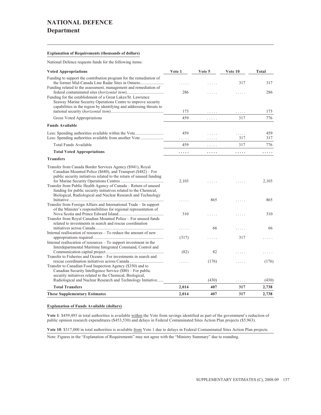### **NATIONAL DEFENCE**

### **Department**

#### **Explanation of Requirements (thousands of dollars)**

National Defence requests funds for the following items:

| <b>Voted Appropriations</b>                                                                                                                                                                         | Vote 1   | Vote 5 | Vote 10              | <b>Total</b> |
|-----------------------------------------------------------------------------------------------------------------------------------------------------------------------------------------------------|----------|--------|----------------------|--------------|
| Funding to support the contribution program for the remediation of<br>Funding related to the assessment, management and remediation of                                                              |          |        | 317                  | 317          |
| Funding for the establishment of a Great Lakes/St. Lawrence                                                                                                                                         | 286      | .      |                      | 286          |
| Seaway Marine Security Operations Centre to improve security<br>capabilities in the region by identifying and addressing threats to                                                                 |          |        |                      |              |
|                                                                                                                                                                                                     | 173      | .      | .                    | 173          |
| Gross Voted Appropriations                                                                                                                                                                          | 459      | .      | 317                  | 776          |
| <b>Funds Available</b>                                                                                                                                                                              |          |        |                      |              |
| Less: Spending authorities available from another Vote                                                                                                                                              | 459<br>. | .      | .<br>317             | 459<br>317   |
| Total Funds Available                                                                                                                                                                               | 459      | .      | 317                  | 776          |
| <b>Total Voted Appropriations</b>                                                                                                                                                                   | .        | .      | .                    | .            |
| <b>Transfers</b>                                                                                                                                                                                    |          |        |                      |              |
|                                                                                                                                                                                                     |          |        |                      |              |
| Transfer from Canada Border Services Agency (\$941), Royal<br>Canadian Mounted Police (\$680), and Transport (\$482) – For<br>public security initiatives related to the return of unused funding   | 2,103    |        |                      | 2,103        |
| Transfer from Public Health Agency of Canada - Return of unused<br>funding for public security initiatives related to the Chemical,<br>Biological, Radiological and Nuclear Research and Technology |          |        |                      |              |
|                                                                                                                                                                                                     |          | 865    | $\sim$ $\sim$ $\sim$ | 865          |
| Transfer from Foreign Affairs and International Trade – In support                                                                                                                                  |          |        |                      |              |
| of the Minister's responsibilities for regional representation of<br>Transfer from Royal Canadian Mounted Police - For unused funds                                                                 | 310      |        |                      | 310          |
| related to investments in search and rescue coordination                                                                                                                                            |          |        |                      |              |
| Internal reallocation of resources – To reduce the amount of new                                                                                                                                    |          | 66     | .                    | 66           |
|                                                                                                                                                                                                     | (317)    | .      | 317                  |              |
| Internal reallocation of resources – To support investment in the                                                                                                                                   |          |        |                      |              |
| Interdepartmental Maritime Integrated Command, Control and                                                                                                                                          |          |        |                      |              |
| Transfer to Fisheries and Oceans – For investments in search and                                                                                                                                    | (82)     | 82     | .                    |              |
|                                                                                                                                                                                                     |          | (176)  |                      | (176)        |
| Transfer to Canadian Food Inspection Agency (\$350) and to                                                                                                                                          |          |        |                      |              |
| Canadian Security Intelligence Service (\$80) - For public                                                                                                                                          |          |        |                      |              |
| security initiatives related to the Chemical, Biological,<br>Radiological and Nuclear Research and Technology Initiative                                                                            | .        | (430)  | .                    | (430)        |
| <b>Total Transfers</b>                                                                                                                                                                              | 2,014    | 407    | 317                  | 2,738        |
| <b>These Supplementary Estimates</b>                                                                                                                                                                | 2,014    | 407    | 317                  | 2,738        |
|                                                                                                                                                                                                     |          |        |                      |              |

#### **Explanation of Funds Available (dollars)**

**Vote 1**: \$459,493 in total authorities is available within the Vote from savings identified as part of the government's reduction of public opinion research expenditures (\$453,530) and delays in Federal Contaminated Sites Action Plan projects (\$5,963).

**Vote 10**: \$317,000 in total authorities is available from Vote 1 due to delays in Federal Contaminated Sites Action Plan projects.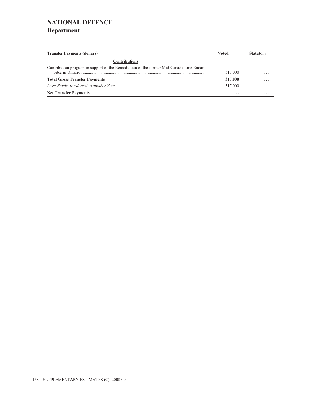# **NATIONAL DEFENCE Department**

| <b>Transfer Payments (dollars)</b>                                                     | Voted   | <b>Statutory</b> |
|----------------------------------------------------------------------------------------|---------|------------------|
| <b>Contributions</b>                                                                   |         |                  |
| Contribution program in support of the Remediation of the former Mid-Canada Line Radar | 317,000 | .                |
| <b>Total Gross Transfer Payments</b>                                                   | 317,000 | .                |
|                                                                                        | 317,000 | .                |
| <b>Net Transfer Payments</b>                                                           | .       | .                |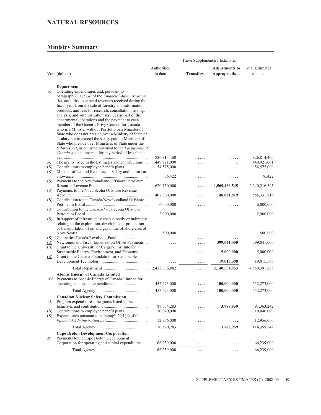### **NATURAL RESOURCES**

# **Ministry Summary**

|                   |                                                                                                                                                                                                                                                                                                                                                                                                                                                                  |                            | These Supplementary Estimates |                       |                            |
|-------------------|------------------------------------------------------------------------------------------------------------------------------------------------------------------------------------------------------------------------------------------------------------------------------------------------------------------------------------------------------------------------------------------------------------------------------------------------------------------|----------------------------|-------------------------------|-----------------------|----------------------------|
|                   |                                                                                                                                                                                                                                                                                                                                                                                                                                                                  | Authorities                |                               | <b>Adjustments to</b> | <b>Total Estimates</b>     |
|                   | Vote (dollars)                                                                                                                                                                                                                                                                                                                                                                                                                                                   | to date                    | <b>Transfers</b>              | <b>Appropriations</b> | to date                    |
| 1c                | Department<br>Operating expenditures and, pursuant to<br>paragraph $29.1(2)(a)$ of the <i>Financial Administration</i><br>Act, authority to expend revenues received during the<br>fiscal year from the sale of forestry and information<br>products, and fees for research, consultation, testing,<br>analysis, and administration services as part of the<br>departmental operations and the payment to each<br>member of the Queen's Privy Council for Canada |                            |                               |                       |                            |
|                   | who is a Minister without Portfolio or a Minister of<br>State who does not preside over a Ministry of State of<br>a salary not to exceed the salary paid to Ministers of<br>State who preside over Ministries of State under the<br>Salaries Act, as adjusted pursuant to the Parliament of<br>Canada Act and pro rata for any period of less than a                                                                                                             |                            |                               |                       |                            |
| 5c                | The grants listed in the Estimates and contributions                                                                                                                                                                                                                                                                                                                                                                                                             | 826,814,460<br>449,921,000 |                               | 1                     | 826,814,460<br>449,921,001 |
| (S)               |                                                                                                                                                                                                                                                                                                                                                                                                                                                                  | 54,575,000                 |                               |                       | 54,575,000                 |
| (S)               | Minister of Natural Resources - Salary and motor car                                                                                                                                                                                                                                                                                                                                                                                                             | 76,422                     |                               | .                     | 76,422                     |
| (S)               | Payments to the Newfoundland Offshore Petroleum                                                                                                                                                                                                                                                                                                                                                                                                                  | 670,750,000                |                               | 1,569,466,545         | 2,240,216,545              |
| (S)               | Payments to the Nova Scotia Offshore Revenue                                                                                                                                                                                                                                                                                                                                                                                                                     | 407,300,000                |                               | 148,031,819           | 555,331,819                |
| (S)               | Contribution to the Canada/Newfoundland Offshore                                                                                                                                                                                                                                                                                                                                                                                                                 |                            |                               |                       |                            |
| (S)               | Contribution to the Canada/Nova Scotia Offshore                                                                                                                                                                                                                                                                                                                                                                                                                  | 6,000,000                  |                               |                       | 6,000,000                  |
| (S)               | In support of infrastructure costs directly or indirectly<br>relating to the exploration, development, production<br>or transportation of oil and gas in the offshore area of                                                                                                                                                                                                                                                                                    | 2,900,000                  |                               |                       | 2,900,000                  |
|                   |                                                                                                                                                                                                                                                                                                                                                                                                                                                                  | 500,000                    |                               |                       | 500,000                    |
| (S)<br><u>(S)</u> | Newfoundland Fiscal Equalization Offset Payments                                                                                                                                                                                                                                                                                                                                                                                                                 | .<br>.                     |                               | .<br>399,041,000      | 399,041,000                |
| (S)<br>(S)        | Grant to the University of Calgary, Institute for<br>Sustainable Energy, Environment, and Economy<br>Grant to the Canada Foundation for Sustainable                                                                                                                                                                                                                                                                                                              | .                          |                               | 5,000,000             | 5,000,000                  |
|                   |                                                                                                                                                                                                                                                                                                                                                                                                                                                                  |                            |                               | 19,015,588            | 19,015,588                 |
|                   |                                                                                                                                                                                                                                                                                                                                                                                                                                                                  | 2,418,836,882              | .                             | 2,140,554,953         | 4,559,391,835              |
|                   | <b>Atomic Energy of Canada Limited</b><br>10c Payments to Atomic Energy of Canada Limited for                                                                                                                                                                                                                                                                                                                                                                    | 452,273,000                | .                             | 100,000,000           | 552,273,000                |
|                   |                                                                                                                                                                                                                                                                                                                                                                                                                                                                  | 452,273,000                |                               | 100,000,000           |                            |
|                   | <b>Canadian Nuclear Safety Commission</b>                                                                                                                                                                                                                                                                                                                                                                                                                        |                            | .                             |                       | 552,273,000                |
|                   | 15c Program expenditures, the grants listed in the                                                                                                                                                                                                                                                                                                                                                                                                               |                            |                               |                       |                            |
| (S)               |                                                                                                                                                                                                                                                                                                                                                                                                                                                                  | 87,574,283<br>10,040,000   |                               | 3,788,959             | 91, 363, 242<br>10,040,000 |
|                   | $(S)$ Expenditures pursuant to paragraph 29.1(1) of the                                                                                                                                                                                                                                                                                                                                                                                                          |                            |                               | .                     |                            |
|                   |                                                                                                                                                                                                                                                                                                                                                                                                                                                                  | 12,956,000                 | .                             | .                     | 12,956,000                 |
|                   |                                                                                                                                                                                                                                                                                                                                                                                                                                                                  | 110,570,283                | .                             | 3,788,959             | 114,359,242                |
| 20                | <b>Cape Breton Development Corporation</b><br>Payments to the Cape Breton Development                                                                                                                                                                                                                                                                                                                                                                            |                            |                               |                       |                            |
|                   | Corporation for operating and capital expenditures                                                                                                                                                                                                                                                                                                                                                                                                               | 66,239,000                 |                               |                       | 66,239,000                 |
|                   |                                                                                                                                                                                                                                                                                                                                                                                                                                                                  | 66,239,000                 |                               |                       | 66,239,000                 |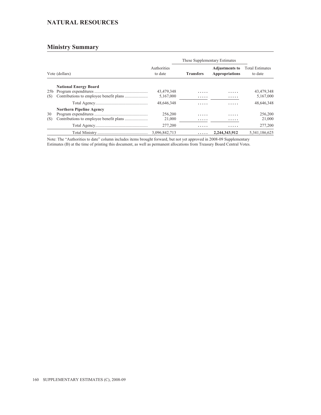### **NATURAL RESOURCES**

### **Ministry Summary**

|                |                                 |                        | These Supplementary Estimates | <b>Total Estimates</b><br>to date |                                         |
|----------------|---------------------------------|------------------------|-------------------------------|-----------------------------------|-----------------------------------------|
| Vote (dollars) |                                 | Authorities<br>to date | <b>Transfers</b>              |                                   | <b>Adjustments to</b><br>Appropriations |
|                | <b>National Energy Board</b>    |                        |                               |                                   |                                         |
| 25b            |                                 | 43,479,348             | .                             | .                                 | 43,479,348                              |
| (S)            |                                 | 5,167,000              | .                             | .                                 | 5,167,000                               |
|                |                                 | 48,646,348             | .                             | .                                 | 48,646,348                              |
|                | <b>Northern Pipeline Agency</b> |                        |                               |                                   |                                         |
| 30             |                                 | 256,200                | .                             | .                                 | 256,200                                 |
| (S)            |                                 | 21,000                 | .                             | .                                 | 21,000                                  |
|                |                                 | 277,200                | .                             | .                                 | 277,200                                 |
|                |                                 | 3.096.842.713          | .                             | 2.244.343.912                     | 5.341.186.625                           |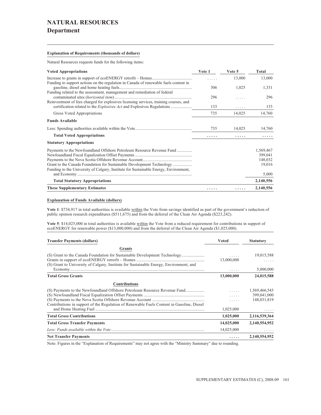# **NATURAL RESOURCES Department**

#### **Explanation of Requirements (thousands of dollars)**

Natural Resources requests funds for the following items:

| <b>Voted Appropriations</b>                                                                                                                                            | Vote 1 | Vote 5 | Total                |
|------------------------------------------------------------------------------------------------------------------------------------------------------------------------|--------|--------|----------------------|
|                                                                                                                                                                        | .      | 13,000 | 13,000               |
| Funding to support actions on the regulation in Canada of renewable fuels content in                                                                                   | 306    | 1,025  | 1,331                |
| Funding related to the assessment, management and remediation of federal                                                                                               | 296    | .      | 296                  |
| Reinvestment of fees charged for explosives licensing services, training courses, and<br>certification related to the <i>Explosives Act</i> and Explosives Regulations | 133    | .      | 133                  |
| Gross Voted Appropriations                                                                                                                                             | 735    | 14,025 | 14,760               |
| <b>Funds Available</b>                                                                                                                                                 |        |        |                      |
|                                                                                                                                                                        | 735    | 14,025 | 14,760               |
| <b>Total Voted Appropriations</b>                                                                                                                                      | .      |        |                      |
| <b>Statutory Appropriations</b>                                                                                                                                        |        |        |                      |
| Payments to the Newfoundland Offshore Petroleum Resource Revenue Fund                                                                                                  |        |        | 1,569,467<br>399,041 |
| Grant to the Canada Foundation for Sustainable Development Technology                                                                                                  |        |        | 148,032<br>19,016    |
| Funding to the University of Calgary, Institute for Sustainable Energy, Environment,                                                                                   |        |        |                      |
|                                                                                                                                                                        |        |        | 5,000                |
| <b>Total Statutory Appropriations</b>                                                                                                                                  |        |        | 2,140,556            |
| <b>These Supplementary Estimates</b>                                                                                                                                   | .      |        | 2,140,556            |

#### **Explanation of Funds Available (dollars)**

**Vote 1**: \$734,917 in total authorities is available within the Vote from savings identified as part of the government's reduction of public opinion research expenditures (\$511,675) and from the deferral of the Clean Air Agenda (\$223,242).

Vote 5: \$14,025,000 in total authorities is available within the Vote from a reduced requirement for contributions in support of ecoENERGY for renewable power (\$13,000,000) and from the deferral of the Clean Air Agenda (\$1,025,000).

| <b>Transfer Payments (dollars)</b>                                                                                                                                     | <b>Voted</b>   | <b>Statutory</b>                            |
|------------------------------------------------------------------------------------------------------------------------------------------------------------------------|----------------|---------------------------------------------|
| Grants                                                                                                                                                                 |                |                                             |
|                                                                                                                                                                        | 13,000,000     | 19,015,588                                  |
| (S) Grant to University of Calgary, Institute for Sustainable Energy, Environment, and                                                                                 | .              | 5,000,000                                   |
| <b>Total Gross Grants</b>                                                                                                                                              | 13,000,000     | 24,015,588                                  |
| <b>Contributions</b>                                                                                                                                                   |                |                                             |
| (S) Payments to the Newfoundland Offshore Petroleum Resource Revenue Fund<br>Contributions in support of the Regulation of Renewable Fuels Content in Gasoline, Diesel | .<br>1,025,000 | 1,569,466,545<br>399,041,000<br>148,031,819 |
| <b>Total Gross Contributions</b>                                                                                                                                       | 1,025,000      | 2,116,539,364                               |
| <b>Total Gross Transfer Payments</b>                                                                                                                                   | 14,025,000     | 2,140,554,952                               |
|                                                                                                                                                                        | 14,025,000     |                                             |
| <b>Net Transfer Payments</b>                                                                                                                                           | .              | 2,140,554,952                               |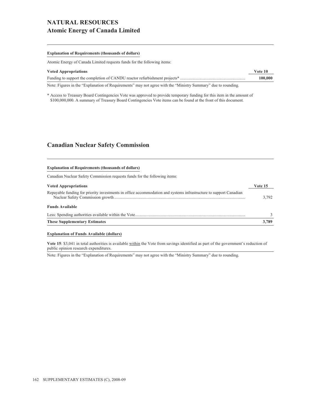# **NATURAL RESOURCES Atomic Energy of Canada Limited**

#### **Explanation of Requirements (thousands of dollars)**

Atomic Energy of Canada Limited requests funds for the following items:

| <b>Voted Appropriations</b> | Vote 10 |
|-----------------------------|---------|
|                             | 100.000 |
|                             |         |

Note: Figures in the "Explanation of Requirements" may not agree with the "Ministry Summary" due to rounding.

\* Access to Treasury Board Contingencies Vote was approved to provide temporary funding for this item in the amount of \$100,000,000. A summary of Treasury Board Contingencies Vote items can be found at the front of this document.

### **Canadian Nuclear Safety Commission**

#### **Explanation of Requirements (thousands of dollars)**

Canadian Nuclear Safety Commission requests funds for the following items:

| <b>Voted Appropriations</b>                                                                                       | Vote 15 |
|-------------------------------------------------------------------------------------------------------------------|---------|
| Repayable funding for priority investments in office accommodation and systems infrastructure to support Canadian | 3.792   |
| <b>Funds Available</b>                                                                                            |         |
|                                                                                                                   |         |
| <b>These Supplementary Estimates</b>                                                                              | 3.789   |

#### **Explanation of Funds Available (dollars)**

**Vote 15**: \$3,041 in total authorities is available within the Vote from savings identified as part of the government's reduction of public opinion research expenditures.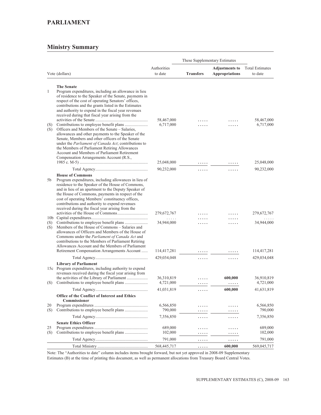### **PARLIAMENT**

### **Ministry Summary**

|                  |                                                                                                                                                                                                                                                                                                                                                                                                                                                                                                                                                                                                                              |                                       | These Supplementary Estimates |                                                |                                   |
|------------------|------------------------------------------------------------------------------------------------------------------------------------------------------------------------------------------------------------------------------------------------------------------------------------------------------------------------------------------------------------------------------------------------------------------------------------------------------------------------------------------------------------------------------------------------------------------------------------------------------------------------------|---------------------------------------|-------------------------------|------------------------------------------------|-----------------------------------|
|                  | Vote (dollars)                                                                                                                                                                                                                                                                                                                                                                                                                                                                                                                                                                                                               | Authorities<br>to date                | <b>Transfers</b>              | <b>Adjustments to</b><br><b>Appropriations</b> | <b>Total Estimates</b><br>to date |
| $\mathbf{1}$     | <b>The Senate</b><br>Program expenditures, including an allowance in lieu<br>of residence to the Speaker of the Senate, payments in<br>respect of the cost of operating Senators' offices,<br>contributions and the grants listed in the Estimates                                                                                                                                                                                                                                                                                                                                                                           |                                       |                               |                                                |                                   |
| (S)<br>(S)       | and authority to expend in the fiscal year revenues<br>received during that fiscal year arising from the<br>Officers and Members of the Senate – Salaries,<br>allowances and other payments to the Speaker of the<br>Senate, Members and other officers of the Senate                                                                                                                                                                                                                                                                                                                                                        | 58,467,000<br>6,717,000               |                               |                                                | 58,467,000<br>6,717,000           |
|                  | under the Parliament of Canada Act; contributions to<br>the Members of Parliament Retiring Allowances<br>Account and Members of Parliament Retirement<br>Compensation Arrangements Account (R.S.,                                                                                                                                                                                                                                                                                                                                                                                                                            | 25,048,000                            |                               |                                                | 25,048,000                        |
|                  |                                                                                                                                                                                                                                                                                                                                                                                                                                                                                                                                                                                                                              | 90,232,000                            |                               | .                                              | 90,232,000                        |
| 5b<br>(S)<br>(S) | <b>House of Commons</b><br>Program expenditures, including allowances in lieu of<br>residence to the Speaker of the House of Commons,<br>and in lieu of an apartment to the Deputy Speaker of<br>the House of Commons, payments in respect of the<br>cost of operating Members' constituency offices,<br>contributions and authority to expend revenues<br>received during the fiscal year arising from the<br>Members of the House of Commons – Salaries and<br>allowances of Officers and Members of the House of<br>Commons under the Parliament of Canada Act and<br>contributions to the Members of Parliament Retiring | 279,672,767<br>$\ldots$<br>34,944,000 |                               |                                                | 279,672,767<br>34,944,000         |
|                  | Allowances Account and the Members of Parliament<br>Retirement Compensation Arrangements Account                                                                                                                                                                                                                                                                                                                                                                                                                                                                                                                             | 114,417,281                           |                               |                                                | 114,417,281                       |
|                  |                                                                                                                                                                                                                                                                                                                                                                                                                                                                                                                                                                                                                              | 429,034,048                           | .                             | .                                              | 429,034,048                       |
|                  | <b>Library of Parliament</b><br>15c Program expenditures, including authority to expend<br>revenues received during the fiscal year arising from                                                                                                                                                                                                                                                                                                                                                                                                                                                                             | 36,310,819                            |                               | 600,000                                        | 36,910,819                        |
| (S)              |                                                                                                                                                                                                                                                                                                                                                                                                                                                                                                                                                                                                                              | 4,721,000                             | .                             | .                                              | 4,721,000                         |
|                  | Office of the Conflict of Interest and Ethics                                                                                                                                                                                                                                                                                                                                                                                                                                                                                                                                                                                | 41,031,819                            |                               | 600,000                                        | 41,631,819                        |
| 20<br>(S)        | Commissioner                                                                                                                                                                                                                                                                                                                                                                                                                                                                                                                                                                                                                 | 6,566,850<br>790,000                  | .<br>.                        | .<br>.                                         | 6,566,850<br>790,000              |
|                  |                                                                                                                                                                                                                                                                                                                                                                                                                                                                                                                                                                                                                              | 7,356,850                             | .                             | .                                              | 7,356,850                         |
| 25<br>(S)        | <b>Senate Ethics Officer</b><br>Contributions to employee benefit plans                                                                                                                                                                                                                                                                                                                                                                                                                                                                                                                                                      | 689,000<br>102,000                    | .<br>.                        | .<br>.                                         | 689,000<br>102,000                |
|                  |                                                                                                                                                                                                                                                                                                                                                                                                                                                                                                                                                                                                                              | 791,000                               | .                             | .                                              | 791,000                           |
|                  |                                                                                                                                                                                                                                                                                                                                                                                                                                                                                                                                                                                                                              | 568,445,717                           | .                             | 600,000                                        | 569,045,717                       |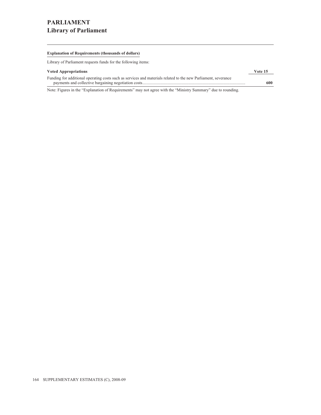# **PARLIAMENT Library of Parliament**

### **Explanation of Requirements (thousands of dollars)**

Library of Parliament requests funds for the following items:

#### **Voted Appropriations Vote 15**

| Funding for additional operating costs such as services and materials related to the new Parliament, severance |     |
|----------------------------------------------------------------------------------------------------------------|-----|
|                                                                                                                | 600 |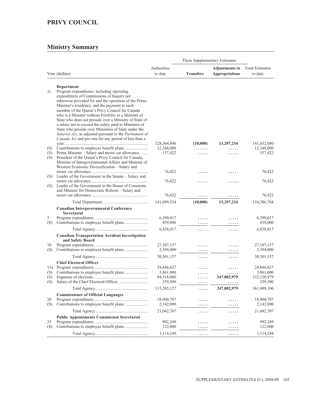# **PRIVY COUNCIL**

# **Ministry Summary**

|                   |                                                                                                                                                                                                                                                                                                                                                                                                                                                                                                                                                                                                                           |                                      | These Supplementary Estimates |                       |                                      |
|-------------------|---------------------------------------------------------------------------------------------------------------------------------------------------------------------------------------------------------------------------------------------------------------------------------------------------------------------------------------------------------------------------------------------------------------------------------------------------------------------------------------------------------------------------------------------------------------------------------------------------------------------------|--------------------------------------|-------------------------------|-----------------------|--------------------------------------|
|                   |                                                                                                                                                                                                                                                                                                                                                                                                                                                                                                                                                                                                                           | Authorities                          |                               | <b>Adjustments to</b> | <b>Total Estimates</b>               |
|                   | Vote (dollars)                                                                                                                                                                                                                                                                                                                                                                                                                                                                                                                                                                                                            | to date                              | <b>Transfers</b>              | <b>Appropriations</b> | to date                              |
|                   |                                                                                                                                                                                                                                                                                                                                                                                                                                                                                                                                                                                                                           |                                      |                               |                       |                                      |
| 1c                | Department<br>Program expenditures, including operating<br>expenditures of Commissions of Inquiry not<br>otherwise provided for and the operation of the Prime<br>Minister's residence; and the payment to each<br>member of the Queen's Privy Council for Canada<br>who is a Minister without Portfolio or a Minister of<br>State who does not preside over a Ministry of State of<br>a salary not to exceed the salary paid to Ministers of<br>State who preside over Ministries of State under the<br>Salaries Act, as adjusted pursuant to the Parliament of<br>Canada Act and pro rata for any period of less than a |                                      |                               |                       |                                      |
| (S)<br>(S)<br>(S) | Prime Minister – Salary and motor car allowance<br>President of the Queen's Privy Council for Canada,<br>Minister of Intergovernmental Affairs and Minister of<br>Western Economic Diversification - Salary and                                                                                                                                                                                                                                                                                                                                                                                                           | 128,364,846<br>12,348,000<br>157,422 | (10,000)<br>.                 | 13,297,234            | 141,652,080<br>12,348,000<br>157,422 |
|                   | (S) Leader of the Government in the Senate – Salary and                                                                                                                                                                                                                                                                                                                                                                                                                                                                                                                                                                   | 76,422                               |                               |                       | 76,422                               |
|                   | (S) Leader of the Government in the House of Commons<br>and Minister for Democratic Reform - Salary and                                                                                                                                                                                                                                                                                                                                                                                                                                                                                                                   | 76,422                               | .                             | .                     | 76,422                               |
|                   |                                                                                                                                                                                                                                                                                                                                                                                                                                                                                                                                                                                                                           | 76,422                               |                               |                       | 76,422                               |
|                   |                                                                                                                                                                                                                                                                                                                                                                                                                                                                                                                                                                                                                           | 141,099,534                          | (10,000)                      | 13,297,234            | 154,386,768                          |
|                   | Canadian Intergovernmental Conference<br>Secretariat                                                                                                                                                                                                                                                                                                                                                                                                                                                                                                                                                                      |                                      |                               |                       |                                      |
| 5                 |                                                                                                                                                                                                                                                                                                                                                                                                                                                                                                                                                                                                                           | 6,399,017                            |                               | .                     | 6,399,017                            |
| (S)               |                                                                                                                                                                                                                                                                                                                                                                                                                                                                                                                                                                                                                           | 439,000                              | .                             | .                     | 439,000                              |
|                   |                                                                                                                                                                                                                                                                                                                                                                                                                                                                                                                                                                                                                           | 6,838,017                            | .                             | .                     | 6,838,017                            |
|                   | <b>Canadian Transportation Accident Investigation</b><br>and Safety Board                                                                                                                                                                                                                                                                                                                                                                                                                                                                                                                                                 |                                      |                               |                       |                                      |
| 10<br>(S)         |                                                                                                                                                                                                                                                                                                                                                                                                                                                                                                                                                                                                                           | 27, 107, 157<br>3,394,000            | .                             | .                     | 27,107,157<br>3,394,000              |
|                   |                                                                                                                                                                                                                                                                                                                                                                                                                                                                                                                                                                                                                           | 30,501,157                           | .                             | .                     | 30,501,157                           |
|                   | <b>Chief Electoral Officer</b>                                                                                                                                                                                                                                                                                                                                                                                                                                                                                                                                                                                            |                                      |                               |                       |                                      |
|                   |                                                                                                                                                                                                                                                                                                                                                                                                                                                                                                                                                                                                                           | 24,846,627                           |                               | .                     | 24,846,627                           |
| (S)<br>(S)        |                                                                                                                                                                                                                                                                                                                                                                                                                                                                                                                                                                                                                           | 3,861,000<br>84,318,000              |                               | .<br>247,802,979      | 3,861,000<br>332,120,979             |
| (S)               |                                                                                                                                                                                                                                                                                                                                                                                                                                                                                                                                                                                                                           | 259,500                              | .<br>.                        | .                     | 259,500                              |
|                   |                                                                                                                                                                                                                                                                                                                                                                                                                                                                                                                                                                                                                           | 113,285,127                          |                               | 247,802,979           | 361,088,106                          |
| 20<br>(S)         | <b>Commissioner of Official Languages</b>                                                                                                                                                                                                                                                                                                                                                                                                                                                                                                                                                                                 | 18,900,707<br>2,142,000              | .                             |                       | 18,900,707<br>2,142,000              |
|                   |                                                                                                                                                                                                                                                                                                                                                                                                                                                                                                                                                                                                                           | 21,042,707                           | .                             | .                     | 21,042,707                           |
|                   | <b>Public Appointments Commission Secretariat</b>                                                                                                                                                                                                                                                                                                                                                                                                                                                                                                                                                                         |                                      |                               |                       |                                      |
| 25                |                                                                                                                                                                                                                                                                                                                                                                                                                                                                                                                                                                                                                           | 992,249                              | .                             | .                     | 992,249                              |
| (S)               |                                                                                                                                                                                                                                                                                                                                                                                                                                                                                                                                                                                                                           | 122,000                              | .                             | .                     | 122,000                              |
|                   |                                                                                                                                                                                                                                                                                                                                                                                                                                                                                                                                                                                                                           | 1,114,249                            | .                             | .                     | 1,114,249                            |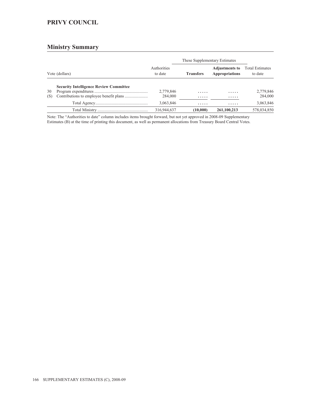### **PRIVY COUNCIL**

### **Ministry Summary**

|     |                                               |                        | These Supplementary Estimates                                      |             |                                   |
|-----|-----------------------------------------------|------------------------|--------------------------------------------------------------------|-------------|-----------------------------------|
|     | Vote (dollars)                                | Authorities<br>to date | <b>Adjustments to</b><br><b>Appropriations</b><br><b>Transfers</b> |             | <b>Total Estimates</b><br>to date |
| 30  | <b>Security Intelligence Review Committee</b> | 2,779,846              | .                                                                  | .           | 2,779,846                         |
| (S) |                                               | 284,000                | .                                                                  | .           | 284,000                           |
|     |                                               | 3,063,846              | .                                                                  | .           | 3,063,846                         |
|     |                                               | 316,944,637            | (10,000)                                                           | 261,100,213 | 578,034,850                       |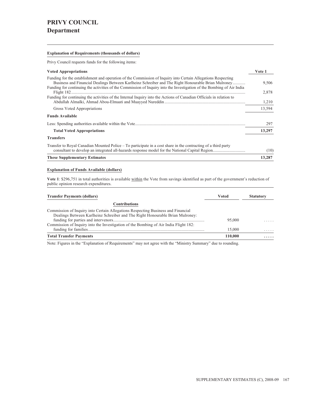#### **Explanation of Requirements (thousands of dollars)**

Privy Council requests funds for the following items:

| <b>Voted Appropriations</b>                                                                                                                                                                                         | Vote 1 |
|---------------------------------------------------------------------------------------------------------------------------------------------------------------------------------------------------------------------|--------|
| Funding for the establishment and operation of the Commission of Inquiry into Certain Allegations Respecting<br>Business and Financial Dealings Between Karlheinz Schreiber and The Right Honourable Brian Mulroney | 9,506  |
| Funding for continuing the activities of the Commission of Inquiry into the Investigation of the Bombing of Air India                                                                                               | 2,878  |
| Funding for continuing the activities of the Internal Inquiry into the Actions of Canadian Officials in relation to                                                                                                 |        |
|                                                                                                                                                                                                                     | 1,210  |
| Gross Voted Appropriations                                                                                                                                                                                          | 13,594 |
| <b>Funds Available</b>                                                                                                                                                                                              |        |
|                                                                                                                                                                                                                     | 297    |
| <b>Total Voted Appropriations</b>                                                                                                                                                                                   | 13,297 |
| <b>Transfers</b>                                                                                                                                                                                                    |        |
| Transfer to Royal Canadian Mounted Police $-$ To participate in a cost share in the contracting of a third party                                                                                                    | (10)   |
| <b>These Supplementary Estimates</b>                                                                                                                                                                                | 13,287 |

#### **Explanation of Funds Available (dollars)**

**Vote 1**: \$296,751 in total authorities is available within the Vote from savings identified as part of the government's reduction of public opinion research expenditures.

| <b>Transfer Payments (dollars)</b>                                                                                                                                | Voted   | <b>Statutory</b> |
|-------------------------------------------------------------------------------------------------------------------------------------------------------------------|---------|------------------|
| <b>Contributions</b>                                                                                                                                              |         |                  |
| Commission of Inquiry into Certain Allegations Respecting Business and Financial<br>Dealings Between Karlheinz Schreiber and The Right Honourable Brian Mulroney: |         |                  |
| Commission of Inquiry into the Investigation of the Bombing of Air India Flight 182:                                                                              | 95,000  | .                |
|                                                                                                                                                                   | 15.000  | .                |
| <b>Total Transfer Payments</b>                                                                                                                                    | 110,000 | .                |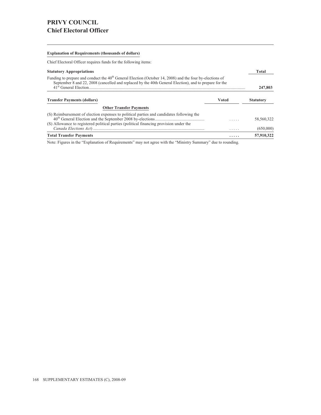# **PRIVY COUNCIL Chief Electoral Officer**

### **Explanation of Requirements (thousands of dollars)**

Chief Electoral Officer requires funds for the following items:

| <b>Statutory Appropriations</b>                                                                                                                                                                                                                                      |              |                  |  |  |
|----------------------------------------------------------------------------------------------------------------------------------------------------------------------------------------------------------------------------------------------------------------------|--------------|------------------|--|--|
| Funding to prepare and conduct the 40 <sup>th</sup> General Election (October 14, 2008) and the four by-elections of<br>September 8 and 22, 2008 (cancelled and replaced by the 40th General Election), and to prepare for the<br>41 <sup>st</sup> General Election. |              |                  |  |  |
| <b>Transfer Payments (dollars)</b>                                                                                                                                                                                                                                   | <b>Voted</b> | <b>Statutory</b> |  |  |
| <b>Other Transfer Payments</b>                                                                                                                                                                                                                                       |              |                  |  |  |
| (S) Reimbursement of election expenses to political parties and candidates following the<br>(S) Allowance to registered political parties (political financing provision under the                                                                                   |              | 58,560,322       |  |  |
|                                                                                                                                                                                                                                                                      | .            | (650,000)        |  |  |
| <b>Total Transfer Payments</b>                                                                                                                                                                                                                                       | .            | 57,910,322       |  |  |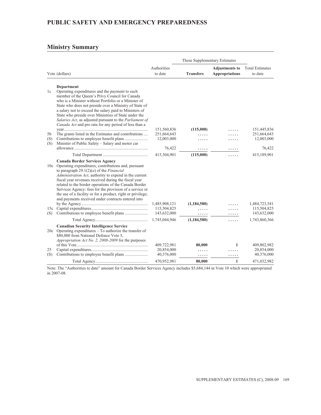### **Ministry Summary**

|            |                                                                                                                                                                                                                                                                                                                                                                                                                                                                                                                         |                                         | These Supplementary Estimates |                                                |                                         |
|------------|-------------------------------------------------------------------------------------------------------------------------------------------------------------------------------------------------------------------------------------------------------------------------------------------------------------------------------------------------------------------------------------------------------------------------------------------------------------------------------------------------------------------------|-----------------------------------------|-------------------------------|------------------------------------------------|-----------------------------------------|
|            | Vote (dollars)                                                                                                                                                                                                                                                                                                                                                                                                                                                                                                          | Authorities<br>to date                  | <b>Transfers</b>              | <b>Adjustments to</b><br><b>Appropriations</b> | <b>Total Estimates</b><br>to date       |
|            | Department                                                                                                                                                                                                                                                                                                                                                                                                                                                                                                              |                                         |                               |                                                |                                         |
| 1c         | Operating expenditures and the payment to each<br>member of the Queen's Privy Council for Canada<br>who is a Minister without Portfolio or a Minister of<br>State who does not preside over a Ministry of State of<br>a salary not to exceed the salary paid to Ministers of<br>State who preside over Ministries of State under the<br>Salaries Act, as adjusted pursuant to the Parliament of<br>Canada Act and pro rata for any period of less than a                                                                | 151,560,836                             | (115,000)                     |                                                | 151,445,836                             |
| 5b         | The grants listed in the Estimates and contributions                                                                                                                                                                                                                                                                                                                                                                                                                                                                    | 251,664,643                             |                               |                                                | 251,664,643                             |
| (S)<br>(S) | Minister of Public Safety - Salary and motor car                                                                                                                                                                                                                                                                                                                                                                                                                                                                        | 12,003,000                              | .                             |                                                | 12,003,000                              |
|            |                                                                                                                                                                                                                                                                                                                                                                                                                                                                                                                         | 76,422                                  | .                             |                                                | 76,422                                  |
|            |                                                                                                                                                                                                                                                                                                                                                                                                                                                                                                                         | 415,304,901                             | (115,000)                     | .                                              | 415,189,901                             |
|            | <b>Canada Border Services Agency</b><br>10c Operating expenditures, contributions and, pursuant<br>to paragraph $29.1(2)(a)$ of the <i>Financial</i><br><i>Administration Act</i> , authority to expend in the current<br>fiscal year revenues received during the fiscal year<br>related to the border operations of the Canada Border<br>Services Agency: fees for the provision of a service or<br>the use of a facility or for a product, right or privilege;<br>and payments received under contracts entered into |                                         |                               |                                                |                                         |
|            |                                                                                                                                                                                                                                                                                                                                                                                                                                                                                                                         | 1,485,908,121<br>115,504,825            | (1, 184, 580)                 |                                                | 1,484,723,541<br>115,504,825            |
| (S)        |                                                                                                                                                                                                                                                                                                                                                                                                                                                                                                                         | 143,632,000                             | .<br>.                        |                                                | 143,632,000                             |
|            |                                                                                                                                                                                                                                                                                                                                                                                                                                                                                                                         | 1,745,044,946                           | (1, 184, 580)                 | .                                              | 1,743,860,366                           |
|            | <b>Canadian Security Intelligence Service</b><br>20c Operating expenditures – To authorize the transfer of<br>\$80,000 from National Defence Vote 5,<br>Appropriation Act No. 2, 2008-2009 for the purposes                                                                                                                                                                                                                                                                                                             |                                         |                               |                                                |                                         |
| 25<br>(S)  |                                                                                                                                                                                                                                                                                                                                                                                                                                                                                                                         | 409,722,981<br>20,854,000<br>40,376,000 | 80,000<br>.<br>.              | 1<br>.                                         | 409,802,982<br>20,854,000<br>40,376,000 |
|            |                                                                                                                                                                                                                                                                                                                                                                                                                                                                                                                         | 470,952,981                             | 80,000                        | 1                                              | 471,032,982                             |

Note: The "Authorities to date" amount for Canada Border Services Agency includes \$5,684,144 in Vote 10 which were appropriated in 2007-08.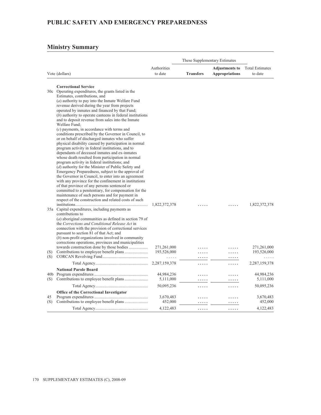# **Ministry Summary**

|     | These Supplementary Estimates                                                                             |                         |                  |                       |                         |  |
|-----|-----------------------------------------------------------------------------------------------------------|-------------------------|------------------|-----------------------|-------------------------|--|
|     |                                                                                                           | Authorities             |                  | <b>Adjustments to</b> | <b>Total Estimates</b>  |  |
|     | Vote (dollars)                                                                                            | to date                 | <b>Transfers</b> | <b>Appropriations</b> | to date                 |  |
|     |                                                                                                           |                         |                  |                       |                         |  |
|     | <b>Correctional Service</b>                                                                               |                         |                  |                       |                         |  |
|     | 30c Operating expenditures, the grants listed in the                                                      |                         |                  |                       |                         |  |
|     | Estimates, contributions, and                                                                             |                         |                  |                       |                         |  |
|     | (a) authority to pay into the Inmate Welfare Fund                                                         |                         |                  |                       |                         |  |
|     | revenue derived during the year from projects                                                             |                         |                  |                       |                         |  |
|     | operated by inmates and financed by that Fund;                                                            |                         |                  |                       |                         |  |
|     | $(b)$ authority to operate canteens in federal institutions                                               |                         |                  |                       |                         |  |
|     | and to deposit revenue from sales into the Inmate<br>Welfare Fund;                                        |                         |                  |                       |                         |  |
|     | $(c)$ payments, in accordance with terms and                                                              |                         |                  |                       |                         |  |
|     | conditions prescribed by the Governor in Council, to                                                      |                         |                  |                       |                         |  |
|     | or on behalf of discharged inmates who suffer                                                             |                         |                  |                       |                         |  |
|     | physical disability caused by participation in normal                                                     |                         |                  |                       |                         |  |
|     | program activity in federal institutions, and to                                                          |                         |                  |                       |                         |  |
|     | dependants of deceased inmates and ex-inmates                                                             |                         |                  |                       |                         |  |
|     | whose death resulted from participation in normal                                                         |                         |                  |                       |                         |  |
|     | program activity in federal institutions; and                                                             |                         |                  |                       |                         |  |
|     | (d) authority for the Minister of Public Safety and<br>Emergency Preparedness, subject to the approval of |                         |                  |                       |                         |  |
|     | the Governor in Council, to enter into an agreement                                                       |                         |                  |                       |                         |  |
|     | with any province for the confinement in institutions                                                     |                         |                  |                       |                         |  |
|     | of that province of any persons sentenced or                                                              |                         |                  |                       |                         |  |
|     | committed to a penitentiary, for compensation for the                                                     |                         |                  |                       |                         |  |
|     | maintenance of such persons and for payment in                                                            |                         |                  |                       |                         |  |
|     | respect of the construction and related costs of such                                                     |                         |                  |                       |                         |  |
|     |                                                                                                           | 1,822,372,378           |                  |                       | 1,822,372,378           |  |
|     | 35a Capital expenditures, including payments as<br>contributions to                                       |                         |                  |                       |                         |  |
|     | $(a)$ aboriginal communities as defined in section 79 of                                                  |                         |                  |                       |                         |  |
|     | the Corrections and Conditional Release Act in                                                            |                         |                  |                       |                         |  |
|     | connection with the provision of correctional services                                                    |                         |                  |                       |                         |  |
|     | pursuant to section 81 of that Act; and                                                                   |                         |                  |                       |                         |  |
|     | $(b)$ non-profit organizations involved in community                                                      |                         |                  |                       |                         |  |
|     | corrections operations, provinces and municipalities                                                      |                         |                  |                       |                         |  |
|     | towards construction done by those bodies                                                                 | 271,261,000             |                  |                       | 271,261,000             |  |
| (S) |                                                                                                           | 193,526,000             |                  |                       | 193,526,000             |  |
| (S) |                                                                                                           | .                       | .                | .                     | .                       |  |
|     |                                                                                                           | 2,287,159,378           | .                | .                     | 2,287,159,378           |  |
|     | <b>National Parole Board</b>                                                                              |                         |                  |                       |                         |  |
| (S) |                                                                                                           | 44,984,236<br>5,111,000 | .                | .                     | 44,984,236<br>5,111,000 |  |
|     |                                                                                                           |                         | .                | .                     |                         |  |
|     |                                                                                                           | 50,095,236              | .                | .                     | 50,095,236              |  |
| 45  | Office of the Correctional Investigator                                                                   |                         |                  |                       |                         |  |
| (S) |                                                                                                           | 3,670,483<br>452,000    |                  |                       | 3,670,483<br>452,000    |  |
|     |                                                                                                           |                         |                  |                       |                         |  |
|     |                                                                                                           | 4,122,483               | .                | .                     | 4,122,483               |  |

<u> 1980 - Johann Barbara, martxa alemaniar a</u>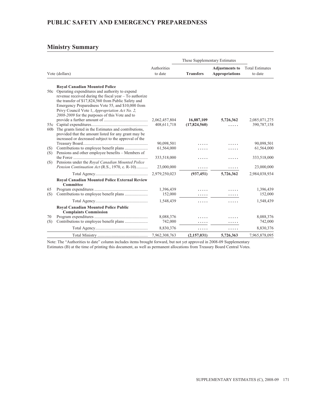### **Ministry Summary**

|            |                                                                                                                                                                                                                                                                                                                    |                              |                            | These Supplementary Estimates                  |                                   |  |
|------------|--------------------------------------------------------------------------------------------------------------------------------------------------------------------------------------------------------------------------------------------------------------------------------------------------------------------|------------------------------|----------------------------|------------------------------------------------|-----------------------------------|--|
|            | Vote (dollars)                                                                                                                                                                                                                                                                                                     | Authorities<br>to date       | <b>Transfers</b>           | <b>Adjustments to</b><br><b>Appropriations</b> | <b>Total Estimates</b><br>to date |  |
|            | <b>Royal Canadian Mounted Police</b><br>50c Operating expenditures and authority to expend<br>revenue received during the fiscal year - To authorize<br>the transfer of \$17,824,560 from Public Safety and<br>Emergency Preparedness Vote 55, and \$10,000 from<br>Privy Council Vote 1, Appropriation Act No. 2, |                              |                            |                                                |                                   |  |
| 60b        | 2008-2009 for the purposes of this Vote and to<br>The grants listed in the Estimates and contributions,<br>provided that the amount listed for any grant may be<br>increased or decreased subject to the approval of the                                                                                           | 2,062,457,804<br>408,611,718 | 16,887,109<br>(17,824,560) | 5,726,362                                      | 2,085,071,275<br>390,787,158      |  |
| (S)<br>(S) | Pensions and other employee benefits - Members of                                                                                                                                                                                                                                                                  | 90,098,501<br>61,564,000     |                            |                                                | 90,098,501<br>61,564,000          |  |
| (S)        | Pensions under the Royal Canadian Mounted Police                                                                                                                                                                                                                                                                   | 333,518,000                  | .                          | .                                              | 333,518,000                       |  |
|            | Pension Continuation Act (R.S., 1970, c. R-10)                                                                                                                                                                                                                                                                     | 23,000,000                   | .                          | .                                              | 23,000,000                        |  |
|            | <b>Royal Canadian Mounted Police External Review</b><br>Committee                                                                                                                                                                                                                                                  | 2,979,250,023                | (937, 451)                 | 5,726,362                                      | 2,984,038,934                     |  |
| 65<br>(S)  |                                                                                                                                                                                                                                                                                                                    | 1,396,439<br>152,000         | .                          |                                                | 1,396,439<br>152,000              |  |
|            |                                                                                                                                                                                                                                                                                                                    | 1,548,439                    |                            |                                                | 1,548,439                         |  |
|            | <b>Royal Canadian Mounted Police Public</b><br><b>Complaints Commission</b>                                                                                                                                                                                                                                        |                              |                            |                                                |                                   |  |
| 70         |                                                                                                                                                                                                                                                                                                                    | 8,088,376                    |                            |                                                | 8,088,376                         |  |
| (S)        |                                                                                                                                                                                                                                                                                                                    | 742,000                      |                            |                                                | 742,000                           |  |
|            |                                                                                                                                                                                                                                                                                                                    | 8,830,376                    | .                          | .                                              | 8,830,376                         |  |
|            |                                                                                                                                                                                                                                                                                                                    | 7,962,308,763                | (2,157,031)                | 5,726,363                                      | 7,965,878,095                     |  |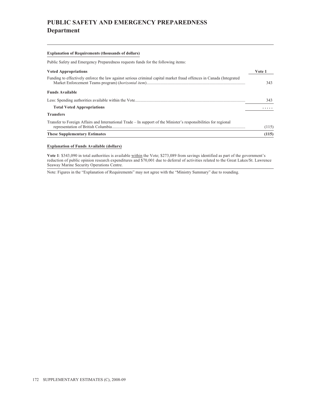# **PUBLIC SAFETY AND EMERGENCY PREPAREDNESS Department**

#### **Explanation of Requirements (thousands of dollars)**

Public Safety and Emergency Preparedness requests funds for the following items:

| <b>Voted Appropriations</b>                                                                                         | Vote 1 |
|---------------------------------------------------------------------------------------------------------------------|--------|
| Funding to effectively enforce the law against serious criminal capital market fraud offences in Canada (Integrated | 343    |
| <b>Funds Available</b>                                                                                              |        |
|                                                                                                                     | 343    |
| <b>Total Voted Appropriations</b>                                                                                   |        |
| <b>Transfers</b>                                                                                                    |        |
| Transfer to Foreign Affairs and International Trade – In support of the Minister's responsibilities for regional    | (115)  |
| <b>These Supplementary Estimates</b>                                                                                | (115)  |

#### **Explanation of Funds Available (dollars)**

Vote 1: \$343,090 in total authorities is available within the Vote; \$273,089 from savings identified as part of the government's reduction of public opinion research expenditures and \$70,001 due to deferral of activities related to the Great Lakes/St. Lawrence Seaway Marine Security Operations Centre.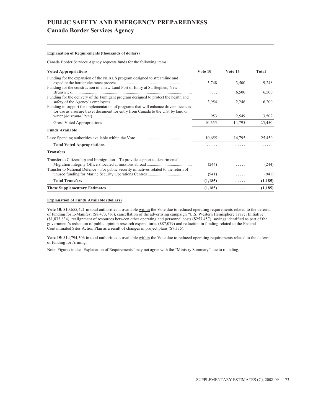### **Canada Border Services Agency**

#### **Explanation of Requirements (thousands of dollars)**

Canada Border Services Agency requests funds for the following items:

| <b>Voted Appropriations</b>                                                                                                                                                                                                                                     | Vote 10  | Vote 15 | Total    |
|-----------------------------------------------------------------------------------------------------------------------------------------------------------------------------------------------------------------------------------------------------------------|----------|---------|----------|
| Funding for the expansion of the NEXUS program designed to streamline and<br>Funding for the construction of a new Land Port of Entry at St. Stephen, New                                                                                                       | 5,748    | 3,500   | 9,248    |
|                                                                                                                                                                                                                                                                 | .        | 6,500   | 6,500    |
| Funding for the delivery of the Fumigant program designed to protect the health and<br>Funding to support the implementation of programs that will enhance drivers licences<br>for use as a secure travel document for entry from Canada to the U.S. by land or | 3,954    | 2,246   | 6,200    |
|                                                                                                                                                                                                                                                                 | 953      | 2,549   | 3,502    |
| Gross Voted Appropriations                                                                                                                                                                                                                                      | 10,655   | 14,795  | 25,450   |
| <b>Funds Available</b>                                                                                                                                                                                                                                          |          |         |          |
|                                                                                                                                                                                                                                                                 | 10,655   | 14,795  | 25,450   |
| <b>Total Voted Appropriations</b>                                                                                                                                                                                                                               | .        |         |          |
| <b>Transfers</b>                                                                                                                                                                                                                                                |          |         |          |
| Transfer to Citizenship and Immigration – To provide support to departmental<br>Transfer to National Defence – For public security initiatives related to the return of                                                                                         | (244)    |         | (244)    |
|                                                                                                                                                                                                                                                                 | (941)    | .       | (941)    |
| <b>Total Transfers</b>                                                                                                                                                                                                                                          | (1, 185) |         | (1, 185) |
| <b>These Supplementary Estimates</b>                                                                                                                                                                                                                            | (1, 185) | .       | (1, 185) |

#### **Explanation of Funds Available (dollars)**

**Vote 10**: \$10,655,421 in total authorities is available within the Vote due to reduced operating requirements related to the deferral of funding for E-Manifest (\$8,473,716), cancellation of the advertising campaign "U.S. Western Hemisphere Travel Initiative" (\$1,833,834), realignment of resources between other operating and personnel costs (\$253,457), savings identified as part of the government's reduction of public opinion research expenditures (\$87,079) and reduction in funding related to the Federal Contaminated Sites Action Plan as a result of changes in project plans (\$7,335).

**Vote 15**: \$14,794,506 in total authorities is available within the Vote due to reduced operating requirements related to the deferral of funding for Arming.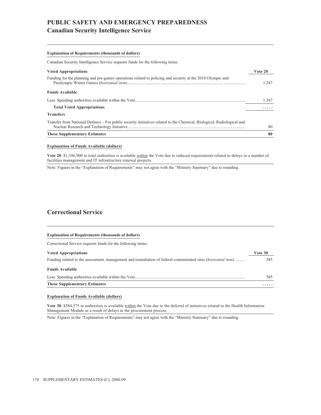### **PUBLIC SAFETY AND EMERGENCY PREPAREDNESS Canadian Security Intelligence Service**

#### **Explanation of Requirements (thousands of dollars)**

Canadian Security Intelligence Service requests funds for the following items:

| <b>Voted Appropriations</b>                                                                                            | Vote 20 |
|------------------------------------------------------------------------------------------------------------------------|---------|
| Funding for the planning and pre-games operations related to policing and security at the 2010 Olympic and             | 1.347   |
| <b>Funds Available</b>                                                                                                 |         |
|                                                                                                                        | 1.347   |
| <b>Total Voted Appropriations</b>                                                                                      |         |
| <b>Transfers</b>                                                                                                       |         |
| Transfer from National Defence – For public security initiatives related to the Chemical, Biological, Radiological and | 80      |
| <b>These Supplementary Estimates</b>                                                                                   | 80      |

#### **Explanation of Funds Available (dollars)**

**Vote 20**: \$1,346,900 in total authorities is available within the Vote due to reduced requirements related to delays in a number of facilities management and IT infrastructure renewal projects.

Note: Figures in the "Explanation of Requirements" may not agree with the "Ministry Summary" due to rounding.

### **Correctional Service**

#### **Explanation of Requirements (thousands of dollars)**

Correctional Service requests funds for the following items:

| <b>Voted Appropriations</b>                                                                                   | Vote 30 |
|---------------------------------------------------------------------------------------------------------------|---------|
| Funding related to the assessment, management and remediation of federal contaminated sites (horizontal item) | 585     |
| <b>Funds Available</b>                                                                                        |         |
|                                                                                                               | 585     |
| <b>These Supplementary Estimates</b>                                                                          | .       |

#### **Explanation of Funds Available (dollars)**

**Vote 30**: \$584,575 in authorities is available within the Vote due to the deferral of initiatives related to the Health Information Management Module as a result of delays in the procurement process.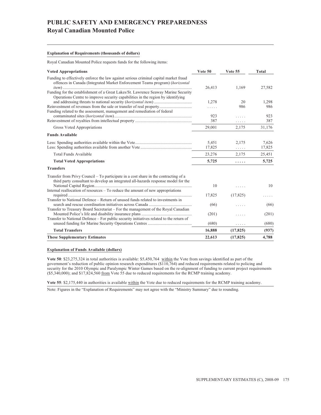# **PUBLIC SAFETY AND EMERGENCY PREPAREDNESS Royal Canadian Mounted Police**

#### **Explanation of Requirements (thousands of dollars)**

Royal Canadian Mounted Police requests funds for the following items:

| <b>Voted Appropriations</b>                                                                                                                                                                                                                                                                                                                   | Vote 50 | Vote 55   | <b>Total</b> |
|-----------------------------------------------------------------------------------------------------------------------------------------------------------------------------------------------------------------------------------------------------------------------------------------------------------------------------------------------|---------|-----------|--------------|
| Funding to effectively enforce the law against serious criminal capital market fraud<br>offences in Canada (Integrated Market Enforcement Teams program) (horizontal<br>Funding for the establishment of a Great Lakes/St. Lawrence Seaway Marine Security<br>Operations Centre to improve security capabilities in the region by identifying | 26,413  | 1.169     | 27,582       |
|                                                                                                                                                                                                                                                                                                                                               | 1,278   | 20        | 1,298        |
| Funding related to the assessment, management and remediation of federal                                                                                                                                                                                                                                                                      | .       | 986       | 986          |
|                                                                                                                                                                                                                                                                                                                                               | 923     | .         | 923          |
|                                                                                                                                                                                                                                                                                                                                               | 387     | .         | 387          |
| Gross Voted Appropriations                                                                                                                                                                                                                                                                                                                    | 29,001  | 2,175     | 31,176       |
| <b>Funds Available</b>                                                                                                                                                                                                                                                                                                                        |         |           |              |
|                                                                                                                                                                                                                                                                                                                                               | 5,451   | 2.175     | 7,626        |
|                                                                                                                                                                                                                                                                                                                                               | 17,825  | .         | 17,825       |
| Total Funds Available                                                                                                                                                                                                                                                                                                                         | 23,276  | 2,175     | 25,451       |
| <b>Total Voted Appropriations</b>                                                                                                                                                                                                                                                                                                             | 5,725   | .         | 5,725        |
| <b>Transfers</b>                                                                                                                                                                                                                                                                                                                              |         |           |              |
| Transfer from Privy Council – To participate in a cost share in the contracting of a<br>third party consultant to develop an integrated all-hazards response model for the                                                                                                                                                                    |         |           |              |
| Internal reallocation of resources - To reduce the amount of new appropriations                                                                                                                                                                                                                                                               | 10      | .         | 10           |
|                                                                                                                                                                                                                                                                                                                                               | 17,825  | (17, 825) |              |
| Transfer to National Defence – Return of unused funds related to investments in                                                                                                                                                                                                                                                               | (66)    | .         | (66)         |
| Transfer to Treasury Board Secretariat – For the management of the Royal Canadian                                                                                                                                                                                                                                                             |         |           |              |
|                                                                                                                                                                                                                                                                                                                                               | (201)   | .         | (201)        |
| Transfer to National Defence – For public security initiatives related to the return of                                                                                                                                                                                                                                                       |         |           |              |
|                                                                                                                                                                                                                                                                                                                                               | (680)   | .         | (680)        |
| <b>Total Transfers</b>                                                                                                                                                                                                                                                                                                                        | 16,888  | (17, 825) | (937)        |
| <b>These Supplementary Estimates</b>                                                                                                                                                                                                                                                                                                          | 22,613  | (17, 825) | 4,788        |

#### **Explanation of Funds Available (dollars)**

Vote 50: \$23,275,324 in total authorities is available: \$5,450,764 within the Vote from savings identified as part of the government's reduction of public opinion research expenditures (\$110,764) and reduced requirements related to policing and security for the 2010 Olympic and Paralympic Winter Games based on the re-alignment of funding to current project requirements (\$5,340,000); and \$17,824,560 from Vote 55 due to reduced requirements for the RCMP training academy.

**Vote 55**: \$2,175,440 in authorities is available within the Vote due to reduced requirements for the RCMP training academy.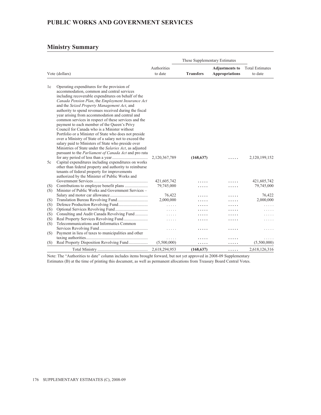### **PUBLIC WORKS AND GOVERNMENT SERVICES**

### **Ministry Summary**

|     |                                                                                                                                                                                                                                                                                                                                                                                                                                                                                                                                                                                                                                                                                                                                                                                                                       |                        | These Supplementary Estimates |                                                |                                   |
|-----|-----------------------------------------------------------------------------------------------------------------------------------------------------------------------------------------------------------------------------------------------------------------------------------------------------------------------------------------------------------------------------------------------------------------------------------------------------------------------------------------------------------------------------------------------------------------------------------------------------------------------------------------------------------------------------------------------------------------------------------------------------------------------------------------------------------------------|------------------------|-------------------------------|------------------------------------------------|-----------------------------------|
|     | Vote (dollars)                                                                                                                                                                                                                                                                                                                                                                                                                                                                                                                                                                                                                                                                                                                                                                                                        | Authorities<br>to date | <b>Transfers</b>              | <b>Adjustments to</b><br><b>Appropriations</b> | <b>Total Estimates</b><br>to date |
| 1c  | Operating expenditures for the provision of<br>accommodation, common and central services<br>including recoverable expenditures on behalf of the<br>Canada Pension Plan, the Employment Insurance Act<br>and the Seized Property Management Act, and<br>authority to spend revenues received during the fiscal<br>year arising from accommodation and central and<br>common services in respect of these services and the<br>payment to each member of the Queen's Privy<br>Council for Canada who is a Minister without<br>Portfolio or a Minister of State who does not preside<br>over a Ministry of State of a salary not to exceed the<br>salary paid to Ministers of State who preside over<br>Ministries of State under the Salaries Act, as adjusted<br>pursuant to the Parliament of Canada Act and pro rata |                        |                               |                                                |                                   |
| 5c  | Capital expenditures including expenditures on works<br>other than federal property and authority to reimburse<br>tenants of federal property for improvements<br>authorized by the Minister of Public Works and                                                                                                                                                                                                                                                                                                                                                                                                                                                                                                                                                                                                      | 2,120,367,789          | (168, 637)                    |                                                | 2,120,199,152                     |
|     |                                                                                                                                                                                                                                                                                                                                                                                                                                                                                                                                                                                                                                                                                                                                                                                                                       | 421,605,742            |                               |                                                | 421,605,742                       |
| (S) | Contributions to employee benefit plans                                                                                                                                                                                                                                                                                                                                                                                                                                                                                                                                                                                                                                                                                                                                                                               | 79,745,000             |                               |                                                | 79,745,000                        |
| (S) | Minister of Public Works and Government Services -                                                                                                                                                                                                                                                                                                                                                                                                                                                                                                                                                                                                                                                                                                                                                                    |                        |                               |                                                |                                   |
|     |                                                                                                                                                                                                                                                                                                                                                                                                                                                                                                                                                                                                                                                                                                                                                                                                                       | 76,422                 |                               |                                                | 76,422                            |
| (S) |                                                                                                                                                                                                                                                                                                                                                                                                                                                                                                                                                                                                                                                                                                                                                                                                                       | 2,000,000              |                               |                                                | 2,000,000                         |
| (S) |                                                                                                                                                                                                                                                                                                                                                                                                                                                                                                                                                                                                                                                                                                                                                                                                                       | 1.1.1.1                |                               |                                                | .                                 |
| (S) |                                                                                                                                                                                                                                                                                                                                                                                                                                                                                                                                                                                                                                                                                                                                                                                                                       | 1.1.1.1                |                               |                                                | .                                 |
| (S) | Consulting and Audit Canada Revolving Fund                                                                                                                                                                                                                                                                                                                                                                                                                                                                                                                                                                                                                                                                                                                                                                            | .                      |                               |                                                | .                                 |
| (S) |                                                                                                                                                                                                                                                                                                                                                                                                                                                                                                                                                                                                                                                                                                                                                                                                                       | .                      |                               |                                                | .                                 |
| (S) | Telecommunications and Informatics Common                                                                                                                                                                                                                                                                                                                                                                                                                                                                                                                                                                                                                                                                                                                                                                             |                        |                               |                                                |                                   |
| (S) | Payment in lieu of taxes to municipalities and other                                                                                                                                                                                                                                                                                                                                                                                                                                                                                                                                                                                                                                                                                                                                                                  | .                      | .                             | .                                              | .                                 |
|     |                                                                                                                                                                                                                                                                                                                                                                                                                                                                                                                                                                                                                                                                                                                                                                                                                       | .                      |                               |                                                | .                                 |
| (S) | Real Property Disposition Revolving Fund                                                                                                                                                                                                                                                                                                                                                                                                                                                                                                                                                                                                                                                                                                                                                                              | (5,500,000)            | .                             | .                                              | (5,500,000)                       |
|     |                                                                                                                                                                                                                                                                                                                                                                                                                                                                                                                                                                                                                                                                                                                                                                                                                       | 2,618,294,953          | (168, 637)                    | .                                              | 2,618,126,316                     |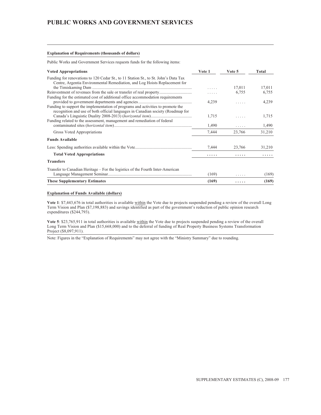### **PUBLIC WORKS AND GOVERNMENT SERVICES**

#### **Explanation of Requirements (thousands of dollars)**

Public Works and Government Services requests funds for the following items:

| <b>Voted Appropriations</b>                                                                                                                                        | Vote 1  | Vote 5 | Total  |
|--------------------------------------------------------------------------------------------------------------------------------------------------------------------|---------|--------|--------|
| Funding for renovations to 120 Cedar St., to 11 Station St., to St. John's Data Tax<br>Centre, Argentia Environmental Remediation, and Log Hoists Replacement for  |         |        |        |
|                                                                                                                                                                    | .       | 17,011 | 17,011 |
| Funding for the estimated cost of additional office accommodation requirements                                                                                     | 1.1.1.1 | 6,755  | 6,755  |
| Funding to support the implementation of programs and activities to promote the<br>recognition and use of both official languages in Canadian society (Roadmap for | 4,239   | .      | 4,239  |
| Funding related to the assessment, management and remediation of federal                                                                                           | 1,715   |        | 1,715  |
|                                                                                                                                                                    | 1,490   | .      | 1,490  |
| Gross Voted Appropriations                                                                                                                                         | 7,444   | 23,766 | 31,210 |
| <b>Funds Available</b>                                                                                                                                             |         |        |        |
|                                                                                                                                                                    | 7,444   | 23,766 | 31,210 |
| <b>Total Voted Appropriations</b>                                                                                                                                  | .       | .      |        |
| <b>Transfers</b>                                                                                                                                                   |         |        |        |
| Transfer to Canadian Heritage – For the logistics of the Fourth Inter-American                                                                                     | (169)   | .      | (169)  |
| <b>These Supplementary Estimates</b>                                                                                                                               | (169)   | .      | (169)  |

#### **Explanation of Funds Available (dollars)**

**Vote 1**: \$7,443,676 in total authorities is available within the Vote due to projects suspended pending a review of the overall Long Term Vision and Plan (\$7,198,883) and savings identified as part of the government's reduction of public opinion research expenditures (\$244,793).

**Vote 5**: \$23,765,911 in total authorities is available within the Vote due to projects suspended pending a review of the overall Long Term Vision and Plan (\$15,668,000) and to the deferral of funding of Real Property Business Systems Transformation Project (\$8,097,911).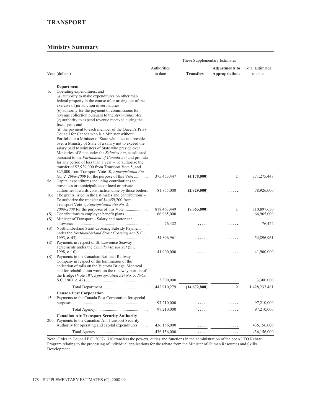### **Ministry Summary**

| These Supplementary Estimates |                                                                                                                                                                                                                                                                                                       |                           |                  |                                                |                                   |
|-------------------------------|-------------------------------------------------------------------------------------------------------------------------------------------------------------------------------------------------------------------------------------------------------------------------------------------------------|---------------------------|------------------|------------------------------------------------|-----------------------------------|
|                               | Vote (dollars)                                                                                                                                                                                                                                                                                        | Authorities<br>to date    | <b>Transfers</b> | <b>Adjustments to</b><br><b>Appropriations</b> | <b>Total Estimates</b><br>to date |
|                               | Department                                                                                                                                                                                                                                                                                            |                           |                  |                                                |                                   |
| 1c                            | Operating expenditures, and<br>$(a)$ authority to make expenditures on other than<br>federal property in the course of or arising out of the<br>exercise of jurisdiction in aeronautics;<br>$(b)$ authority for the payment of commissions for<br>revenue collection pursuant to the Aeronautics Act; |                           |                  |                                                |                                   |
|                               | $(c)$ authority to expend revenue received during the<br>fiscal year; and<br>$(d)$ the payment to each member of the Queen's Privy                                                                                                                                                                    |                           |                  |                                                |                                   |
|                               | Council for Canada who is a Minister without<br>Portfolio or a Minister of State who does not preside<br>over a Ministry of State of a salary not to exceed the<br>salary paid to Ministers of State who preside over                                                                                 |                           |                  |                                                |                                   |
|                               | Ministries of State under the Salaries Act, as adjusted<br>pursuant to the Parliament of Canada Act and pro rata<br>for any period of less than a year $-$ To authorize the<br>transfer of \$2,929,000 from Transport Vote 5, and<br>\$25,000 from Transport Vote 10, Appropriation Act               |                           |                  |                                                |                                   |
| 5c                            | <i>No. 2, 2008-2009</i> for the purpose of this Vote<br>Capital expenditures including contributions to                                                                                                                                                                                               | 375,453,447               | (4,178,000)      | $\mathbf{1}$                                   | 371,275,448                       |
|                               | provinces or municipalities or local or private<br>authorities towards construction done by those bodies.<br>10c The grants listed in the Estimates and contributions –<br>To authorize the transfer of \$4,459,200 from<br>Transport Vote 1, Appropriation Act No. 2,                                | 81,855,000                | (2,929,000)      |                                                | 78,926,000                        |
| (S)<br>(S)                    | Minister of Transport - Salary and motor car                                                                                                                                                                                                                                                          | 818,463,449<br>66,965,000 | (7,565,800)      | 1                                              | 810,897,650<br>66,965,000         |
| (S)                           | Northumberland Strait Crossing Subsidy Payment                                                                                                                                                                                                                                                        | 76,422                    |                  |                                                | 76,422                            |
| (S)                           | under the Northumberland Strait Crossing Act (S.C.,<br>Payments in respect of St. Lawrence Seaway                                                                                                                                                                                                     | 54,896,961                | .                |                                                | 54,896,961                        |
| (S)                           | agreements under the Canada Marine Act (S.C.,<br>Payments to the Canadian National Railway                                                                                                                                                                                                            | 41,900,000                |                  |                                                | 41,900,000                        |
|                               | Company in respect of the termination of the<br>collection of tolls on the Victoria Bridge, Montreal<br>and for rehabilitation work on the roadway portion of<br>the Bridge (Vote 107, Appropriation Act No. 5, 1963,                                                                                 |                           |                  |                                                |                                   |
|                               |                                                                                                                                                                                                                                                                                                       | 3,300,000                 |                  |                                                | 3,300,000                         |
|                               |                                                                                                                                                                                                                                                                                                       | 1,442,910,279             | (14,672,800)     | $\overline{2}$                                 | 1,428,237,481                     |
| 15                            | <b>Canada Post Corporation</b><br>Payments to the Canada Post Corporation for special                                                                                                                                                                                                                 |                           |                  |                                                |                                   |
|                               |                                                                                                                                                                                                                                                                                                       | 97,210,000                |                  |                                                | 97,210,000                        |
|                               |                                                                                                                                                                                                                                                                                                       | 97,210,000                | .                | .                                              | 97,210,000                        |
|                               | <b>Canadian Air Transport Security Authority</b><br>20b Payments to the Canadian Air Transport Security                                                                                                                                                                                               |                           |                  |                                                |                                   |
|                               | Authority for operating and capital expenditures                                                                                                                                                                                                                                                      | 436,156,000               | .                |                                                | 436,156,000                       |
|                               |                                                                                                                                                                                                                                                                                                       | 436,156,000               | .                | .                                              | 436,156,000                       |

Note: Order in Council P.C. 2007-1310 transfers the powers, duties and functions in the administration of the ecoAUTO Rebate Program relating to the processing of individual applications for the rebate from the Minister of Human Resources and Skills Development.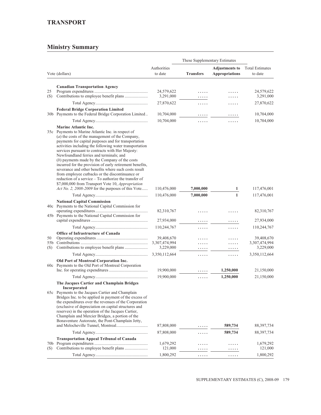### **TRANSPORT**

# **Ministry Summary**

|     | These Supplementary Estimates                                                                                                                                                                                                                                                                                                                                                                                                                                                                                                                                                                                                    |                            |                  |                                                |                                   |
|-----|----------------------------------------------------------------------------------------------------------------------------------------------------------------------------------------------------------------------------------------------------------------------------------------------------------------------------------------------------------------------------------------------------------------------------------------------------------------------------------------------------------------------------------------------------------------------------------------------------------------------------------|----------------------------|------------------|------------------------------------------------|-----------------------------------|
|     | Vote (dollars)                                                                                                                                                                                                                                                                                                                                                                                                                                                                                                                                                                                                                   | Authorities<br>to date     | <b>Transfers</b> | <b>Adjustments to</b><br><b>Appropriations</b> | <b>Total Estimates</b><br>to date |
|     |                                                                                                                                                                                                                                                                                                                                                                                                                                                                                                                                                                                                                                  |                            |                  |                                                |                                   |
| 25  | <b>Canadian Transportation Agency</b>                                                                                                                                                                                                                                                                                                                                                                                                                                                                                                                                                                                            | 24,579,622                 |                  |                                                | 24,579,622                        |
| (S) |                                                                                                                                                                                                                                                                                                                                                                                                                                                                                                                                                                                                                                  | 3,291,000                  | .                |                                                | 3,291,000                         |
|     |                                                                                                                                                                                                                                                                                                                                                                                                                                                                                                                                                                                                                                  | 27,870,622                 | .                | .                                              | 27,870,622                        |
|     | <b>Federal Bridge Corporation Limited</b>                                                                                                                                                                                                                                                                                                                                                                                                                                                                                                                                                                                        |                            |                  |                                                |                                   |
|     | 30b Payments to the Federal Bridge Corporation Limited                                                                                                                                                                                                                                                                                                                                                                                                                                                                                                                                                                           | 10,704,000                 |                  |                                                | 10,704,000                        |
|     |                                                                                                                                                                                                                                                                                                                                                                                                                                                                                                                                                                                                                                  | 10,704,000                 | .                |                                                | 10,704,000                        |
|     | Marine Atlantic Inc.<br>35c Payments to Marine Atlantic Inc. in respect of<br>(a) the costs of the management of the Company,<br>payments for capital purposes and for transportation<br>activities including the following water transportation<br>services pursuant to contracts with Her Majesty:<br>Newfoundland ferries and terminals; and<br>(b) payments made by the Company of the costs<br>incurred for the provision of early retirement benefits,<br>severance and other benefits where such costs result<br>from employee cutbacks or the discontinuance or<br>reduction of a service – To authorize the transfer of |                            |                  |                                                |                                   |
|     | \$7,000,000 from Transport Vote 10, Appropriation<br>Act No. 2, 2008-2009 for the purposes of this Vote                                                                                                                                                                                                                                                                                                                                                                                                                                                                                                                          | 110,476,000                | 7,000,000        | 1                                              | 117,476,001                       |
|     |                                                                                                                                                                                                                                                                                                                                                                                                                                                                                                                                                                                                                                  | 110,476,000                | 7,000,000        | $\mathbf{1}$                                   | 117,476,001                       |
|     | <b>National Capital Commission</b><br>40c Payments to the National Capital Commission for                                                                                                                                                                                                                                                                                                                                                                                                                                                                                                                                        |                            |                  |                                                |                                   |
|     | 45b Payments to the National Capital Commission for                                                                                                                                                                                                                                                                                                                                                                                                                                                                                                                                                                              | 82,310,767                 | .                |                                                | 82,310,767                        |
|     |                                                                                                                                                                                                                                                                                                                                                                                                                                                                                                                                                                                                                                  | 27,934,000                 | .                | .                                              | 27,934,000                        |
|     |                                                                                                                                                                                                                                                                                                                                                                                                                                                                                                                                                                                                                                  | 110,244,767                | .                | .                                              | 110,244,767                       |
|     | <b>Office of Infrastructure of Canada</b>                                                                                                                                                                                                                                                                                                                                                                                                                                                                                                                                                                                        |                            |                  |                                                |                                   |
| 50  |                                                                                                                                                                                                                                                                                                                                                                                                                                                                                                                                                                                                                                  | 39,408,670                 |                  |                                                | 39,408,670                        |
| (S) |                                                                                                                                                                                                                                                                                                                                                                                                                                                                                                                                                                                                                                  | 3,307,474,994<br>3,229,000 | .                | .                                              | 3,307,474,994<br>3,229,000        |
|     |                                                                                                                                                                                                                                                                                                                                                                                                                                                                                                                                                                                                                                  |                            |                  |                                                | 3,350,112,664                     |
|     |                                                                                                                                                                                                                                                                                                                                                                                                                                                                                                                                                                                                                                  | 3,350,112,664              | .                | .                                              |                                   |
|     | Old Port of Montreal Corporation Inc.<br>60c Payments to the Old Port of Montreal Corporation                                                                                                                                                                                                                                                                                                                                                                                                                                                                                                                                    |                            |                  |                                                |                                   |
|     |                                                                                                                                                                                                                                                                                                                                                                                                                                                                                                                                                                                                                                  | 19,900,000                 |                  | 1,250,000                                      | 21,150,000                        |
|     |                                                                                                                                                                                                                                                                                                                                                                                                                                                                                                                                                                                                                                  | 19,900,000                 |                  | 1,250,000                                      | 21,150,000                        |
|     | The Jacques Cartier and Champlain Bridges<br>Incorporated<br>65c Payments to the Jacques Cartier and Champlain<br>Bridges Inc. to be applied in payment of the excess of<br>the expenditures over the revenues of the Corporation<br>(exclusive of depreciation on capital structures and<br>reserves) in the operation of the Jacques Cartier,<br>Champlain and Mercier Bridges, a portion of the<br>Bonaventure Autoroute, the Pont-Champlain Jetty,                                                                                                                                                                           |                            |                  |                                                |                                   |
|     |                                                                                                                                                                                                                                                                                                                                                                                                                                                                                                                                                                                                                                  | 87,808,000                 | .                | 589,734                                        | 88, 397, 734                      |
|     |                                                                                                                                                                                                                                                                                                                                                                                                                                                                                                                                                                                                                                  | 87,808,000                 | .                | 589,734                                        | 88, 397, 734                      |
|     | <b>Transportation Appeal Tribunal of Canada</b>                                                                                                                                                                                                                                                                                                                                                                                                                                                                                                                                                                                  |                            |                  |                                                |                                   |
|     |                                                                                                                                                                                                                                                                                                                                                                                                                                                                                                                                                                                                                                  | 1,679,292                  |                  |                                                | 1,679,292                         |
| (S) |                                                                                                                                                                                                                                                                                                                                                                                                                                                                                                                                                                                                                                  | 121,000                    |                  |                                                | 121,000                           |
|     |                                                                                                                                                                                                                                                                                                                                                                                                                                                                                                                                                                                                                                  | 1,800,292                  | .                | .                                              | 1,800,292                         |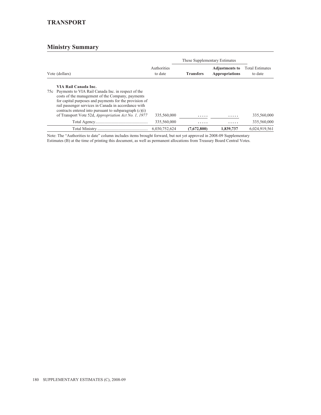### **TRANSPORT**

### **Ministry Summary**

|      |                                                                                                                                                                                                                                                                                      | These Supplementary Estimates |                  |                                                |                                   |
|------|--------------------------------------------------------------------------------------------------------------------------------------------------------------------------------------------------------------------------------------------------------------------------------------|-------------------------------|------------------|------------------------------------------------|-----------------------------------|
|      | Vote (dollars)                                                                                                                                                                                                                                                                       | Authorities<br>to date        | <b>Transfers</b> | <b>Adjustments to</b><br><b>Appropriations</b> | <b>Total Estimates</b><br>to date |
|      | VIA Rail Canada Inc.                                                                                                                                                                                                                                                                 |                               |                  |                                                |                                   |
| 75 c | Payments to VIA Rail Canada Inc. in respect of the<br>costs of the management of the Company, payments<br>for capital purposes and payments for the provision of<br>rail passenger services in Canada in accordance with<br>contracts entered into pursuant to subparagraph $(c)(i)$ |                               |                  |                                                |                                   |
|      | of Transport Vote 52d, <i>Appropriation Act No. 1, 1977</i>                                                                                                                                                                                                                          | 335,560,000                   | .                | .                                              | 335,560,000                       |
|      |                                                                                                                                                                                                                                                                                      | 335,560,000                   | .                | .                                              | 335,560,000                       |
|      |                                                                                                                                                                                                                                                                                      | 6,030,752,624                 | (7,672,800)      | 1,839,737                                      | 6,024,919,561                     |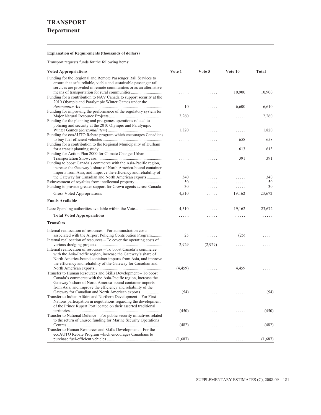### **Explanation of Requirements (thousands of dollars)**

Transport requests funds for the following items:

| <b>Voted Appropriations</b>                                                                                                                                                                                                                                        | Vote 1   | Vote 5   | Vote 10              | Total   |
|--------------------------------------------------------------------------------------------------------------------------------------------------------------------------------------------------------------------------------------------------------------------|----------|----------|----------------------|---------|
| Funding for the Regional and Remote Passenger Rail Services to<br>ensure that safe, reliable, viable and sustainable passenger rail<br>services are provided in remote communities or as an alternative                                                            |          |          |                      |         |
| Funding for a contribution to NAV Canada to support security at the<br>2010 Olympic and Paralympic Winter Games under the                                                                                                                                          |          | .        | 10,900               | 10,900  |
| Funding for improving the performance of the regulatory system for                                                                                                                                                                                                 | 10       | .        | 6,600                | 6,610   |
| Funding for the planning and pre-games operations related to<br>policing and security at the 2010 Olympic and Paralympic                                                                                                                                           | 2,260    | .        | .                    | 2,260   |
| Funding for ecoAUTO Rebate program which encourages Canadians                                                                                                                                                                                                      | 1,820    | .        | $\sim$ $\sim$ $\sim$ | 1,820   |
| Funding for a contribution to the Regional Municipality of Durham                                                                                                                                                                                                  | .        | .        | 658                  | 658     |
| Funding for Action Plan 2000 for Climate Change: Urban                                                                                                                                                                                                             | .        | .        | 613                  | 613     |
| Funding to boost Canada's commerce with the Asia-Pacific region,<br>increase the Gateway's share of North America-bound container                                                                                                                                  |          | .        | 391                  | 391     |
| imports from Asia, and improve the efficiency and reliability of<br>the Gateway for Canadian and North American exports                                                                                                                                            | 340      |          |                      | 340     |
| Reinvestment of royalties from intellectual property                                                                                                                                                                                                               | 50       | .<br>.   | .                    | 50      |
| Funding to provide greater support for Crown agents across Canada                                                                                                                                                                                                  | 30       | $\cdots$ | .                    | 30      |
| Gross Voted Appropriations                                                                                                                                                                                                                                         | 4,510    | .        | 19,162               | 23,672  |
| <b>Funds Available</b>                                                                                                                                                                                                                                             |          |          |                      |         |
|                                                                                                                                                                                                                                                                    | 4,510    |          | 19,162               | 23,672  |
| <b>Total Voted Appropriations</b>                                                                                                                                                                                                                                  | .        | .<br>.   | .                    | .       |
| <b>Transfers</b>                                                                                                                                                                                                                                                   |          |          |                      |         |
|                                                                                                                                                                                                                                                                    |          |          |                      |         |
| Internal reallocation of resources – For administration costs<br>associated with the Airport Policing Contribution Program<br>Internal reallocation of resources – To cover the operating costs of                                                                 | 25       | .        | (25)                 |         |
|                                                                                                                                                                                                                                                                    | 2,929    | (2,929)  |                      |         |
| Internal reallocation of resources - To boost Canada's commerce<br>with the Asia-Pacific region, increase the Gateway's share of<br>North America-bound container imports from Asia, and improve<br>the efficiency and reliability of the Gateway for Canadian and |          |          |                      |         |
| Transfer to Human Resources and Skills Development - To boost<br>Canada's commerce with the Asia-Pacific region, increase the<br>Gateway's share of North America-bound container imports<br>from Asia, and improve the efficiency and reliability of the          | (4, 459) |          | 4,459                |         |
| Transfer to Indian Affairs and Northern Development - For First<br>Nations participation in negotiations regarding the development<br>of the Prince Rupert Port located on their asserted traditional                                                              | (54)     |          |                      | (54)    |
| Transfer to National Defence – For public security initiatives related<br>to the return of unused funding for Marine Security Operations                                                                                                                           | (450)    |          |                      | (450)   |
| Transfer to Human Resources and Skills Development – For the<br>ecoAUTO Rebate Program which encourages Canadians to                                                                                                                                               | (482)    | .        | .                    | (482)   |
|                                                                                                                                                                                                                                                                    | (1,687)  | .        | .                    | (1,687) |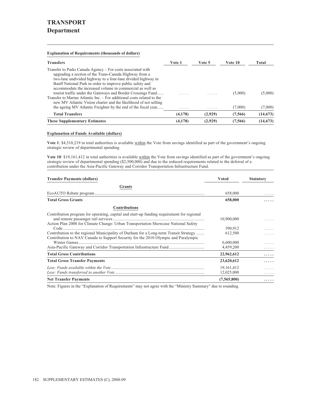# **TRANSPORT Department**

**Explanation of Requirements (thousands of dollars)**

| <b>Transfers</b>                                                                                                                                                                                                                                                                                                                                                                                                                                                                                                                                                                                | Vote 1   | Vote 5  | Vote 10            | Total              |
|-------------------------------------------------------------------------------------------------------------------------------------------------------------------------------------------------------------------------------------------------------------------------------------------------------------------------------------------------------------------------------------------------------------------------------------------------------------------------------------------------------------------------------------------------------------------------------------------------|----------|---------|--------------------|--------------------|
| Transfer to Parks Canada Agency – For costs associated with<br>upgrading a section of the Trans-Canada Highway from a<br>two-lane undivided highway to a four-lane divided highway in<br>Banff National Park in order to improve public safety and<br>accommodate the increased volume in commercial as well as<br>tourist traffic under the Gateways and Border Crossings Fund<br>Transfer to Marine Atlantic Inc. – For additional costs related to the<br>new MV Atlantic Vision charter and the likelihood of not selling<br>the ageing MV Atlantic Freighter by the end of the fiscal year | .        | .       | (5,000)<br>(7,000) | (5,000)<br>(7,000) |
| <b>Total Transfers</b>                                                                                                                                                                                                                                                                                                                                                                                                                                                                                                                                                                          | (4,178)  | (2,929) | (7, 566)           | (14, 673)          |
| <b>These Supplementary Estimates</b>                                                                                                                                                                                                                                                                                                                                                                                                                                                                                                                                                            | (4, 178) | (2,929) | (7,566)            | (14, 673)          |

#### **Explanation of Funds Available (dollars)**

**Vote 1**: \$4,510,219 in total authorities is available within the Vote from savings identified as part of the government's ongoing strategic review of departmental spending.

**Vote 10**: \$19,161,412 in total authorities is available within the Vote from savings identified as part of the government's ongoing strategic review of departmental spending (\$2,500,000) and due to the reduced requirements related to the deferral of a contribution under the Asia-Pacific Gateway and Corridor Transportation Infrastructure Fund.

| <b>Transfer Payments (dollars)</b>                                                                                                                                         | <b>Voted</b> | <b>Statutory</b> |
|----------------------------------------------------------------------------------------------------------------------------------------------------------------------------|--------------|------------------|
| Grants                                                                                                                                                                     |              |                  |
|                                                                                                                                                                            | 658,000      |                  |
| <b>Total Gross Grants</b>                                                                                                                                                  | 658,000      |                  |
| <b>Contributions</b>                                                                                                                                                       |              |                  |
| Contribution program for operating, capital and start-up funding requirement for regional                                                                                  | 10,900,000   |                  |
| Action Plan 2000 for Climate Change: Urban Transportation Showcase National Safety                                                                                         | 390,912      |                  |
| Contribution to the regional Municipality of Durham for a Long-term Transit Strategy<br>Contribution to NAV Canada to Support Security for the 2010 Olympic and Paralympic | 612,500      |                  |
|                                                                                                                                                                            | 6,600,000    |                  |
| Asia-Pacific Gateway and Corridor Transportation Infrastructure Fund                                                                                                       | 4,459,200    |                  |
| <b>Total Gross Contributions</b>                                                                                                                                           | 22,962,612   |                  |
| <b>Total Gross Transfer Payments</b>                                                                                                                                       | 23,620,612   |                  |
|                                                                                                                                                                            | 19, 161, 412 |                  |
|                                                                                                                                                                            | 12,025,000   |                  |
| <b>Net Transfer Payments</b>                                                                                                                                               | (7,565,800)  | .                |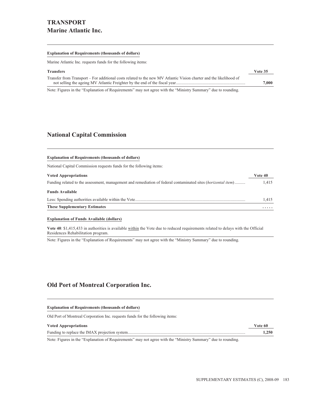#### **Explanation of Requirements (thousands of dollars)**

Marine Atlantic Inc. requests funds for the following items:

| <b>Transfers</b>                                                                                                   | Vote 35 |
|--------------------------------------------------------------------------------------------------------------------|---------|
| Transfer from Transport – For additional costs related to the new MV Atlantic Vision charter and the likelihood of |         |
|                                                                                                                    | 7.000   |

Note: Figures in the "Explanation of Requirements" may not agree with the "Ministry Summary" due to rounding.

### **National Capital Commission**

| <b>Explanation of Requirements (thousands of dollars)</b>                                                     |         |
|---------------------------------------------------------------------------------------------------------------|---------|
| National Capital Commission requests funds for the following items:                                           |         |
| <b>Voted Appropriations</b>                                                                                   | Vote 40 |
| Funding related to the assessment, management and remediation of federal contaminated sites (horizontal item) | 1.415   |
| <b>Funds Available</b>                                                                                        |         |
|                                                                                                               | 1,415   |
| <b>These Supplementary Estimates</b>                                                                          | .       |

#### **Explanation of Funds Available (dollars)**

**Vote 40**: \$1,415,433 in authorities is available within the Vote due to reduced requirements related to delays with the Official Residences Rehabilitation program.

Note: Figures in the "Explanation of Requirements" may not agree with the "Ministry Summary" due to rounding.

### **Old Port of Montreal Corporation Inc.**

| <b>Explanation of Requirements (thousands of dollars)</b>                                                    |         |
|--------------------------------------------------------------------------------------------------------------|---------|
| Old Port of Montreal Corporation Inc. requests funds for the following items:                                |         |
| <b>Voted Appropriations</b>                                                                                  | Vote 60 |
|                                                                                                              | 1.250   |
| Note: Figures in the "Explanation of Requirements" may not agree with the "Ministry Summary" due to rounding |         |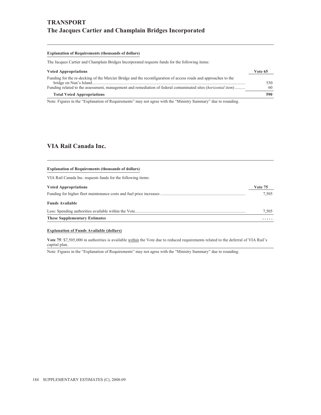# **TRANSPORT The Jacques Cartier and Champlain Bridges Incorporated**

#### **Explanation of Requirements (thousands of dollars)**

The Jacques Cartier and Champlain Bridges Incorporated requests funds for the following items:

| <b>Voted Appropriations</b>                                                                                                                                                                                                     | Vote 65   |
|---------------------------------------------------------------------------------------------------------------------------------------------------------------------------------------------------------------------------------|-----------|
| Funding for the re-decking of the Mercier Bridge and the reconfiguration of access roads and approaches to the<br>Funding related to the assessment, management and remediation of federal contaminated sites (horizontal item) | 530<br>60 |
| <b>Total Voted Appropriations</b>                                                                                                                                                                                               | 590       |

Note: Figures in the "Explanation of Requirements" may not agree with the "Ministry Summary" due to rounding.

## **VIA Rail Canada Inc.**

#### **Explanation of Requirements (thousands of dollars)**

VIA Rail Canada Inc. requests funds for the following items:

| <b>Voted Appropriations</b>          | <b>Vote 75</b> |
|--------------------------------------|----------------|
|                                      | 7.505          |
| <b>Funds Available</b>               |                |
|                                      | 7.505          |
| <b>These Supplementary Estimates</b> | .              |

### **Explanation of Funds Available (dollars)**

**Vote 75**: \$7,505,000 in authorities is available within the Vote due to reduced requirements related to the deferral of VIA Rail's capital plan.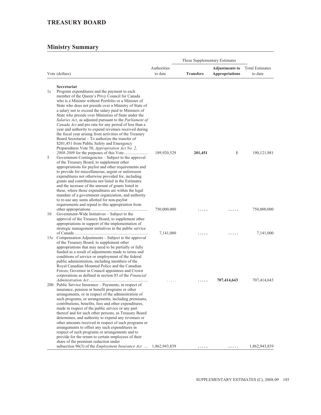# **TREASURY BOARD**

# **Ministry Summary**

|    |                                                                                                                                                                                                                                                                                                                                                                                                                                                                                                                                                                                                                                                                                                                                                                                 |             | These Supplementary Estimates |                       |                        |
|----|---------------------------------------------------------------------------------------------------------------------------------------------------------------------------------------------------------------------------------------------------------------------------------------------------------------------------------------------------------------------------------------------------------------------------------------------------------------------------------------------------------------------------------------------------------------------------------------------------------------------------------------------------------------------------------------------------------------------------------------------------------------------------------|-------------|-------------------------------|-----------------------|------------------------|
|    |                                                                                                                                                                                                                                                                                                                                                                                                                                                                                                                                                                                                                                                                                                                                                                                 | Authorities |                               | <b>Adjustments to</b> | <b>Total Estimates</b> |
|    | Vote (dollars)                                                                                                                                                                                                                                                                                                                                                                                                                                                                                                                                                                                                                                                                                                                                                                  | to date     | <b>Transfers</b>              | <b>Appropriations</b> | to date                |
| 1c | Secretariat<br>Program expenditures and the payment to each<br>member of the Queen's Privy Council for Canada<br>who is a Minister without Portfolio or a Minister of<br>State who does not preside over a Ministry of State of<br>a salary not to exceed the salary paid to Ministers of<br>State who preside over Ministries of State under the<br>Salaries Act, as adjusted pursuant to the Parliament of<br>Canada Act and pro rata for any period of less than a<br>year and authority to expend revenues received during<br>the fiscal year arising from activities of the Treasury<br>Board Secretariat – To authorize the transfer of                                                                                                                                   |             |                               |                       |                        |
| 5  | \$201,451 from Public Safety and Emergency<br>Preparedness Vote 50, Appropriation Act No. 2,<br>Government Contingencies – Subject to the approval<br>of the Treasury Board, to supplement other<br>appropriations for paylist and other requirements and<br>to provide for miscellaneous, urgent or unforeseen<br>expenditures not otherwise provided for, including<br>grants and contributions not listed in the Estimates<br>and the increase of the amount of grants listed in<br>these, where those expenditures are within the legal<br>mandate of a government organization, and authority<br>to re-use any sums allotted for non-paylist                                                                                                                               | 189,920,529 | 201,451                       | 1                     | 190, 121, 981          |
| 10 | requirements and repaid to this appropriation from<br>Government-Wide Initiatives – Subject to the<br>approval of the Treasury Board, to supplement other<br>appropriations in support of the implementation of                                                                                                                                                                                                                                                                                                                                                                                                                                                                                                                                                                 | 750,000,000 |                               |                       | 750,000,000            |
|    | strategic management initiatives in the public service<br>15c Compensation Adjustments – Subject to the approval<br>of the Treasury Board, to supplement other<br>appropriations that may need to be partially or fully<br>funded as a result of adjustments made to terms and<br>conditions of service or employment of the federal<br>public administration, including members of the<br>Royal Canadian Mounted Police and the Canadian<br>Forces, Governor in Council appointees and Crown                                                                                                                                                                                                                                                                                   | 7,141,000   |                               |                       | 7,141,000              |
|    | corporations as defined in section 83 of the Financial<br>20b Public Service Insurance – Payments, in respect of<br>insurance, pension or benefit programs or other<br>arrangements, or in respect of the administration of<br>such programs, or arrangements, including premiums,<br>contributions, benefits, fees and other expenditures,<br>made in respect of the public service or any part<br>thereof and for such other persons, as Treasury Board<br>determines, and authority to expend any revenues or<br>other amounts received in respect of such programs or<br>arrangements to offset any such expenditures in<br>respect of such programs or arrangements and to<br>provide for the return to certain employees of their<br>share of the premium reduction under |             |                               | 707,414,643           | 707,414,643            |
|    | subsection 96(3) of the <i>Employment Insurance Act</i> 1,862,943,839                                                                                                                                                                                                                                                                                                                                                                                                                                                                                                                                                                                                                                                                                                           |             |                               |                       | 1,862,943,839          |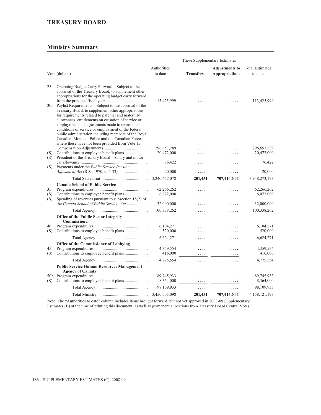### **TREASURY BOARD**

## **Ministry Summary**

|            |                                                                                                                                                                                                                                                                                                                                                                                                                                                                                                    |               | These Supplementary Estimates |                       |                        |
|------------|----------------------------------------------------------------------------------------------------------------------------------------------------------------------------------------------------------------------------------------------------------------------------------------------------------------------------------------------------------------------------------------------------------------------------------------------------------------------------------------------------|---------------|-------------------------------|-----------------------|------------------------|
|            |                                                                                                                                                                                                                                                                                                                                                                                                                                                                                                    | Authorities   |                               | <b>Adjustments to</b> | <b>Total Estimates</b> |
|            | Vote (dollars)                                                                                                                                                                                                                                                                                                                                                                                                                                                                                     | to date       | <b>Transfers</b>              | <b>Appropriations</b> | to date                |
| 25         | Operating Budget Carry Forward - Subject to the<br>approval of the Treasury Board, to supplement other<br>appropriations for the operating budget carry forward                                                                                                                                                                                                                                                                                                                                    |               |                               |                       |                        |
|            | 30b Paylist Requirements – Subject to the approval of the<br>Treasury Board, to supplement other appropriations<br>for requirements related to parental and maternity<br>allowances, entitlements on cessation of service or<br>employment and adjustments made to terms and<br>conditions of service or employment of the federal<br>public administration including members of the Royal<br>Canadian Mounted Police and the Canadian Forces,<br>where these have not been provided from Vote 15, | 113,425,999   |                               |                       | 113,425,999            |
|            |                                                                                                                                                                                                                                                                                                                                                                                                                                                                                                    | 296,657,289   |                               |                       | 296,657,289            |
| (S)<br>(S) | President of the Treasury Board - Salary and motor                                                                                                                                                                                                                                                                                                                                                                                                                                                 | 20,472,000    |                               |                       | 20,472,000             |
| (S)        | Payments under the <i>Public Service Pension</i>                                                                                                                                                                                                                                                                                                                                                                                                                                                   | 76,422        | .                             | .                     | 76,422                 |
|            |                                                                                                                                                                                                                                                                                                                                                                                                                                                                                                    | 20,000        | .                             | .                     | 20,000                 |
|            |                                                                                                                                                                                                                                                                                                                                                                                                                                                                                                    | 3,240,657,078 | 201,451                       | 707,414,644           | 3,948,273,173          |
|            | <b>Canada School of Public Service</b>                                                                                                                                                                                                                                                                                                                                                                                                                                                             |               |                               |                       |                        |
| 35         |                                                                                                                                                                                                                                                                                                                                                                                                                                                                                                    | 62,266,262    | .                             |                       | 62,266,262             |
| (S)<br>(S) | Contributions to employee benefit plans<br>Spending of revenues pursuant to subsection 18(2) of                                                                                                                                                                                                                                                                                                                                                                                                    | 6,072,000     | .                             | .                     | 6,072,000              |
|            | the Canada School of Public Service Act                                                                                                                                                                                                                                                                                                                                                                                                                                                            | 32,000,000    | .                             | .                     | 32,000,000             |
|            |                                                                                                                                                                                                                                                                                                                                                                                                                                                                                                    | 100,338,262   | .                             | .                     | 100,338,262            |
|            | Office of the Public Sector Integrity<br>Commissioner                                                                                                                                                                                                                                                                                                                                                                                                                                              |               |                               |                       |                        |
| 40         |                                                                                                                                                                                                                                                                                                                                                                                                                                                                                                    | 6,104,271     | .                             | .                     | 6,104,271              |
| (S)        | Contributions to employee benefit plans                                                                                                                                                                                                                                                                                                                                                                                                                                                            | 520,000       | .                             | .                     | 520,000                |
|            |                                                                                                                                                                                                                                                                                                                                                                                                                                                                                                    | 6,624,271     | .                             | .                     | 6,624,271              |
|            | Office of the Commissioner of Lobbying                                                                                                                                                                                                                                                                                                                                                                                                                                                             |               |                               |                       |                        |
| 45         |                                                                                                                                                                                                                                                                                                                                                                                                                                                                                                    | 4,359,554     | .                             | .                     | 4,359,554              |
| (S)        |                                                                                                                                                                                                                                                                                                                                                                                                                                                                                                    | 416,000       | .                             | .                     | 416,000                |
|            |                                                                                                                                                                                                                                                                                                                                                                                                                                                                                                    | 4,775,554     | .                             | .                     | 4,775,554              |
|            | <b>Public Service Human Resources Management</b><br><b>Agency of Canada</b>                                                                                                                                                                                                                                                                                                                                                                                                                        |               |                               |                       |                        |
| 50b        |                                                                                                                                                                                                                                                                                                                                                                                                                                                                                                    | 89,745,933    |                               |                       | 89,745,933             |
| (S)        |                                                                                                                                                                                                                                                                                                                                                                                                                                                                                                    | 8,364,000     | .                             | .                     | 8,364,000              |
|            |                                                                                                                                                                                                                                                                                                                                                                                                                                                                                                    | 98,109,933    | .                             | .                     | 98,109,933             |
|            |                                                                                                                                                                                                                                                                                                                                                                                                                                                                                                    | 3,450,505,098 | 201,451                       | 707,414,644           | 4,158,121,193          |

Note: The "Authorities to date" column includes items brought forward, but not yet approved in 2008-09 Supplementary Estimates (B) at the time of printing this document, as well as permanent allocations from Treasury Board Central Votes.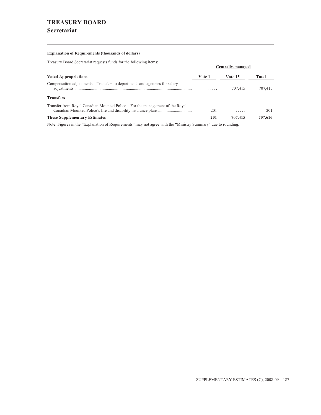# **TREASURY BOARD Secretariat**

### **Explanation of Requirements (thousands of dollars)**

Treasury Board Secretariat requests funds for the following items:

| Treasury Doard Secretarial requests funds for the following hems.             | Centrally-managed |         |         |  |
|-------------------------------------------------------------------------------|-------------------|---------|---------|--|
| <b>Voted Appropriations</b>                                                   | Vote 1            | Vote 15 | Total   |  |
| Compensation adjustments – Transfers to departments and agencies for salary   | .                 | 707,415 | 707.415 |  |
| <b>Transfers</b>                                                              |                   |         |         |  |
| Transfer from Royal Canadian Mounted Police – For the management of the Royal | 201               | .       | 201     |  |
| <b>These Supplementary Estimates</b>                                          | 201               | 707,415 | 707.616 |  |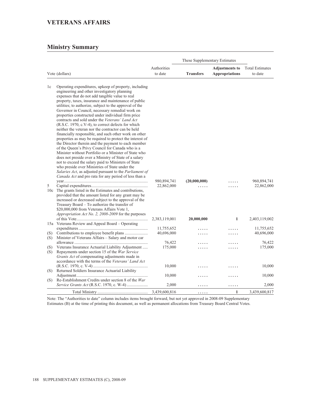# **VETERANS AFFAIRS**

## **Ministry Summary**

|            |                                                                                                                                                                                                                                                                                                                                                                                                                                                                                                                                                                                                                                                                                                                                                                                                                                                                                                                                                                                                                                                                                          |                             | These Supplementary Estimates |                       |                           |
|------------|------------------------------------------------------------------------------------------------------------------------------------------------------------------------------------------------------------------------------------------------------------------------------------------------------------------------------------------------------------------------------------------------------------------------------------------------------------------------------------------------------------------------------------------------------------------------------------------------------------------------------------------------------------------------------------------------------------------------------------------------------------------------------------------------------------------------------------------------------------------------------------------------------------------------------------------------------------------------------------------------------------------------------------------------------------------------------------------|-----------------------------|-------------------------------|-----------------------|---------------------------|
|            |                                                                                                                                                                                                                                                                                                                                                                                                                                                                                                                                                                                                                                                                                                                                                                                                                                                                                                                                                                                                                                                                                          | Authorities                 |                               | <b>Adjustments to</b> | <b>Total Estimates</b>    |
|            | Vote (dollars)                                                                                                                                                                                                                                                                                                                                                                                                                                                                                                                                                                                                                                                                                                                                                                                                                                                                                                                                                                                                                                                                           | to date                     | <b>Transfers</b>              | <b>Appropriations</b> | to date                   |
| 1c         | Operating expenditures, upkeep of property, including<br>engineering and other investigatory planning<br>expenses that do not add tangible value to real<br>property, taxes, insurance and maintenance of public<br>utilities; to authorize, subject to the approval of the<br>Governor in Council, necessary remedial work on<br>properties constructed under individual firm price<br>contracts and sold under the Veterans' Land Act<br>(R.S.C. 1970, c.V-4), to correct defects for which<br>neither the veteran nor the contractor can be held<br>financially responsible, and such other work on other<br>properties as may be required to protect the interest of<br>the Director therein and the payment to each member<br>of the Queen's Privy Council for Canada who is a<br>Minister without Portfolio or a Minister of State who<br>does not preside over a Ministry of State of a salary<br>not to exceed the salary paid to Ministers of State<br>who preside over Ministries of State under the<br><i>Salaries Act</i> , as adjusted pursuant to the <i>Parliament of</i> |                             |                               |                       |                           |
| 5          | Canada Act and pro rata for any period of less than a<br>10c The grants listed in the Estimates and contributions,<br>provided that the amount listed for any grant may be<br>increased or decreased subject to the approval of the<br>Treasury Board - To authorize the transfer of<br>\$20,000,000 from Veterans Affairs Vote 1,<br>Appropriation Act No. 2, 2008-2009 for the purposes                                                                                                                                                                                                                                                                                                                                                                                                                                                                                                                                                                                                                                                                                                | 980, 894, 741<br>22,862,000 | (20,000,000)<br>.             |                       | 960,894,741<br>22,862,000 |
|            |                                                                                                                                                                                                                                                                                                                                                                                                                                                                                                                                                                                                                                                                                                                                                                                                                                                                                                                                                                                                                                                                                          | 2,383,119,001               | 20,000,000                    | $\mathbf{1}$          | 2,403,119,002             |
| (S)<br>(S) | 15a Veterans Review and Appeal Board – Operating<br>Minister of Veterans Affairs - Salary and motor car                                                                                                                                                                                                                                                                                                                                                                                                                                                                                                                                                                                                                                                                                                                                                                                                                                                                                                                                                                                  | 11,755,652<br>40,696,000    |                               |                       | 11,755,652<br>40,696,000  |
| (S)<br>(S) | Veterans Insurance Actuarial Liability Adjustment<br>Repayments under section 15 of the War Service<br><i>Grants Act</i> of compensating adjustments made in                                                                                                                                                                                                                                                                                                                                                                                                                                                                                                                                                                                                                                                                                                                                                                                                                                                                                                                             | 76,422<br>175,000           | .                             | .                     | 76,422<br>175,000         |
| (S)        | accordance with the terms of the Veterans' Land Act<br>Returned Soldiers Insurance Actuarial Liability                                                                                                                                                                                                                                                                                                                                                                                                                                                                                                                                                                                                                                                                                                                                                                                                                                                                                                                                                                                   | 10,000                      |                               |                       | 10,000                    |
| (S)        | Re-Establishment Credits under section 8 of the War                                                                                                                                                                                                                                                                                                                                                                                                                                                                                                                                                                                                                                                                                                                                                                                                                                                                                                                                                                                                                                      | 10,000                      | .                             | .                     | 10,000                    |
|            |                                                                                                                                                                                                                                                                                                                                                                                                                                                                                                                                                                                                                                                                                                                                                                                                                                                                                                                                                                                                                                                                                          | 2,000                       | .                             | .                     | 2,000                     |
|            |                                                                                                                                                                                                                                                                                                                                                                                                                                                                                                                                                                                                                                                                                                                                                                                                                                                                                                                                                                                                                                                                                          | 3,439,600,816               | .                             | $\mathbf{1}$          | 3,439,600,817             |

Note: The "Authorities to date" column includes items brought forward, but not yet approved in 2008-09 Supplementary Estimates (B) at the time of printing this document, as well as permanent allocations from Treasury Board Central Votes.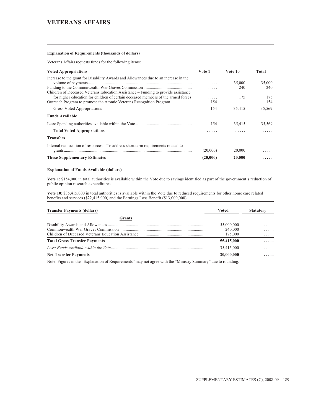### **VETERANS AFFAIRS**

### **Explanation of Requirements (thousands of dollars)**

Veterans Affairs requests funds for the following items:

| <b>Voted Appropriations</b>                                                                                                                                             | Vote 1   | Vote 10       | Total         |
|-------------------------------------------------------------------------------------------------------------------------------------------------------------------------|----------|---------------|---------------|
| Increase to the grant for Disability Awards and Allowances due to an increase in the                                                                                    | .        | 35,000<br>240 | 35,000<br>240 |
| Children of Deceased Veterans Education Assistance – Funding to provide assistance<br>for higher education for children of certain deceased members of the armed forces | .<br>154 | 175<br>.      | 175<br>154    |
| Gross Voted Appropriations                                                                                                                                              | 154      | 35,415        | 35,569        |
| <b>Funds Available</b>                                                                                                                                                  |          |               |               |
|                                                                                                                                                                         | 154      | 35,415        | 35,569        |
| <b>Total Voted Appropriations</b>                                                                                                                                       | .        | .             | .             |
| <b>Transfers</b>                                                                                                                                                        |          |               |               |
| Internal reallocation of resources – To address short term requirements related to                                                                                      | (20,000) | 20,000        | .             |
| <b>These Supplementary Estimates</b>                                                                                                                                    | (20,000) | 20,000        | .             |

### **Explanation of Funds Available (dollars)**

Vote 1: \$154,000 in total authorities is available within the Vote due to savings identified as part of the government's reduction of public opinion research expenditures.

Vote 10: \$35,415,000 in total authorities is available within the Vote due to reduced requirements for other home care related benefits and services (\$22,415,000) and the Earnings Loss Benefit (\$13,000,000).

| <b>Transfer Payments (dollars)</b>   | Voted      | <b>Statutory</b> |
|--------------------------------------|------------|------------------|
| <b>Grants</b>                        |            |                  |
|                                      | 55,000,000 | .                |
|                                      | 240,000    | .                |
|                                      | 175,000    | .                |
| <b>Total Gross Transfer Payments</b> | 55,415,000 | .                |
|                                      | 35,415,000 | .                |
| <b>Net Transfer Payments</b>         | 20,000,000 | .                |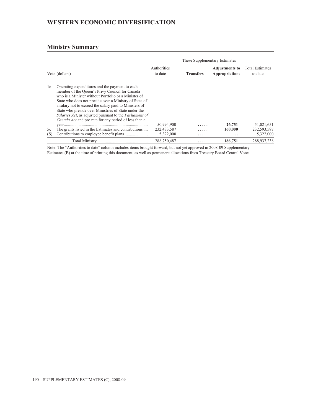# **WESTERN ECONOMIC DIVERSIFICATION**

## **Ministry Summary**

|                |                                                                                                                                                                                                                                                                                                                                                                                                                                                                                                                         |                           | These Supplementary Estimates |                                         |                                   |
|----------------|-------------------------------------------------------------------------------------------------------------------------------------------------------------------------------------------------------------------------------------------------------------------------------------------------------------------------------------------------------------------------------------------------------------------------------------------------------------------------------------------------------------------------|---------------------------|-------------------------------|-----------------------------------------|-----------------------------------|
| Vote (dollars) |                                                                                                                                                                                                                                                                                                                                                                                                                                                                                                                         | Authorities<br>to date    | <b>Transfers</b>              | <b>Adjustments to</b><br>Appropriations | <b>Total Estimates</b><br>to date |
| 1c<br>5c       | Operating expenditures and the payment to each<br>member of the Queen's Privy Council for Canada<br>who is a Minister without Portfolio or a Minister of<br>State who does not preside over a Ministry of State of<br>a salary not to exceed the salary paid to Ministers of<br>State who preside over Ministries of State under the<br>Salaries Act, as adjusted pursuant to the Parliament of<br><i>Canada Act</i> and pro rata for any period of less than a<br>The grants listed in the Estimates and contributions | 50,994,900<br>232,433,587 | .<br>.                        | 26,751<br>160,000                       | 51,021,651<br>232,593,587         |
| (S)            |                                                                                                                                                                                                                                                                                                                                                                                                                                                                                                                         | 5,322,000                 | .                             | .                                       | 5,322,000                         |
|                |                                                                                                                                                                                                                                                                                                                                                                                                                                                                                                                         | 288,750,487               | .                             | 186,751                                 | 288,937,238                       |

Note: The "Authorities to date" column includes items brought forward, but not yet approved in 2008-09 Supplementary Estimates (B) at the time of printing this document, as well as permanent allocations from Treasury Board Central Votes.